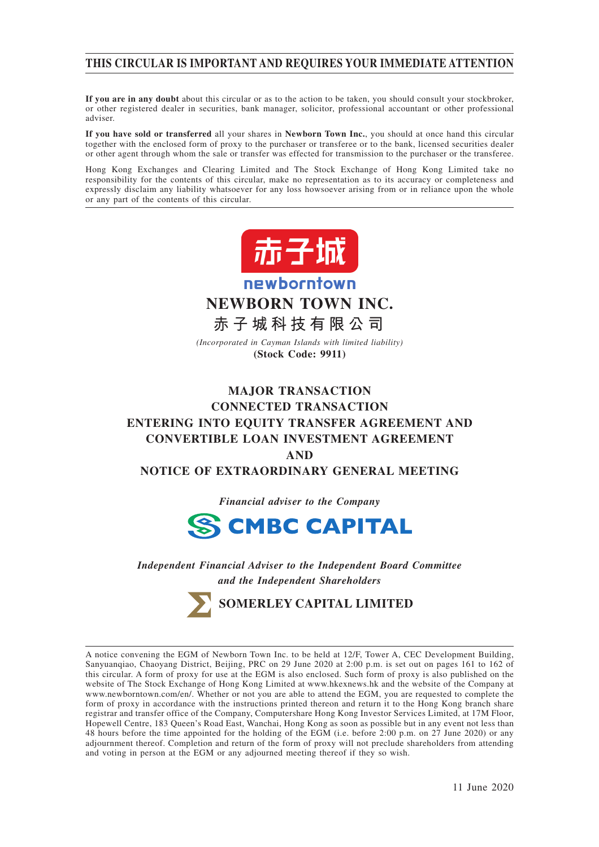## **THIS CIRCULAR IS IMPORTANT AND REQUIRES YOUR IMMEDIATE ATTENTION**

**If you are in any doubt** about this circular or as to the action to be taken, you should consult your stockbroker, or other registered dealer in securities, bank manager, solicitor, professional accountant or other professional adviser.

**If you have sold or transferred** all your shares in **Newborn Town Inc.**, you should at once hand this circular together with the enclosed form of proxy to the purchaser or transferee or to the bank, licensed securities dealer or other agent through whom the sale or transfer was effected for transmission to the purchaser or the transferee.

Hong Kong Exchanges and Clearing Limited and The Stock Exchange of Hong Kong Limited take no responsibility for the contents of this circular, make no representation as to its accuracy or completeness and expressly disclaim any liability whatsoever for any loss howsoever arising from or in reliance upon the whole or any part of the contents of this circular.



newborntown **NEWBORN TOWN INC.**

**赤子城科技有限公司**

*(Incorporated in Cayman Islands with limited liability)* **(Stock Code: 9911)**

# **MAJOR TRANSACTION CONNECTED TRANSACTION ENTERING INTO EQUITY TRANSFER AGREEMENT AND CONVERTIBLE LOAN INVESTMENT AGREEMENT AND NOTICE OF EXTRAORDINARY GENERAL MEETING**

*Financial adviser to the Company*



*Independent Financial Adviser to the Independent Board Committee and the Independent Shareholders*

**SOMERLEY CAPITAL LIMITED**

A notice convening the EGM of Newborn Town Inc. to be held at 12/F, Tower A, CEC Development Building, Sanyuanqiao, Chaoyang District, Beijing, PRC on 29 June 2020 at 2:00 p.m. is set out on pages 161 to 162 of this circular. A form of proxy for use at the EGM is also enclosed. Such form of proxy is also published on the website of The Stock Exchange of Hong Kong Limited at www.hkexnews.hk and the website of the Company at www.newborntown.com/en/. Whether or not you are able to attend the EGM, you are requested to complete the form of proxy in accordance with the instructions printed thereon and return it to the Hong Kong branch share registrar and transfer office of the Company, Computershare Hong Kong Investor Services Limited, at 17M Floor, Hopewell Centre, 183 Queen's Road East, Wanchai, Hong Kong as soon as possible but in any event not less than 48 hours before the time appointed for the holding of the EGM (i.e. before 2:00 p.m. on 27 June 2020) or any adjournment thereof. Completion and return of the form of proxy will not preclude shareholders from attending and voting in person at the EGM or any adjourned meeting thereof if they so wish.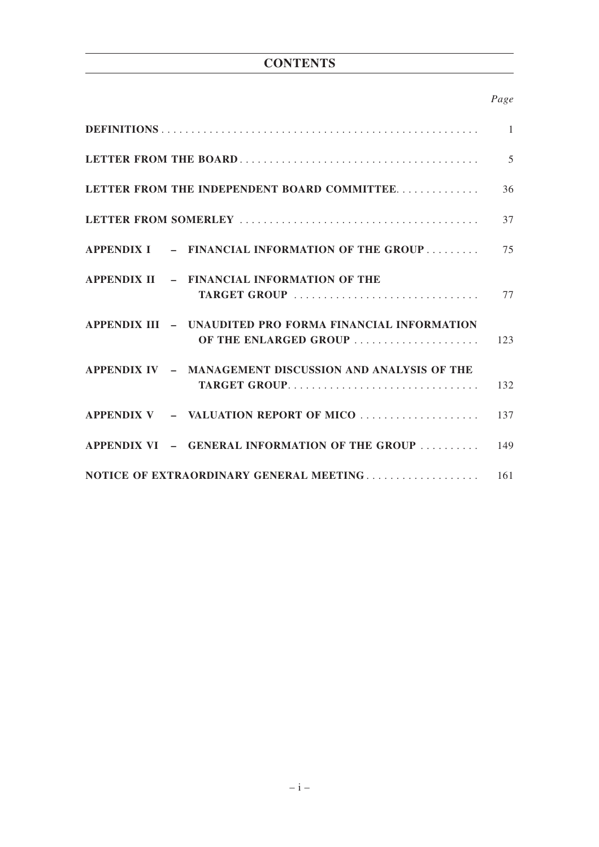# **CONTENTS**

## *Page*

|                                                                         | $\overline{5}$ |
|-------------------------------------------------------------------------|----------------|
| LETTER FROM THE INDEPENDENT BOARD COMMITTEE                             | 36             |
|                                                                         | 37             |
| APPENDIX I - FINANCIAL INFORMATION OF THE GROUP                         | 75             |
| APPENDIX II - FINANCIAL INFORMATION OF THE<br>TARGET GROUP              | 77             |
| APPENDIX III - UNAUDITED PRO FORMA FINANCIAL INFORMATION                |                |
| APPENDIX IV - MANAGEMENT DISCUSSION AND ANALYSIS OF THE<br>TARGET GROUP | 132            |
| APPENDIX V - VALUATION REPORT OF MICO                                   | 137            |
| APPENDIX VI $-$ GENERAL INFORMATION OF THE GROUP  149                   |                |
|                                                                         |                |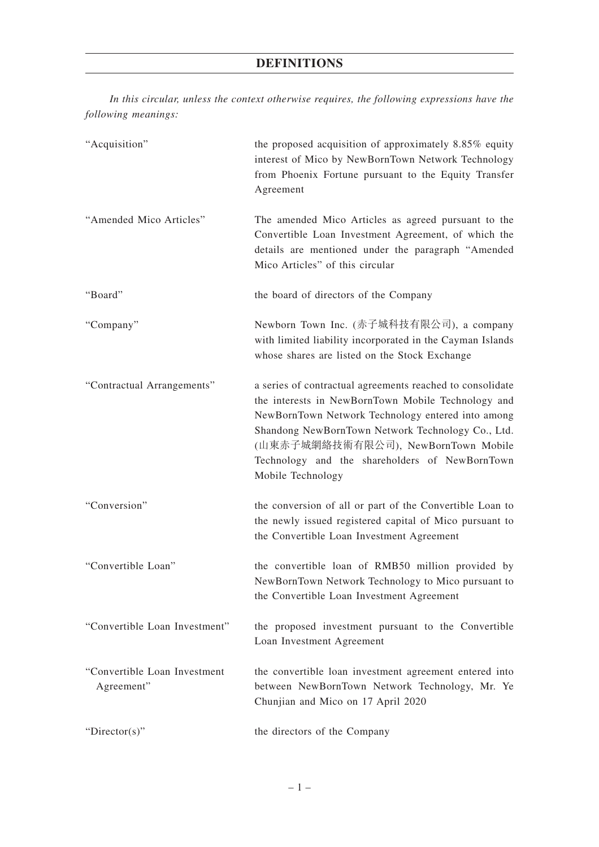*In this circular, unless the context otherwise requires, the following expressions have the following meanings:*

| "Acquisition"                              | the proposed acquisition of approximately 8.85% equity<br>interest of Mico by NewBornTown Network Technology<br>from Phoenix Fortune pursuant to the Equity Transfer<br>Agreement                                                                                                                                                       |
|--------------------------------------------|-----------------------------------------------------------------------------------------------------------------------------------------------------------------------------------------------------------------------------------------------------------------------------------------------------------------------------------------|
| "Amended Mico Articles"                    | The amended Mico Articles as agreed pursuant to the<br>Convertible Loan Investment Agreement, of which the<br>details are mentioned under the paragraph "Amended<br>Mico Articles" of this circular                                                                                                                                     |
| "Board"                                    | the board of directors of the Company                                                                                                                                                                                                                                                                                                   |
| "Company"                                  | Newborn Town Inc. (赤子城科技有限公司), a company<br>with limited liability incorporated in the Cayman Islands<br>whose shares are listed on the Stock Exchange                                                                                                                                                                                  |
| "Contractual Arrangements"                 | a series of contractual agreements reached to consolidate<br>the interests in NewBornTown Mobile Technology and<br>NewBornTown Network Technology entered into among<br>Shandong NewBornTown Network Technology Co., Ltd.<br>(山東赤子城網絡技術有限公司), NewBornTown Mobile<br>Technology and the shareholders of NewBornTown<br>Mobile Technology |
| "Conversion"                               | the conversion of all or part of the Convertible Loan to<br>the newly issued registered capital of Mico pursuant to<br>the Convertible Loan Investment Agreement                                                                                                                                                                        |
| "Convertible Loan"                         | the convertible loan of RMB50 million provided by<br>NewBornTown Network Technology to Mico pursuant to<br>the Convertible Loan Investment Agreement                                                                                                                                                                                    |
| "Convertible Loan Investment"              | the proposed investment pursuant to the Convertible<br>Loan Investment Agreement                                                                                                                                                                                                                                                        |
| "Convertible Loan Investment<br>Agreement" | the convertible loan investment agreement entered into<br>between NewBornTown Network Technology, Mr. Ye<br>Chunjian and Mico on 17 April 2020                                                                                                                                                                                          |
| "Director(s)"                              | the directors of the Company                                                                                                                                                                                                                                                                                                            |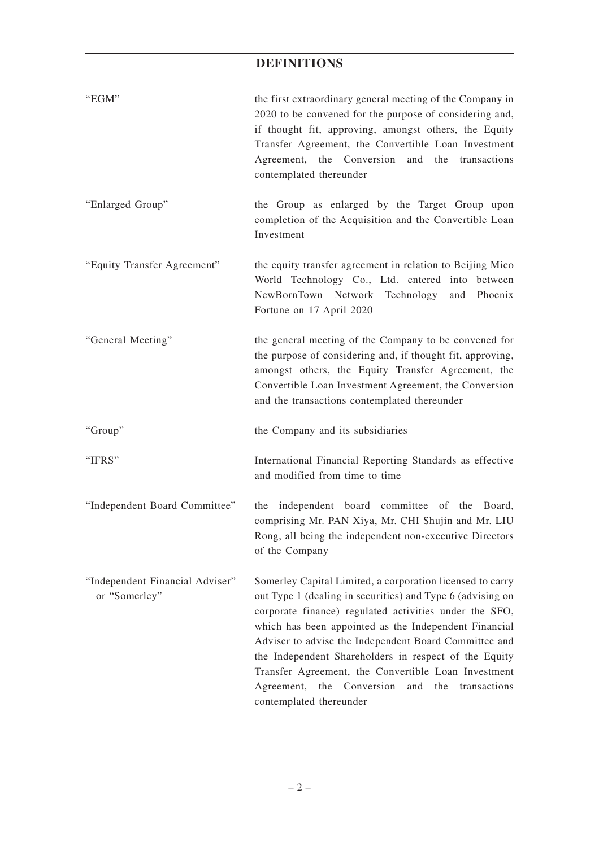| "EGM"                                            | the first extraordinary general meeting of the Company in<br>2020 to be convened for the purpose of considering and,<br>if thought fit, approving, amongst others, the Equity<br>Transfer Agreement, the Convertible Loan Investment<br>Agreement, the Conversion and the transactions<br>contemplated thereunder                                                                                                                                                                                      |
|--------------------------------------------------|--------------------------------------------------------------------------------------------------------------------------------------------------------------------------------------------------------------------------------------------------------------------------------------------------------------------------------------------------------------------------------------------------------------------------------------------------------------------------------------------------------|
| "Enlarged Group"                                 | the Group as enlarged by the Target Group upon<br>completion of the Acquisition and the Convertible Loan<br>Investment                                                                                                                                                                                                                                                                                                                                                                                 |
| "Equity Transfer Agreement"                      | the equity transfer agreement in relation to Beijing Mico<br>World Technology Co., Ltd. entered into between<br>NewBornTown Network Technology and Phoenix<br>Fortune on 17 April 2020                                                                                                                                                                                                                                                                                                                 |
| "General Meeting"                                | the general meeting of the Company to be convened for<br>the purpose of considering and, if thought fit, approving,<br>amongst others, the Equity Transfer Agreement, the<br>Convertible Loan Investment Agreement, the Conversion<br>and the transactions contemplated thereunder                                                                                                                                                                                                                     |
| "Group"                                          | the Company and its subsidiaries                                                                                                                                                                                                                                                                                                                                                                                                                                                                       |
| "IFRS"                                           | International Financial Reporting Standards as effective<br>and modified from time to time                                                                                                                                                                                                                                                                                                                                                                                                             |
| "Independent Board Committee"                    | the independent board committee of the Board,<br>comprising Mr. PAN Xiya, Mr. CHI Shujin and Mr. LIU<br>Rong, all being the independent non-executive Directors<br>of the Company                                                                                                                                                                                                                                                                                                                      |
| "Independent Financial Adviser"<br>or "Somerley" | Somerley Capital Limited, a corporation licensed to carry<br>out Type 1 (dealing in securities) and Type 6 (advising on<br>corporate finance) regulated activities under the SFO,<br>which has been appointed as the Independent Financial<br>Adviser to advise the Independent Board Committee and<br>the Independent Shareholders in respect of the Equity<br>Transfer Agreement, the Convertible Loan Investment<br>Agreement, the<br>Conversion and the<br>transactions<br>contemplated thereunder |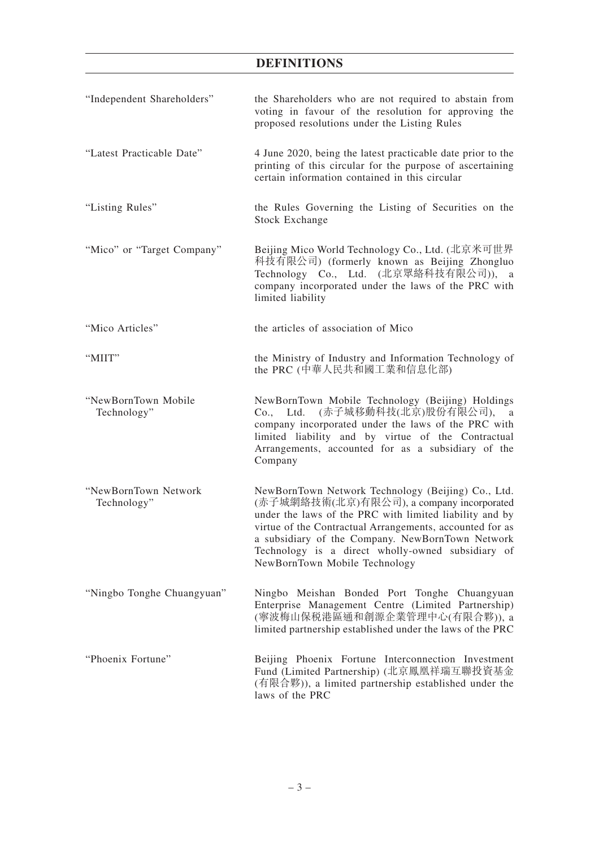| "Independent Shareholders"          | the Shareholders who are not required to abstain from<br>voting in favour of the resolution for approving the<br>proposed resolutions under the Listing Rules                                                                                                                                                                                                    |
|-------------------------------------|------------------------------------------------------------------------------------------------------------------------------------------------------------------------------------------------------------------------------------------------------------------------------------------------------------------------------------------------------------------|
| "Latest Practicable Date"           | 4 June 2020, being the latest practicable date prior to the<br>printing of this circular for the purpose of ascertaining<br>certain information contained in this circular                                                                                                                                                                                       |
| "Listing Rules"                     | the Rules Governing the Listing of Securities on the<br><b>Stock Exchange</b>                                                                                                                                                                                                                                                                                    |
| "Mico" or "Target Company"          | Beijing Mico World Technology Co., Ltd. (北京米可世界<br>科技有限公司) (formerly known as Beijing Zhongluo<br>Technology Co., Ltd. (北京眾絡科技有限公司)), a<br>company incorporated under the laws of the PRC with<br>limited liability                                                                                                                                              |
| "Mico Articles"                     | the articles of association of Mico                                                                                                                                                                                                                                                                                                                              |
| "MIIT"                              | the Ministry of Industry and Information Technology of<br>the PRC (中華人民共和國工業和信息化部)                                                                                                                                                                                                                                                                               |
| "NewBornTown Mobile<br>Technology"  | NewBornTown Mobile Technology (Beijing) Holdings<br>Co., Ltd. (赤子城移動科技(北京)股份有限公司), a<br>company incorporated under the laws of the PRC with<br>limited liability and by virtue of the Contractual<br>Arrangements, accounted for as a subsidiary of the<br>Company                                                                                               |
| "NewBornTown Network<br>Technology" | NewBornTown Network Technology (Beijing) Co., Ltd.<br>(赤子城網絡技術(北京)有限公司), a company incorporated<br>under the laws of the PRC with limited liability and by<br>virtue of the Contractual Arrangements, accounted for as<br>a subsidiary of the Company. NewBornTown Network<br>Technology is a direct wholly-owned subsidiary of<br>NewBornTown Mobile Technology |
| "Ningbo Tonghe Chuangyuan"          | Ningbo Meishan Bonded Port Tonghe Chuangyuan<br>Enterprise Management Centre (Limited Partnership)<br>(寧波梅山保税港區通和創源企業管理中心(有限合夥)), a<br>limited partnership established under the laws of the PRC                                                                                                                                                                 |
| "Phoenix Fortune"                   | Beijing Phoenix Fortune Interconnection Investment<br>Fund (Limited Partnership) (北京鳳凰祥瑞互聯投資基金<br>(有限合夥)), a limited partnership established under the<br>laws of the PRC                                                                                                                                                                                        |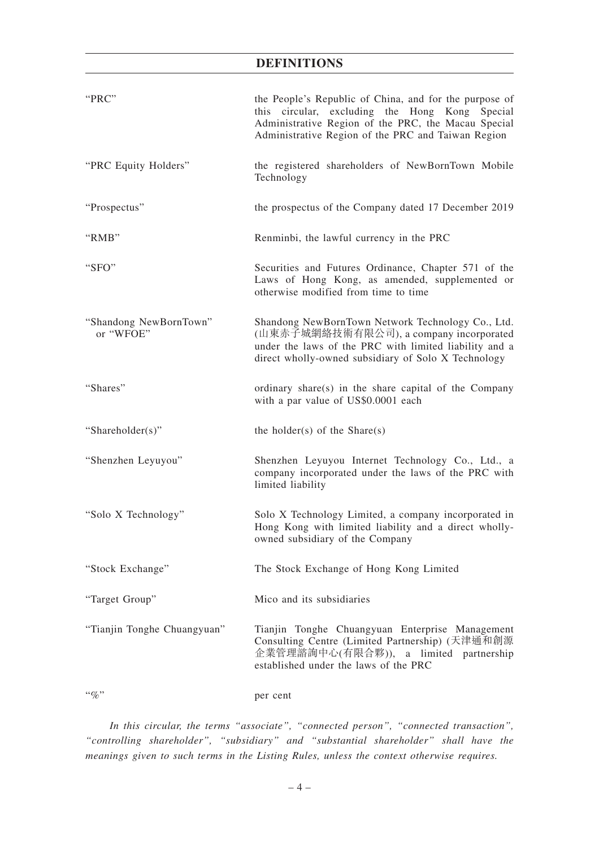| "PRC"                               | the People's Republic of China, and for the purpose of<br>this circular, excluding the Hong Kong Special<br>Administrative Region of the PRC, the Macau Special<br>Administrative Region of the PRC and Taiwan Region |
|-------------------------------------|-----------------------------------------------------------------------------------------------------------------------------------------------------------------------------------------------------------------------|
| "PRC Equity Holders"                | the registered shareholders of NewBornTown Mobile<br>Technology                                                                                                                                                       |
| "Prospectus"                        | the prospectus of the Company dated 17 December 2019                                                                                                                                                                  |
| "RMB"                               | Renminbi, the lawful currency in the PRC                                                                                                                                                                              |
| "SFO"                               | Securities and Futures Ordinance, Chapter 571 of the<br>Laws of Hong Kong, as amended, supplemented or<br>otherwise modified from time to time                                                                        |
| "Shandong NewBornTown"<br>or "WFOE" | Shandong NewBornTown Network Technology Co., Ltd.<br>(山東赤子城網絡技術有限公司), a company incorporated<br>under the laws of the PRC with limited liability and a<br>direct wholly-owned subsidiary of Solo X Technology         |
| "Shares"                            | ordinary share(s) in the share capital of the Company<br>with a par value of US\$0.0001 each                                                                                                                          |
| "Shareholder(s)"                    | the holder(s) of the Share(s)                                                                                                                                                                                         |
| "Shenzhen Leyuyou"                  | Shenzhen Leyuyou Internet Technology Co., Ltd., a<br>company incorporated under the laws of the PRC with<br>limited liability                                                                                         |
| "Solo X Technology"                 | Solo X Technology Limited, a company incorporated in<br>Hong Kong with limited liability and a direct wholly-<br>owned subsidiary of the Company                                                                      |
| "Stock Exchange"                    | The Stock Exchange of Hong Kong Limited                                                                                                                                                                               |
| "Target Group"                      | Mico and its subsidiaries                                                                                                                                                                                             |
| "Tianjin Tonghe Chuangyuan"         | Tianjin Tonghe Chuangyuan Enterprise Management<br>Consulting Centre (Limited Partnership) (天津通和創源<br>企業管理諮詢中心(有限合夥)), a limited partnership<br>established under the laws of the PRC                                 |
| $``\%"$                             | per cent                                                                                                                                                                                                              |

*In this circular, the terms "associate", "connected person", "connected transaction", "controlling shareholder", "subsidiary" and "substantial shareholder" shall have the meanings given to such terms in the Listing Rules, unless the context otherwise requires.*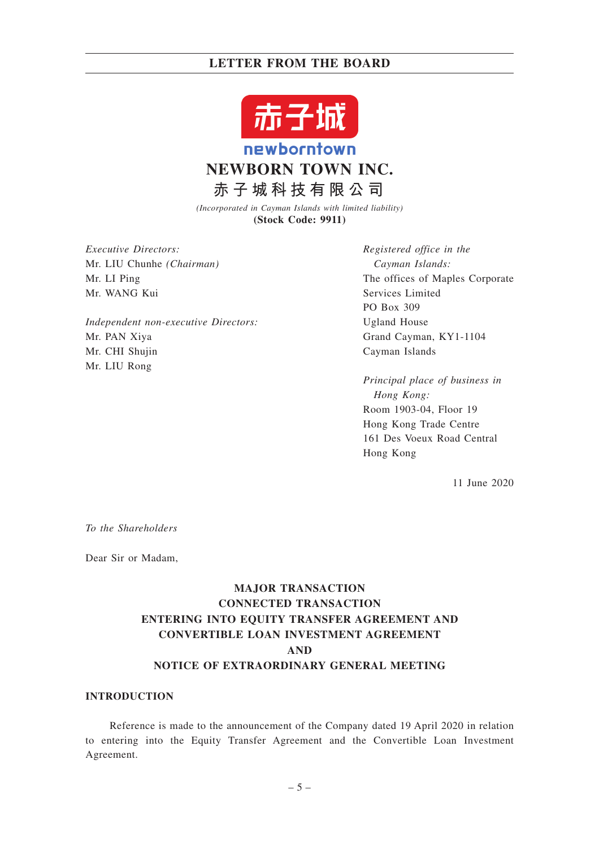

*(Incorporated in Cayman Islands with limited liability)* **(Stock Code: 9911)**

*Executive Directors:* Mr. LIU Chunhe *(Chairman)* Mr. LI Ping Mr. WANG Kui

*Independent non-executive Directors:* Mr. PAN Xiya Mr. CHI Shujin Mr. LIU Rong

*Registered office in the Cayman Islands:* The offices of Maples Corporate Services Limited PO Box 309 Ugland House Grand Cayman, KY1-1104 Cayman Islands

*Principal place of business in Hong Kong:* Room 1903-04, Floor 19 Hong Kong Trade Centre 161 Des Voeux Road Central Hong Kong

11 June 2020

*To the Shareholders*

Dear Sir or Madam,

# **MAJOR TRANSACTION CONNECTED TRANSACTION ENTERING INTO EQUITY TRANSFER AGREEMENT AND CONVERTIBLE LOAN INVESTMENT AGREEMENT AND NOTICE OF EXTRAORDINARY GENERAL MEETING**

## **INTRODUCTION**

Reference is made to the announcement of the Company dated 19 April 2020 in relation to entering into the Equity Transfer Agreement and the Convertible Loan Investment Agreement.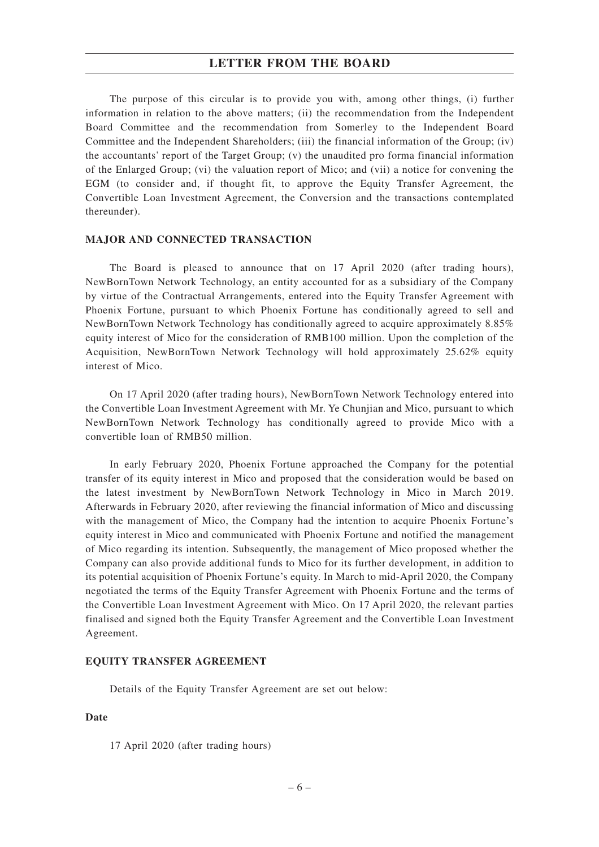The purpose of this circular is to provide you with, among other things, (i) further information in relation to the above matters; (ii) the recommendation from the Independent Board Committee and the recommendation from Somerley to the Independent Board Committee and the Independent Shareholders; (iii) the financial information of the Group; (iv) the accountants' report of the Target Group;  $(v)$  the unaudited pro forma financial information of the Enlarged Group; (vi) the valuation report of Mico; and (vii) a notice for convening the EGM (to consider and, if thought fit, to approve the Equity Transfer Agreement, the Convertible Loan Investment Agreement, the Conversion and the transactions contemplated thereunder).

#### **MAJOR AND CONNECTED TRANSACTION**

The Board is pleased to announce that on 17 April 2020 (after trading hours), NewBornTown Network Technology, an entity accounted for as a subsidiary of the Company by virtue of the Contractual Arrangements, entered into the Equity Transfer Agreement with Phoenix Fortune, pursuant to which Phoenix Fortune has conditionally agreed to sell and NewBornTown Network Technology has conditionally agreed to acquire approximately 8.85% equity interest of Mico for the consideration of RMB100 million. Upon the completion of the Acquisition, NewBornTown Network Technology will hold approximately 25.62% equity interest of Mico.

On 17 April 2020 (after trading hours), NewBornTown Network Technology entered into the Convertible Loan Investment Agreement with Mr. Ye Chunjian and Mico, pursuant to which NewBornTown Network Technology has conditionally agreed to provide Mico with a convertible loan of RMB50 million.

In early February 2020, Phoenix Fortune approached the Company for the potential transfer of its equity interest in Mico and proposed that the consideration would be based on the latest investment by NewBornTown Network Technology in Mico in March 2019. Afterwards in February 2020, after reviewing the financial information of Mico and discussing with the management of Mico, the Company had the intention to acquire Phoenix Fortune's equity interest in Mico and communicated with Phoenix Fortune and notified the management of Mico regarding its intention. Subsequently, the management of Mico proposed whether the Company can also provide additional funds to Mico for its further development, in addition to its potential acquisition of Phoenix Fortune's equity. In March to mid-April 2020, the Company negotiated the terms of the Equity Transfer Agreement with Phoenix Fortune and the terms of the Convertible Loan Investment Agreement with Mico. On 17 April 2020, the relevant parties finalised and signed both the Equity Transfer Agreement and the Convertible Loan Investment Agreement.

#### **EQUITY TRANSFER AGREEMENT**

Details of the Equity Transfer Agreement are set out below:

#### **Date**

17 April 2020 (after trading hours)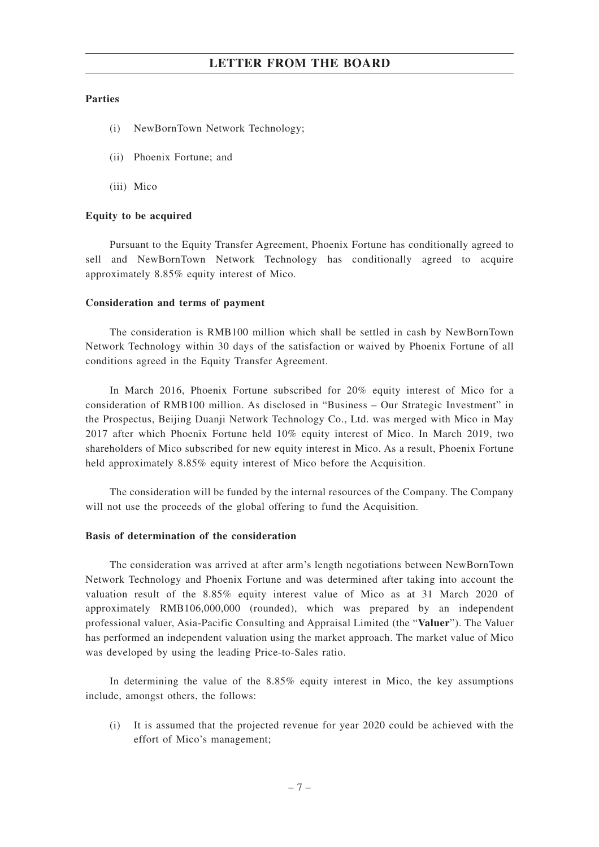#### **Parties**

- (i) NewBornTown Network Technology;
- (ii) Phoenix Fortune; and
- (iii) Mico

#### **Equity to be acquired**

Pursuant to the Equity Transfer Agreement, Phoenix Fortune has conditionally agreed to sell and NewBornTown Network Technology has conditionally agreed to acquire approximately 8.85% equity interest of Mico.

#### **Consideration and terms of payment**

The consideration is RMB100 million which shall be settled in cash by NewBornTown Network Technology within 30 days of the satisfaction or waived by Phoenix Fortune of all conditions agreed in the Equity Transfer Agreement.

In March 2016, Phoenix Fortune subscribed for 20% equity interest of Mico for a consideration of RMB100 million. As disclosed in "Business – Our Strategic Investment" in the Prospectus, Beijing Duanji Network Technology Co., Ltd. was merged with Mico in May 2017 after which Phoenix Fortune held 10% equity interest of Mico. In March 2019, two shareholders of Mico subscribed for new equity interest in Mico. As a result, Phoenix Fortune held approximately 8.85% equity interest of Mico before the Acquisition.

The consideration will be funded by the internal resources of the Company. The Company will not use the proceeds of the global offering to fund the Acquisition.

#### **Basis of determination of the consideration**

The consideration was arrived at after arm's length negotiations between NewBornTown Network Technology and Phoenix Fortune and was determined after taking into account the valuation result of the 8.85% equity interest value of Mico as at 31 March 2020 of approximately RMB106,000,000 (rounded), which was prepared by an independent professional valuer, Asia-Pacific Consulting and Appraisal Limited (the "**Valuer**"). The Valuer has performed an independent valuation using the market approach. The market value of Mico was developed by using the leading Price-to-Sales ratio.

In determining the value of the 8.85% equity interest in Mico, the key assumptions include, amongst others, the follows:

(i) It is assumed that the projected revenue for year 2020 could be achieved with the effort of Mico's management;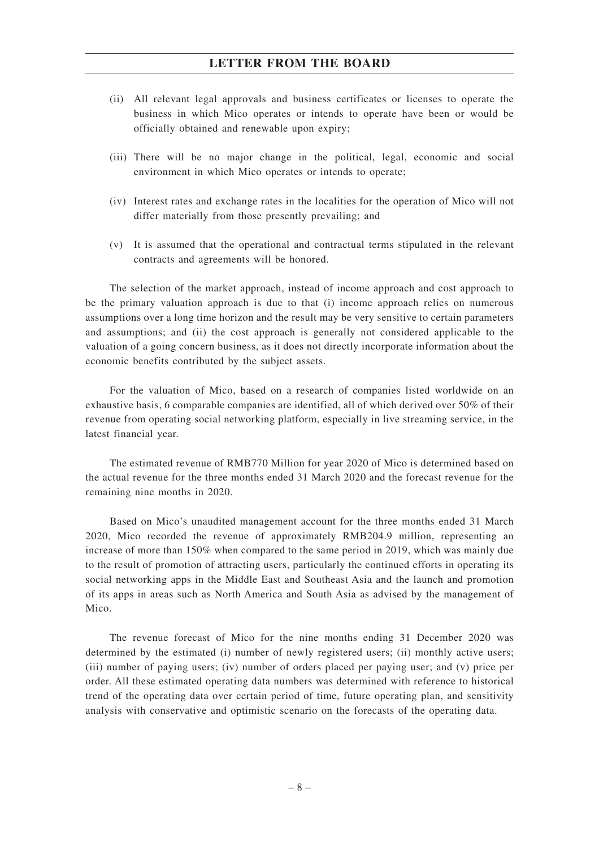- (ii) All relevant legal approvals and business certificates or licenses to operate the business in which Mico operates or intends to operate have been or would be officially obtained and renewable upon expiry;
- (iii) There will be no major change in the political, legal, economic and social environment in which Mico operates or intends to operate;
- (iv) Interest rates and exchange rates in the localities for the operation of Mico will not differ materially from those presently prevailing; and
- (v) It is assumed that the operational and contractual terms stipulated in the relevant contracts and agreements will be honored.

The selection of the market approach, instead of income approach and cost approach to be the primary valuation approach is due to that (i) income approach relies on numerous assumptions over a long time horizon and the result may be very sensitive to certain parameters and assumptions; and (ii) the cost approach is generally not considered applicable to the valuation of a going concern business, as it does not directly incorporate information about the economic benefits contributed by the subject assets.

For the valuation of Mico, based on a research of companies listed worldwide on an exhaustive basis, 6 comparable companies are identified, all of which derived over 50% of their revenue from operating social networking platform, especially in live streaming service, in the latest financial year.

The estimated revenue of RMB770 Million for year 2020 of Mico is determined based on the actual revenue for the three months ended 31 March 2020 and the forecast revenue for the remaining nine months in 2020.

Based on Mico's unaudited management account for the three months ended 31 March 2020, Mico recorded the revenue of approximately RMB204.9 million, representing an increase of more than 150% when compared to the same period in 2019, which was mainly due to the result of promotion of attracting users, particularly the continued efforts in operating its social networking apps in the Middle East and Southeast Asia and the launch and promotion of its apps in areas such as North America and South Asia as advised by the management of Mico.

The revenue forecast of Mico for the nine months ending 31 December 2020 was determined by the estimated (i) number of newly registered users; (ii) monthly active users; (iii) number of paying users; (iv) number of orders placed per paying user; and (v) price per order. All these estimated operating data numbers was determined with reference to historical trend of the operating data over certain period of time, future operating plan, and sensitivity analysis with conservative and optimistic scenario on the forecasts of the operating data.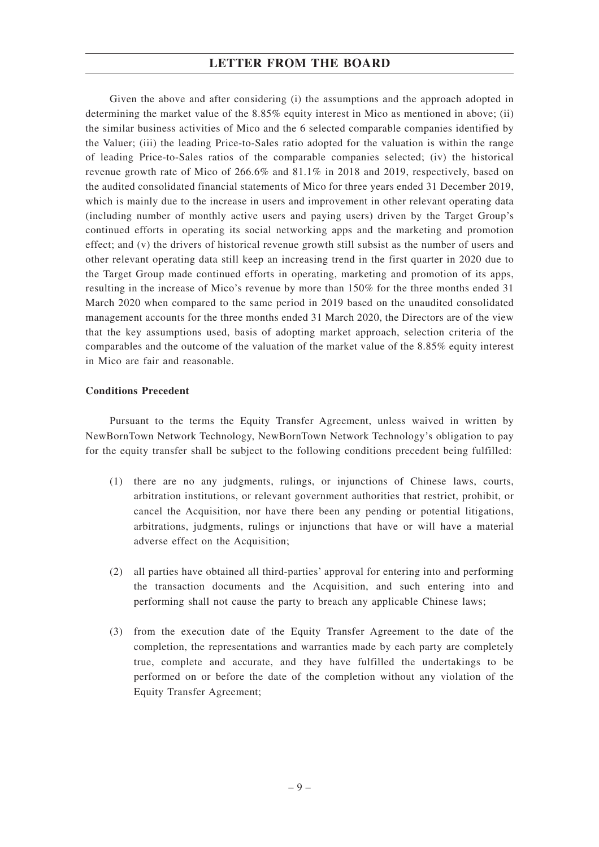Given the above and after considering (i) the assumptions and the approach adopted in determining the market value of the 8.85% equity interest in Mico as mentioned in above; (ii) the similar business activities of Mico and the 6 selected comparable companies identified by the Valuer; (iii) the leading Price-to-Sales ratio adopted for the valuation is within the range of leading Price-to-Sales ratios of the comparable companies selected; (iv) the historical revenue growth rate of Mico of 266.6% and 81.1% in 2018 and 2019, respectively, based on the audited consolidated financial statements of Mico for three years ended 31 December 2019, which is mainly due to the increase in users and improvement in other relevant operating data (including number of monthly active users and paying users) driven by the Target Group's continued efforts in operating its social networking apps and the marketing and promotion effect; and (v) the drivers of historical revenue growth still subsist as the number of users and other relevant operating data still keep an increasing trend in the first quarter in 2020 due to the Target Group made continued efforts in operating, marketing and promotion of its apps, resulting in the increase of Mico's revenue by more than 150% for the three months ended 31 March 2020 when compared to the same period in 2019 based on the unaudited consolidated management accounts for the three months ended 31 March 2020, the Directors are of the view that the key assumptions used, basis of adopting market approach, selection criteria of the comparables and the outcome of the valuation of the market value of the 8.85% equity interest in Mico are fair and reasonable.

#### **Conditions Precedent**

Pursuant to the terms the Equity Transfer Agreement, unless waived in written by NewBornTown Network Technology, NewBornTown Network Technology's obligation to pay for the equity transfer shall be subject to the following conditions precedent being fulfilled:

- (1) there are no any judgments, rulings, or injunctions of Chinese laws, courts, arbitration institutions, or relevant government authorities that restrict, prohibit, or cancel the Acquisition, nor have there been any pending or potential litigations, arbitrations, judgments, rulings or injunctions that have or will have a material adverse effect on the Acquisition;
- (2) all parties have obtained all third-parties' approval for entering into and performing the transaction documents and the Acquisition, and such entering into and performing shall not cause the party to breach any applicable Chinese laws;
- (3) from the execution date of the Equity Transfer Agreement to the date of the completion, the representations and warranties made by each party are completely true, complete and accurate, and they have fulfilled the undertakings to be performed on or before the date of the completion without any violation of the Equity Transfer Agreement;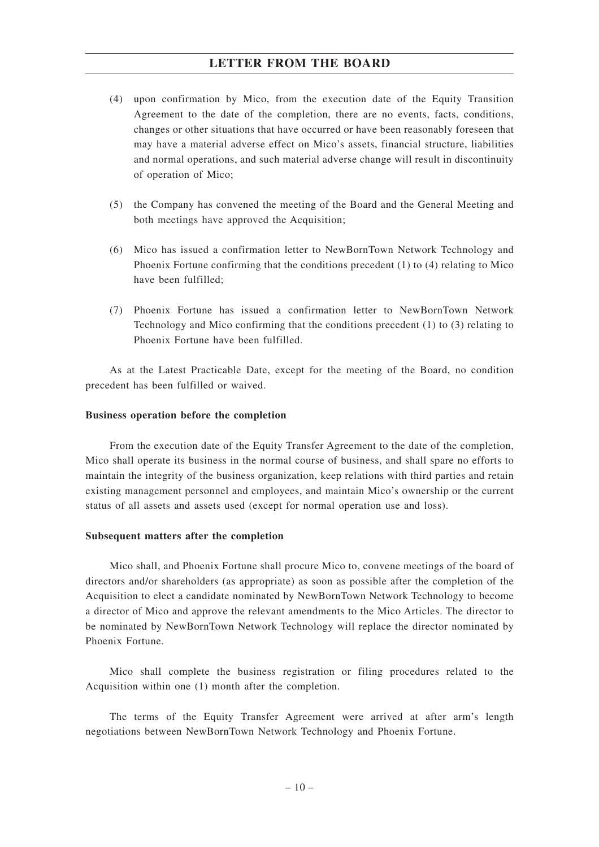- (4) upon confirmation by Mico, from the execution date of the Equity Transition Agreement to the date of the completion, there are no events, facts, conditions, changes or other situations that have occurred or have been reasonably foreseen that may have a material adverse effect on Mico's assets, financial structure, liabilities and normal operations, and such material adverse change will result in discontinuity of operation of Mico;
- (5) the Company has convened the meeting of the Board and the General Meeting and both meetings have approved the Acquisition;
- (6) Mico has issued a confirmation letter to NewBornTown Network Technology and Phoenix Fortune confirming that the conditions precedent (1) to (4) relating to Mico have been fulfilled;
- (7) Phoenix Fortune has issued a confirmation letter to NewBornTown Network Technology and Mico confirming that the conditions precedent (1) to (3) relating to Phoenix Fortune have been fulfilled.

As at the Latest Practicable Date, except for the meeting of the Board, no condition precedent has been fulfilled or waived.

#### **Business operation before the completion**

From the execution date of the Equity Transfer Agreement to the date of the completion, Mico shall operate its business in the normal course of business, and shall spare no efforts to maintain the integrity of the business organization, keep relations with third parties and retain existing management personnel and employees, and maintain Mico's ownership or the current status of all assets and assets used (except for normal operation use and loss).

#### **Subsequent matters after the completion**

Mico shall, and Phoenix Fortune shall procure Mico to, convene meetings of the board of directors and/or shareholders (as appropriate) as soon as possible after the completion of the Acquisition to elect a candidate nominated by NewBornTown Network Technology to become a director of Mico and approve the relevant amendments to the Mico Articles. The director to be nominated by NewBornTown Network Technology will replace the director nominated by Phoenix Fortune.

Mico shall complete the business registration or filing procedures related to the Acquisition within one (1) month after the completion.

The terms of the Equity Transfer Agreement were arrived at after arm's length negotiations between NewBornTown Network Technology and Phoenix Fortune.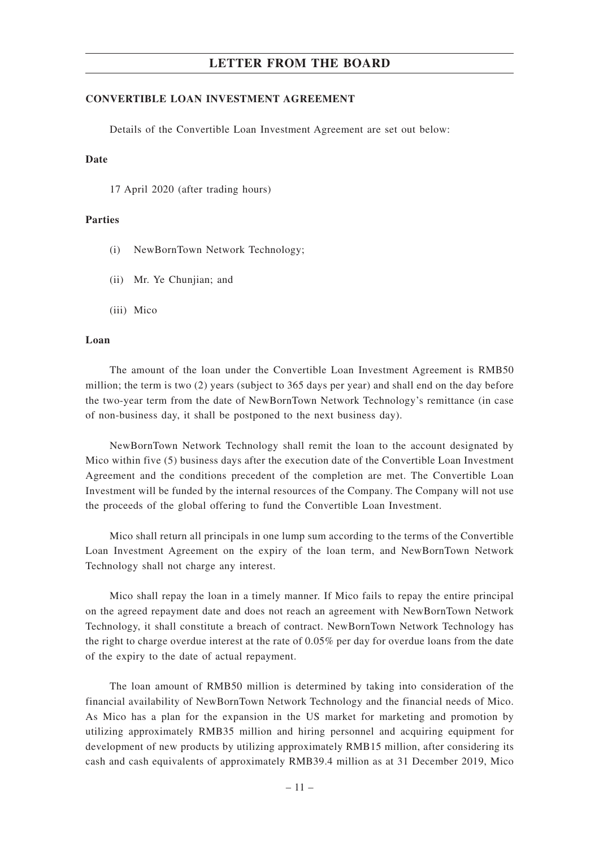#### **CONVERTIBLE LOAN INVESTMENT AGREEMENT**

Details of the Convertible Loan Investment Agreement are set out below:

#### **Date**

17 April 2020 (after trading hours)

#### **Parties**

- (i) NewBornTown Network Technology;
- (ii) Mr. Ye Chunjian; and
- (iii) Mico

#### **Loan**

The amount of the loan under the Convertible Loan Investment Agreement is RMB50 million; the term is two (2) years (subject to 365 days per year) and shall end on the day before the two-year term from the date of NewBornTown Network Technology's remittance (in case of non-business day, it shall be postponed to the next business day).

NewBornTown Network Technology shall remit the loan to the account designated by Mico within five (5) business days after the execution date of the Convertible Loan Investment Agreement and the conditions precedent of the completion are met. The Convertible Loan Investment will be funded by the internal resources of the Company. The Company will not use the proceeds of the global offering to fund the Convertible Loan Investment.

Mico shall return all principals in one lump sum according to the terms of the Convertible Loan Investment Agreement on the expiry of the loan term, and NewBornTown Network Technology shall not charge any interest.

Mico shall repay the loan in a timely manner. If Mico fails to repay the entire principal on the agreed repayment date and does not reach an agreement with NewBornTown Network Technology, it shall constitute a breach of contract. NewBornTown Network Technology has the right to charge overdue interest at the rate of 0.05% per day for overdue loans from the date of the expiry to the date of actual repayment.

The loan amount of RMB50 million is determined by taking into consideration of the financial availability of NewBornTown Network Technology and the financial needs of Mico. As Mico has a plan for the expansion in the US market for marketing and promotion by utilizing approximately RMB35 million and hiring personnel and acquiring equipment for development of new products by utilizing approximately RMB15 million, after considering its cash and cash equivalents of approximately RMB39.4 million as at 31 December 2019, Mico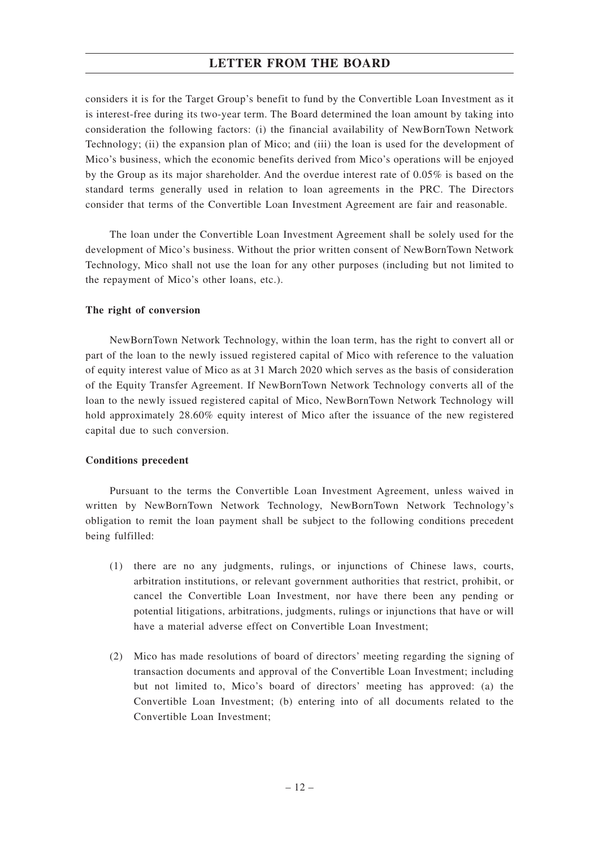considers it is for the Target Group's benefit to fund by the Convertible Loan Investment as it is interest-free during its two-year term. The Board determined the loan amount by taking into consideration the following factors: (i) the financial availability of NewBornTown Network Technology; (ii) the expansion plan of Mico; and (iii) the loan is used for the development of Mico's business, which the economic benefits derived from Mico's operations will be enjoyed by the Group as its major shareholder. And the overdue interest rate of 0.05% is based on the standard terms generally used in relation to loan agreements in the PRC. The Directors consider that terms of the Convertible Loan Investment Agreement are fair and reasonable.

The loan under the Convertible Loan Investment Agreement shall be solely used for the development of Mico's business. Without the prior written consent of NewBornTown Network Technology, Mico shall not use the loan for any other purposes (including but not limited to the repayment of Mico's other loans, etc.).

#### **The right of conversion**

NewBornTown Network Technology, within the loan term, has the right to convert all or part of the loan to the newly issued registered capital of Mico with reference to the valuation of equity interest value of Mico as at 31 March 2020 which serves as the basis of consideration of the Equity Transfer Agreement. If NewBornTown Network Technology converts all of the loan to the newly issued registered capital of Mico, NewBornTown Network Technology will hold approximately 28.60% equity interest of Mico after the issuance of the new registered capital due to such conversion.

#### **Conditions precedent**

Pursuant to the terms the Convertible Loan Investment Agreement, unless waived in written by NewBornTown Network Technology, NewBornTown Network Technology's obligation to remit the loan payment shall be subject to the following conditions precedent being fulfilled:

- (1) there are no any judgments, rulings, or injunctions of Chinese laws, courts, arbitration institutions, or relevant government authorities that restrict, prohibit, or cancel the Convertible Loan Investment, nor have there been any pending or potential litigations, arbitrations, judgments, rulings or injunctions that have or will have a material adverse effect on Convertible Loan Investment;
- (2) Mico has made resolutions of board of directors' meeting regarding the signing of transaction documents and approval of the Convertible Loan Investment; including but not limited to, Mico's board of directors' meeting has approved: (a) the Convertible Loan Investment; (b) entering into of all documents related to the Convertible Loan Investment;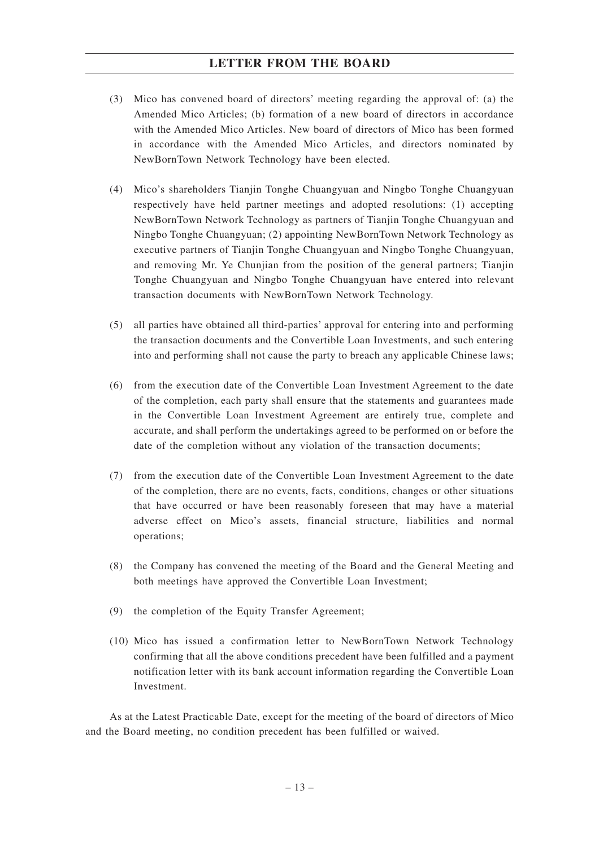- (3) Mico has convened board of directors' meeting regarding the approval of: (a) the Amended Mico Articles; (b) formation of a new board of directors in accordance with the Amended Mico Articles. New board of directors of Mico has been formed in accordance with the Amended Mico Articles, and directors nominated by NewBornTown Network Technology have been elected.
- (4) Mico's shareholders Tianjin Tonghe Chuangyuan and Ningbo Tonghe Chuangyuan respectively have held partner meetings and adopted resolutions: (1) accepting NewBornTown Network Technology as partners of Tianjin Tonghe Chuangyuan and Ningbo Tonghe Chuangyuan; (2) appointing NewBornTown Network Technology as executive partners of Tianjin Tonghe Chuangyuan and Ningbo Tonghe Chuangyuan, and removing Mr. Ye Chunjian from the position of the general partners; Tianjin Tonghe Chuangyuan and Ningbo Tonghe Chuangyuan have entered into relevant transaction documents with NewBornTown Network Technology.
- (5) all parties have obtained all third-parties' approval for entering into and performing the transaction documents and the Convertible Loan Investments, and such entering into and performing shall not cause the party to breach any applicable Chinese laws;
- (6) from the execution date of the Convertible Loan Investment Agreement to the date of the completion, each party shall ensure that the statements and guarantees made in the Convertible Loan Investment Agreement are entirely true, complete and accurate, and shall perform the undertakings agreed to be performed on or before the date of the completion without any violation of the transaction documents;
- (7) from the execution date of the Convertible Loan Investment Agreement to the date of the completion, there are no events, facts, conditions, changes or other situations that have occurred or have been reasonably foreseen that may have a material adverse effect on Mico's assets, financial structure, liabilities and normal operations;
- (8) the Company has convened the meeting of the Board and the General Meeting and both meetings have approved the Convertible Loan Investment;
- (9) the completion of the Equity Transfer Agreement;
- (10) Mico has issued a confirmation letter to NewBornTown Network Technology confirming that all the above conditions precedent have been fulfilled and a payment notification letter with its bank account information regarding the Convertible Loan Investment.

As at the Latest Practicable Date, except for the meeting of the board of directors of Mico and the Board meeting, no condition precedent has been fulfilled or waived.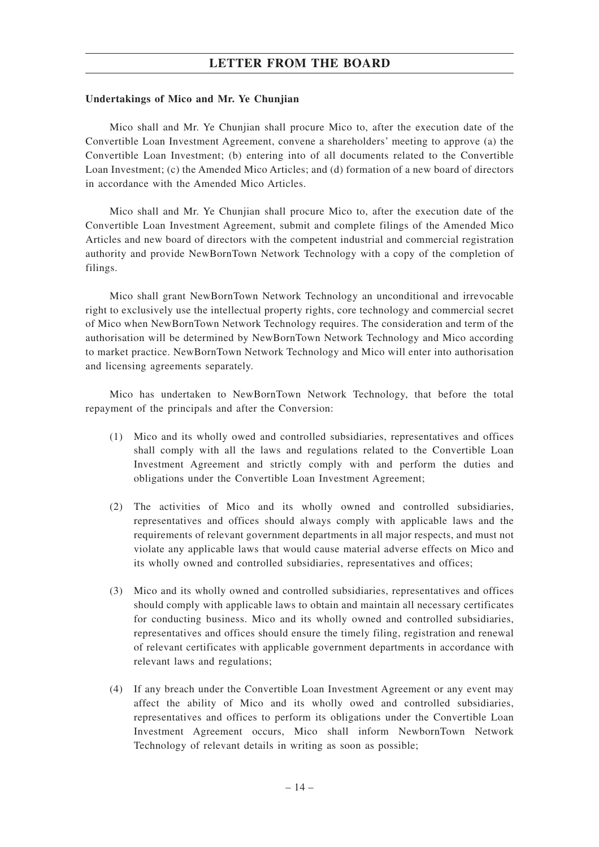#### **Undertakings of Mico and Mr. Ye Chunjian**

Mico shall and Mr. Ye Chunjian shall procure Mico to, after the execution date of the Convertible Loan Investment Agreement, convene a shareholders' meeting to approve (a) the Convertible Loan Investment; (b) entering into of all documents related to the Convertible Loan Investment; (c) the Amended Mico Articles; and (d) formation of a new board of directors in accordance with the Amended Mico Articles.

Mico shall and Mr. Ye Chunjian shall procure Mico to, after the execution date of the Convertible Loan Investment Agreement, submit and complete filings of the Amended Mico Articles and new board of directors with the competent industrial and commercial registration authority and provide NewBornTown Network Technology with a copy of the completion of filings.

Mico shall grant NewBornTown Network Technology an unconditional and irrevocable right to exclusively use the intellectual property rights, core technology and commercial secret of Mico when NewBornTown Network Technology requires. The consideration and term of the authorisation will be determined by NewBornTown Network Technology and Mico according to market practice. NewBornTown Network Technology and Mico will enter into authorisation and licensing agreements separately.

Mico has undertaken to NewBornTown Network Technology, that before the total repayment of the principals and after the Conversion:

- (1) Mico and its wholly owed and controlled subsidiaries, representatives and offices shall comply with all the laws and regulations related to the Convertible Loan Investment Agreement and strictly comply with and perform the duties and obligations under the Convertible Loan Investment Agreement;
- (2) The activities of Mico and its wholly owned and controlled subsidiaries, representatives and offices should always comply with applicable laws and the requirements of relevant government departments in all major respects, and must not violate any applicable laws that would cause material adverse effects on Mico and its wholly owned and controlled subsidiaries, representatives and offices;
- (3) Mico and its wholly owned and controlled subsidiaries, representatives and offices should comply with applicable laws to obtain and maintain all necessary certificates for conducting business. Mico and its wholly owned and controlled subsidiaries, representatives and offices should ensure the timely filing, registration and renewal of relevant certificates with applicable government departments in accordance with relevant laws and regulations;
- (4) If any breach under the Convertible Loan Investment Agreement or any event may affect the ability of Mico and its wholly owed and controlled subsidiaries, representatives and offices to perform its obligations under the Convertible Loan Investment Agreement occurs, Mico shall inform NewbornTown Network Technology of relevant details in writing as soon as possible;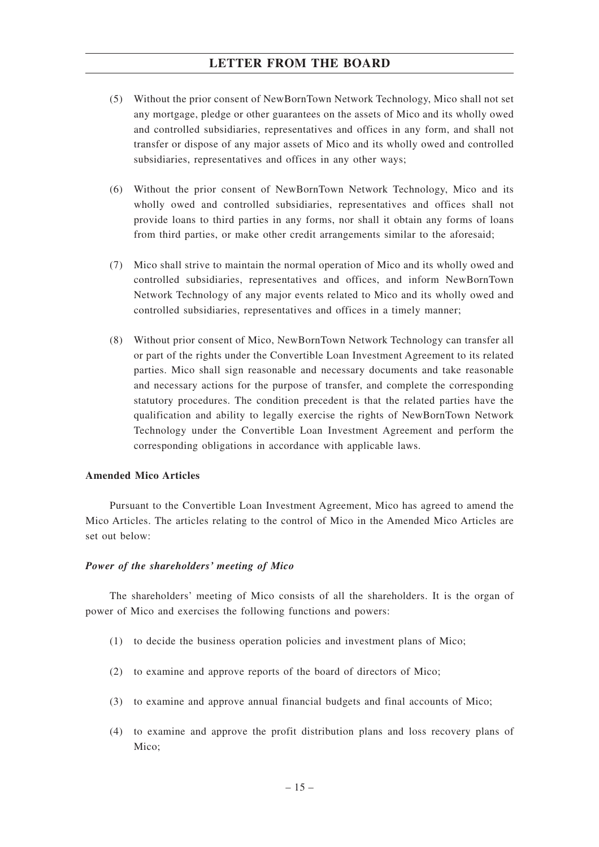- (5) Without the prior consent of NewBornTown Network Technology, Mico shall not set any mortgage, pledge or other guarantees on the assets of Mico and its wholly owed and controlled subsidiaries, representatives and offices in any form, and shall not transfer or dispose of any major assets of Mico and its wholly owed and controlled subsidiaries, representatives and offices in any other ways;
- (6) Without the prior consent of NewBornTown Network Technology, Mico and its wholly owed and controlled subsidiaries, representatives and offices shall not provide loans to third parties in any forms, nor shall it obtain any forms of loans from third parties, or make other credit arrangements similar to the aforesaid;
- (7) Mico shall strive to maintain the normal operation of Mico and its wholly owed and controlled subsidiaries, representatives and offices, and inform NewBornTown Network Technology of any major events related to Mico and its wholly owed and controlled subsidiaries, representatives and offices in a timely manner;
- (8) Without prior consent of Mico, NewBornTown Network Technology can transfer all or part of the rights under the Convertible Loan Investment Agreement to its related parties. Mico shall sign reasonable and necessary documents and take reasonable and necessary actions for the purpose of transfer, and complete the corresponding statutory procedures. The condition precedent is that the related parties have the qualification and ability to legally exercise the rights of NewBornTown Network Technology under the Convertible Loan Investment Agreement and perform the corresponding obligations in accordance with applicable laws.

#### **Amended Mico Articles**

Pursuant to the Convertible Loan Investment Agreement, Mico has agreed to amend the Mico Articles. The articles relating to the control of Mico in the Amended Mico Articles are set out below:

#### *Power of the shareholders' meeting of Mico*

The shareholders' meeting of Mico consists of all the shareholders. It is the organ of power of Mico and exercises the following functions and powers:

- (1) to decide the business operation policies and investment plans of Mico;
- (2) to examine and approve reports of the board of directors of Mico;
- (3) to examine and approve annual financial budgets and final accounts of Mico;
- (4) to examine and approve the profit distribution plans and loss recovery plans of Mico;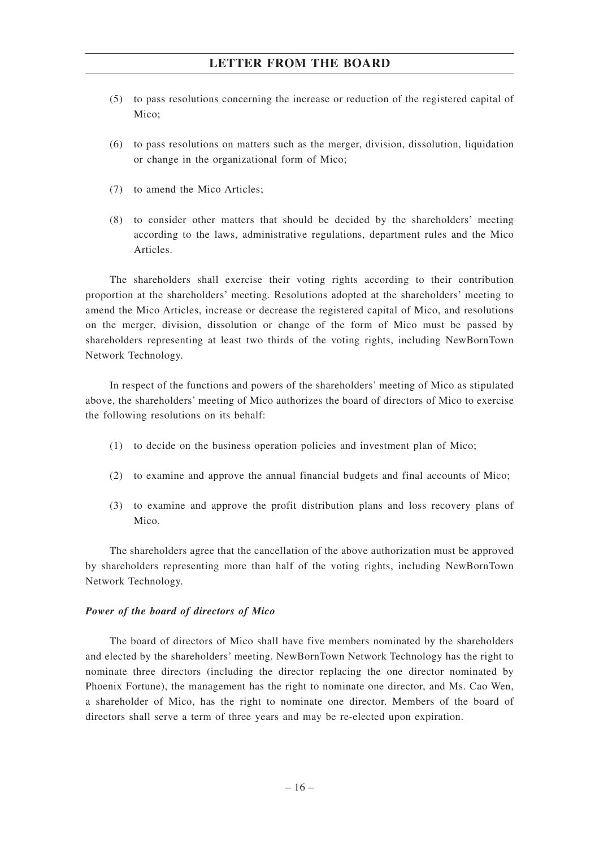- (5) to pass resolutions concerning the increase or reduction of the registered capital of Mico;
- (6) to pass resolutions on matters such as the merger, division, dissolution, liquidation or change in the organizational form of Mico;
- (7) to amend the Mico Articles;
- (8) to consider other matters that should be decided by the shareholders' meeting according to the laws, administrative regulations, department rules and the Mico Articles.

The shareholders shall exercise their voting rights according to their contribution proportion at the shareholders' meeting. Resolutions adopted at the shareholders' meeting to amend the Mico Articles, increase or decrease the registered capital of Mico, and resolutions on the merger, division, dissolution or change of the form of Mico must be passed by shareholders representing at least two thirds of the voting rights, including NewBornTown Network Technology.

In respect of the functions and powers of the shareholders' meeting of Mico as stipulated above, the shareholders' meeting of Mico authorizes the board of directors of Mico to exercise the following resolutions on its behalf:

- (1) to decide on the business operation policies and investment plan of Mico;
- (2) to examine and approve the annual financial budgets and final accounts of Mico;
- (3) to examine and approve the profit distribution plans and loss recovery plans of Mico.

The shareholders agree that the cancellation of the above authorization must be approved by shareholders representing more than half of the voting rights, including NewBornTown Network Technology.

#### *Power of the board of directors of Mico*

The board of directors of Mico shall have five members nominated by the shareholders and elected by the shareholders' meeting. NewBornTown Network Technology has the right to nominate three directors (including the director replacing the one director nominated by Phoenix Fortune), the management has the right to nominate one director, and Ms. Cao Wen, a shareholder of Mico, has the right to nominate one director. Members of the board of directors shall serve a term of three years and may be re-elected upon expiration.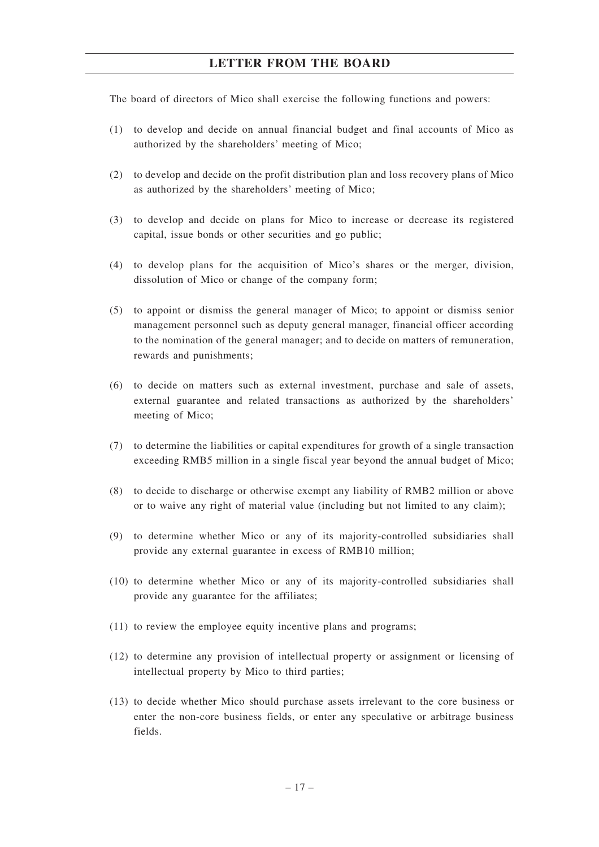The board of directors of Mico shall exercise the following functions and powers:

- (1) to develop and decide on annual financial budget and final accounts of Mico as authorized by the shareholders' meeting of Mico;
- (2) to develop and decide on the profit distribution plan and loss recovery plans of Mico as authorized by the shareholders' meeting of Mico;
- (3) to develop and decide on plans for Mico to increase or decrease its registered capital, issue bonds or other securities and go public;
- (4) to develop plans for the acquisition of Mico's shares or the merger, division, dissolution of Mico or change of the company form;
- (5) to appoint or dismiss the general manager of Mico; to appoint or dismiss senior management personnel such as deputy general manager, financial officer according to the nomination of the general manager; and to decide on matters of remuneration, rewards and punishments;
- (6) to decide on matters such as external investment, purchase and sale of assets, external guarantee and related transactions as authorized by the shareholders' meeting of Mico;
- (7) to determine the liabilities or capital expenditures for growth of a single transaction exceeding RMB5 million in a single fiscal year beyond the annual budget of Mico;
- (8) to decide to discharge or otherwise exempt any liability of RMB2 million or above or to waive any right of material value (including but not limited to any claim);
- (9) to determine whether Mico or any of its majority-controlled subsidiaries shall provide any external guarantee in excess of RMB10 million;
- (10) to determine whether Mico or any of its majority-controlled subsidiaries shall provide any guarantee for the affiliates;
- (11) to review the employee equity incentive plans and programs;
- (12) to determine any provision of intellectual property or assignment or licensing of intellectual property by Mico to third parties;
- (13) to decide whether Mico should purchase assets irrelevant to the core business or enter the non-core business fields, or enter any speculative or arbitrage business fields.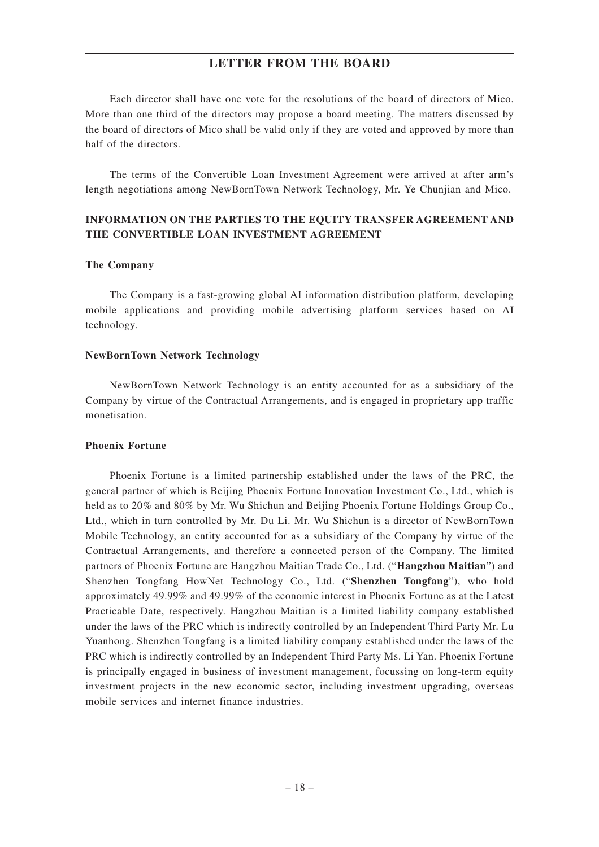Each director shall have one vote for the resolutions of the board of directors of Mico. More than one third of the directors may propose a board meeting. The matters discussed by the board of directors of Mico shall be valid only if they are voted and approved by more than half of the directors.

The terms of the Convertible Loan Investment Agreement were arrived at after arm's length negotiations among NewBornTown Network Technology, Mr. Ye Chunjian and Mico.

## **INFORMATION ON THE PARTIES TO THE EQUITY TRANSFER AGREEMENT AND THE CONVERTIBLE LOAN INVESTMENT AGREEMENT**

#### **The Company**

The Company is a fast-growing global AI information distribution platform, developing mobile applications and providing mobile advertising platform services based on AI technology.

#### **NewBornTown Network Technology**

NewBornTown Network Technology is an entity accounted for as a subsidiary of the Company by virtue of the Contractual Arrangements, and is engaged in proprietary app traffic monetisation.

#### **Phoenix Fortune**

Phoenix Fortune is a limited partnership established under the laws of the PRC, the general partner of which is Beijing Phoenix Fortune Innovation Investment Co., Ltd., which is held as to 20% and 80% by Mr. Wu Shichun and Beijing Phoenix Fortune Holdings Group Co., Ltd., which in turn controlled by Mr. Du Li. Mr. Wu Shichun is a director of NewBornTown Mobile Technology, an entity accounted for as a subsidiary of the Company by virtue of the Contractual Arrangements, and therefore a connected person of the Company. The limited partners of Phoenix Fortune are Hangzhou Maitian Trade Co., Ltd. ("**Hangzhou Maitian**") and Shenzhen Tongfang HowNet Technology Co., Ltd. ("**Shenzhen Tongfang**"), who hold approximately 49.99% and 49.99% of the economic interest in Phoenix Fortune as at the Latest Practicable Date, respectively. Hangzhou Maitian is a limited liability company established under the laws of the PRC which is indirectly controlled by an Independent Third Party Mr. Lu Yuanhong. Shenzhen Tongfang is a limited liability company established under the laws of the PRC which is indirectly controlled by an Independent Third Party Ms. Li Yan. Phoenix Fortune is principally engaged in business of investment management, focussing on long-term equity investment projects in the new economic sector, including investment upgrading, overseas mobile services and internet finance industries.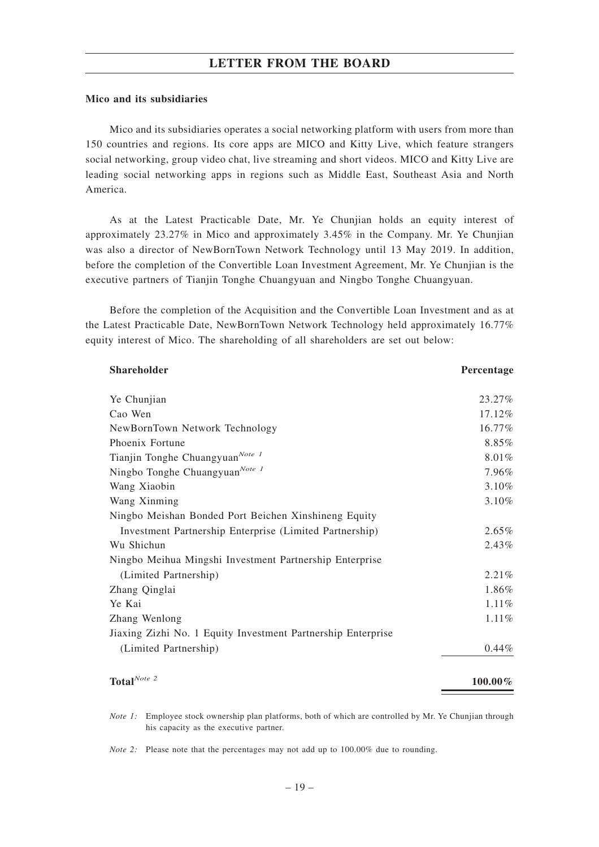#### **Mico and its subsidiaries**

Mico and its subsidiaries operates a social networking platform with users from more than 150 countries and regions. Its core apps are MICO and Kitty Live, which feature strangers social networking, group video chat, live streaming and short videos. MICO and Kitty Live are leading social networking apps in regions such as Middle East, Southeast Asia and North America.

As at the Latest Practicable Date, Mr. Ye Chunjian holds an equity interest of approximately 23.27% in Mico and approximately 3.45% in the Company. Mr. Ye Chunjian was also a director of NewBornTown Network Technology until 13 May 2019. In addition, before the completion of the Convertible Loan Investment Agreement, Mr. Ye Chunjian is the executive partners of Tianjin Tonghe Chuangyuan and Ningbo Tonghe Chuangyuan.

Before the completion of the Acquisition and the Convertible Loan Investment and as at the Latest Practicable Date, NewBornTown Network Technology held approximately 16.77% equity interest of Mico. The shareholding of all shareholders are set out below:

| Shareholder                                                  | Percentage |
|--------------------------------------------------------------|------------|
| Ye Chunjian                                                  | 23.27%     |
| Cao Wen                                                      | 17.12%     |
| NewBornTown Network Technology                               | 16.77%     |
| Phoenix Fortune                                              | 8.85%      |
| Tianjin Tonghe Chuangyuan <sup>Note 1</sup>                  | 8.01%      |
| Ningbo Tonghe Chuangyuan <sup>Note 1</sup>                   | 7.96%      |
| Wang Xiaobin                                                 | 3.10%      |
| Wang Xinming                                                 | $3.10\%$   |
| Ningbo Meishan Bonded Port Beichen Xinshineng Equity         |            |
| Investment Partnership Enterprise (Limited Partnership)      | 2.65%      |
| Wu Shichun                                                   | 2.43%      |
| Ningbo Meihua Mingshi Investment Partnership Enterprise      |            |
| (Limited Partnership)                                        | 2.21%      |
| Zhang Qinglai                                                | 1.86%      |
| Ye Kai                                                       | 1.11%      |
| Zhang Wenlong                                                | 1.11%      |
| Jiaxing Zizhi No. 1 Equity Investment Partnership Enterprise |            |
| (Limited Partnership)                                        | $0.44\%$   |
| Total <sup>Note 2</sup>                                      | $100.00\%$ |

*Note 1:* Employee stock ownership plan platforms, both of which are controlled by Mr. Ye Chunjian through his capacity as the executive partner.

*Note 2:* Please note that the percentages may not add up to 100.00% due to rounding.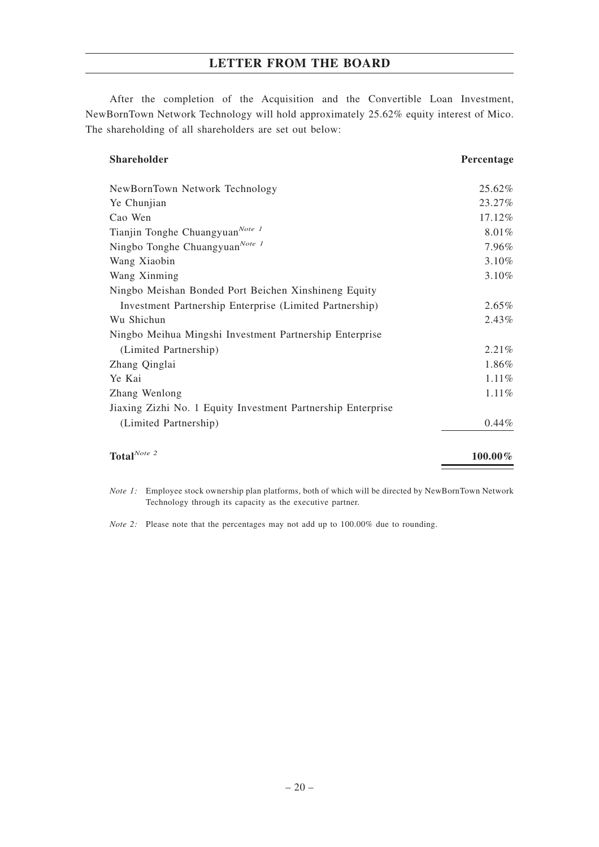After the completion of the Acquisition and the Convertible Loan Investment, NewBornTown Network Technology will hold approximately 25.62% equity interest of Mico. The shareholding of all shareholders are set out below:

| <b>Shareholder</b>                                           | Percentage |
|--------------------------------------------------------------|------------|
| NewBornTown Network Technology                               | 25.62%     |
| Ye Chunjian                                                  | 23.27%     |
| Cao Wen                                                      | 17.12%     |
| Tianjin Tonghe Chuangyuan <sup>Note 1</sup>                  | 8.01%      |
| Ningbo Tonghe Chuangyuan <sup>Note 1</sup>                   | 7.96%      |
| Wang Xiaobin                                                 | 3.10%      |
| Wang Xinming                                                 | 3.10%      |
| Ningbo Meishan Bonded Port Beichen Xinshineng Equity         |            |
| Investment Partnership Enterprise (Limited Partnership)      | 2.65%      |
| Wu Shichun                                                   | $2.43\%$   |
| Ningbo Meihua Mingshi Investment Partnership Enterprise      |            |
| (Limited Partnership)                                        | $2.21\%$   |
| Zhang Qinglai                                                | 1.86%      |
| Ye Kai                                                       | $1.11\%$   |
| Zhang Wenlong                                                | 1.11%      |
| Jiaxing Zizhi No. 1 Equity Investment Partnership Enterprise |            |
| (Limited Partnership)                                        | 0.44%      |
| Total $^{Note \ 2}$                                          | $100.00\%$ |

*Note 1:* Employee stock ownership plan platforms, both of which will be directed by NewBornTown Network Technology through its capacity as the executive partner.

*Note 2:* Please note that the percentages may not add up to 100.00% due to rounding.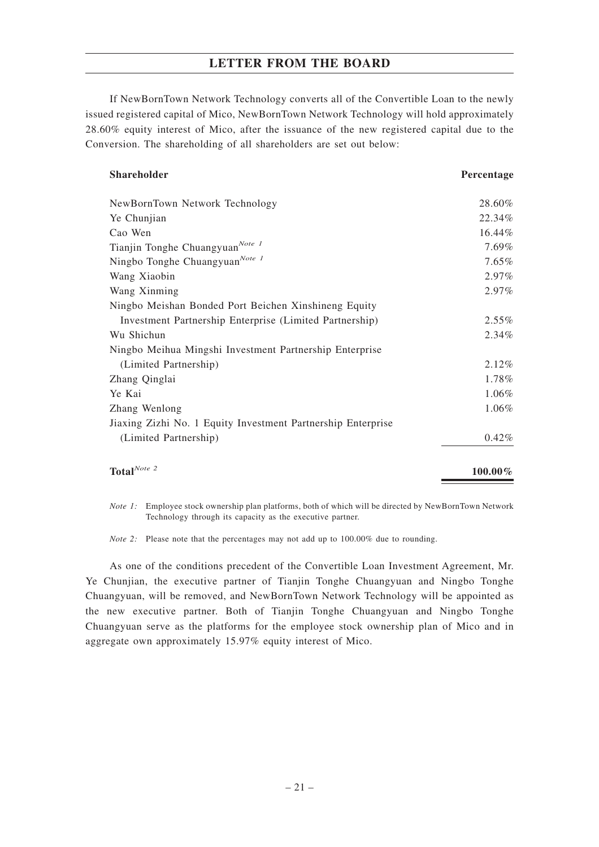If NewBornTown Network Technology converts all of the Convertible Loan to the newly issued registered capital of Mico, NewBornTown Network Technology will hold approximately 28.60% equity interest of Mico, after the issuance of the new registered capital due to the Conversion. The shareholding of all shareholders are set out below:

#### **Shareholder Percentage Percentage Percentage Percentage Percentage Percentage Percentage Percentage Percentage Percentage Percentage Percentage Percentage Percentage Percentage Percentage Percentage Percentage Percentage**

| Total $^{Note 2}$                                            | $100.00\%$ |
|--------------------------------------------------------------|------------|
| (Limited Partnership)                                        | 0.42%      |
| Jiaxing Zizhi No. 1 Equity Investment Partnership Enterprise |            |
| Zhang Wenlong                                                | 1.06%      |
| Ye Kai                                                       | 1.06%      |
| Zhang Qinglai                                                | 1.78%      |
| (Limited Partnership)                                        | 2.12%      |
| Ningbo Meihua Mingshi Investment Partnership Enterprise      |            |
| Wu Shichun                                                   | 2.34%      |
| Investment Partnership Enterprise (Limited Partnership)      | 2.55%      |
| Ningbo Meishan Bonded Port Beichen Xinshineng Equity         |            |
| Wang Xinming                                                 | 2.97%      |
| Wang Xiaobin                                                 | 2.97%      |
| Ningbo Tonghe Chuangyuan <sup>Note 1</sup>                   | 7.65%      |
| Tianjin Tonghe Chuangyuan <sup>Note 1</sup>                  | 7.69%      |
| Cao Wen                                                      | 16.44%     |
| Ye Chunjian                                                  | 22.34%     |
| NewBornTown Network Technology                               | 28.60%     |

*Note 1:* Employee stock ownership plan platforms, both of which will be directed by NewBornTown Network Technology through its capacity as the executive partner.

*Note 2:* Please note that the percentages may not add up to 100.00% due to rounding.

As one of the conditions precedent of the Convertible Loan Investment Agreement, Mr. Ye Chunjian, the executive partner of Tianjin Tonghe Chuangyuan and Ningbo Tonghe Chuangyuan, will be removed, and NewBornTown Network Technology will be appointed as the new executive partner. Both of Tianjin Tonghe Chuangyuan and Ningbo Tonghe Chuangyuan serve as the platforms for the employee stock ownership plan of Mico and in aggregate own approximately 15.97% equity interest of Mico.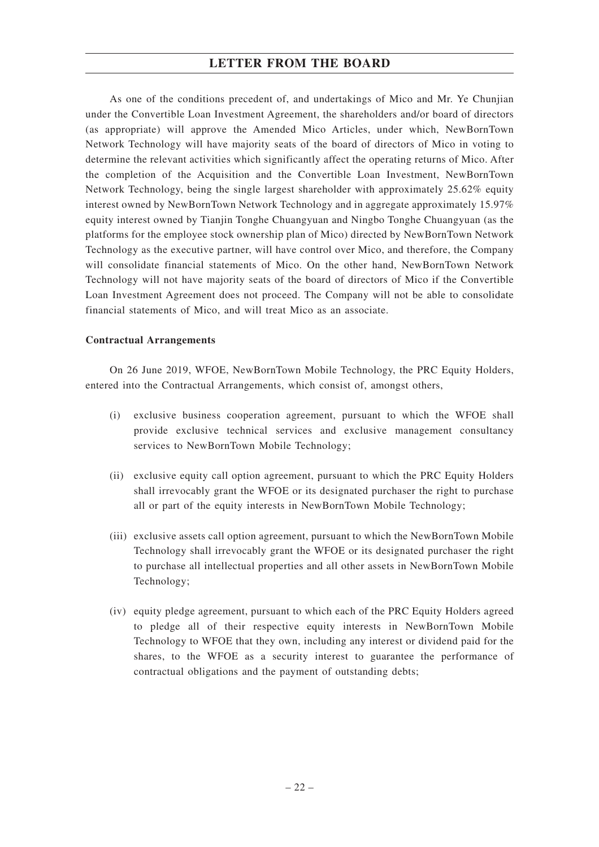As one of the conditions precedent of, and undertakings of Mico and Mr. Ye Chunjian under the Convertible Loan Investment Agreement, the shareholders and/or board of directors (as appropriate) will approve the Amended Mico Articles, under which, NewBornTown Network Technology will have majority seats of the board of directors of Mico in voting to determine the relevant activities which significantly affect the operating returns of Mico. After the completion of the Acquisition and the Convertible Loan Investment, NewBornTown Network Technology, being the single largest shareholder with approximately 25.62% equity interest owned by NewBornTown Network Technology and in aggregate approximately 15.97% equity interest owned by Tianjin Tonghe Chuangyuan and Ningbo Tonghe Chuangyuan (as the platforms for the employee stock ownership plan of Mico) directed by NewBornTown Network Technology as the executive partner, will have control over Mico, and therefore, the Company will consolidate financial statements of Mico. On the other hand, NewBornTown Network Technology will not have majority seats of the board of directors of Mico if the Convertible Loan Investment Agreement does not proceed. The Company will not be able to consolidate financial statements of Mico, and will treat Mico as an associate.

#### **Contractual Arrangements**

On 26 June 2019, WFOE, NewBornTown Mobile Technology, the PRC Equity Holders, entered into the Contractual Arrangements, which consist of, amongst others,

- (i) exclusive business cooperation agreement, pursuant to which the WFOE shall provide exclusive technical services and exclusive management consultancy services to NewBornTown Mobile Technology;
- (ii) exclusive equity call option agreement, pursuant to which the PRC Equity Holders shall irrevocably grant the WFOE or its designated purchaser the right to purchase all or part of the equity interests in NewBornTown Mobile Technology;
- (iii) exclusive assets call option agreement, pursuant to which the NewBornTown Mobile Technology shall irrevocably grant the WFOE or its designated purchaser the right to purchase all intellectual properties and all other assets in NewBornTown Mobile Technology;
- (iv) equity pledge agreement, pursuant to which each of the PRC Equity Holders agreed to pledge all of their respective equity interests in NewBornTown Mobile Technology to WFOE that they own, including any interest or dividend paid for the shares, to the WFOE as a security interest to guarantee the performance of contractual obligations and the payment of outstanding debts;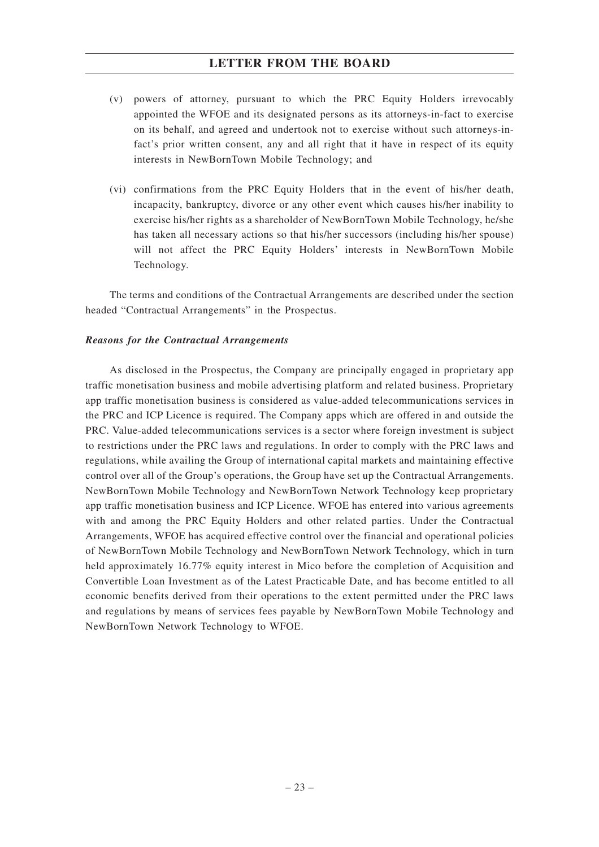- (v) powers of attorney, pursuant to which the PRC Equity Holders irrevocably appointed the WFOE and its designated persons as its attorneys-in-fact to exercise on its behalf, and agreed and undertook not to exercise without such attorneys-infact's prior written consent, any and all right that it have in respect of its equity interests in NewBornTown Mobile Technology; and
- (vi) confirmations from the PRC Equity Holders that in the event of his/her death, incapacity, bankruptcy, divorce or any other event which causes his/her inability to exercise his/her rights as a shareholder of NewBornTown Mobile Technology, he/she has taken all necessary actions so that his/her successors (including his/her spouse) will not affect the PRC Equity Holders' interests in NewBornTown Mobile Technology.

The terms and conditions of the Contractual Arrangements are described under the section headed "Contractual Arrangements" in the Prospectus.

#### *Reasons for the Contractual Arrangements*

As disclosed in the Prospectus, the Company are principally engaged in proprietary app traffic monetisation business and mobile advertising platform and related business. Proprietary app traffic monetisation business is considered as value-added telecommunications services in the PRC and ICP Licence is required. The Company apps which are offered in and outside the PRC. Value-added telecommunications services is a sector where foreign investment is subject to restrictions under the PRC laws and regulations. In order to comply with the PRC laws and regulations, while availing the Group of international capital markets and maintaining effective control over all of the Group's operations, the Group have set up the Contractual Arrangements. NewBornTown Mobile Technology and NewBornTown Network Technology keep proprietary app traffic monetisation business and ICP Licence. WFOE has entered into various agreements with and among the PRC Equity Holders and other related parties. Under the Contractual Arrangements, WFOE has acquired effective control over the financial and operational policies of NewBornTown Mobile Technology and NewBornTown Network Technology, which in turn held approximately 16.77% equity interest in Mico before the completion of Acquisition and Convertible Loan Investment as of the Latest Practicable Date, and has become entitled to all economic benefits derived from their operations to the extent permitted under the PRC laws and regulations by means of services fees payable by NewBornTown Mobile Technology and NewBornTown Network Technology to WFOE.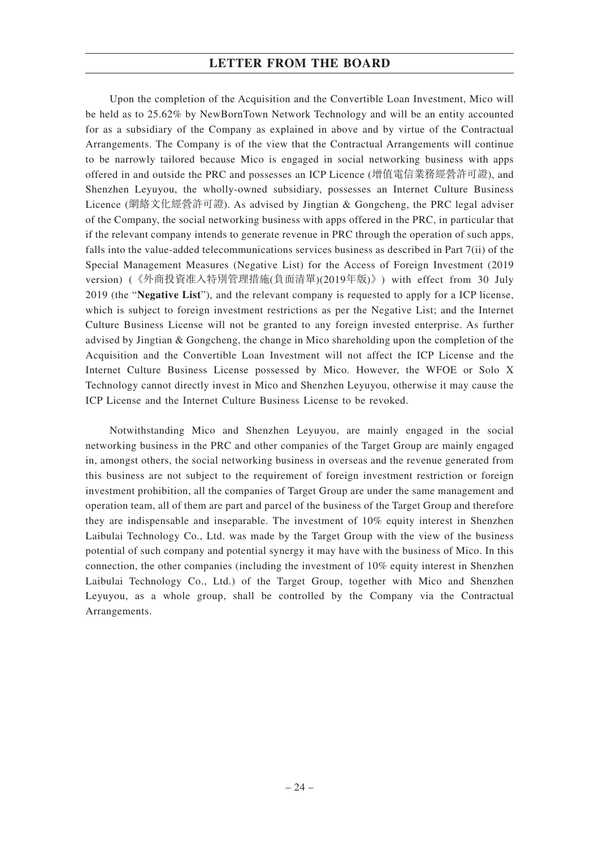Upon the completion of the Acquisition and the Convertible Loan Investment, Mico will be held as to 25.62% by NewBornTown Network Technology and will be an entity accounted for as a subsidiary of the Company as explained in above and by virtue of the Contractual Arrangements. The Company is of the view that the Contractual Arrangements will continue to be narrowly tailored because Mico is engaged in social networking business with apps offered in and outside the PRC and possesses an ICP Licence (增值電信業務經營許可證), and Shenzhen Leyuyou, the wholly-owned subsidiary, possesses an Internet Culture Business Licence (網絡文化經營許可證). As advised by Jingtian & Gongcheng, the PRC legal adviser of the Company, the social networking business with apps offered in the PRC, in particular that if the relevant company intends to generate revenue in PRC through the operation of such apps, falls into the value-added telecommunications services business as described in Part 7(ii) of the Special Management Measures (Negative List) for the Access of Foreign Investment (2019 version) (《外商投資准入特別管理措施(負面清單)(2019年版)》) with effect from 30 July 2019 (the "**Negative List**"), and the relevant company is requested to apply for a ICP license, which is subject to foreign investment restrictions as per the Negative List; and the Internet Culture Business License will not be granted to any foreign invested enterprise. As further advised by Jingtian & Gongcheng, the change in Mico shareholding upon the completion of the Acquisition and the Convertible Loan Investment will not affect the ICP License and the Internet Culture Business License possessed by Mico. However, the WFOE or Solo X Technology cannot directly invest in Mico and Shenzhen Leyuyou, otherwise it may cause the ICP License and the Internet Culture Business License to be revoked.

Notwithstanding Mico and Shenzhen Leyuyou, are mainly engaged in the social networking business in the PRC and other companies of the Target Group are mainly engaged in, amongst others, the social networking business in overseas and the revenue generated from this business are not subject to the requirement of foreign investment restriction or foreign investment prohibition, all the companies of Target Group are under the same management and operation team, all of them are part and parcel of the business of the Target Group and therefore they are indispensable and inseparable. The investment of 10% equity interest in Shenzhen Laibulai Technology Co., Ltd. was made by the Target Group with the view of the business potential of such company and potential synergy it may have with the business of Mico. In this connection, the other companies (including the investment of 10% equity interest in Shenzhen Laibulai Technology Co., Ltd.) of the Target Group, together with Mico and Shenzhen Leyuyou, as a whole group, shall be controlled by the Company via the Contractual Arrangements.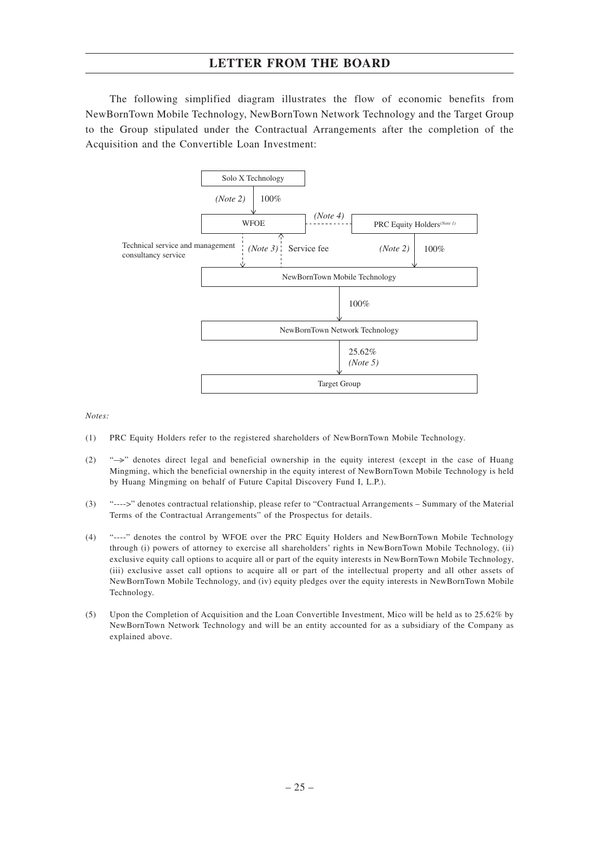The following simplified diagram illustrates the flow of economic benefits from NewBornTown Mobile Technology, NewBornTown Network Technology and the Target Group to the Group stipulated under the Contractual Arrangements after the completion of the Acquisition and the Convertible Loan Investment:



*Notes:*

- (1) PRC Equity Holders refer to the registered shareholders of NewBornTown Mobile Technology.
- (2) "—>" denotes direct legal and beneficial ownership in the equity interest (except in the case of Huang Mingming, which the beneficial ownership in the equity interest of NewBornTown Mobile Technology is held by Huang Mingming on behalf of Future Capital Discovery Fund I, L.P.).
- (3) "---->" denotes contractual relationship, please refer to "Contractual Arrangements Summary of the Material Terms of the Contractual Arrangements" of the Prospectus for details.
- (4) "----" denotes the control by WFOE over the PRC Equity Holders and NewBornTown Mobile Technology through (i) powers of attorney to exercise all shareholders' rights in NewBornTown Mobile Technology, (ii) exclusive equity call options to acquire all or part of the equity interests in NewBornTown Mobile Technology, (iii) exclusive asset call options to acquire all or part of the intellectual property and all other assets of NewBornTown Mobile Technology, and (iv) equity pledges over the equity interests in NewBornTown Mobile Technology.
- (5) Upon the Completion of Acquisition and the Loan Convertible Investment, Mico will be held as to 25.62% by NewBornTown Network Technology and will be an entity accounted for as a subsidiary of the Company as explained above.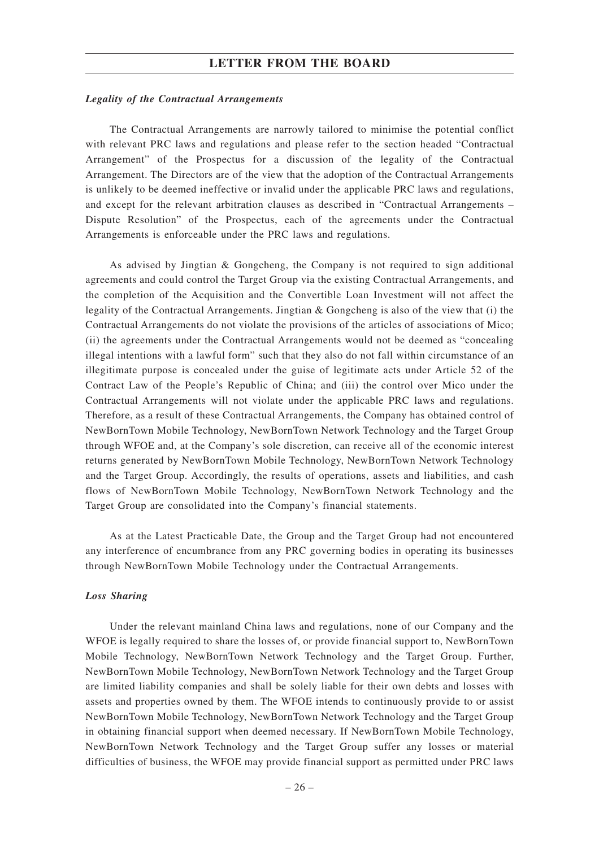#### *Legality of the Contractual Arrangements*

The Contractual Arrangements are narrowly tailored to minimise the potential conflict with relevant PRC laws and regulations and please refer to the section headed "Contractual Arrangement" of the Prospectus for a discussion of the legality of the Contractual Arrangement. The Directors are of the view that the adoption of the Contractual Arrangements is unlikely to be deemed ineffective or invalid under the applicable PRC laws and regulations, and except for the relevant arbitration clauses as described in "Contractual Arrangements – Dispute Resolution" of the Prospectus, each of the agreements under the Contractual Arrangements is enforceable under the PRC laws and regulations.

As advised by Jingtian & Gongcheng, the Company is not required to sign additional agreements and could control the Target Group via the existing Contractual Arrangements, and the completion of the Acquisition and the Convertible Loan Investment will not affect the legality of the Contractual Arrangements. Jingtian & Gongcheng is also of the view that (i) the Contractual Arrangements do not violate the provisions of the articles of associations of Mico; (ii) the agreements under the Contractual Arrangements would not be deemed as "concealing illegal intentions with a lawful form" such that they also do not fall within circumstance of an illegitimate purpose is concealed under the guise of legitimate acts under Article 52 of the Contract Law of the People's Republic of China; and (iii) the control over Mico under the Contractual Arrangements will not violate under the applicable PRC laws and regulations. Therefore, as a result of these Contractual Arrangements, the Company has obtained control of NewBornTown Mobile Technology, NewBornTown Network Technology and the Target Group through WFOE and, at the Company's sole discretion, can receive all of the economic interest returns generated by NewBornTown Mobile Technology, NewBornTown Network Technology and the Target Group. Accordingly, the results of operations, assets and liabilities, and cash flows of NewBornTown Mobile Technology, NewBornTown Network Technology and the Target Group are consolidated into the Company's financial statements.

As at the Latest Practicable Date, the Group and the Target Group had not encountered any interference of encumbrance from any PRC governing bodies in operating its businesses through NewBornTown Mobile Technology under the Contractual Arrangements.

#### *Loss Sharing*

Under the relevant mainland China laws and regulations, none of our Company and the WFOE is legally required to share the losses of, or provide financial support to, NewBornTown Mobile Technology, NewBornTown Network Technology and the Target Group. Further, NewBornTown Mobile Technology, NewBornTown Network Technology and the Target Group are limited liability companies and shall be solely liable for their own debts and losses with assets and properties owned by them. The WFOE intends to continuously provide to or assist NewBornTown Mobile Technology, NewBornTown Network Technology and the Target Group in obtaining financial support when deemed necessary. If NewBornTown Mobile Technology, NewBornTown Network Technology and the Target Group suffer any losses or material difficulties of business, the WFOE may provide financial support as permitted under PRC laws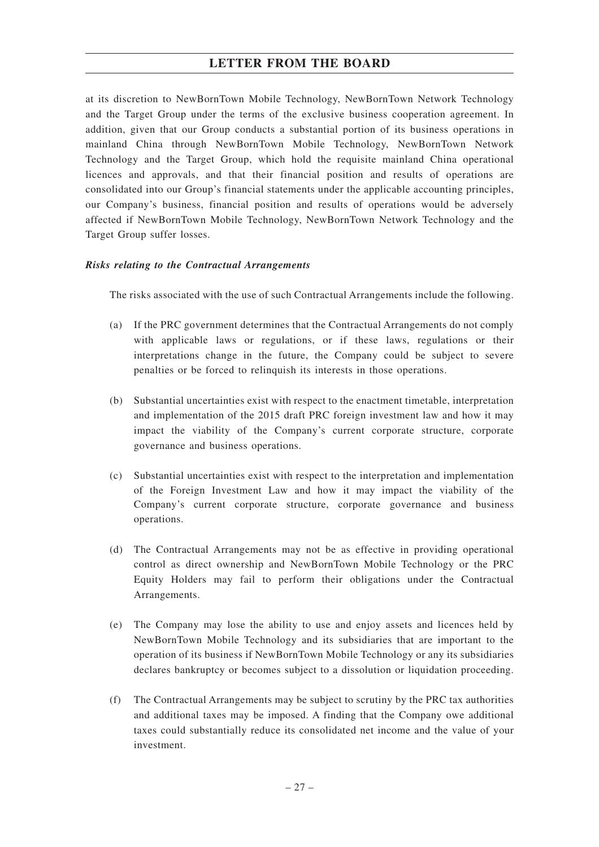at its discretion to NewBornTown Mobile Technology, NewBornTown Network Technology and the Target Group under the terms of the exclusive business cooperation agreement. In addition, given that our Group conducts a substantial portion of its business operations in mainland China through NewBornTown Mobile Technology, NewBornTown Network Technology and the Target Group, which hold the requisite mainland China operational licences and approvals, and that their financial position and results of operations are consolidated into our Group's financial statements under the applicable accounting principles, our Company's business, financial position and results of operations would be adversely affected if NewBornTown Mobile Technology, NewBornTown Network Technology and the Target Group suffer losses.

## *Risks relating to the Contractual Arrangements*

The risks associated with the use of such Contractual Arrangements include the following.

- (a) If the PRC government determines that the Contractual Arrangements do not comply with applicable laws or regulations, or if these laws, regulations or their interpretations change in the future, the Company could be subject to severe penalties or be forced to relinquish its interests in those operations.
- (b) Substantial uncertainties exist with respect to the enactment timetable, interpretation and implementation of the 2015 draft PRC foreign investment law and how it may impact the viability of the Company's current corporate structure, corporate governance and business operations.
- (c) Substantial uncertainties exist with respect to the interpretation and implementation of the Foreign Investment Law and how it may impact the viability of the Company's current corporate structure, corporate governance and business operations.
- (d) The Contractual Arrangements may not be as effective in providing operational control as direct ownership and NewBornTown Mobile Technology or the PRC Equity Holders may fail to perform their obligations under the Contractual Arrangements.
- (e) The Company may lose the ability to use and enjoy assets and licences held by NewBornTown Mobile Technology and its subsidiaries that are important to the operation of its business if NewBornTown Mobile Technology or any its subsidiaries declares bankruptcy or becomes subject to a dissolution or liquidation proceeding.
- (f) The Contractual Arrangements may be subject to scrutiny by the PRC tax authorities and additional taxes may be imposed. A finding that the Company owe additional taxes could substantially reduce its consolidated net income and the value of your investment.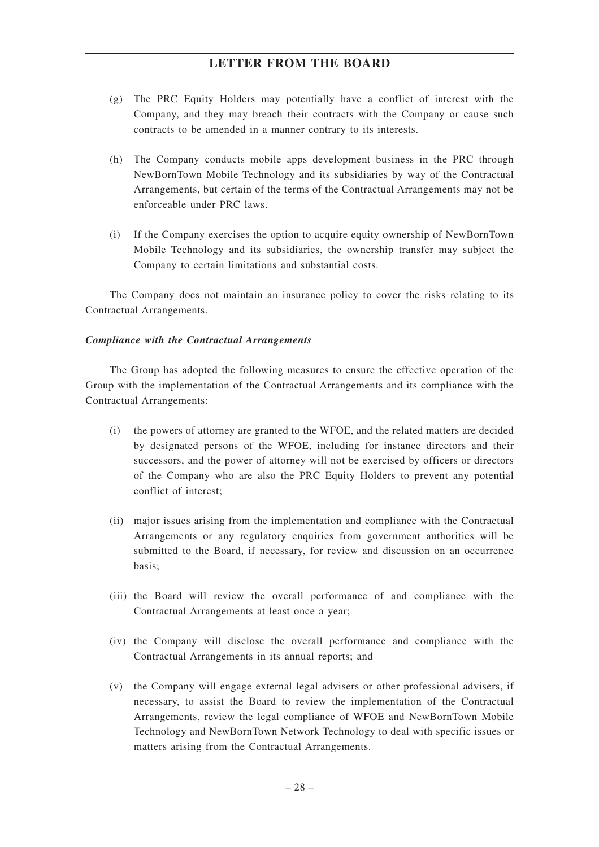- (g) The PRC Equity Holders may potentially have a conflict of interest with the Company, and they may breach their contracts with the Company or cause such contracts to be amended in a manner contrary to its interests.
- (h) The Company conducts mobile apps development business in the PRC through NewBornTown Mobile Technology and its subsidiaries by way of the Contractual Arrangements, but certain of the terms of the Contractual Arrangements may not be enforceable under PRC laws.
- (i) If the Company exercises the option to acquire equity ownership of NewBornTown Mobile Technology and its subsidiaries, the ownership transfer may subject the Company to certain limitations and substantial costs.

The Company does not maintain an insurance policy to cover the risks relating to its Contractual Arrangements.

#### *Compliance with the Contractual Arrangements*

The Group has adopted the following measures to ensure the effective operation of the Group with the implementation of the Contractual Arrangements and its compliance with the Contractual Arrangements:

- (i) the powers of attorney are granted to the WFOE, and the related matters are decided by designated persons of the WFOE, including for instance directors and their successors, and the power of attorney will not be exercised by officers or directors of the Company who are also the PRC Equity Holders to prevent any potential conflict of interest;
- (ii) major issues arising from the implementation and compliance with the Contractual Arrangements or any regulatory enquiries from government authorities will be submitted to the Board, if necessary, for review and discussion on an occurrence basis;
- (iii) the Board will review the overall performance of and compliance with the Contractual Arrangements at least once a year;
- (iv) the Company will disclose the overall performance and compliance with the Contractual Arrangements in its annual reports; and
- (v) the Company will engage external legal advisers or other professional advisers, if necessary, to assist the Board to review the implementation of the Contractual Arrangements, review the legal compliance of WFOE and NewBornTown Mobile Technology and NewBornTown Network Technology to deal with specific issues or matters arising from the Contractual Arrangements.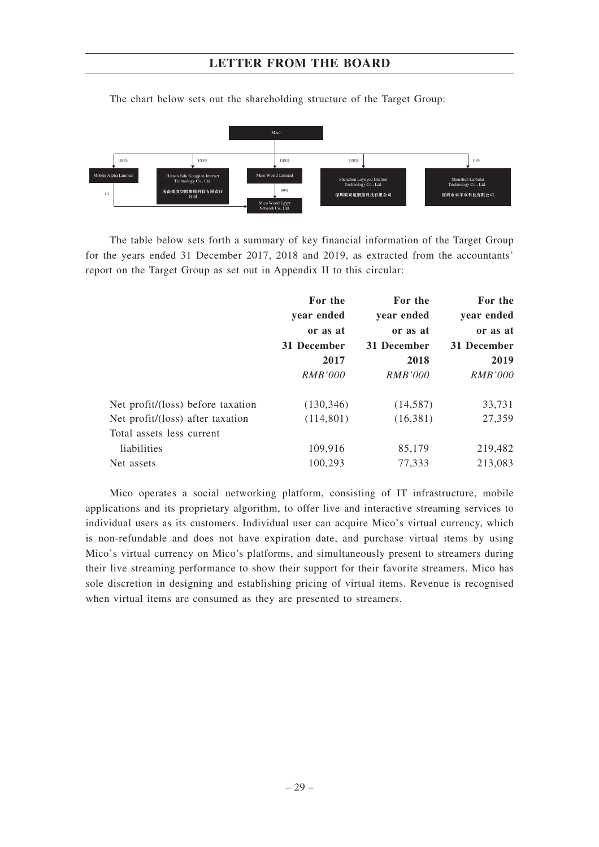

The chart below sets out the shareholding structure of the Target Group:

The table below sets forth a summary of key financial information of the Target Group for the years ended 31 December 2017, 2018 and 2019, as extracted from the accountants' report on the Target Group as set out in Appendix II to this circular:

| For the<br>year ended<br>or as at<br>31 December<br>2017<br><i>RMB'000</i> | For the     | For the        |            |  |          |
|----------------------------------------------------------------------------|-------------|----------------|------------|--|----------|
|                                                                            |             | year ended     | year ended |  |          |
|                                                                            |             |                |            |  | or as at |
|                                                                            | 31 December | 31 December    |            |  |          |
|                                                                            | 2018        |                | 2019       |  |          |
|                                                                            | RMB'000     | <i>RMB'000</i> |            |  |          |
| (130, 346)                                                                 | (14,587)    | 33,731         |            |  |          |
| (114, 801)                                                                 | (16,381)    | 27,359         |            |  |          |
|                                                                            |             |                |            |  |          |
| 109,916                                                                    | 85,179      | 219,482        |            |  |          |
| 100,293                                                                    | 77,333      | 213,083        |            |  |          |
|                                                                            |             |                |            |  |          |

Mico operates a social networking platform, consisting of IT infrastructure, mobile applications and its proprietary algorithm, to offer live and interactive streaming services to individual users as its customers. Individual user can acquire Mico's virtual currency, which is non-refundable and does not have expiration date, and purchase virtual items by using Mico's virtual currency on Mico's platforms, and simultaneously present to streamers during their live streaming performance to show their support for their favorite streamers. Mico has sole discretion in designing and establishing pricing of virtual items. Revenue is recognised when virtual items are consumed as they are presented to streamers.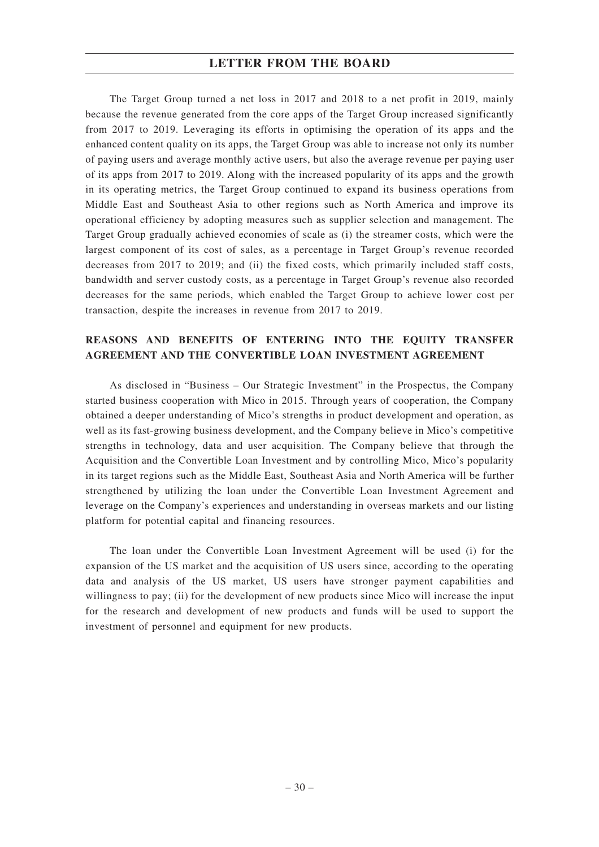The Target Group turned a net loss in 2017 and 2018 to a net profit in 2019, mainly because the revenue generated from the core apps of the Target Group increased significantly from 2017 to 2019. Leveraging its efforts in optimising the operation of its apps and the enhanced content quality on its apps, the Target Group was able to increase not only its number of paying users and average monthly active users, but also the average revenue per paying user of its apps from 2017 to 2019. Along with the increased popularity of its apps and the growth in its operating metrics, the Target Group continued to expand its business operations from Middle East and Southeast Asia to other regions such as North America and improve its operational efficiency by adopting measures such as supplier selection and management. The Target Group gradually achieved economies of scale as (i) the streamer costs, which were the largest component of its cost of sales, as a percentage in Target Group's revenue recorded decreases from 2017 to 2019; and (ii) the fixed costs, which primarily included staff costs, bandwidth and server custody costs, as a percentage in Target Group's revenue also recorded decreases for the same periods, which enabled the Target Group to achieve lower cost per transaction, despite the increases in revenue from 2017 to 2019.

## **REASONS AND BENEFITS OF ENTERING INTO THE EQUITY TRANSFER AGREEMENT AND THE CONVERTIBLE LOAN INVESTMENT AGREEMENT**

As disclosed in "Business – Our Strategic Investment" in the Prospectus, the Company started business cooperation with Mico in 2015. Through years of cooperation, the Company obtained a deeper understanding of Mico's strengths in product development and operation, as well as its fast-growing business development, and the Company believe in Mico's competitive strengths in technology, data and user acquisition. The Company believe that through the Acquisition and the Convertible Loan Investment and by controlling Mico, Mico's popularity in its target regions such as the Middle East, Southeast Asia and North America will be further strengthened by utilizing the loan under the Convertible Loan Investment Agreement and leverage on the Company's experiences and understanding in overseas markets and our listing platform for potential capital and financing resources.

The loan under the Convertible Loan Investment Agreement will be used (i) for the expansion of the US market and the acquisition of US users since, according to the operating data and analysis of the US market, US users have stronger payment capabilities and willingness to pay; (ii) for the development of new products since Mico will increase the input for the research and development of new products and funds will be used to support the investment of personnel and equipment for new products.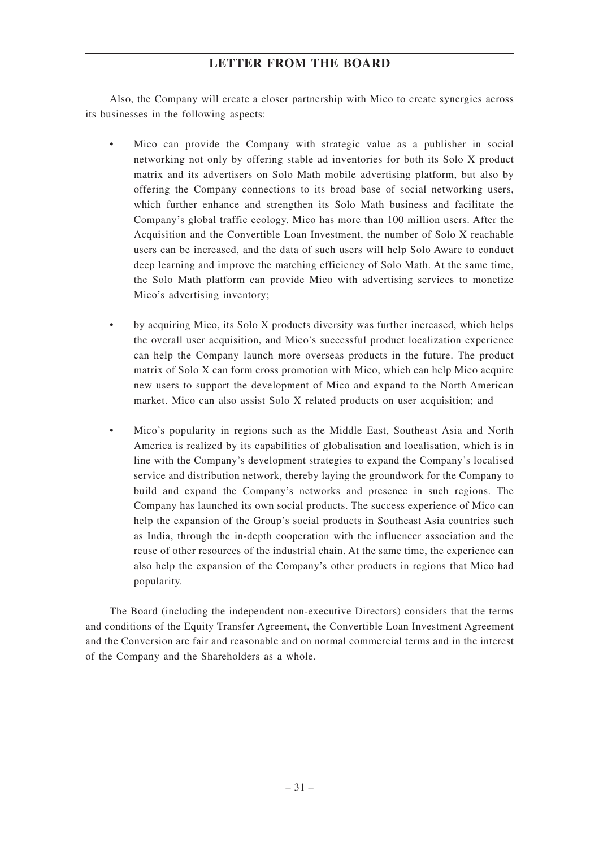Also, the Company will create a closer partnership with Mico to create synergies across its businesses in the following aspects:

- Mico can provide the Company with strategic value as a publisher in social networking not only by offering stable ad inventories for both its Solo X product matrix and its advertisers on Solo Math mobile advertising platform, but also by offering the Company connections to its broad base of social networking users, which further enhance and strengthen its Solo Math business and facilitate the Company's global traffic ecology. Mico has more than 100 million users. After the Acquisition and the Convertible Loan Investment, the number of Solo X reachable users can be increased, and the data of such users will help Solo Aware to conduct deep learning and improve the matching efficiency of Solo Math. At the same time, the Solo Math platform can provide Mico with advertising services to monetize Mico's advertising inventory;
- by acquiring Mico, its Solo X products diversity was further increased, which helps the overall user acquisition, and Mico's successful product localization experience can help the Company launch more overseas products in the future. The product matrix of Solo X can form cross promotion with Mico, which can help Mico acquire new users to support the development of Mico and expand to the North American market. Mico can also assist Solo X related products on user acquisition; and
- Mico's popularity in regions such as the Middle East, Southeast Asia and North America is realized by its capabilities of globalisation and localisation, which is in line with the Company's development strategies to expand the Company's localised service and distribution network, thereby laying the groundwork for the Company to build and expand the Company's networks and presence in such regions. The Company has launched its own social products. The success experience of Mico can help the expansion of the Group's social products in Southeast Asia countries such as India, through the in-depth cooperation with the influencer association and the reuse of other resources of the industrial chain. At the same time, the experience can also help the expansion of the Company's other products in regions that Mico had popularity.

The Board (including the independent non-executive Directors) considers that the terms and conditions of the Equity Transfer Agreement, the Convertible Loan Investment Agreement and the Conversion are fair and reasonable and on normal commercial terms and in the interest of the Company and the Shareholders as a whole.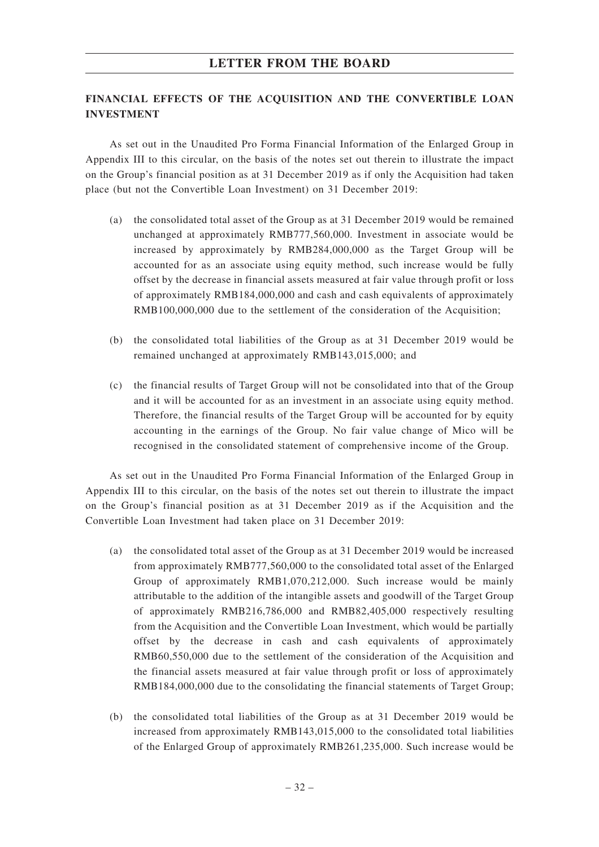## **FINANCIAL EFFECTS OF THE ACQUISITION AND THE CONVERTIBLE LOAN INVESTMENT**

As set out in the Unaudited Pro Forma Financial Information of the Enlarged Group in Appendix III to this circular, on the basis of the notes set out therein to illustrate the impact on the Group's financial position as at 31 December 2019 as if only the Acquisition had taken place (but not the Convertible Loan Investment) on 31 December 2019:

- (a) the consolidated total asset of the Group as at 31 December 2019 would be remained unchanged at approximately RMB777,560,000. Investment in associate would be increased by approximately by RMB284,000,000 as the Target Group will be accounted for as an associate using equity method, such increase would be fully offset by the decrease in financial assets measured at fair value through profit or loss of approximately RMB184,000,000 and cash and cash equivalents of approximately RMB100,000,000 due to the settlement of the consideration of the Acquisition;
- (b) the consolidated total liabilities of the Group as at 31 December 2019 would be remained unchanged at approximately RMB143,015,000; and
- (c) the financial results of Target Group will not be consolidated into that of the Group and it will be accounted for as an investment in an associate using equity method. Therefore, the financial results of the Target Group will be accounted for by equity accounting in the earnings of the Group. No fair value change of Mico will be recognised in the consolidated statement of comprehensive income of the Group.

As set out in the Unaudited Pro Forma Financial Information of the Enlarged Group in Appendix III to this circular, on the basis of the notes set out therein to illustrate the impact on the Group's financial position as at 31 December 2019 as if the Acquisition and the Convertible Loan Investment had taken place on 31 December 2019:

- (a) the consolidated total asset of the Group as at 31 December 2019 would be increased from approximately RMB777,560,000 to the consolidated total asset of the Enlarged Group of approximately RMB1,070,212,000. Such increase would be mainly attributable to the addition of the intangible assets and goodwill of the Target Group of approximately RMB216,786,000 and RMB82,405,000 respectively resulting from the Acquisition and the Convertible Loan Investment, which would be partially offset by the decrease in cash and cash equivalents of approximately RMB60,550,000 due to the settlement of the consideration of the Acquisition and the financial assets measured at fair value through profit or loss of approximately RMB184,000,000 due to the consolidating the financial statements of Target Group;
- (b) the consolidated total liabilities of the Group as at 31 December 2019 would be increased from approximately RMB143,015,000 to the consolidated total liabilities of the Enlarged Group of approximately RMB261,235,000. Such increase would be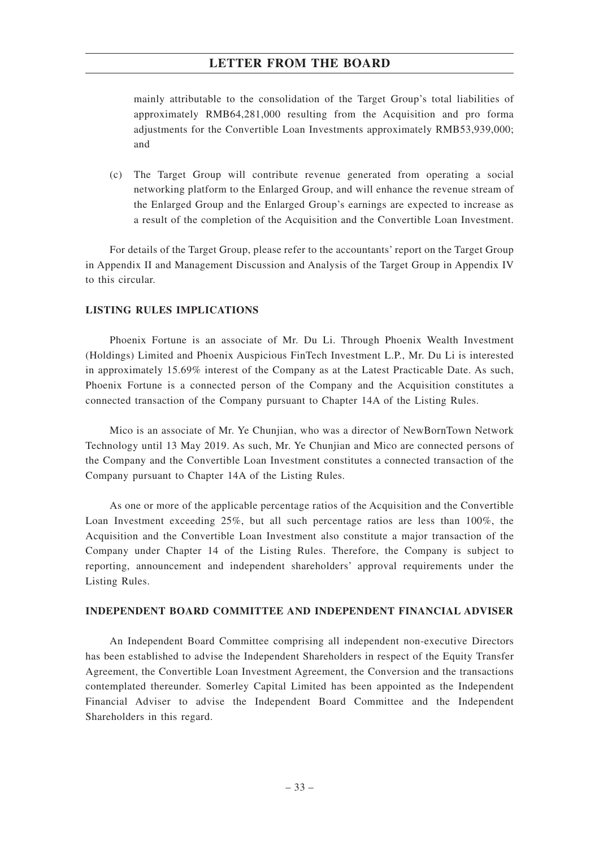mainly attributable to the consolidation of the Target Group's total liabilities of approximately RMB64,281,000 resulting from the Acquisition and pro forma adjustments for the Convertible Loan Investments approximately RMB53,939,000; and

(c) The Target Group will contribute revenue generated from operating a social networking platform to the Enlarged Group, and will enhance the revenue stream of the Enlarged Group and the Enlarged Group's earnings are expected to increase as a result of the completion of the Acquisition and the Convertible Loan Investment.

For details of the Target Group, please refer to the accountants' report on the Target Group in Appendix II and Management Discussion and Analysis of the Target Group in Appendix IV to this circular.

#### **LISTING RULES IMPLICATIONS**

Phoenix Fortune is an associate of Mr. Du Li. Through Phoenix Wealth Investment (Holdings) Limited and Phoenix Auspicious FinTech Investment L.P., Mr. Du Li is interested in approximately 15.69% interest of the Company as at the Latest Practicable Date. As such, Phoenix Fortune is a connected person of the Company and the Acquisition constitutes a connected transaction of the Company pursuant to Chapter 14A of the Listing Rules.

Mico is an associate of Mr. Ye Chunjian, who was a director of NewBornTown Network Technology until 13 May 2019. As such, Mr. Ye Chunjian and Mico are connected persons of the Company and the Convertible Loan Investment constitutes a connected transaction of the Company pursuant to Chapter 14A of the Listing Rules.

As one or more of the applicable percentage ratios of the Acquisition and the Convertible Loan Investment exceeding 25%, but all such percentage ratios are less than 100%, the Acquisition and the Convertible Loan Investment also constitute a major transaction of the Company under Chapter 14 of the Listing Rules. Therefore, the Company is subject to reporting, announcement and independent shareholders' approval requirements under the Listing Rules.

#### **INDEPENDENT BOARD COMMITTEE AND INDEPENDENT FINANCIAL ADVISER**

An Independent Board Committee comprising all independent non-executive Directors has been established to advise the Independent Shareholders in respect of the Equity Transfer Agreement, the Convertible Loan Investment Agreement, the Conversion and the transactions contemplated thereunder. Somerley Capital Limited has been appointed as the Independent Financial Adviser to advise the Independent Board Committee and the Independent Shareholders in this regard.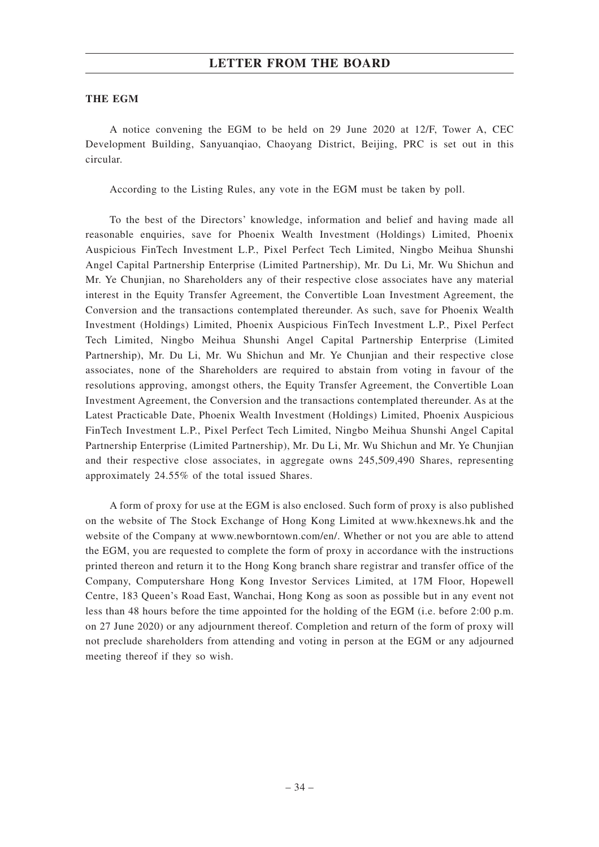#### **THE EGM**

A notice convening the EGM to be held on 29 June 2020 at 12/F, Tower A, CEC Development Building, Sanyuanqiao, Chaoyang District, Beijing, PRC is set out in this circular.

According to the Listing Rules, any vote in the EGM must be taken by poll.

To the best of the Directors' knowledge, information and belief and having made all reasonable enquiries, save for Phoenix Wealth Investment (Holdings) Limited, Phoenix Auspicious FinTech Investment L.P., Pixel Perfect Tech Limited, Ningbo Meihua Shunshi Angel Capital Partnership Enterprise (Limited Partnership), Mr. Du Li, Mr. Wu Shichun and Mr. Ye Chunjian, no Shareholders any of their respective close associates have any material interest in the Equity Transfer Agreement, the Convertible Loan Investment Agreement, the Conversion and the transactions contemplated thereunder. As such, save for Phoenix Wealth Investment (Holdings) Limited, Phoenix Auspicious FinTech Investment L.P., Pixel Perfect Tech Limited, Ningbo Meihua Shunshi Angel Capital Partnership Enterprise (Limited Partnership), Mr. Du Li, Mr. Wu Shichun and Mr. Ye Chunjian and their respective close associates, none of the Shareholders are required to abstain from voting in favour of the resolutions approving, amongst others, the Equity Transfer Agreement, the Convertible Loan Investment Agreement, the Conversion and the transactions contemplated thereunder. As at the Latest Practicable Date, Phoenix Wealth Investment (Holdings) Limited, Phoenix Auspicious FinTech Investment L.P., Pixel Perfect Tech Limited, Ningbo Meihua Shunshi Angel Capital Partnership Enterprise (Limited Partnership), Mr. Du Li, Mr. Wu Shichun and Mr. Ye Chunjian and their respective close associates, in aggregate owns 245,509,490 Shares, representing approximately 24.55% of the total issued Shares.

A form of proxy for use at the EGM is also enclosed. Such form of proxy is also published on the website of The Stock Exchange of Hong Kong Limited at www.hkexnews.hk and the website of the Company at www.newborntown.com/en/. Whether or not you are able to attend the EGM, you are requested to complete the form of proxy in accordance with the instructions printed thereon and return it to the Hong Kong branch share registrar and transfer office of the Company, Computershare Hong Kong Investor Services Limited, at 17M Floor, Hopewell Centre, 183 Queen's Road East, Wanchai, Hong Kong as soon as possible but in any event not less than 48 hours before the time appointed for the holding of the EGM (i.e. before 2:00 p.m. on 27 June 2020) or any adjournment thereof. Completion and return of the form of proxy will not preclude shareholders from attending and voting in person at the EGM or any adjourned meeting thereof if they so wish.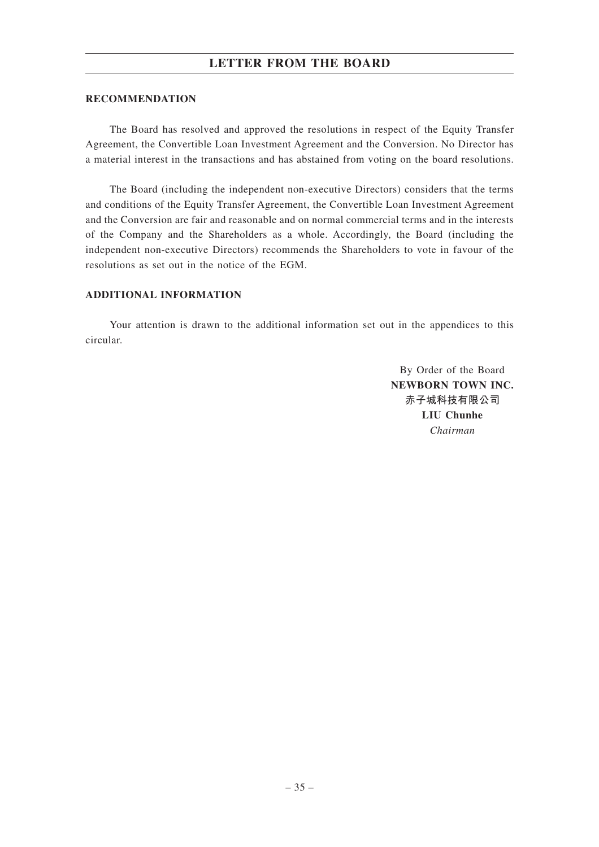## **LETTER FROM THE BOARD**

### **RECOMMENDATION**

The Board has resolved and approved the resolutions in respect of the Equity Transfer Agreement, the Convertible Loan Investment Agreement and the Conversion. No Director has a material interest in the transactions and has abstained from voting on the board resolutions.

The Board (including the independent non-executive Directors) considers that the terms and conditions of the Equity Transfer Agreement, the Convertible Loan Investment Agreement and the Conversion are fair and reasonable and on normal commercial terms and in the interests of the Company and the Shareholders as a whole. Accordingly, the Board (including the independent non-executive Directors) recommends the Shareholders to vote in favour of the resolutions as set out in the notice of the EGM.

### **ADDITIONAL INFORMATION**

Your attention is drawn to the additional information set out in the appendices to this circular.

> By Order of the Board **NEWBORN TOWN INC. 赤子城科技有限公司 LIU Chunhe** *Chairman*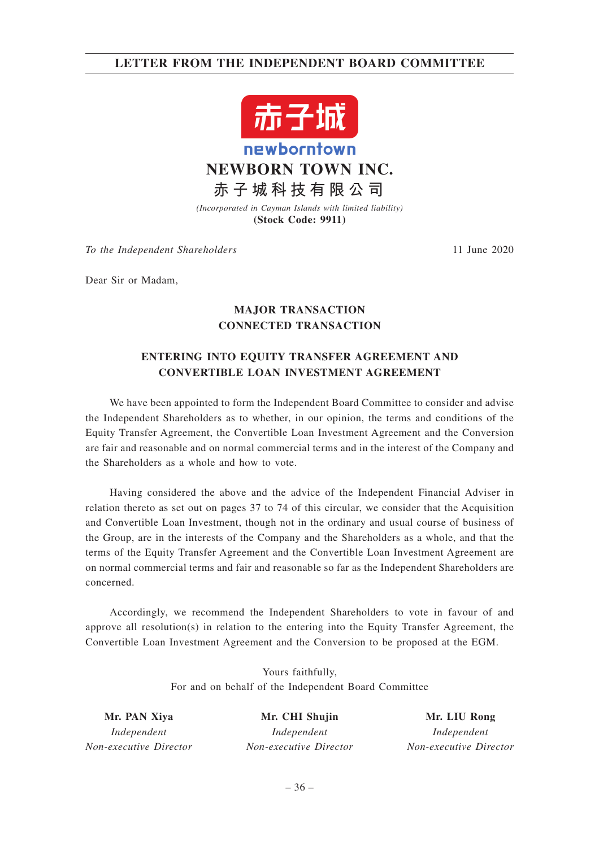# **LETTER FROM THE INDEPENDENT BOARD COMMITTEE**



*(Incorporated in Cayman Islands with limited liability)* **(Stock Code: 9911)**

*To the Independent Shareholders* 11 June 2020

Dear Sir or Madam,

# **MAJOR TRANSACTION CONNECTED TRANSACTION**

# **ENTERING INTO EQUITY TRANSFER AGREEMENT AND CONVERTIBLE LOAN INVESTMENT AGREEMENT**

We have been appointed to form the Independent Board Committee to consider and advise the Independent Shareholders as to whether, in our opinion, the terms and conditions of the Equity Transfer Agreement, the Convertible Loan Investment Agreement and the Conversion are fair and reasonable and on normal commercial terms and in the interest of the Company and the Shareholders as a whole and how to vote.

Having considered the above and the advice of the Independent Financial Adviser in relation thereto as set out on pages 37 to 74 of this circular, we consider that the Acquisition and Convertible Loan Investment, though not in the ordinary and usual course of business of the Group, are in the interests of the Company and the Shareholders as a whole, and that the terms of the Equity Transfer Agreement and the Convertible Loan Investment Agreement are on normal commercial terms and fair and reasonable so far as the Independent Shareholders are concerned.

Accordingly, we recommend the Independent Shareholders to vote in favour of and approve all resolution(s) in relation to the entering into the Equity Transfer Agreement, the Convertible Loan Investment Agreement and the Conversion to be proposed at the EGM.

> Yours faithfully, For and on behalf of the Independent Board Committee

**Mr. PAN Xiya** *Independent Non-executive Director*

**Mr. CHI Shujin** *Independent Non-executive Director*

**Mr. LIU Rong** *Independent Non-executive Director*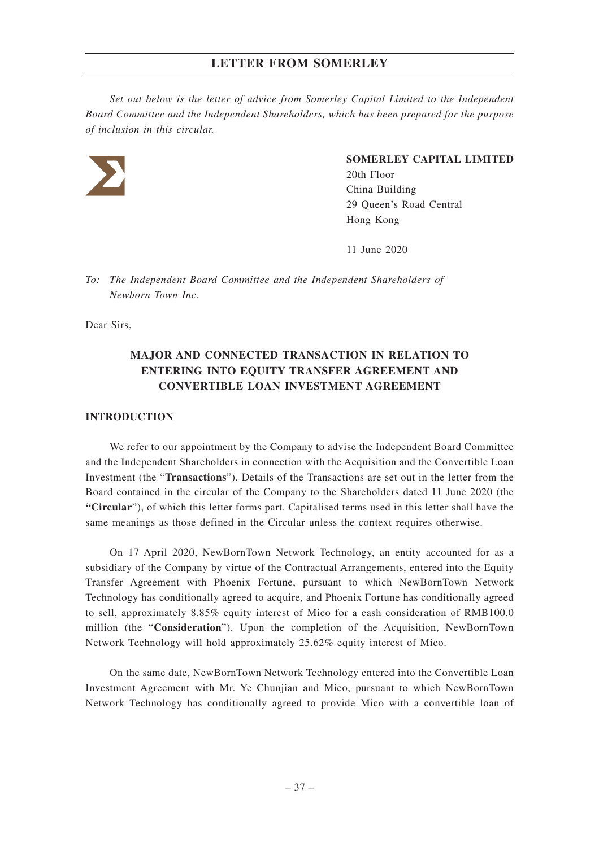*Set out below is the letter of advice from Somerley Capital Limited to the Independent Board Committee and the Independent Shareholders, which has been prepared for the purpose of inclusion in this circular.*



### **SOMERLEY CAPITAL LIMITED**

20th Floor China Building 29 Queen's Road Central Hong Kong

11 June 2020

*To: The Independent Board Committee and the Independent Shareholders of Newborn Town Inc.*

Dear Sirs,

# **MAJOR AND CONNECTED TRANSACTION IN RELATION TO ENTERING INTO EQUITY TRANSFER AGREEMENT AND CONVERTIBLE LOAN INVESTMENT AGREEMENT**

### **INTRODUCTION**

We refer to our appointment by the Company to advise the Independent Board Committee and the Independent Shareholders in connection with the Acquisition and the Convertible Loan Investment (the "**Transactions**"). Details of the Transactions are set out in the letter from the Board contained in the circular of the Company to the Shareholders dated 11 June 2020 (the **"Circular**"), of which this letter forms part. Capitalised terms used in this letter shall have the same meanings as those defined in the Circular unless the context requires otherwise.

On 17 April 2020, NewBornTown Network Technology, an entity accounted for as a subsidiary of the Company by virtue of the Contractual Arrangements, entered into the Equity Transfer Agreement with Phoenix Fortune, pursuant to which NewBornTown Network Technology has conditionally agreed to acquire, and Phoenix Fortune has conditionally agreed to sell, approximately 8.85% equity interest of Mico for a cash consideration of RMB100.0 million (the "**Consideration**"). Upon the completion of the Acquisition, NewBornTown Network Technology will hold approximately 25.62% equity interest of Mico.

On the same date, NewBornTown Network Technology entered into the Convertible Loan Investment Agreement with Mr. Ye Chunjian and Mico, pursuant to which NewBornTown Network Technology has conditionally agreed to provide Mico with a convertible loan of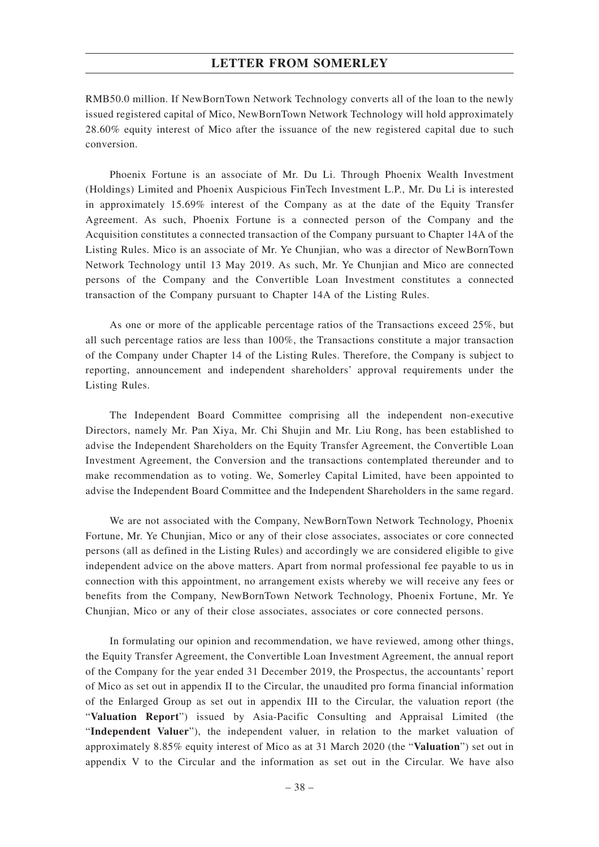RMB50.0 million. If NewBornTown Network Technology converts all of the loan to the newly issued registered capital of Mico, NewBornTown Network Technology will hold approximately 28.60% equity interest of Mico after the issuance of the new registered capital due to such conversion.

Phoenix Fortune is an associate of Mr. Du Li. Through Phoenix Wealth Investment (Holdings) Limited and Phoenix Auspicious FinTech Investment L.P., Mr. Du Li is interested in approximately 15.69% interest of the Company as at the date of the Equity Transfer Agreement. As such, Phoenix Fortune is a connected person of the Company and the Acquisition constitutes a connected transaction of the Company pursuant to Chapter 14A of the Listing Rules. Mico is an associate of Mr. Ye Chunjian, who was a director of NewBornTown Network Technology until 13 May 2019. As such, Mr. Ye Chunjian and Mico are connected persons of the Company and the Convertible Loan Investment constitutes a connected transaction of the Company pursuant to Chapter 14A of the Listing Rules.

As one or more of the applicable percentage ratios of the Transactions exceed 25%, but all such percentage ratios are less than 100%, the Transactions constitute a major transaction of the Company under Chapter 14 of the Listing Rules. Therefore, the Company is subject to reporting, announcement and independent shareholders' approval requirements under the Listing Rules.

The Independent Board Committee comprising all the independent non-executive Directors, namely Mr. Pan Xiya, Mr. Chi Shujin and Mr. Liu Rong, has been established to advise the Independent Shareholders on the Equity Transfer Agreement, the Convertible Loan Investment Agreement, the Conversion and the transactions contemplated thereunder and to make recommendation as to voting. We, Somerley Capital Limited, have been appointed to advise the Independent Board Committee and the Independent Shareholders in the same regard.

We are not associated with the Company, NewBornTown Network Technology, Phoenix Fortune, Mr. Ye Chunjian, Mico or any of their close associates, associates or core connected persons (all as defined in the Listing Rules) and accordingly we are considered eligible to give independent advice on the above matters. Apart from normal professional fee payable to us in connection with this appointment, no arrangement exists whereby we will receive any fees or benefits from the Company, NewBornTown Network Technology, Phoenix Fortune, Mr. Ye Chunjian, Mico or any of their close associates, associates or core connected persons.

In formulating our opinion and recommendation, we have reviewed, among other things, the Equity Transfer Agreement, the Convertible Loan Investment Agreement, the annual report of the Company for the year ended 31 December 2019, the Prospectus, the accountants' report of Mico as set out in appendix II to the Circular, the unaudited pro forma financial information of the Enlarged Group as set out in appendix III to the Circular, the valuation report (the "**Valuation Report**") issued by Asia-Pacific Consulting and Appraisal Limited (the "**Independent Valuer**"), the independent valuer, in relation to the market valuation of approximately 8.85% equity interest of Mico as at 31 March 2020 (the "**Valuation**") set out in appendix V to the Circular and the information as set out in the Circular. We have also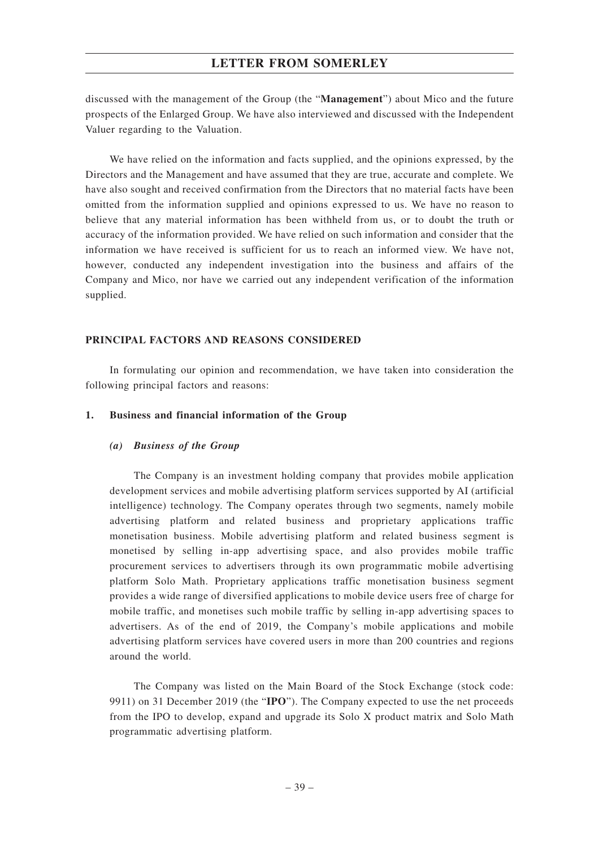discussed with the management of the Group (the "**Management**") about Mico and the future prospects of the Enlarged Group. We have also interviewed and discussed with the Independent Valuer regarding to the Valuation.

We have relied on the information and facts supplied, and the opinions expressed, by the Directors and the Management and have assumed that they are true, accurate and complete. We have also sought and received confirmation from the Directors that no material facts have been omitted from the information supplied and opinions expressed to us. We have no reason to believe that any material information has been withheld from us, or to doubt the truth or accuracy of the information provided. We have relied on such information and consider that the information we have received is sufficient for us to reach an informed view. We have not, however, conducted any independent investigation into the business and affairs of the Company and Mico, nor have we carried out any independent verification of the information supplied.

### **PRINCIPAL FACTORS AND REASONS CONSIDERED**

In formulating our opinion and recommendation, we have taken into consideration the following principal factors and reasons:

### **1. Business and financial information of the Group**

### *(a) Business of the Group*

The Company is an investment holding company that provides mobile application development services and mobile advertising platform services supported by AI (artificial intelligence) technology. The Company operates through two segments, namely mobile advertising platform and related business and proprietary applications traffic monetisation business. Mobile advertising platform and related business segment is monetised by selling in-app advertising space, and also provides mobile traffic procurement services to advertisers through its own programmatic mobile advertising platform Solo Math. Proprietary applications traffic monetisation business segment provides a wide range of diversified applications to mobile device users free of charge for mobile traffic, and monetises such mobile traffic by selling in-app advertising spaces to advertisers. As of the end of 2019, the Company's mobile applications and mobile advertising platform services have covered users in more than 200 countries and regions around the world.

The Company was listed on the Main Board of the Stock Exchange (stock code: 9911) on 31 December 2019 (the "**IPO**"). The Company expected to use the net proceeds from the IPO to develop, expand and upgrade its Solo X product matrix and Solo Math programmatic advertising platform.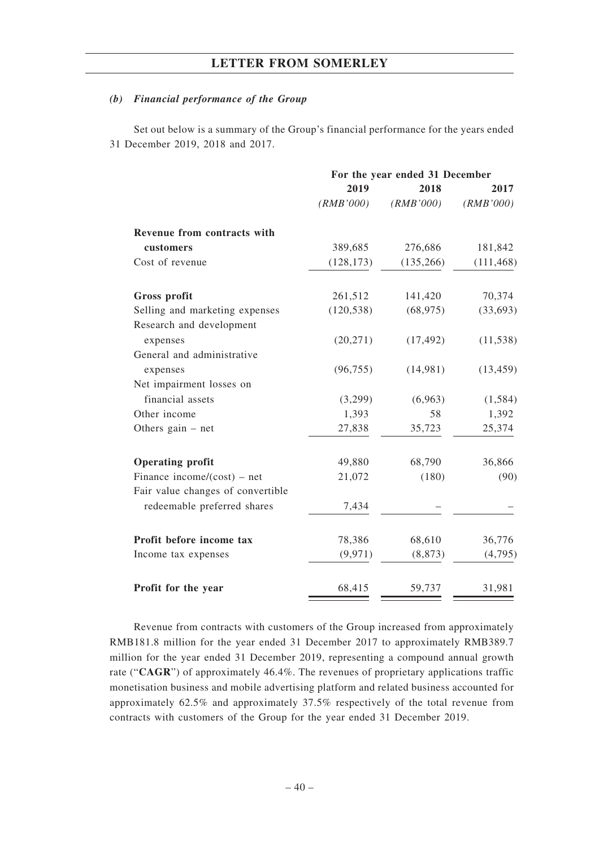### *(b) Financial performance of the Group*

Set out below is a summary of the Group's financial performance for the years ended 31 December 2019, 2018 and 2017.

|                                                            | For the year ended 31 December |            |            |  |
|------------------------------------------------------------|--------------------------------|------------|------------|--|
|                                                            | 2019                           | 2018       | 2017       |  |
|                                                            | (RMB'000)                      | (RMB'000)  | (RMB'000)  |  |
| Revenue from contracts with                                |                                |            |            |  |
| customers                                                  | 389,685                        | 276,686    | 181,842    |  |
| Cost of revenue                                            | (128, 173)                     | (135, 266) | (111, 468) |  |
| Gross profit                                               | 261,512                        | 141,420    | 70,374     |  |
| Selling and marketing expenses<br>Research and development | (120, 538)                     | (68, 975)  | (33,693)   |  |
| expenses                                                   | (20, 271)                      | (17, 492)  | (11, 538)  |  |
| General and administrative                                 |                                |            |            |  |
| expenses                                                   | (96, 755)                      | (14,981)   | (13, 459)  |  |
| Net impairment losses on                                   |                                |            |            |  |
| financial assets                                           | (3,299)                        | (6,963)    | (1, 584)   |  |
| Other income                                               | 1,393                          | 58         | 1,392      |  |
| Others gain $-$ net                                        | 27,838                         | 35,723     | 25,374     |  |
| <b>Operating profit</b>                                    | 49,880                         | 68,790     | 36,866     |  |
| Finance income/ $(cost)$ – net                             | 21,072                         | (180)      | (90)       |  |
| Fair value changes of convertible                          |                                |            |            |  |
| redeemable preferred shares                                | 7,434                          |            |            |  |
| Profit before income tax                                   | 78,386                         | 68,610     | 36,776     |  |
| Income tax expenses                                        | (9, 971)                       | (8, 873)   | (4,795)    |  |
| Profit for the year                                        | 68,415                         | 59,737     | 31,981     |  |

Revenue from contracts with customers of the Group increased from approximately RMB181.8 million for the year ended 31 December 2017 to approximately RMB389.7 million for the year ended 31 December 2019, representing a compound annual growth rate ("**CAGR**") of approximately 46.4%. The revenues of proprietary applications traffic monetisation business and mobile advertising platform and related business accounted for approximately 62.5% and approximately 37.5% respectively of the total revenue from contracts with customers of the Group for the year ended 31 December 2019.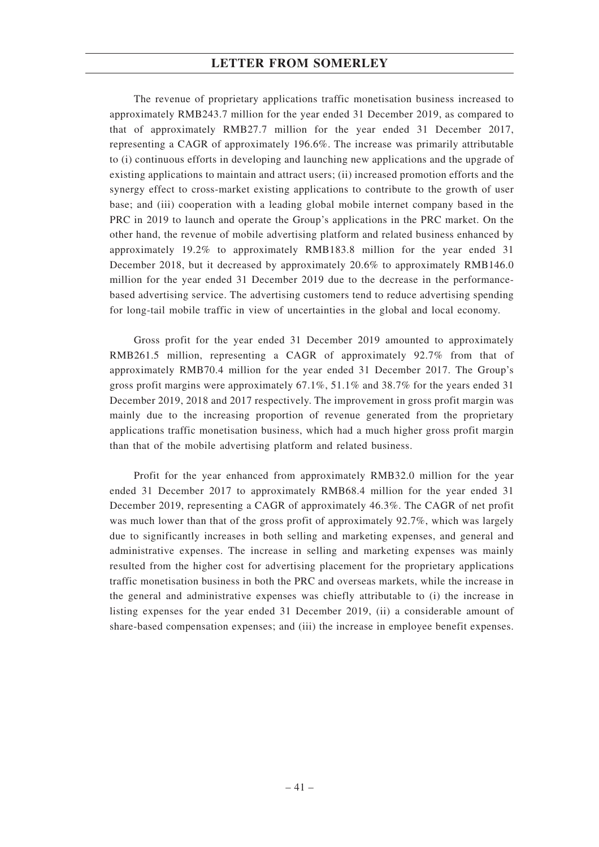The revenue of proprietary applications traffic monetisation business increased to approximately RMB243.7 million for the year ended 31 December 2019, as compared to that of approximately RMB27.7 million for the year ended 31 December 2017, representing a CAGR of approximately 196.6%. The increase was primarily attributable to (i) continuous efforts in developing and launching new applications and the upgrade of existing applications to maintain and attract users; (ii) increased promotion efforts and the synergy effect to cross-market existing applications to contribute to the growth of user base; and (iii) cooperation with a leading global mobile internet company based in the PRC in 2019 to launch and operate the Group's applications in the PRC market. On the other hand, the revenue of mobile advertising platform and related business enhanced by approximately 19.2% to approximately RMB183.8 million for the year ended 31 December 2018, but it decreased by approximately 20.6% to approximately RMB146.0 million for the year ended 31 December 2019 due to the decrease in the performancebased advertising service. The advertising customers tend to reduce advertising spending for long-tail mobile traffic in view of uncertainties in the global and local economy.

Gross profit for the year ended 31 December 2019 amounted to approximately RMB261.5 million, representing a CAGR of approximately 92.7% from that of approximately RMB70.4 million for the year ended 31 December 2017. The Group's gross profit margins were approximately 67.1%, 51.1% and 38.7% for the years ended 31 December 2019, 2018 and 2017 respectively. The improvement in gross profit margin was mainly due to the increasing proportion of revenue generated from the proprietary applications traffic monetisation business, which had a much higher gross profit margin than that of the mobile advertising platform and related business.

Profit for the year enhanced from approximately RMB32.0 million for the year ended 31 December 2017 to approximately RMB68.4 million for the year ended 31 December 2019, representing a CAGR of approximately 46.3%. The CAGR of net profit was much lower than that of the gross profit of approximately 92.7%, which was largely due to significantly increases in both selling and marketing expenses, and general and administrative expenses. The increase in selling and marketing expenses was mainly resulted from the higher cost for advertising placement for the proprietary applications traffic monetisation business in both the PRC and overseas markets, while the increase in the general and administrative expenses was chiefly attributable to (i) the increase in listing expenses for the year ended 31 December 2019, (ii) a considerable amount of share-based compensation expenses; and (iii) the increase in employee benefit expenses.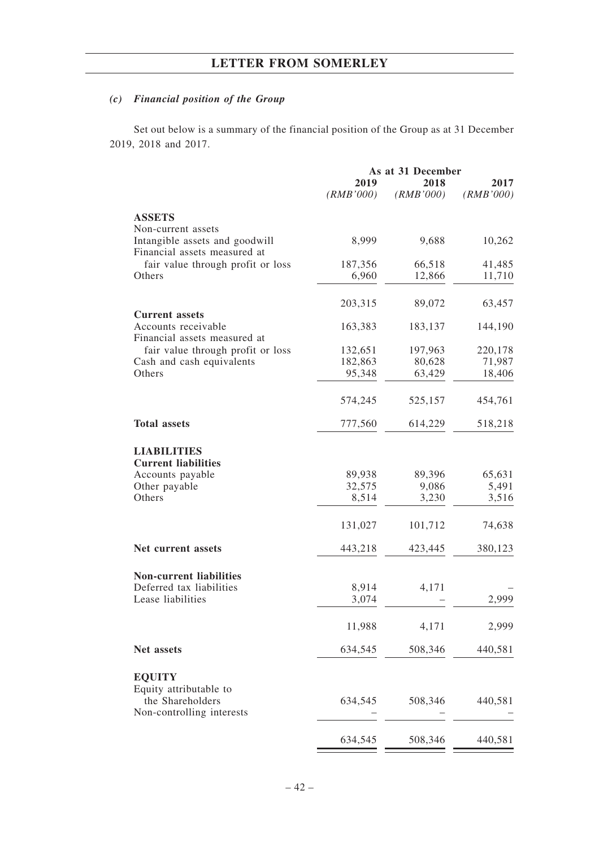# *(c) Financial position of the Group*

Set out below is a summary of the financial position of the Group as at 31 December 2019, 2018 and 2017.

|                                                                | As at 31 December |           |           |  |
|----------------------------------------------------------------|-------------------|-----------|-----------|--|
|                                                                | 2019              | 2018      | 2017      |  |
|                                                                | (RMB'000)         | (RMB'000) | (RMB'000) |  |
| <b>ASSETS</b>                                                  |                   |           |           |  |
| Non-current assets                                             |                   |           |           |  |
| Intangible assets and goodwill<br>Financial assets measured at | 8,999             | 9,688     | 10,262    |  |
| fair value through profit or loss                              | 187,356           | 66,518    | 41,485    |  |
| Others                                                         | 6,960             | 12,866    | 11,710    |  |
|                                                                |                   |           |           |  |
|                                                                | 203,315           | 89,072    | 63,457    |  |
| <b>Current assets</b>                                          |                   |           |           |  |
| Accounts receivable<br>Financial assets measured at            | 163,383           | 183,137   | 144,190   |  |
| fair value through profit or loss                              | 132,651           | 197,963   | 220,178   |  |
| Cash and cash equivalents                                      | 182,863           | 80,628    | 71,987    |  |
| Others                                                         | 95,348            | 63,429    | 18,406    |  |
|                                                                |                   |           |           |  |
|                                                                | 574,245           | 525,157   | 454,761   |  |
|                                                                |                   |           |           |  |
| <b>Total assets</b>                                            | 777,560           | 614,229   | 518,218   |  |
|                                                                |                   |           |           |  |
| <b>LIABILITIES</b>                                             |                   |           |           |  |
| <b>Current liabilities</b>                                     |                   |           |           |  |
| Accounts payable                                               | 89,938            | 89,396    | 65,631    |  |
| Other payable                                                  | 32,575            | 9,086     | 5,491     |  |
| Others                                                         | 8,514             | 3,230     | 3,516     |  |
|                                                                | 131,027           | 101,712   | 74,638    |  |
|                                                                |                   |           |           |  |
| Net current assets                                             | 443,218           | 423,445   | 380,123   |  |
|                                                                |                   |           |           |  |
| <b>Non-current liabilities</b><br>Deferred tax liabilities     | 8,914             | 4,171     |           |  |
| Lease liabilities                                              | 3,074             |           | 2,999     |  |
|                                                                |                   |           |           |  |
|                                                                | 11,988            | 4,171     | 2,999     |  |
| Net assets                                                     | 634,545           | 508,346   | 440,581   |  |
|                                                                |                   |           |           |  |
| <b>EQUITY</b>                                                  |                   |           |           |  |
| Equity attributable to                                         |                   |           |           |  |
| the Shareholders                                               | 634,545           | 508,346   | 440,581   |  |
| Non-controlling interests                                      |                   |           |           |  |
|                                                                |                   |           |           |  |
|                                                                | 634,545           | 508,346   | 440,581   |  |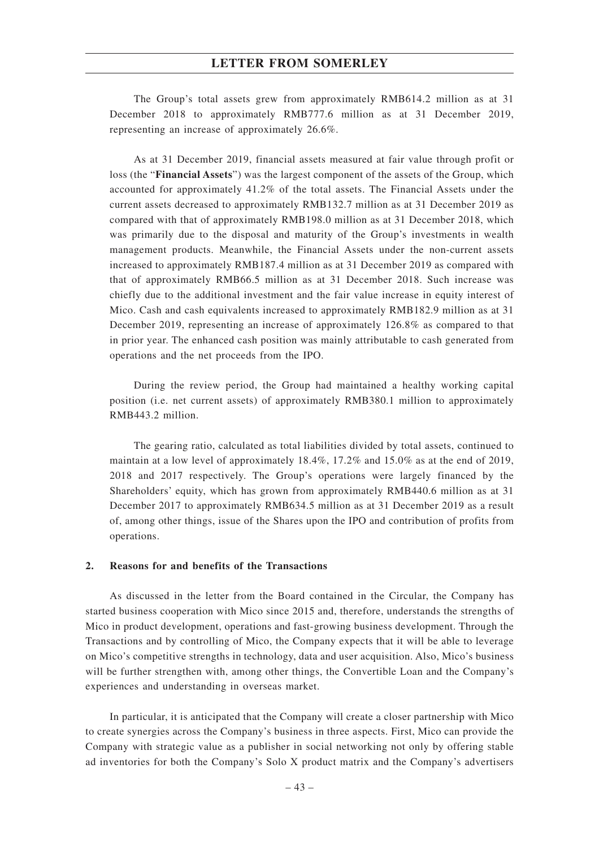The Group's total assets grew from approximately RMB614.2 million as at 31 December 2018 to approximately RMB777.6 million as at 31 December 2019, representing an increase of approximately 26.6%.

As at 31 December 2019, financial assets measured at fair value through profit or loss (the "**Financial Assets**") was the largest component of the assets of the Group, which accounted for approximately 41.2% of the total assets. The Financial Assets under the current assets decreased to approximately RMB132.7 million as at 31 December 2019 as compared with that of approximately RMB198.0 million as at 31 December 2018, which was primarily due to the disposal and maturity of the Group's investments in wealth management products. Meanwhile, the Financial Assets under the non-current assets increased to approximately RMB187.4 million as at 31 December 2019 as compared with that of approximately RMB66.5 million as at 31 December 2018. Such increase was chiefly due to the additional investment and the fair value increase in equity interest of Mico. Cash and cash equivalents increased to approximately RMB182.9 million as at 31 December 2019, representing an increase of approximately 126.8% as compared to that in prior year. The enhanced cash position was mainly attributable to cash generated from operations and the net proceeds from the IPO.

During the review period, the Group had maintained a healthy working capital position (i.e. net current assets) of approximately RMB380.1 million to approximately RMB443.2 million.

The gearing ratio, calculated as total liabilities divided by total assets, continued to maintain at a low level of approximately 18.4%, 17.2% and 15.0% as at the end of 2019, 2018 and 2017 respectively. The Group's operations were largely financed by the Shareholders' equity, which has grown from approximately RMB440.6 million as at 31 December 2017 to approximately RMB634.5 million as at 31 December 2019 as a result of, among other things, issue of the Shares upon the IPO and contribution of profits from operations.

### **2. Reasons for and benefits of the Transactions**

As discussed in the letter from the Board contained in the Circular, the Company has started business cooperation with Mico since 2015 and, therefore, understands the strengths of Mico in product development, operations and fast-growing business development. Through the Transactions and by controlling of Mico, the Company expects that it will be able to leverage on Mico's competitive strengths in technology, data and user acquisition. Also, Mico's business will be further strengthen with, among other things, the Convertible Loan and the Company's experiences and understanding in overseas market.

In particular, it is anticipated that the Company will create a closer partnership with Mico to create synergies across the Company's business in three aspects. First, Mico can provide the Company with strategic value as a publisher in social networking not only by offering stable ad inventories for both the Company's Solo X product matrix and the Company's advertisers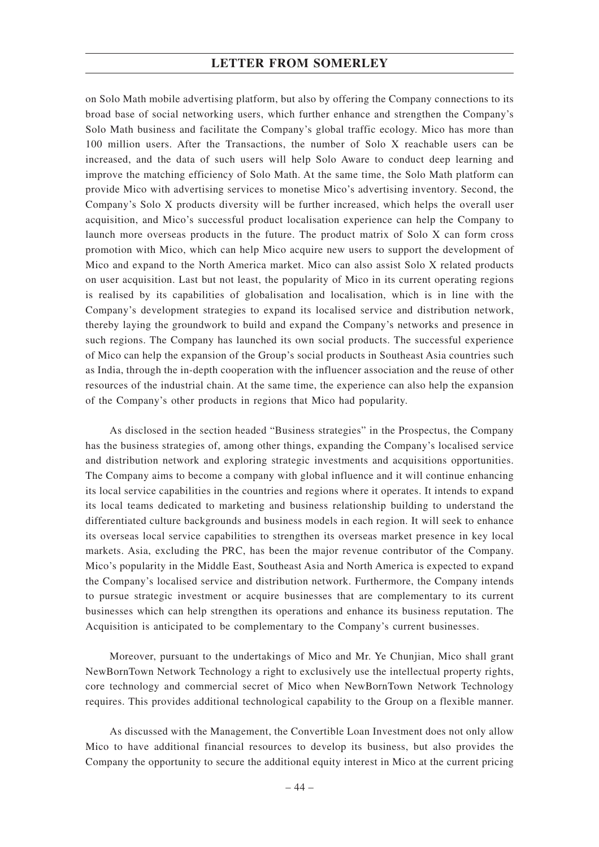on Solo Math mobile advertising platform, but also by offering the Company connections to its broad base of social networking users, which further enhance and strengthen the Company's Solo Math business and facilitate the Company's global traffic ecology. Mico has more than 100 million users. After the Transactions, the number of Solo X reachable users can be increased, and the data of such users will help Solo Aware to conduct deep learning and improve the matching efficiency of Solo Math. At the same time, the Solo Math platform can provide Mico with advertising services to monetise Mico's advertising inventory. Second, the Company's Solo X products diversity will be further increased, which helps the overall user acquisition, and Mico's successful product localisation experience can help the Company to launch more overseas products in the future. The product matrix of Solo X can form cross promotion with Mico, which can help Mico acquire new users to support the development of Mico and expand to the North America market. Mico can also assist Solo X related products on user acquisition. Last but not least, the popularity of Mico in its current operating regions is realised by its capabilities of globalisation and localisation, which is in line with the Company's development strategies to expand its localised service and distribution network, thereby laying the groundwork to build and expand the Company's networks and presence in such regions. The Company has launched its own social products. The successful experience of Mico can help the expansion of the Group's social products in Southeast Asia countries such as India, through the in-depth cooperation with the influencer association and the reuse of other resources of the industrial chain. At the same time, the experience can also help the expansion of the Company's other products in regions that Mico had popularity.

As disclosed in the section headed "Business strategies" in the Prospectus, the Company has the business strategies of, among other things, expanding the Company's localised service and distribution network and exploring strategic investments and acquisitions opportunities. The Company aims to become a company with global influence and it will continue enhancing its local service capabilities in the countries and regions where it operates. It intends to expand its local teams dedicated to marketing and business relationship building to understand the differentiated culture backgrounds and business models in each region. It will seek to enhance its overseas local service capabilities to strengthen its overseas market presence in key local markets. Asia, excluding the PRC, has been the major revenue contributor of the Company. Mico's popularity in the Middle East, Southeast Asia and North America is expected to expand the Company's localised service and distribution network. Furthermore, the Company intends to pursue strategic investment or acquire businesses that are complementary to its current businesses which can help strengthen its operations and enhance its business reputation. The Acquisition is anticipated to be complementary to the Company's current businesses.

Moreover, pursuant to the undertakings of Mico and Mr. Ye Chunjian, Mico shall grant NewBornTown Network Technology a right to exclusively use the intellectual property rights, core technology and commercial secret of Mico when NewBornTown Network Technology requires. This provides additional technological capability to the Group on a flexible manner.

As discussed with the Management, the Convertible Loan Investment does not only allow Mico to have additional financial resources to develop its business, but also provides the Company the opportunity to secure the additional equity interest in Mico at the current pricing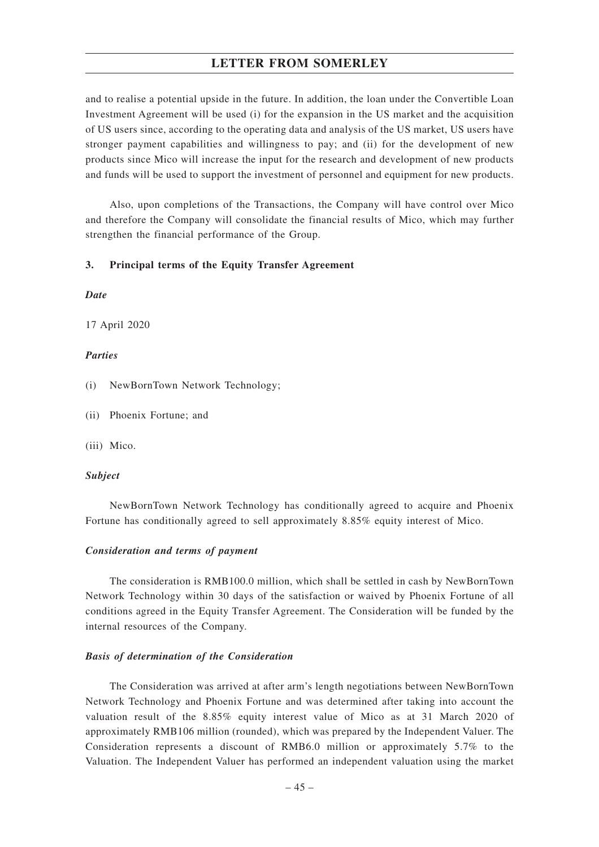and to realise a potential upside in the future. In addition, the loan under the Convertible Loan Investment Agreement will be used (i) for the expansion in the US market and the acquisition of US users since, according to the operating data and analysis of the US market, US users have stronger payment capabilities and willingness to pay; and (ii) for the development of new products since Mico will increase the input for the research and development of new products and funds will be used to support the investment of personnel and equipment for new products.

Also, upon completions of the Transactions, the Company will have control over Mico and therefore the Company will consolidate the financial results of Mico, which may further strengthen the financial performance of the Group.

#### **3. Principal terms of the Equity Transfer Agreement**

### *Date*

17 April 2020

### *Parties*

- (i) NewBornTown Network Technology;
- (ii) Phoenix Fortune; and
- (iii) Mico.

#### *Subject*

NewBornTown Network Technology has conditionally agreed to acquire and Phoenix Fortune has conditionally agreed to sell approximately 8.85% equity interest of Mico.

### *Consideration and terms of payment*

The consideration is RMB100.0 million, which shall be settled in cash by NewBornTown Network Technology within 30 days of the satisfaction or waived by Phoenix Fortune of all conditions agreed in the Equity Transfer Agreement. The Consideration will be funded by the internal resources of the Company.

#### *Basis of determination of the Consideration*

The Consideration was arrived at after arm's length negotiations between NewBornTown Network Technology and Phoenix Fortune and was determined after taking into account the valuation result of the 8.85% equity interest value of Mico as at 31 March 2020 of approximately RMB106 million (rounded), which was prepared by the Independent Valuer. The Consideration represents a discount of RMB6.0 million or approximately 5.7% to the Valuation. The Independent Valuer has performed an independent valuation using the market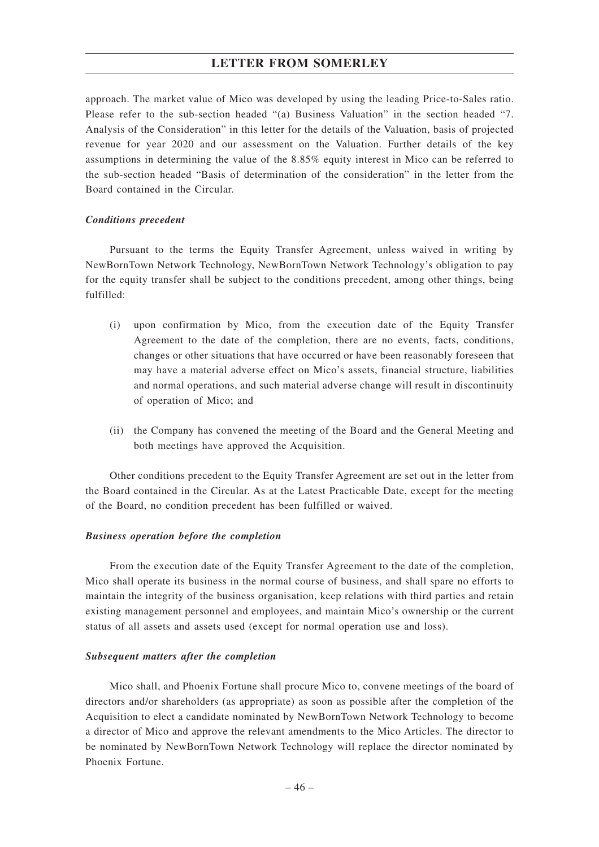approach. The market value of Mico was developed by using the leading Price-to-Sales ratio. Please refer to the sub-section headed "(a) Business Valuation" in the section headed "7. Analysis of the Consideration" in this letter for the details of the Valuation, basis of projected revenue for year 2020 and our assessment on the Valuation. Further details of the key assumptions in determining the value of the 8.85% equity interest in Mico can be referred to the sub-section headed "Basis of determination of the consideration" in the letter from the Board contained in the Circular.

#### *Conditions precedent*

Pursuant to the terms the Equity Transfer Agreement, unless waived in writing by NewBornTown Network Technology, NewBornTown Network Technology's obligation to pay for the equity transfer shall be subject to the conditions precedent, among other things, being fulfilled:

- (i) upon confirmation by Mico, from the execution date of the Equity Transfer Agreement to the date of the completion, there are no events, facts, conditions, changes or other situations that have occurred or have been reasonably foreseen that may have a material adverse effect on Mico's assets, financial structure, liabilities and normal operations, and such material adverse change will result in discontinuity of operation of Mico; and
- (ii) the Company has convened the meeting of the Board and the General Meeting and both meetings have approved the Acquisition.

Other conditions precedent to the Equity Transfer Agreement are set out in the letter from the Board contained in the Circular. As at the Latest Practicable Date, except for the meeting of the Board, no condition precedent has been fulfilled or waived.

#### *Business operation before the completion*

From the execution date of the Equity Transfer Agreement to the date of the completion, Mico shall operate its business in the normal course of business, and shall spare no efforts to maintain the integrity of the business organisation, keep relations with third parties and retain existing management personnel and employees, and maintain Mico's ownership or the current status of all assets and assets used (except for normal operation use and loss).

### *Subsequent matters after the completion*

Mico shall, and Phoenix Fortune shall procure Mico to, convene meetings of the board of directors and/or shareholders (as appropriate) as soon as possible after the completion of the Acquisition to elect a candidate nominated by NewBornTown Network Technology to become a director of Mico and approve the relevant amendments to the Mico Articles. The director to be nominated by NewBornTown Network Technology will replace the director nominated by Phoenix Fortune.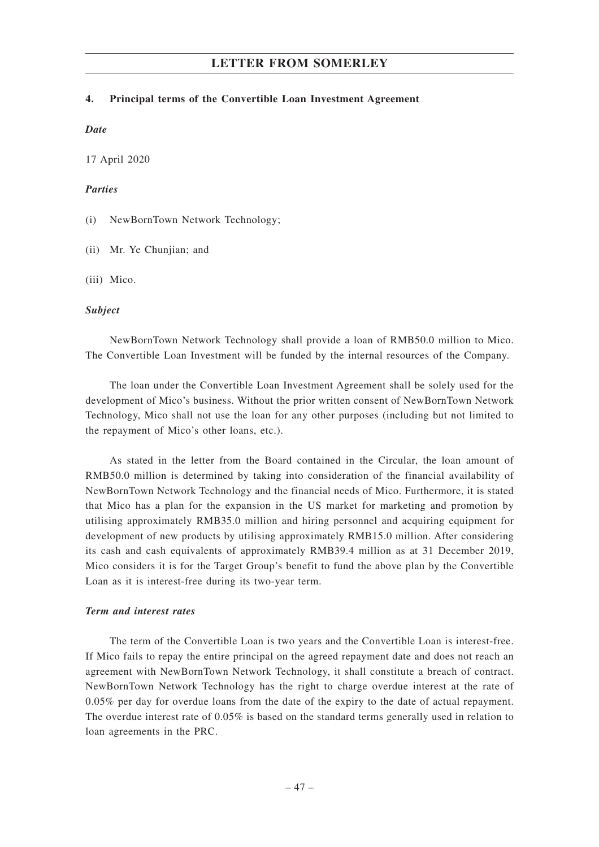### **4. Principal terms of the Convertible Loan Investment Agreement**

#### *Date*

17 April 2020

### *Parties*

(i) NewBornTown Network Technology;

(ii) Mr. Ye Chunjian; and

(iii) Mico.

### *Subject*

NewBornTown Network Technology shall provide a loan of RMB50.0 million to Mico. The Convertible Loan Investment will be funded by the internal resources of the Company.

The loan under the Convertible Loan Investment Agreement shall be solely used for the development of Mico's business. Without the prior written consent of NewBornTown Network Technology, Mico shall not use the loan for any other purposes (including but not limited to the repayment of Mico's other loans, etc.).

As stated in the letter from the Board contained in the Circular, the loan amount of RMB50.0 million is determined by taking into consideration of the financial availability of NewBornTown Network Technology and the financial needs of Mico. Furthermore, it is stated that Mico has a plan for the expansion in the US market for marketing and promotion by utilising approximately RMB35.0 million and hiring personnel and acquiring equipment for development of new products by utilising approximately RMB15.0 million. After considering its cash and cash equivalents of approximately RMB39.4 million as at 31 December 2019, Mico considers it is for the Target Group's benefit to fund the above plan by the Convertible Loan as it is interest-free during its two-year term.

### *Term and interest rates*

The term of the Convertible Loan is two years and the Convertible Loan is interest-free. If Mico fails to repay the entire principal on the agreed repayment date and does not reach an agreement with NewBornTown Network Technology, it shall constitute a breach of contract. NewBornTown Network Technology has the right to charge overdue interest at the rate of 0.05% per day for overdue loans from the date of the expiry to the date of actual repayment. The overdue interest rate of 0.05% is based on the standard terms generally used in relation to loan agreements in the PRC.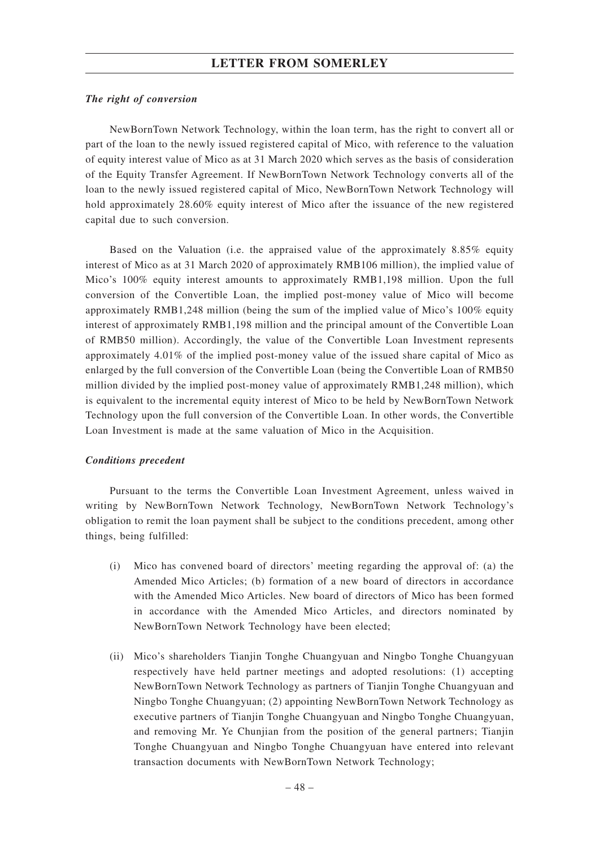### *The right of conversion*

NewBornTown Network Technology, within the loan term, has the right to convert all or part of the loan to the newly issued registered capital of Mico, with reference to the valuation of equity interest value of Mico as at 31 March 2020 which serves as the basis of consideration of the Equity Transfer Agreement. If NewBornTown Network Technology converts all of the loan to the newly issued registered capital of Mico, NewBornTown Network Technology will hold approximately 28.60% equity interest of Mico after the issuance of the new registered capital due to such conversion.

Based on the Valuation (i.e. the appraised value of the approximately 8.85% equity interest of Mico as at 31 March 2020 of approximately RMB106 million), the implied value of Mico's 100% equity interest amounts to approximately RMB1,198 million. Upon the full conversion of the Convertible Loan, the implied post-money value of Mico will become approximately RMB1,248 million (being the sum of the implied value of Mico's 100% equity interest of approximately RMB1,198 million and the principal amount of the Convertible Loan of RMB50 million). Accordingly, the value of the Convertible Loan Investment represents approximately 4.01% of the implied post-money value of the issued share capital of Mico as enlarged by the full conversion of the Convertible Loan (being the Convertible Loan of RMB50 million divided by the implied post-money value of approximately RMB1,248 million), which is equivalent to the incremental equity interest of Mico to be held by NewBornTown Network Technology upon the full conversion of the Convertible Loan. In other words, the Convertible Loan Investment is made at the same valuation of Mico in the Acquisition.

### *Conditions precedent*

Pursuant to the terms the Convertible Loan Investment Agreement, unless waived in writing by NewBornTown Network Technology, NewBornTown Network Technology's obligation to remit the loan payment shall be subject to the conditions precedent, among other things, being fulfilled:

- (i) Mico has convened board of directors' meeting regarding the approval of: (a) the Amended Mico Articles; (b) formation of a new board of directors in accordance with the Amended Mico Articles. New board of directors of Mico has been formed in accordance with the Amended Mico Articles, and directors nominated by NewBornTown Network Technology have been elected;
- (ii) Mico's shareholders Tianjin Tonghe Chuangyuan and Ningbo Tonghe Chuangyuan respectively have held partner meetings and adopted resolutions: (1) accepting NewBornTown Network Technology as partners of Tianjin Tonghe Chuangyuan and Ningbo Tonghe Chuangyuan; (2) appointing NewBornTown Network Technology as executive partners of Tianjin Tonghe Chuangyuan and Ningbo Tonghe Chuangyuan, and removing Mr. Ye Chunjian from the position of the general partners; Tianjin Tonghe Chuangyuan and Ningbo Tonghe Chuangyuan have entered into relevant transaction documents with NewBornTown Network Technology;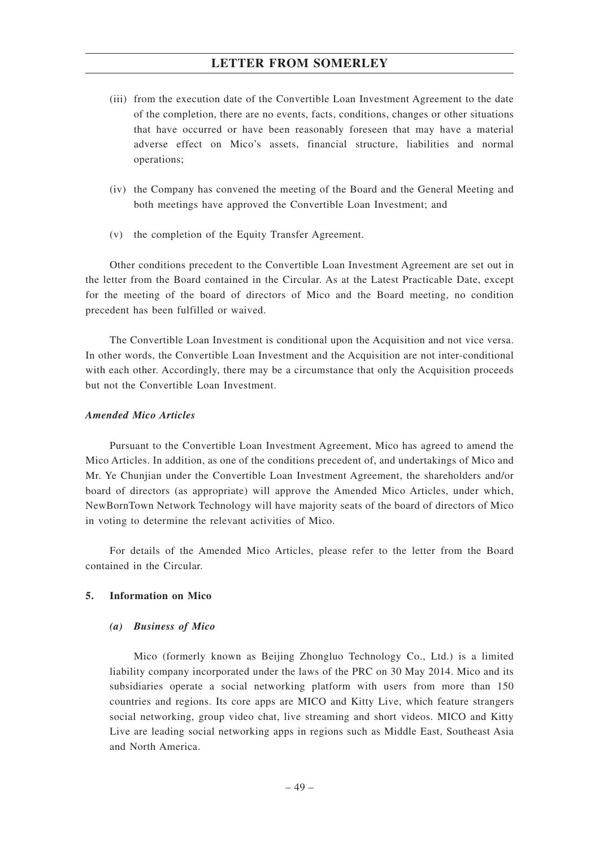- (iii) from the execution date of the Convertible Loan Investment Agreement to the date of the completion, there are no events, facts, conditions, changes or other situations that have occurred or have been reasonably foreseen that may have a material adverse effect on Mico's assets, financial structure, liabilities and normal operations;
- (iv) the Company has convened the meeting of the Board and the General Meeting and both meetings have approved the Convertible Loan Investment; and
- (v) the completion of the Equity Transfer Agreement.

Other conditions precedent to the Convertible Loan Investment Agreement are set out in the letter from the Board contained in the Circular. As at the Latest Practicable Date, except for the meeting of the board of directors of Mico and the Board meeting, no condition precedent has been fulfilled or waived.

The Convertible Loan Investment is conditional upon the Acquisition and not vice versa. In other words, the Convertible Loan Investment and the Acquisition are not inter-conditional with each other. Accordingly, there may be a circumstance that only the Acquisition proceeds but not the Convertible Loan Investment.

### *Amended Mico Articles*

Pursuant to the Convertible Loan Investment Agreement, Mico has agreed to amend the Mico Articles. In addition, as one of the conditions precedent of, and undertakings of Mico and Mr. Ye Chunjian under the Convertible Loan Investment Agreement, the shareholders and/or board of directors (as appropriate) will approve the Amended Mico Articles, under which, NewBornTown Network Technology will have majority seats of the board of directors of Mico in voting to determine the relevant activities of Mico.

For details of the Amended Mico Articles, please refer to the letter from the Board contained in the Circular.

### **5. Information on Mico**

#### *(a) Business of Mico*

Mico (formerly known as Beijing Zhongluo Technology Co., Ltd.) is a limited liability company incorporated under the laws of the PRC on 30 May 2014. Mico and its subsidiaries operate a social networking platform with users from more than 150 countries and regions. Its core apps are MICO and Kitty Live, which feature strangers social networking, group video chat, live streaming and short videos. MICO and Kitty Live are leading social networking apps in regions such as Middle East, Southeast Asia and North America.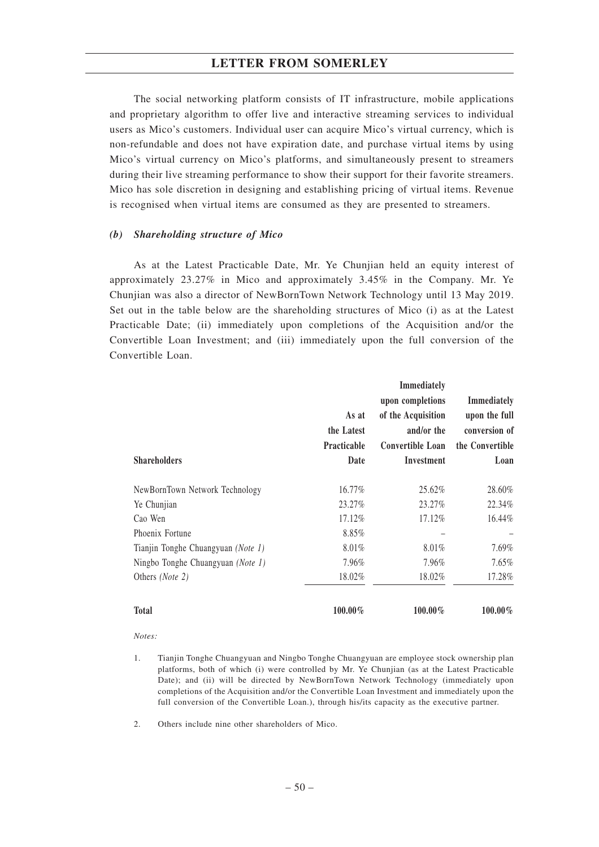The social networking platform consists of IT infrastructure, mobile applications and proprietary algorithm to offer live and interactive streaming services to individual users as Mico's customers. Individual user can acquire Mico's virtual currency, which is non-refundable and does not have expiration date, and purchase virtual items by using Mico's virtual currency on Mico's platforms, and simultaneously present to streamers during their live streaming performance to show their support for their favorite streamers. Mico has sole discretion in designing and establishing pricing of virtual items. Revenue is recognised when virtual items are consumed as they are presented to streamers.

### *(b) Shareholding structure of Mico*

As at the Latest Practicable Date, Mr. Ye Chunjian held an equity interest of approximately 23.27% in Mico and approximately 3.45% in the Company. Mr. Ye Chunjian was also a director of NewBornTown Network Technology until 13 May 2019. Set out in the table below are the shareholding structures of Mico (i) as at the Latest Practicable Date; (ii) immediately upon completions of the Acquisition and/or the Convertible Loan Investment; and (iii) immediately upon the full conversion of the Convertible Loan.

| <b>Shareholders</b>                | As at<br>the Latest<br><b>Practicable</b><br>Date | <b>Immediately</b><br>upon completions<br>of the Acquisition<br>and/or the<br>Convertible Loan<br>Investment | <b>Immediately</b><br>upon the full<br>conversion of<br>the Convertible<br>Loan |
|------------------------------------|---------------------------------------------------|--------------------------------------------------------------------------------------------------------------|---------------------------------------------------------------------------------|
| NewBornTown Network Technology     | 16.77%                                            | 25.62%                                                                                                       | 28.60%                                                                          |
| Ye Chunjian                        | 23.27%                                            | 23.27%                                                                                                       | 22.34%                                                                          |
| Cao Wen                            | 17.12%                                            | 17.12%                                                                                                       | 16.44%                                                                          |
| Phoenix Fortune                    | 8.85%                                             |                                                                                                              |                                                                                 |
| Tianjin Tonghe Chuangyuan (Note 1) | 8.01%                                             | 8.01%                                                                                                        | 7.69%                                                                           |
| Ningbo Tonghe Chuangyuan (Note 1)  | 7.96%                                             | 7.96%                                                                                                        | $7.65\%$                                                                        |
| Others ( <i>Note 2</i> )           | 18.02%                                            | 18.02%                                                                                                       | 17.28%                                                                          |
| <b>Total</b>                       | $100.00\%$                                        | 100.00%                                                                                                      | $100.00\%$                                                                      |

- *Notes:*
- 1. Tianjin Tonghe Chuangyuan and Ningbo Tonghe Chuangyuan are employee stock ownership plan platforms, both of which (i) were controlled by Mr. Ye Chunjian (as at the Latest Practicable Date); and (ii) will be directed by NewBornTown Network Technology (immediately upon completions of the Acquisition and/or the Convertible Loan Investment and immediately upon the full conversion of the Convertible Loan.), through his/its capacity as the executive partner.
- 2. Others include nine other shareholders of Mico.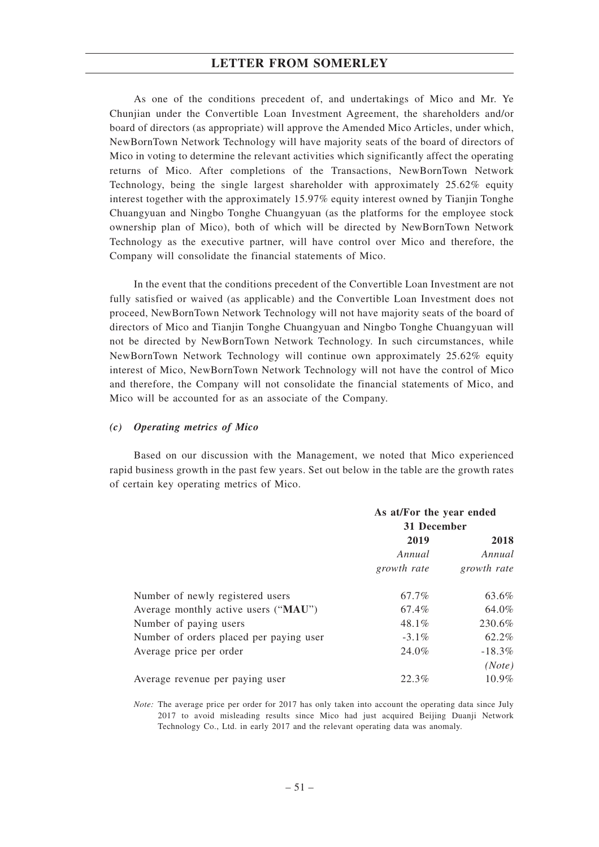As one of the conditions precedent of, and undertakings of Mico and Mr. Ye Chunjian under the Convertible Loan Investment Agreement, the shareholders and/or board of directors (as appropriate) will approve the Amended Mico Articles, under which, NewBornTown Network Technology will have majority seats of the board of directors of Mico in voting to determine the relevant activities which significantly affect the operating returns of Mico. After completions of the Transactions, NewBornTown Network Technology, being the single largest shareholder with approximately 25.62% equity interest together with the approximately 15.97% equity interest owned by Tianjin Tonghe Chuangyuan and Ningbo Tonghe Chuangyuan (as the platforms for the employee stock ownership plan of Mico), both of which will be directed by NewBornTown Network Technology as the executive partner, will have control over Mico and therefore, the Company will consolidate the financial statements of Mico.

In the event that the conditions precedent of the Convertible Loan Investment are not fully satisfied or waived (as applicable) and the Convertible Loan Investment does not proceed, NewBornTown Network Technology will not have majority seats of the board of directors of Mico and Tianjin Tonghe Chuangyuan and Ningbo Tonghe Chuangyuan will not be directed by NewBornTown Network Technology. In such circumstances, while NewBornTown Network Technology will continue own approximately 25.62% equity interest of Mico, NewBornTown Network Technology will not have the control of Mico and therefore, the Company will not consolidate the financial statements of Mico, and Mico will be accounted for as an associate of the Company.

#### *(c) Operating metrics of Mico*

Based on our discussion with the Management, we noted that Mico experienced rapid business growth in the past few years. Set out below in the table are the growth rates of certain key operating metrics of Mico.

|                                         | As at/For the year ended<br>31 December |             |  |
|-----------------------------------------|-----------------------------------------|-------------|--|
|                                         | 2019                                    | 2018        |  |
|                                         | Annual                                  | Annual      |  |
|                                         | growth rate                             | growth rate |  |
| Number of newly registered users        | 67.7%                                   | 63.6%       |  |
| Average monthly active users ("MAU")    | 67.4%                                   | 64.0%       |  |
| Number of paying users                  | 48.1%                                   | 230.6%      |  |
| Number of orders placed per paying user | $-3.1\%$                                | 62.2%       |  |
| Average price per order                 | 24.0%                                   | $-18.3\%$   |  |
|                                         |                                         | (Note)      |  |
| Average revenue per paying user         | 22.3%                                   | $10.9\%$    |  |

*Note:* The average price per order for 2017 has only taken into account the operating data since July 2017 to avoid misleading results since Mico had just acquired Beijing Duanji Network Technology Co., Ltd. in early 2017 and the relevant operating data was anomaly.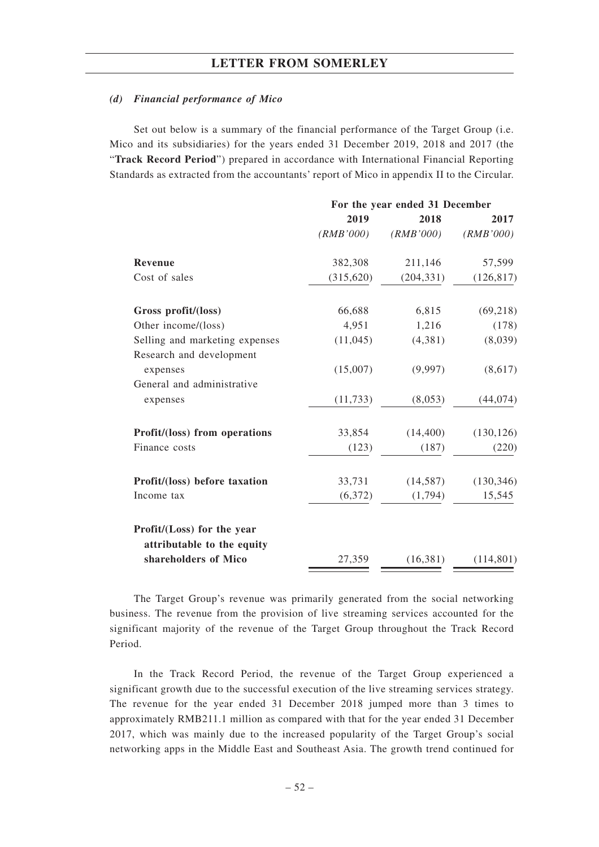#### *(d) Financial performance of Mico*

Set out below is a summary of the financial performance of the Target Group (i.e. Mico and its subsidiaries) for the years ended 31 December 2019, 2018 and 2017 (the "**Track Record Period**") prepared in accordance with International Financial Reporting Standards as extracted from the accountants' report of Mico in appendix II to the Circular.

|                                                            | For the year ended 31 December |            |            |  |
|------------------------------------------------------------|--------------------------------|------------|------------|--|
|                                                            | 2019                           | 2018       | 2017       |  |
|                                                            | (RMB'000)                      | (RMB'000)  | (RMB'000)  |  |
| <b>Revenue</b>                                             | 382,308                        | 211,146    | 57,599     |  |
| Cost of sales                                              | (315, 620)                     | (204, 331) | (126, 817) |  |
| Gross profit/(loss)                                        | 66,688                         | 6,815      | (69, 218)  |  |
| Other income/(loss)                                        | 4,951                          | 1,216      | (178)      |  |
| Selling and marketing expenses<br>Research and development | (11,045)                       | (4,381)    | (8,039)    |  |
| expenses                                                   | (15,007)                       | (9,997)    | (8,617)    |  |
| General and administrative                                 |                                |            |            |  |
| expenses                                                   | (11, 733)                      | (8,053)    | (44, 074)  |  |
| Profit/(loss) from operations                              | 33,854                         | (14, 400)  | (130, 126) |  |
| Finance costs                                              | (123)                          | (187)      | (220)      |  |
| Profit/(loss) before taxation                              | 33,731                         | (14, 587)  | (130, 346) |  |
| Income tax                                                 | (6,372)                        | (1,794)    | 15,545     |  |
| Profit/(Loss) for the year<br>attributable to the equity   |                                |            |            |  |
| shareholders of Mico                                       | 27,359                         | (16, 381)  | (114, 801) |  |

The Target Group's revenue was primarily generated from the social networking business. The revenue from the provision of live streaming services accounted for the significant majority of the revenue of the Target Group throughout the Track Record Period.

In the Track Record Period, the revenue of the Target Group experienced a significant growth due to the successful execution of the live streaming services strategy. The revenue for the year ended 31 December 2018 jumped more than 3 times to approximately RMB211.1 million as compared with that for the year ended 31 December 2017, which was mainly due to the increased popularity of the Target Group's social networking apps in the Middle East and Southeast Asia. The growth trend continued for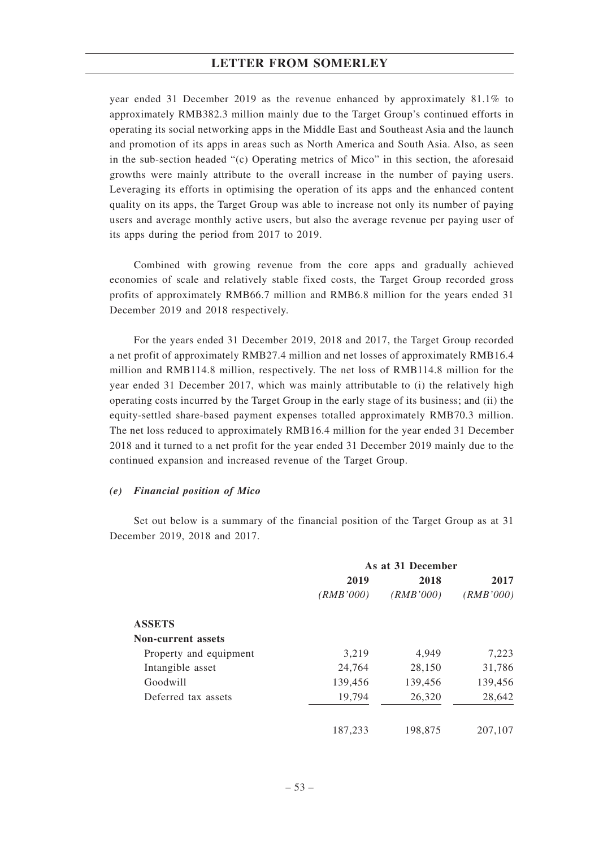year ended 31 December 2019 as the revenue enhanced by approximately 81.1% to approximately RMB382.3 million mainly due to the Target Group's continued efforts in operating its social networking apps in the Middle East and Southeast Asia and the launch and promotion of its apps in areas such as North America and South Asia. Also, as seen in the sub-section headed "(c) Operating metrics of Mico" in this section, the aforesaid growths were mainly attribute to the overall increase in the number of paying users. Leveraging its efforts in optimising the operation of its apps and the enhanced content quality on its apps, the Target Group was able to increase not only its number of paying users and average monthly active users, but also the average revenue per paying user of its apps during the period from 2017 to 2019.

Combined with growing revenue from the core apps and gradually achieved economies of scale and relatively stable fixed costs, the Target Group recorded gross profits of approximately RMB66.7 million and RMB6.8 million for the years ended 31 December 2019 and 2018 respectively.

For the years ended 31 December 2019, 2018 and 2017, the Target Group recorded a net profit of approximately RMB27.4 million and net losses of approximately RMB16.4 million and RMB114.8 million, respectively. The net loss of RMB114.8 million for the year ended 31 December 2017, which was mainly attributable to (i) the relatively high operating costs incurred by the Target Group in the early stage of its business; and (ii) the equity-settled share-based payment expenses totalled approximately RMB70.3 million. The net loss reduced to approximately RMB16.4 million for the year ended 31 December 2018 and it turned to a net profit for the year ended 31 December 2019 mainly due to the continued expansion and increased revenue of the Target Group.

#### *(e) Financial position of Mico*

Set out below is a summary of the financial position of the Target Group as at 31 December 2019, 2018 and 2017.

|                           | As at 31 December |           |           |  |
|---------------------------|-------------------|-----------|-----------|--|
|                           | 2019              | 2018      | 2017      |  |
|                           | (RMB'000)         | (RMB'000) | (RMB'000) |  |
| <b>ASSETS</b>             |                   |           |           |  |
| <b>Non-current assets</b> |                   |           |           |  |
| Property and equipment    | 3,219             | 4,949     | 7,223     |  |
| Intangible asset          | 24,764            | 28,150    | 31,786    |  |
| Goodwill                  | 139,456           | 139,456   | 139,456   |  |
| Deferred tax assets       | 19,794            | 26,320    | 28,642    |  |
|                           | 187.233           | 198,875   | 207,107   |  |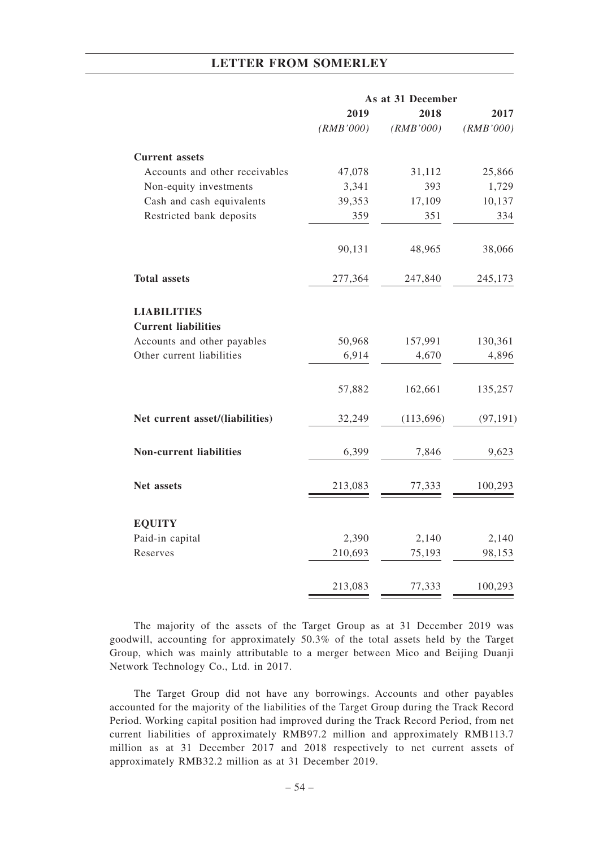|                                                  | As at 31 December |            |           |
|--------------------------------------------------|-------------------|------------|-----------|
|                                                  | 2019              | 2018       | 2017      |
|                                                  | (RMB'000)         | (RMB'000)  | (RMB'000) |
| <b>Current</b> assets                            |                   |            |           |
| Accounts and other receivables                   | 47,078            | 31,112     | 25,866    |
| Non-equity investments                           | 3,341             | 393        | 1,729     |
| Cash and cash equivalents                        | 39,353            | 17,109     | 10,137    |
| Restricted bank deposits                         | 359               | 351        | 334       |
|                                                  | 90,131            | 48,965     | 38,066    |
| <b>Total assets</b>                              | 277,364           | 247,840    | 245,173   |
| <b>LIABILITIES</b><br><b>Current liabilities</b> |                   |            |           |
| Accounts and other payables                      | 50,968            | 157,991    | 130,361   |
| Other current liabilities                        | 6,914             | 4,670      | 4,896     |
|                                                  | 57,882            | 162,661    | 135,257   |
| Net current asset/(liabilities)                  | 32,249            | (113, 696) | (97, 191) |
| <b>Non-current liabilities</b>                   | 6,399             | 7,846      | 9,623     |
| Net assets                                       | 213,083           | 77,333     | 100,293   |
| <b>EQUITY</b>                                    |                   |            |           |
| Paid-in capital                                  | 2,390             | 2,140      | 2,140     |
| Reserves                                         | 210,693           | 75,193     | 98,153    |
|                                                  | 213,083           | 77,333     | 100,293   |
|                                                  |                   |            |           |

The majority of the assets of the Target Group as at 31 December 2019 was goodwill, accounting for approximately 50.3% of the total assets held by the Target Group, which was mainly attributable to a merger between Mico and Beijing Duanji Network Technology Co., Ltd. in 2017.

The Target Group did not have any borrowings. Accounts and other payables accounted for the majority of the liabilities of the Target Group during the Track Record Period. Working capital position had improved during the Track Record Period, from net current liabilities of approximately RMB97.2 million and approximately RMB113.7 million as at 31 December 2017 and 2018 respectively to net current assets of approximately RMB32.2 million as at 31 December 2019.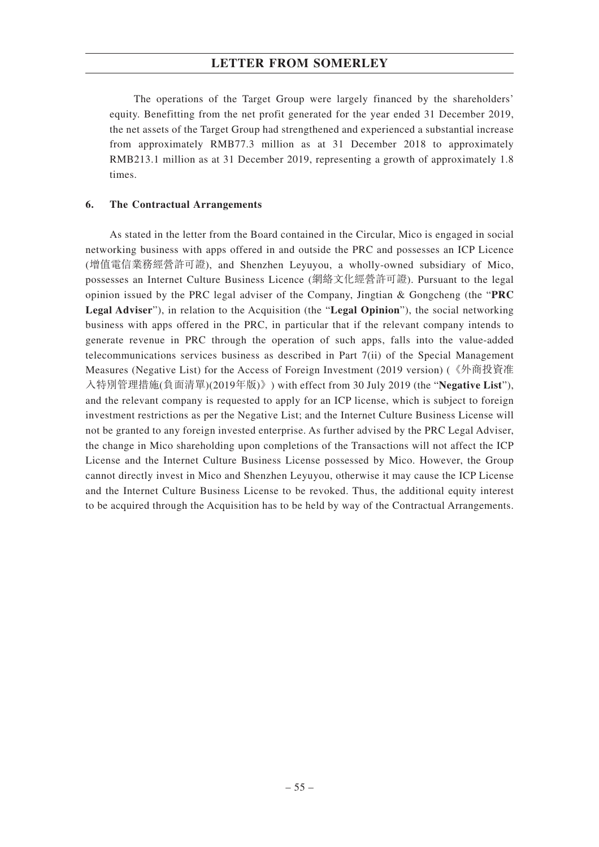The operations of the Target Group were largely financed by the shareholders' equity. Benefitting from the net profit generated for the year ended 31 December 2019, the net assets of the Target Group had strengthened and experienced a substantial increase from approximately RMB77.3 million as at 31 December 2018 to approximately RMB213.1 million as at 31 December 2019, representing a growth of approximately 1.8 times.

### **6. The Contractual Arrangements**

As stated in the letter from the Board contained in the Circular, Mico is engaged in social networking business with apps offered in and outside the PRC and possesses an ICP Licence (增值電信業務經營許可證), and Shenzhen Leyuyou, a wholly-owned subsidiary of Mico, possesses an Internet Culture Business Licence (網絡文化經營許可證). Pursuant to the legal opinion issued by the PRC legal adviser of the Company, Jingtian & Gongcheng (the "**PRC Legal Adviser**"), in relation to the Acquisition (the "**Legal Opinion**"), the social networking business with apps offered in the PRC, in particular that if the relevant company intends to generate revenue in PRC through the operation of such apps, falls into the value-added telecommunications services business as described in Part 7(ii) of the Special Management Measures (Negative List) for the Access of Foreign Investment (2019 version) (《外商投資准 入特別管理措施(負面清單)(2019年版)》) with effect from 30 July 2019 (the "**Negative List**"), and the relevant company is requested to apply for an ICP license, which is subject to foreign investment restrictions as per the Negative List; and the Internet Culture Business License will not be granted to any foreign invested enterprise. As further advised by the PRC Legal Adviser, the change in Mico shareholding upon completions of the Transactions will not affect the ICP License and the Internet Culture Business License possessed by Mico. However, the Group cannot directly invest in Mico and Shenzhen Leyuyou, otherwise it may cause the ICP License and the Internet Culture Business License to be revoked. Thus, the additional equity interest to be acquired through the Acquisition has to be held by way of the Contractual Arrangements.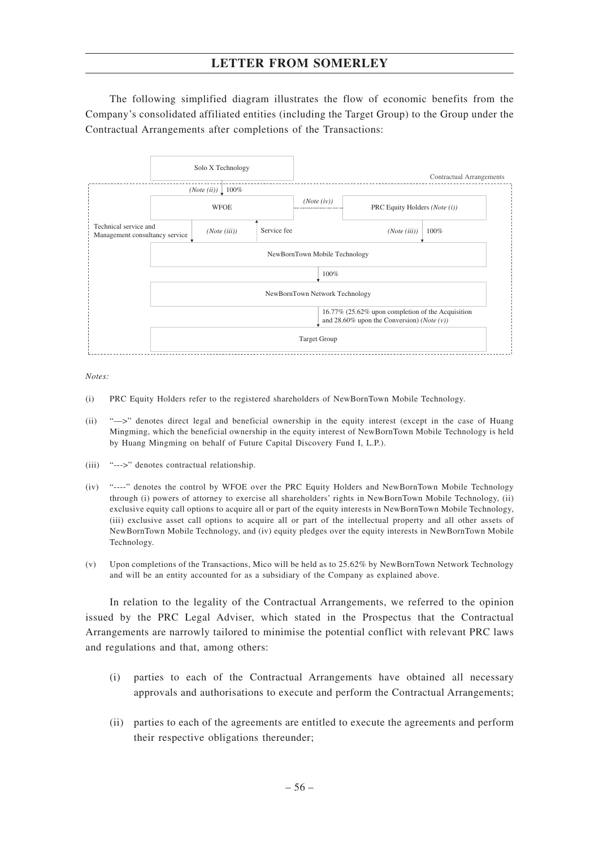The following simplified diagram illustrates the flow of economic benefits from the Company's consolidated affiliated entities (including the Target Group) to the Group under the Contractual Arrangements after completions of the Transactions:



*Notes:*

- (i) PRC Equity Holders refer to the registered shareholders of NewBornTown Mobile Technology.
- (ii) "—>" denotes direct legal and beneficial ownership in the equity interest (except in the case of Huang Mingming, which the beneficial ownership in the equity interest of NewBornTown Mobile Technology is held by Huang Mingming on behalf of Future Capital Discovery Fund I, L.P.).
- (iii) "--->" denotes contractual relationship.
- (iv) "----" denotes the control by WFOE over the PRC Equity Holders and NewBornTown Mobile Technology through (i) powers of attorney to exercise all shareholders' rights in NewBornTown Mobile Technology, (ii) exclusive equity call options to acquire all or part of the equity interests in NewBornTown Mobile Technology, (iii) exclusive asset call options to acquire all or part of the intellectual property and all other assets of NewBornTown Mobile Technology, and (iv) equity pledges over the equity interests in NewBornTown Mobile Technology.
- (v) Upon completions of the Transactions, Mico will be held as to 25.62% by NewBornTown Network Technology and will be an entity accounted for as a subsidiary of the Company as explained above.

In relation to the legality of the Contractual Arrangements, we referred to the opinion issued by the PRC Legal Adviser, which stated in the Prospectus that the Contractual Arrangements are narrowly tailored to minimise the potential conflict with relevant PRC laws and regulations and that, among others:

- (i) parties to each of the Contractual Arrangements have obtained all necessary approvals and authorisations to execute and perform the Contractual Arrangements;
- (ii) parties to each of the agreements are entitled to execute the agreements and perform their respective obligations thereunder;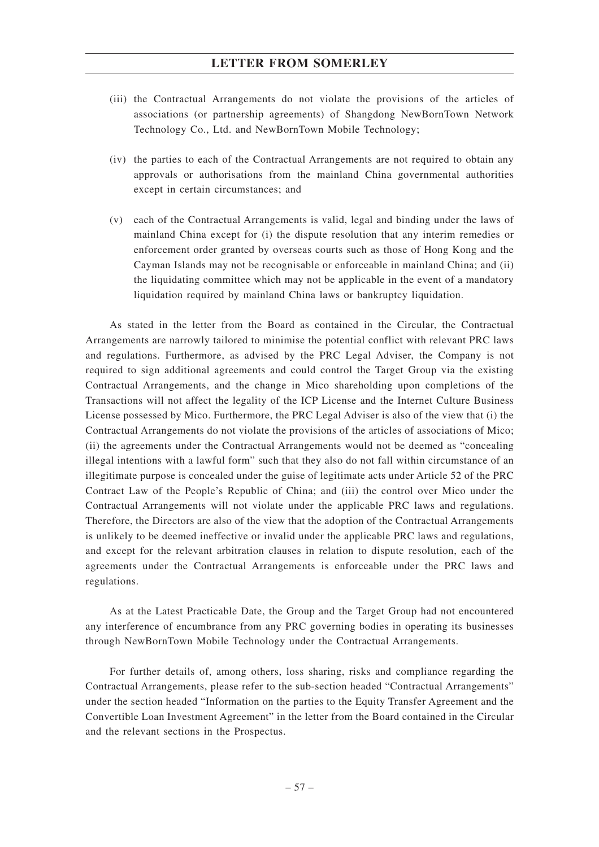- (iii) the Contractual Arrangements do not violate the provisions of the articles of associations (or partnership agreements) of Shangdong NewBornTown Network Technology Co., Ltd. and NewBornTown Mobile Technology;
- (iv) the parties to each of the Contractual Arrangements are not required to obtain any approvals or authorisations from the mainland China governmental authorities except in certain circumstances; and
- (v) each of the Contractual Arrangements is valid, legal and binding under the laws of mainland China except for (i) the dispute resolution that any interim remedies or enforcement order granted by overseas courts such as those of Hong Kong and the Cayman Islands may not be recognisable or enforceable in mainland China; and (ii) the liquidating committee which may not be applicable in the event of a mandatory liquidation required by mainland China laws or bankruptcy liquidation.

As stated in the letter from the Board as contained in the Circular, the Contractual Arrangements are narrowly tailored to minimise the potential conflict with relevant PRC laws and regulations. Furthermore, as advised by the PRC Legal Adviser, the Company is not required to sign additional agreements and could control the Target Group via the existing Contractual Arrangements, and the change in Mico shareholding upon completions of the Transactions will not affect the legality of the ICP License and the Internet Culture Business License possessed by Mico. Furthermore, the PRC Legal Adviser is also of the view that (i) the Contractual Arrangements do not violate the provisions of the articles of associations of Mico; (ii) the agreements under the Contractual Arrangements would not be deemed as "concealing illegal intentions with a lawful form" such that they also do not fall within circumstance of an illegitimate purpose is concealed under the guise of legitimate acts under Article 52 of the PRC Contract Law of the People's Republic of China; and (iii) the control over Mico under the Contractual Arrangements will not violate under the applicable PRC laws and regulations. Therefore, the Directors are also of the view that the adoption of the Contractual Arrangements is unlikely to be deemed ineffective or invalid under the applicable PRC laws and regulations, and except for the relevant arbitration clauses in relation to dispute resolution, each of the agreements under the Contractual Arrangements is enforceable under the PRC laws and regulations.

As at the Latest Practicable Date, the Group and the Target Group had not encountered any interference of encumbrance from any PRC governing bodies in operating its businesses through NewBornTown Mobile Technology under the Contractual Arrangements.

For further details of, among others, loss sharing, risks and compliance regarding the Contractual Arrangements, please refer to the sub-section headed "Contractual Arrangements" under the section headed "Information on the parties to the Equity Transfer Agreement and the Convertible Loan Investment Agreement" in the letter from the Board contained in the Circular and the relevant sections in the Prospectus.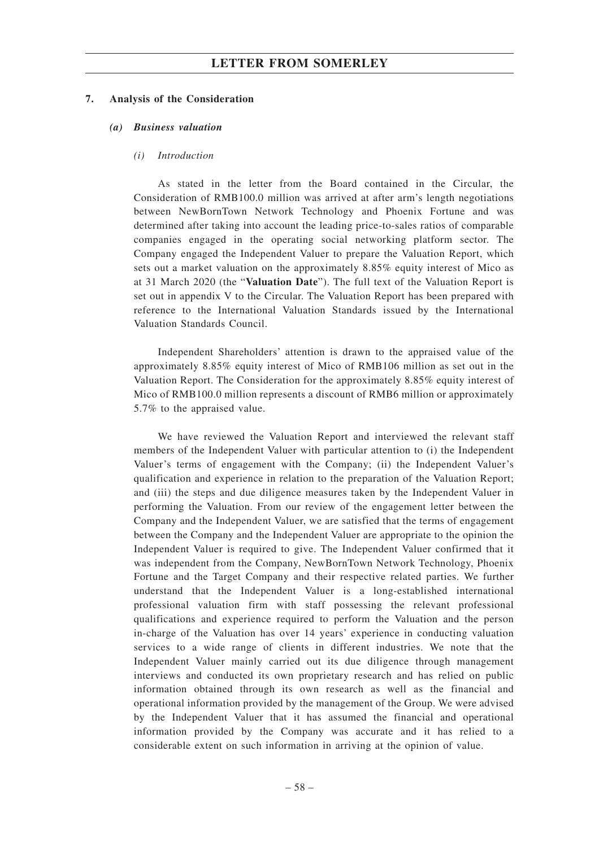#### **7. Analysis of the Consideration**

#### *(a) Business valuation*

### *(i) Introduction*

As stated in the letter from the Board contained in the Circular, the Consideration of RMB100.0 million was arrived at after arm's length negotiations between NewBornTown Network Technology and Phoenix Fortune and was determined after taking into account the leading price-to-sales ratios of comparable companies engaged in the operating social networking platform sector. The Company engaged the Independent Valuer to prepare the Valuation Report, which sets out a market valuation on the approximately 8.85% equity interest of Mico as at 31 March 2020 (the "**Valuation Date**"). The full text of the Valuation Report is set out in appendix V to the Circular. The Valuation Report has been prepared with reference to the International Valuation Standards issued by the International Valuation Standards Council.

Independent Shareholders' attention is drawn to the appraised value of the approximately 8.85% equity interest of Mico of RMB106 million as set out in the Valuation Report. The Consideration for the approximately 8.85% equity interest of Mico of RMB100.0 million represents a discount of RMB6 million or approximately 5.7% to the appraised value.

We have reviewed the Valuation Report and interviewed the relevant staff members of the Independent Valuer with particular attention to (i) the Independent Valuer's terms of engagement with the Company; (ii) the Independent Valuer's qualification and experience in relation to the preparation of the Valuation Report; and (iii) the steps and due diligence measures taken by the Independent Valuer in performing the Valuation. From our review of the engagement letter between the Company and the Independent Valuer, we are satisfied that the terms of engagement between the Company and the Independent Valuer are appropriate to the opinion the Independent Valuer is required to give. The Independent Valuer confirmed that it was independent from the Company, NewBornTown Network Technology, Phoenix Fortune and the Target Company and their respective related parties. We further understand that the Independent Valuer is a long-established international professional valuation firm with staff possessing the relevant professional qualifications and experience required to perform the Valuation and the person in-charge of the Valuation has over 14 years' experience in conducting valuation services to a wide range of clients in different industries. We note that the Independent Valuer mainly carried out its due diligence through management interviews and conducted its own proprietary research and has relied on public information obtained through its own research as well as the financial and operational information provided by the management of the Group. We were advised by the Independent Valuer that it has assumed the financial and operational information provided by the Company was accurate and it has relied to a considerable extent on such information in arriving at the opinion of value.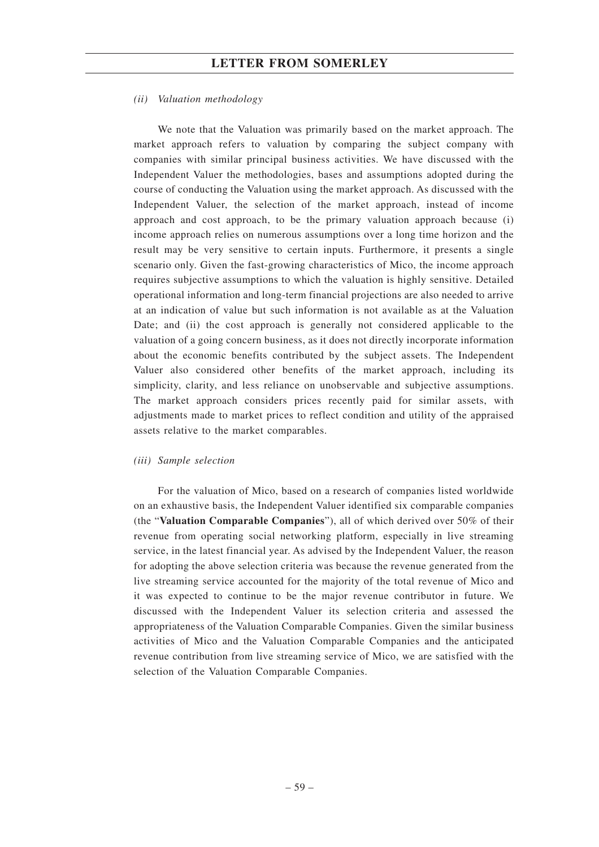### *(ii) Valuation methodology*

We note that the Valuation was primarily based on the market approach. The market approach refers to valuation by comparing the subject company with companies with similar principal business activities. We have discussed with the Independent Valuer the methodologies, bases and assumptions adopted during the course of conducting the Valuation using the market approach. As discussed with the Independent Valuer, the selection of the market approach, instead of income approach and cost approach, to be the primary valuation approach because (i) income approach relies on numerous assumptions over a long time horizon and the result may be very sensitive to certain inputs. Furthermore, it presents a single scenario only. Given the fast-growing characteristics of Mico, the income approach requires subjective assumptions to which the valuation is highly sensitive. Detailed operational information and long-term financial projections are also needed to arrive at an indication of value but such information is not available as at the Valuation Date; and (ii) the cost approach is generally not considered applicable to the valuation of a going concern business, as it does not directly incorporate information about the economic benefits contributed by the subject assets. The Independent Valuer also considered other benefits of the market approach, including its simplicity, clarity, and less reliance on unobservable and subjective assumptions. The market approach considers prices recently paid for similar assets, with adjustments made to market prices to reflect condition and utility of the appraised assets relative to the market comparables.

#### *(iii) Sample selection*

For the valuation of Mico, based on a research of companies listed worldwide on an exhaustive basis, the Independent Valuer identified six comparable companies (the "**Valuation Comparable Companies**"), all of which derived over 50% of their revenue from operating social networking platform, especially in live streaming service, in the latest financial year. As advised by the Independent Valuer, the reason for adopting the above selection criteria was because the revenue generated from the live streaming service accounted for the majority of the total revenue of Mico and it was expected to continue to be the major revenue contributor in future. We discussed with the Independent Valuer its selection criteria and assessed the appropriateness of the Valuation Comparable Companies. Given the similar business activities of Mico and the Valuation Comparable Companies and the anticipated revenue contribution from live streaming service of Mico, we are satisfied with the selection of the Valuation Comparable Companies.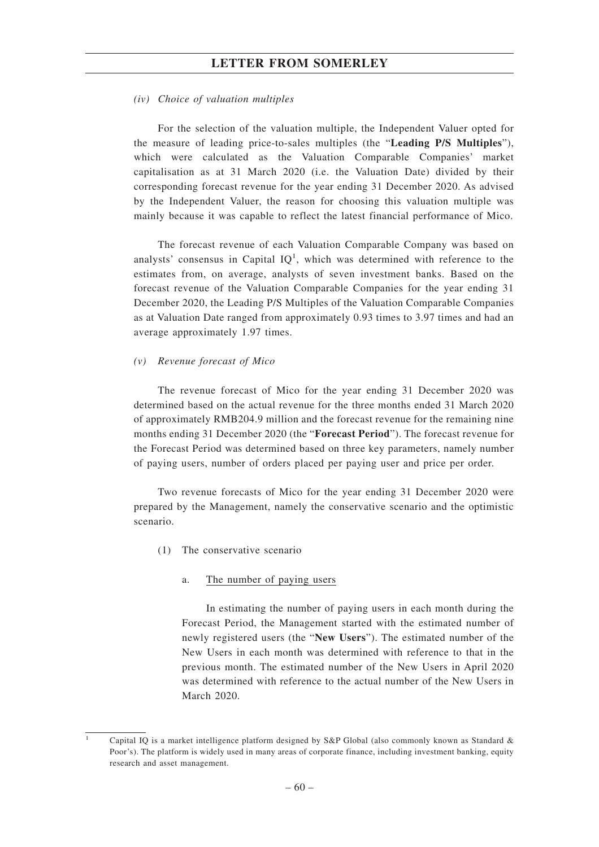#### *(iv) Choice of valuation multiples*

For the selection of the valuation multiple, the Independent Valuer opted for the measure of leading price-to-sales multiples (the "**Leading P/S Multiples**"), which were calculated as the Valuation Comparable Companies' market capitalisation as at 31 March 2020 (i.e. the Valuation Date) divided by their corresponding forecast revenue for the year ending 31 December 2020. As advised by the Independent Valuer, the reason for choosing this valuation multiple was mainly because it was capable to reflect the latest financial performance of Mico.

The forecast revenue of each Valuation Comparable Company was based on analysts' consensus in Capital  $IQ<sup>1</sup>$ , which was determined with reference to the estimates from, on average, analysts of seven investment banks. Based on the forecast revenue of the Valuation Comparable Companies for the year ending 31 December 2020, the Leading P/S Multiples of the Valuation Comparable Companies as at Valuation Date ranged from approximately 0.93 times to 3.97 times and had an average approximately 1.97 times.

#### *(v) Revenue forecast of Mico*

The revenue forecast of Mico for the year ending 31 December 2020 was determined based on the actual revenue for the three months ended 31 March 2020 of approximately RMB204.9 million and the forecast revenue for the remaining nine months ending 31 December 2020 (the "**Forecast Period**"). The forecast revenue for the Forecast Period was determined based on three key parameters, namely number of paying users, number of orders placed per paying user and price per order.

Two revenue forecasts of Mico for the year ending 31 December 2020 were prepared by the Management, namely the conservative scenario and the optimistic scenario.

(1) The conservative scenario

#### a. The number of paying users

In estimating the number of paying users in each month during the Forecast Period, the Management started with the estimated number of newly registered users (the "**New Users**"). The estimated number of the New Users in each month was determined with reference to that in the previous month. The estimated number of the New Users in April 2020 was determined with reference to the actual number of the New Users in March 2020.

Capital IQ is a market intelligence platform designed by  $S\&P$  Global (also commonly known as Standard  $\&$ Poor's). The platform is widely used in many areas of corporate finance, including investment banking, equity research and asset management.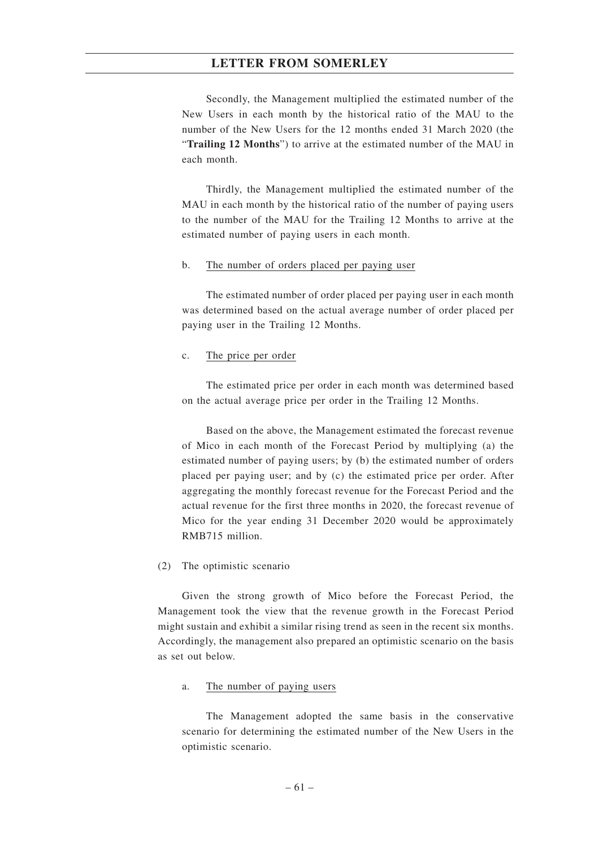Secondly, the Management multiplied the estimated number of the New Users in each month by the historical ratio of the MAU to the number of the New Users for the 12 months ended 31 March 2020 (the "**Trailing 12 Months**") to arrive at the estimated number of the MAU in each month.

Thirdly, the Management multiplied the estimated number of the MAU in each month by the historical ratio of the number of paying users to the number of the MAU for the Trailing 12 Months to arrive at the estimated number of paying users in each month.

#### b. The number of orders placed per paying user

The estimated number of order placed per paying user in each month was determined based on the actual average number of order placed per paying user in the Trailing 12 Months.

#### c. The price per order

The estimated price per order in each month was determined based on the actual average price per order in the Trailing 12 Months.

Based on the above, the Management estimated the forecast revenue of Mico in each month of the Forecast Period by multiplying (a) the estimated number of paying users; by (b) the estimated number of orders placed per paying user; and by (c) the estimated price per order. After aggregating the monthly forecast revenue for the Forecast Period and the actual revenue for the first three months in 2020, the forecast revenue of Mico for the year ending 31 December 2020 would be approximately RMB715 million.

#### (2) The optimistic scenario

Given the strong growth of Mico before the Forecast Period, the Management took the view that the revenue growth in the Forecast Period might sustain and exhibit a similar rising trend as seen in the recent six months. Accordingly, the management also prepared an optimistic scenario on the basis as set out below.

#### a. The number of paying users

The Management adopted the same basis in the conservative scenario for determining the estimated number of the New Users in the optimistic scenario.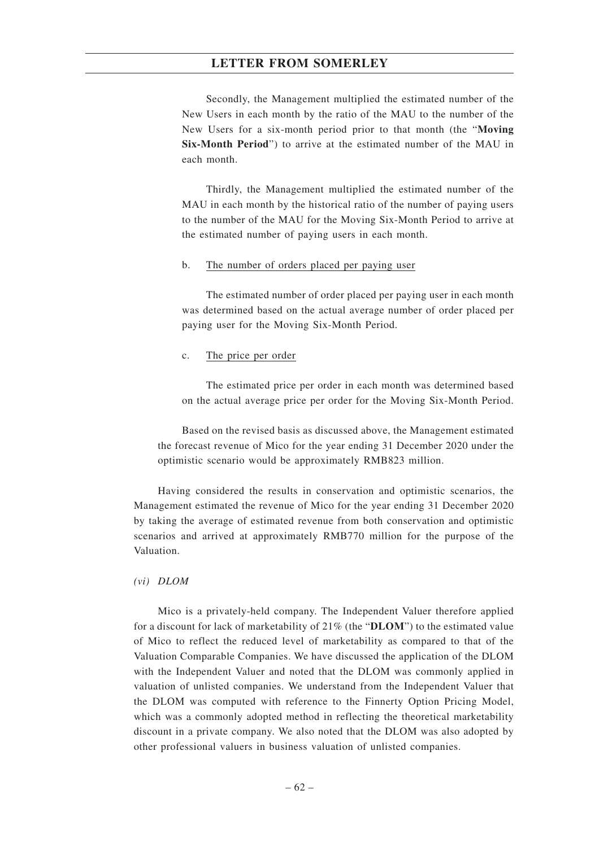Secondly, the Management multiplied the estimated number of the New Users in each month by the ratio of the MAU to the number of the New Users for a six-month period prior to that month (the "**Moving Six-Month Period**") to arrive at the estimated number of the MAU in each month.

Thirdly, the Management multiplied the estimated number of the MAU in each month by the historical ratio of the number of paying users to the number of the MAU for the Moving Six-Month Period to arrive at the estimated number of paying users in each month.

#### b. The number of orders placed per paying user

The estimated number of order placed per paying user in each month was determined based on the actual average number of order placed per paying user for the Moving Six-Month Period.

#### c. The price per order

The estimated price per order in each month was determined based on the actual average price per order for the Moving Six-Month Period.

Based on the revised basis as discussed above, the Management estimated the forecast revenue of Mico for the year ending 31 December 2020 under the optimistic scenario would be approximately RMB823 million.

Having considered the results in conservation and optimistic scenarios, the Management estimated the revenue of Mico for the year ending 31 December 2020 by taking the average of estimated revenue from both conservation and optimistic scenarios and arrived at approximately RMB770 million for the purpose of the Valuation.

#### *(vi) DLOM*

Mico is a privately-held company. The Independent Valuer therefore applied for a discount for lack of marketability of 21% (the "**DLOM**") to the estimated value of Mico to reflect the reduced level of marketability as compared to that of the Valuation Comparable Companies. We have discussed the application of the DLOM with the Independent Valuer and noted that the DLOM was commonly applied in valuation of unlisted companies. We understand from the Independent Valuer that the DLOM was computed with reference to the Finnerty Option Pricing Model, which was a commonly adopted method in reflecting the theoretical marketability discount in a private company. We also noted that the DLOM was also adopted by other professional valuers in business valuation of unlisted companies.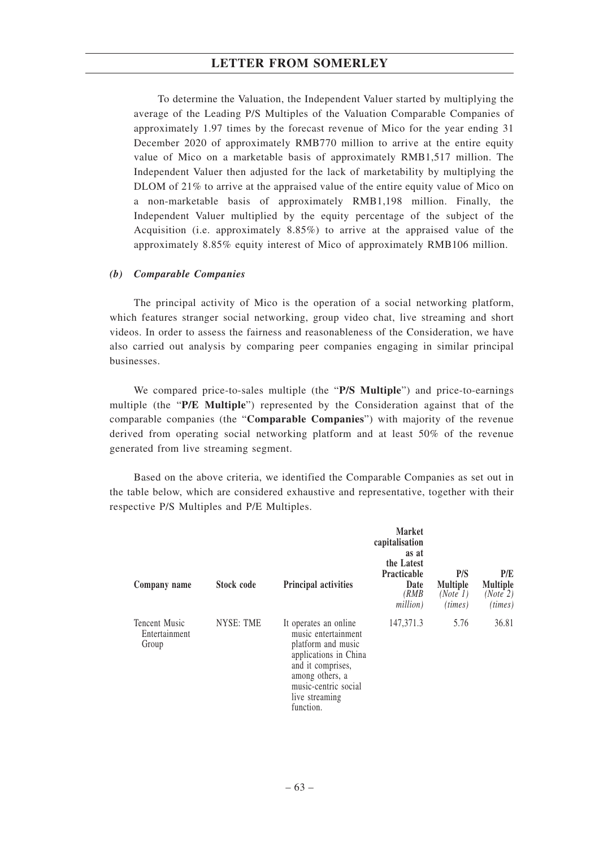To determine the Valuation, the Independent Valuer started by multiplying the average of the Leading P/S Multiples of the Valuation Comparable Companies of approximately 1.97 times by the forecast revenue of Mico for the year ending 31 December 2020 of approximately RMB770 million to arrive at the entire equity value of Mico on a marketable basis of approximately RMB1,517 million. The Independent Valuer then adjusted for the lack of marketability by multiplying the DLOM of 21% to arrive at the appraised value of the entire equity value of Mico on a non-marketable basis of approximately RMB1,198 million. Finally, the Independent Valuer multiplied by the equity percentage of the subject of the Acquisition (i.e. approximately 8.85%) to arrive at the appraised value of the approximately 8.85% equity interest of Mico of approximately RMB106 million.

### *(b) Comparable Companies*

The principal activity of Mico is the operation of a social networking platform, which features stranger social networking, group video chat, live streaming and short videos. In order to assess the fairness and reasonableness of the Consideration, we have also carried out analysis by comparing peer companies engaging in similar principal businesses.

We compared price-to-sales multiple (the "**P/S Multiple**") and price-to-earnings multiple (the "**P/E Multiple**") represented by the Consideration against that of the comparable companies (the "**Comparable Companies**") with majority of the revenue derived from operating social networking platform and at least 50% of the revenue generated from live streaming segment.

Based on the above criteria, we identified the Comparable Companies as set out in the table below, which are considered exhaustive and representative, together with their respective P/S Multiples and P/E Multiples.

| Company name                                   | Stock code       | <b>Principal activities</b>                                                                                                                                                                | <b>Market</b><br>capitalisation<br>as at<br>the Latest<br><b>Practicable</b><br>Date<br>(RMB<br>million) | P/S<br><b>Multiple</b><br>(Note 1)<br>(times) | P/E<br><b>Multiple</b><br>(Note 2)<br>(times) |
|------------------------------------------------|------------------|--------------------------------------------------------------------------------------------------------------------------------------------------------------------------------------------|----------------------------------------------------------------------------------------------------------|-----------------------------------------------|-----------------------------------------------|
| <b>Tencent Music</b><br>Entertainment<br>Group | <b>NYSE: TME</b> | It operates an online<br>music entertainment<br>platform and music<br>applications in China<br>and it comprises,<br>among others, a<br>music-centric social<br>live streaming<br>function. | 147,371.3                                                                                                | 5.76                                          | 36.81                                         |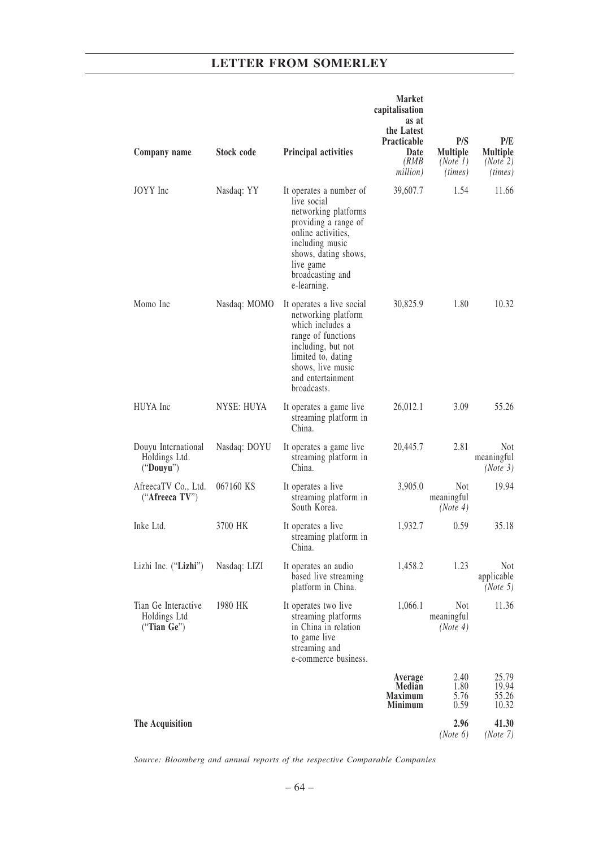| Company name                                          | <b>Stock code</b> | Principal activities                                                                                                                                                                                    | <b>Market</b><br>capitalisation<br>as at<br>the Latest<br>Practicable<br>Date<br>(RMB) | P/S<br>Multiple<br>(Note 1)          | P/E<br><b>Multiple</b><br>(Note 2)   |
|-------------------------------------------------------|-------------------|---------------------------------------------------------------------------------------------------------------------------------------------------------------------------------------------------------|----------------------------------------------------------------------------------------|--------------------------------------|--------------------------------------|
|                                                       |                   |                                                                                                                                                                                                         | million)                                                                               | (times)                              | (times)                              |
| JOYY Inc                                              | Nasdaq: YY        | It operates a number of<br>live social<br>networking platforms<br>providing a range of<br>online activities,<br>including music<br>shows, dating shows,<br>live game<br>broadcasting and<br>e-learning. | 39,607.7                                                                               | 1.54                                 | 11.66                                |
| Momo Inc                                              | Nasdaq: MOMO      | It operates a live social<br>networking platform<br>which includes a<br>range of functions<br>including, but not<br>limited to, dating<br>shows, live music<br>and entertainment<br>broadcasts.         | 30,825.9                                                                               | 1.80                                 | 10.32                                |
| HUYA Inc                                              | <b>NYSE: HUYA</b> | It operates a game live<br>streaming platform in<br>China.                                                                                                                                              | 26,012.1                                                                               | 3.09                                 | 55.26                                |
| Douyu International<br>Holdings Ltd.<br>("Down")      | Nasdaq: DOYU      | It operates a game live<br>streaming platform in<br>China.                                                                                                                                              | 20,445.7                                                                               | 2.81                                 | <b>Not</b><br>meaningful<br>(Note 3) |
| AfreecaTV Co., Ltd.<br>("Afreeca TV")                 | 067160 KS         | It operates a live<br>streaming platform in<br>South Korea.                                                                                                                                             | 3,905.0                                                                                | <b>Not</b><br>meaningful<br>(Note 4) | 19.94                                |
| Inke Ltd.                                             | 3700 HK           | It operates a live<br>streaming platform in<br>China.                                                                                                                                                   | 1,932.7                                                                                | 0.59                                 | 35.18                                |
| Lizhi Inc. ("Lizhi")                                  | Nasdaq: LIZI      | It operates an audio<br>based live streaming<br>platform in China.                                                                                                                                      | 1,458.2                                                                                | 1.23                                 | Not<br>applicable<br>(Note 5)        |
| Tian Ge Interactive<br>Holdings Ltd<br>("Tian $Ge$ ") | 1980 HK           | It operates two live<br>streaming platforms<br>in China in relation<br>to game live<br>streaming and<br>e-commerce business.                                                                            | 1,066.1                                                                                | <b>Not</b><br>meaningful<br>(Note 4) | 11.36                                |
|                                                       |                   |                                                                                                                                                                                                         | Average<br>Median<br><b>Maximum</b><br><b>Minimum</b>                                  | 2.40<br>1.80<br>5.76<br>0.59         | 25.79<br>19.94<br>55.26<br>10.32     |
| The Acquisition                                       |                   |                                                                                                                                                                                                         |                                                                                        | 2.96<br>(Note 6)                     | 41.30<br>(Note 7)                    |

*Source: Bloomberg and annual reports of the respective Comparable Companies*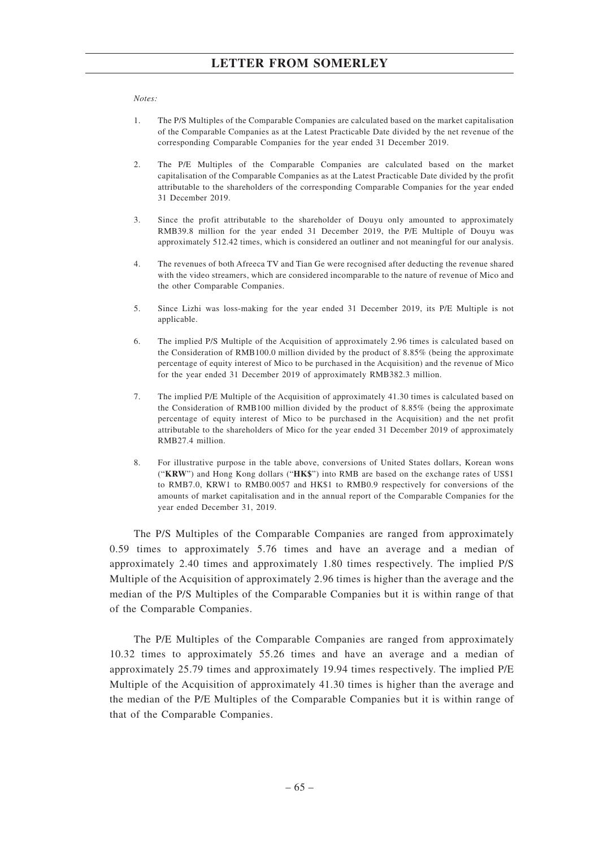#### *Notes:*

- 1. The P/S Multiples of the Comparable Companies are calculated based on the market capitalisation of the Comparable Companies as at the Latest Practicable Date divided by the net revenue of the corresponding Comparable Companies for the year ended 31 December 2019.
- 2. The P/E Multiples of the Comparable Companies are calculated based on the market capitalisation of the Comparable Companies as at the Latest Practicable Date divided by the profit attributable to the shareholders of the corresponding Comparable Companies for the year ended 31 December 2019.
- 3. Since the profit attributable to the shareholder of Douyu only amounted to approximately RMB39.8 million for the year ended 31 December 2019, the P/E Multiple of Douyu was approximately 512.42 times, which is considered an outliner and not meaningful for our analysis.
- 4. The revenues of both Afreeca TV and Tian Ge were recognised after deducting the revenue shared with the video streamers, which are considered incomparable to the nature of revenue of Mico and the other Comparable Companies.
- 5. Since Lizhi was loss-making for the year ended 31 December 2019, its P/E Multiple is not applicable.
- 6. The implied P/S Multiple of the Acquisition of approximately 2.96 times is calculated based on the Consideration of RMB100.0 million divided by the product of 8.85% (being the approximate percentage of equity interest of Mico to be purchased in the Acquisition) and the revenue of Mico for the year ended 31 December 2019 of approximately RMB382.3 million.
- 7. The implied P/E Multiple of the Acquisition of approximately 41.30 times is calculated based on the Consideration of RMB100 million divided by the product of 8.85% (being the approximate percentage of equity interest of Mico to be purchased in the Acquisition) and the net profit attributable to the shareholders of Mico for the year ended 31 December 2019 of approximately RMB27.4 million.
- 8. For illustrative purpose in the table above, conversions of United States dollars, Korean wons ("**KRW**") and Hong Kong dollars ("**HK\$**") into RMB are based on the exchange rates of US\$1 to RMB7.0, KRW1 to RMB0.0057 and HK\$1 to RMB0.9 respectively for conversions of the amounts of market capitalisation and in the annual report of the Comparable Companies for the year ended December 31, 2019.

The P/S Multiples of the Comparable Companies are ranged from approximately 0.59 times to approximately 5.76 times and have an average and a median of approximately 2.40 times and approximately 1.80 times respectively. The implied P/S Multiple of the Acquisition of approximately 2.96 times is higher than the average and the median of the P/S Multiples of the Comparable Companies but it is within range of that of the Comparable Companies.

The P/E Multiples of the Comparable Companies are ranged from approximately 10.32 times to approximately 55.26 times and have an average and a median of approximately 25.79 times and approximately 19.94 times respectively. The implied P/E Multiple of the Acquisition of approximately 41.30 times is higher than the average and the median of the P/E Multiples of the Comparable Companies but it is within range of that of the Comparable Companies.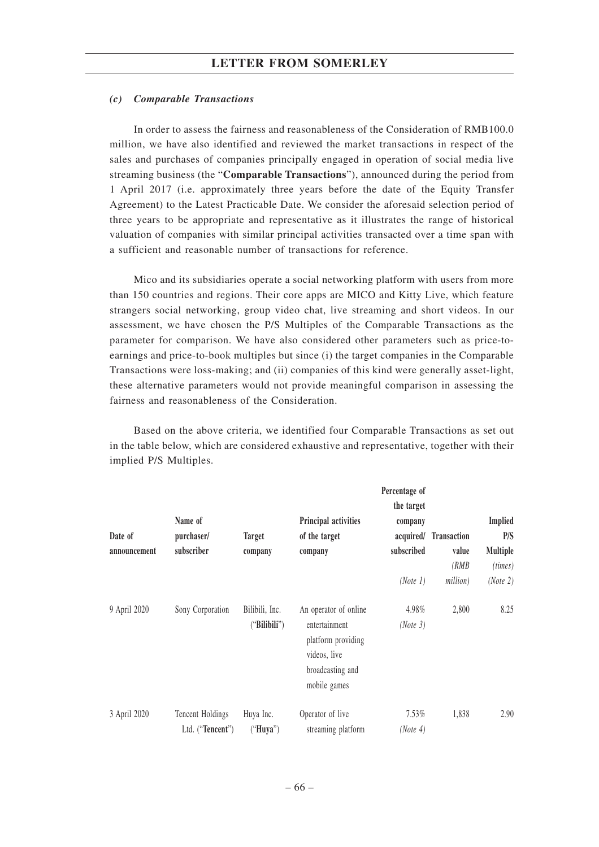### *(c) Comparable Transactions*

In order to assess the fairness and reasonableness of the Consideration of RMB100.0 million, we have also identified and reviewed the market transactions in respect of the sales and purchases of companies principally engaged in operation of social media live streaming business (the "**Comparable Transactions**"), announced during the period from 1 April 2017 (i.e. approximately three years before the date of the Equity Transfer Agreement) to the Latest Practicable Date. We consider the aforesaid selection period of three years to be appropriate and representative as it illustrates the range of historical valuation of companies with similar principal activities transacted over a time span with a sufficient and reasonable number of transactions for reference.

Mico and its subsidiaries operate a social networking platform with users from more than 150 countries and regions. Their core apps are MICO and Kitty Live, which feature strangers social networking, group video chat, live streaming and short videos. In our assessment, we have chosen the P/S Multiples of the Comparable Transactions as the parameter for comparison. We have also considered other parameters such as price-toearnings and price-to-book multiples but since (i) the target companies in the Comparable Transactions were loss-making; and (ii) companies of this kind were generally asset-light, these alternative parameters would not provide meaningful comparison in assessing the fairness and reasonableness of the Consideration.

Based on the above criteria, we identified four Comparable Transactions as set out in the table below, which are considered exhaustive and representative, together with their implied P/S Multiples.

|              |                  |                |                                     | Percentage of |                    |                 |
|--------------|------------------|----------------|-------------------------------------|---------------|--------------------|-----------------|
|              |                  |                |                                     | the target    |                    |                 |
|              | Name of          |                | Principal activities                | company       |                    | <b>Implied</b>  |
| Date of      | purchaser/       | <b>Target</b>  | of the target                       | acquired/     | <b>Transaction</b> | P/S             |
| announcement | subscriber       | company        | company                             | subscribed    | value              | <b>Multiple</b> |
|              |                  |                |                                     |               | (RMB)              | (times)         |
|              |                  |                |                                     | (Note 1)      | million)           | (Note 2)        |
| 9 April 2020 | Sony Corporation | Bilibili, Inc. | An operator of online               | 4.98%         | 2,800              | 8.25            |
|              |                  | ("Bilibili")   | entertainment<br>platform providing | (Note 3)      |                    |                 |
|              |                  |                | videos, live                        |               |                    |                 |
|              |                  |                | broadcasting and                    |               |                    |                 |
|              |                  |                | mobile games                        |               |                    |                 |
| 3 April 2020 | Tencent Holdings | Huya Inc.      | Operator of live                    | 7.53%         | 1,838              | 2.90            |
|              | Ltd. ("Tencent") | ("Huya")       | streaming platform                  | (Note 4)      |                    |                 |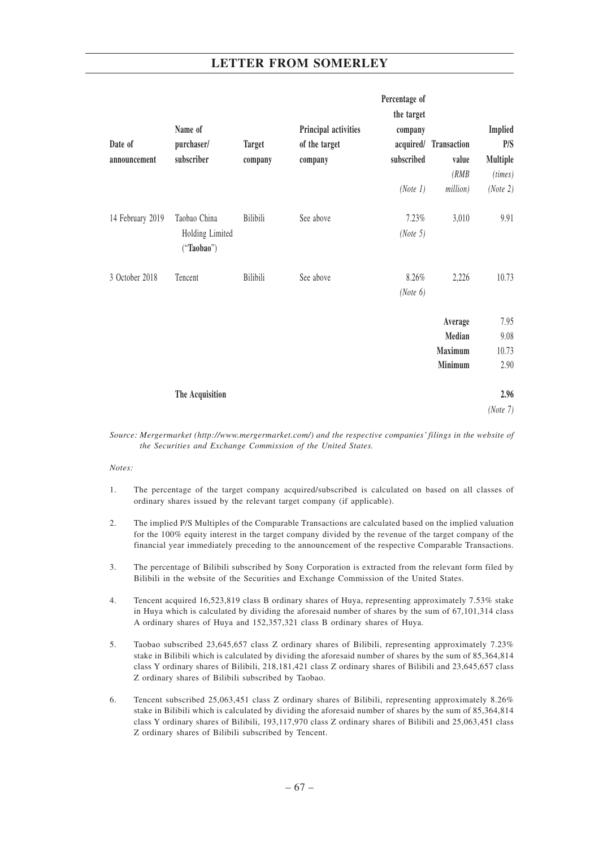|                  |                               |               |                      | Percentage of |                       |          |
|------------------|-------------------------------|---------------|----------------------|---------------|-----------------------|----------|
|                  |                               |               |                      | the target    |                       |          |
|                  | Name of                       |               | Principal activities | company       |                       | Implied  |
| Date of          | purchaser/                    | <b>Target</b> | of the target        |               | acquired/ Transaction | P/S      |
| announcement     | subscriber                    | company       | company              | subscribed    | value                 | Multiple |
|                  |                               |               |                      |               | (RMB)                 | (times)  |
|                  |                               |               |                      | (Note 1)      | million)              | (Note 2) |
| 14 February 2019 | Taobao China                  | Bilibili      | See above            | 7.23%         | 3,010                 | 9.91     |
|                  | Holding Limited<br>("Taobao") |               |                      | (Note 5)      |                       |          |
| 3 October 2018   | Tencent                       | Bilibili      | See above            | 8.26%         | 2,226                 | 10.73    |
|                  |                               |               |                      | (Note 6)      |                       |          |
|                  |                               |               |                      |               | Average               | 7.95     |
|                  |                               |               |                      |               | Median                | 9.08     |
|                  |                               |               |                      |               | Maximum               | 10.73    |
|                  |                               |               |                      |               | Minimum               | 2.90     |
|                  | The Acquisition               |               |                      |               |                       | 2.96     |
|                  |                               |               |                      |               |                       | (Note 7) |

*Source: Mergermarket (http://www.mergermarket.com/) and the respective companies' filings in the website of the Securities and Exchange Commission of the United States.*

#### *Notes:*

- 1. The percentage of the target company acquired/subscribed is calculated on based on all classes of ordinary shares issued by the relevant target company (if applicable).
- 2. The implied P/S Multiples of the Comparable Transactions are calculated based on the implied valuation for the 100% equity interest in the target company divided by the revenue of the target company of the financial year immediately preceding to the announcement of the respective Comparable Transactions.
- 3. The percentage of Bilibili subscribed by Sony Corporation is extracted from the relevant form filed by Bilibili in the website of the Securities and Exchange Commission of the United States.
- 4. Tencent acquired 16,523,819 class B ordinary shares of Huya, representing approximately 7.53% stake in Huya which is calculated by dividing the aforesaid number of shares by the sum of 67,101,314 class A ordinary shares of Huya and 152,357,321 class B ordinary shares of Huya.
- 5. Taobao subscribed 23,645,657 class Z ordinary shares of Bilibili, representing approximately 7.23% stake in Bilibili which is calculated by dividing the aforesaid number of shares by the sum of 85,364,814 class Y ordinary shares of Bilibili, 218,181,421 class Z ordinary shares of Bilibili and 23,645,657 class Z ordinary shares of Bilibili subscribed by Taobao.
- 6. Tencent subscribed 25,063,451 class Z ordinary shares of Bilibili, representing approximately 8.26% stake in Bilibili which is calculated by dividing the aforesaid number of shares by the sum of 85,364,814 class Y ordinary shares of Bilibili, 193,117,970 class Z ordinary shares of Bilibili and 25,063,451 class Z ordinary shares of Bilibili subscribed by Tencent.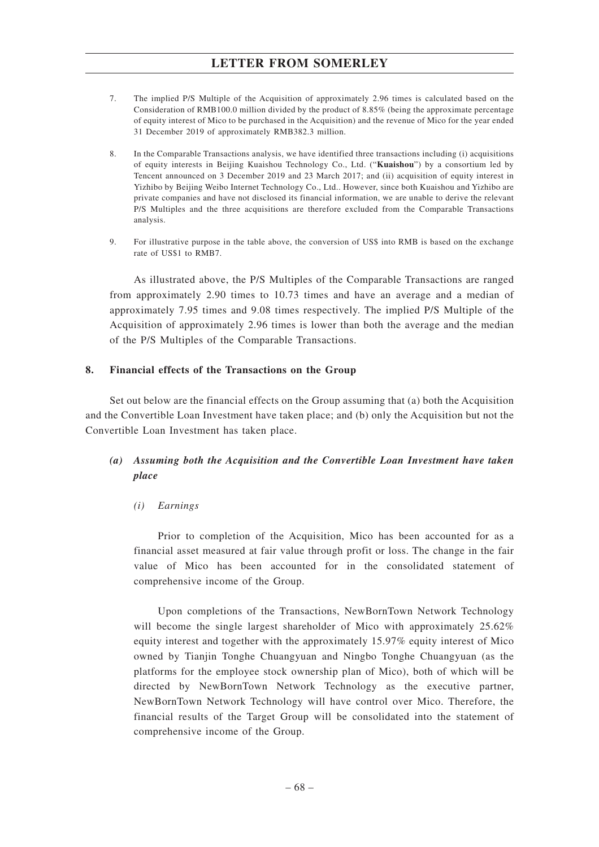- 7. The implied P/S Multiple of the Acquisition of approximately 2.96 times is calculated based on the Consideration of RMB100.0 million divided by the product of 8.85% (being the approximate percentage of equity interest of Mico to be purchased in the Acquisition) and the revenue of Mico for the year ended 31 December 2019 of approximately RMB382.3 million.
- 8. In the Comparable Transactions analysis, we have identified three transactions including (i) acquisitions of equity interests in Beijing Kuaishou Technology Co., Ltd. ("**Kuaishou**") by a consortium led by Tencent announced on 3 December 2019 and 23 March 2017; and (ii) acquisition of equity interest in Yizhibo by Beijing Weibo Internet Technology Co., Ltd.. However, since both Kuaishou and Yizhibo are private companies and have not disclosed its financial information, we are unable to derive the relevant P/S Multiples and the three acquisitions are therefore excluded from the Comparable Transactions analysis.
- 9. For illustrative purpose in the table above, the conversion of US\$ into RMB is based on the exchange rate of US\$1 to RMB7.

As illustrated above, the P/S Multiples of the Comparable Transactions are ranged from approximately 2.90 times to 10.73 times and have an average and a median of approximately 7.95 times and 9.08 times respectively. The implied P/S Multiple of the Acquisition of approximately 2.96 times is lower than both the average and the median of the P/S Multiples of the Comparable Transactions.

### **8. Financial effects of the Transactions on the Group**

Set out below are the financial effects on the Group assuming that (a) both the Acquisition and the Convertible Loan Investment have taken place; and (b) only the Acquisition but not the Convertible Loan Investment has taken place.

# *(a) Assuming both the Acquisition and the Convertible Loan Investment have taken place*

## *(i) Earnings*

Prior to completion of the Acquisition, Mico has been accounted for as a financial asset measured at fair value through profit or loss. The change in the fair value of Mico has been accounted for in the consolidated statement of comprehensive income of the Group.

Upon completions of the Transactions, NewBornTown Network Technology will become the single largest shareholder of Mico with approximately 25.62% equity interest and together with the approximately 15.97% equity interest of Mico owned by Tianjin Tonghe Chuangyuan and Ningbo Tonghe Chuangyuan (as the platforms for the employee stock ownership plan of Mico), both of which will be directed by NewBornTown Network Technology as the executive partner, NewBornTown Network Technology will have control over Mico. Therefore, the financial results of the Target Group will be consolidated into the statement of comprehensive income of the Group.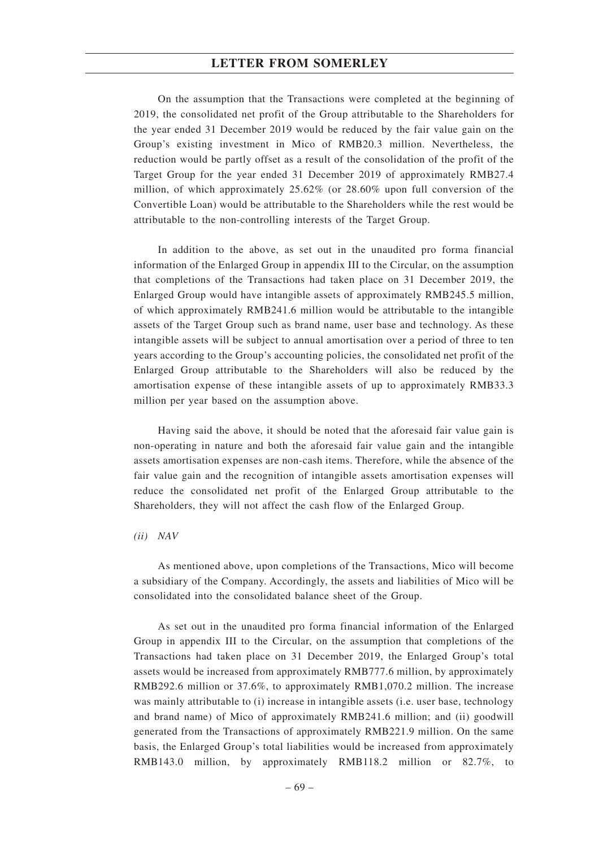On the assumption that the Transactions were completed at the beginning of 2019, the consolidated net profit of the Group attributable to the Shareholders for the year ended 31 December 2019 would be reduced by the fair value gain on the Group's existing investment in Mico of RMB20.3 million. Nevertheless, the reduction would be partly offset as a result of the consolidation of the profit of the Target Group for the year ended 31 December 2019 of approximately RMB27.4 million, of which approximately 25.62% (or 28.60% upon full conversion of the Convertible Loan) would be attributable to the Shareholders while the rest would be attributable to the non-controlling interests of the Target Group.

In addition to the above, as set out in the unaudited pro forma financial information of the Enlarged Group in appendix III to the Circular, on the assumption that completions of the Transactions had taken place on 31 December 2019, the Enlarged Group would have intangible assets of approximately RMB245.5 million, of which approximately RMB241.6 million would be attributable to the intangible assets of the Target Group such as brand name, user base and technology. As these intangible assets will be subject to annual amortisation over a period of three to ten years according to the Group's accounting policies, the consolidated net profit of the Enlarged Group attributable to the Shareholders will also be reduced by the amortisation expense of these intangible assets of up to approximately RMB33.3 million per year based on the assumption above.

Having said the above, it should be noted that the aforesaid fair value gain is non-operating in nature and both the aforesaid fair value gain and the intangible assets amortisation expenses are non-cash items. Therefore, while the absence of the fair value gain and the recognition of intangible assets amortisation expenses will reduce the consolidated net profit of the Enlarged Group attributable to the Shareholders, they will not affect the cash flow of the Enlarged Group.

#### *(ii) NAV*

As mentioned above, upon completions of the Transactions, Mico will become a subsidiary of the Company. Accordingly, the assets and liabilities of Mico will be consolidated into the consolidated balance sheet of the Group.

As set out in the unaudited pro forma financial information of the Enlarged Group in appendix III to the Circular, on the assumption that completions of the Transactions had taken place on 31 December 2019, the Enlarged Group's total assets would be increased from approximately RMB777.6 million, by approximately RMB292.6 million or 37.6%, to approximately RMB1,070.2 million. The increase was mainly attributable to (i) increase in intangible assets (i.e. user base, technology and brand name) of Mico of approximately RMB241.6 million; and (ii) goodwill generated from the Transactions of approximately RMB221.9 million. On the same basis, the Enlarged Group's total liabilities would be increased from approximately RMB143.0 million, by approximately RMB118.2 million or 82.7%, to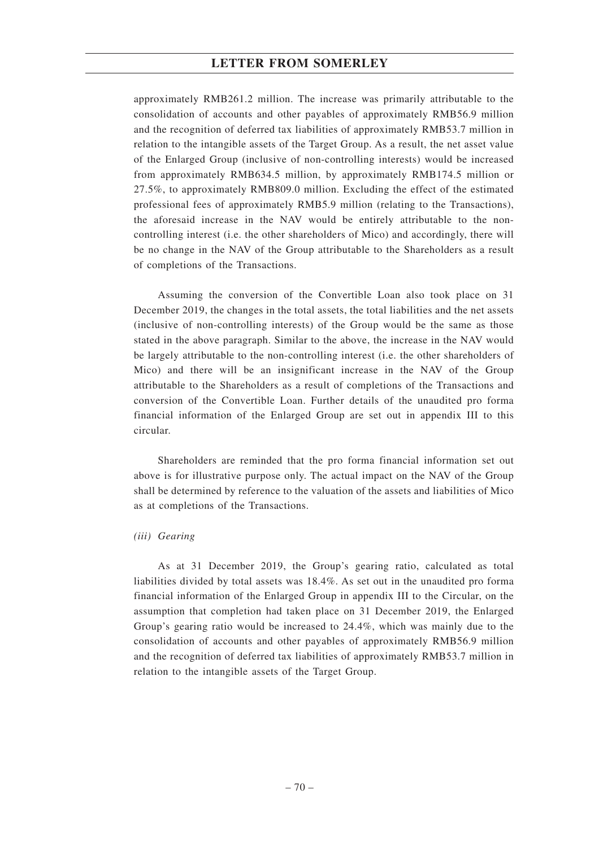approximately RMB261.2 million. The increase was primarily attributable to the consolidation of accounts and other payables of approximately RMB56.9 million and the recognition of deferred tax liabilities of approximately RMB53.7 million in relation to the intangible assets of the Target Group. As a result, the net asset value of the Enlarged Group (inclusive of non-controlling interests) would be increased from approximately RMB634.5 million, by approximately RMB174.5 million or 27.5%, to approximately RMB809.0 million. Excluding the effect of the estimated professional fees of approximately RMB5.9 million (relating to the Transactions), the aforesaid increase in the NAV would be entirely attributable to the noncontrolling interest (i.e. the other shareholders of Mico) and accordingly, there will be no change in the NAV of the Group attributable to the Shareholders as a result of completions of the Transactions.

Assuming the conversion of the Convertible Loan also took place on 31 December 2019, the changes in the total assets, the total liabilities and the net assets (inclusive of non-controlling interests) of the Group would be the same as those stated in the above paragraph. Similar to the above, the increase in the NAV would be largely attributable to the non-controlling interest (i.e. the other shareholders of Mico) and there will be an insignificant increase in the NAV of the Group attributable to the Shareholders as a result of completions of the Transactions and conversion of the Convertible Loan. Further details of the unaudited pro forma financial information of the Enlarged Group are set out in appendix III to this circular.

Shareholders are reminded that the pro forma financial information set out above is for illustrative purpose only. The actual impact on the NAV of the Group shall be determined by reference to the valuation of the assets and liabilities of Mico as at completions of the Transactions.

### *(iii) Gearing*

As at 31 December 2019, the Group's gearing ratio, calculated as total liabilities divided by total assets was 18.4%. As set out in the unaudited pro forma financial information of the Enlarged Group in appendix III to the Circular, on the assumption that completion had taken place on 31 December 2019, the Enlarged Group's gearing ratio would be increased to 24.4%, which was mainly due to the consolidation of accounts and other payables of approximately RMB56.9 million and the recognition of deferred tax liabilities of approximately RMB53.7 million in relation to the intangible assets of the Target Group.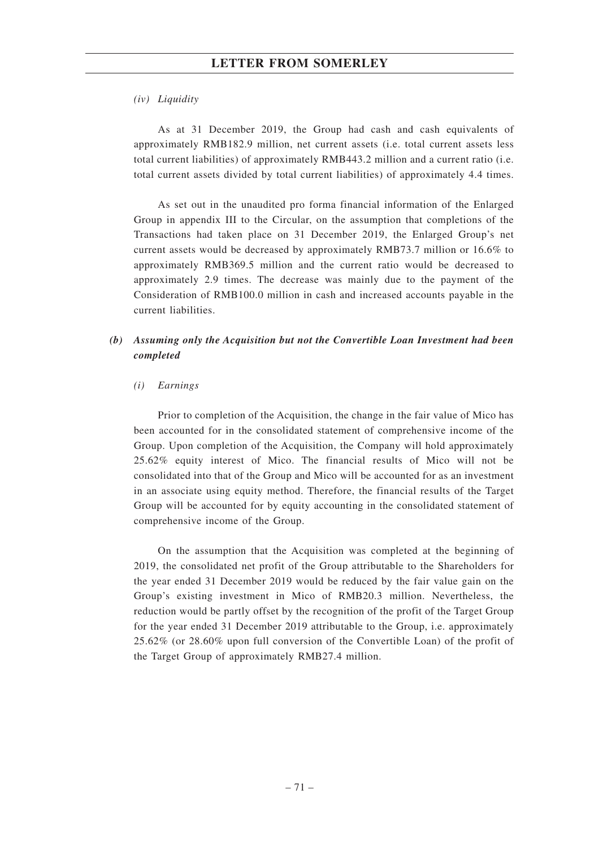# **LETTER FROM SOMERLEY**

### *(iv) Liquidity*

As at 31 December 2019, the Group had cash and cash equivalents of approximately RMB182.9 million, net current assets (i.e. total current assets less total current liabilities) of approximately RMB443.2 million and a current ratio (i.e. total current assets divided by total current liabilities) of approximately 4.4 times.

As set out in the unaudited pro forma financial information of the Enlarged Group in appendix III to the Circular, on the assumption that completions of the Transactions had taken place on 31 December 2019, the Enlarged Group's net current assets would be decreased by approximately RMB73.7 million or 16.6% to approximately RMB369.5 million and the current ratio would be decreased to approximately 2.9 times. The decrease was mainly due to the payment of the Consideration of RMB100.0 million in cash and increased accounts payable in the current liabilities.

# *(b) Assuming only the Acquisition but not the Convertible Loan Investment had been completed*

### *(i) Earnings*

Prior to completion of the Acquisition, the change in the fair value of Mico has been accounted for in the consolidated statement of comprehensive income of the Group. Upon completion of the Acquisition, the Company will hold approximately 25.62% equity interest of Mico. The financial results of Mico will not be consolidated into that of the Group and Mico will be accounted for as an investment in an associate using equity method. Therefore, the financial results of the Target Group will be accounted for by equity accounting in the consolidated statement of comprehensive income of the Group.

On the assumption that the Acquisition was completed at the beginning of 2019, the consolidated net profit of the Group attributable to the Shareholders for the year ended 31 December 2019 would be reduced by the fair value gain on the Group's existing investment in Mico of RMB20.3 million. Nevertheless, the reduction would be partly offset by the recognition of the profit of the Target Group for the year ended 31 December 2019 attributable to the Group, i.e. approximately 25.62% (or 28.60% upon full conversion of the Convertible Loan) of the profit of the Target Group of approximately RMB27.4 million.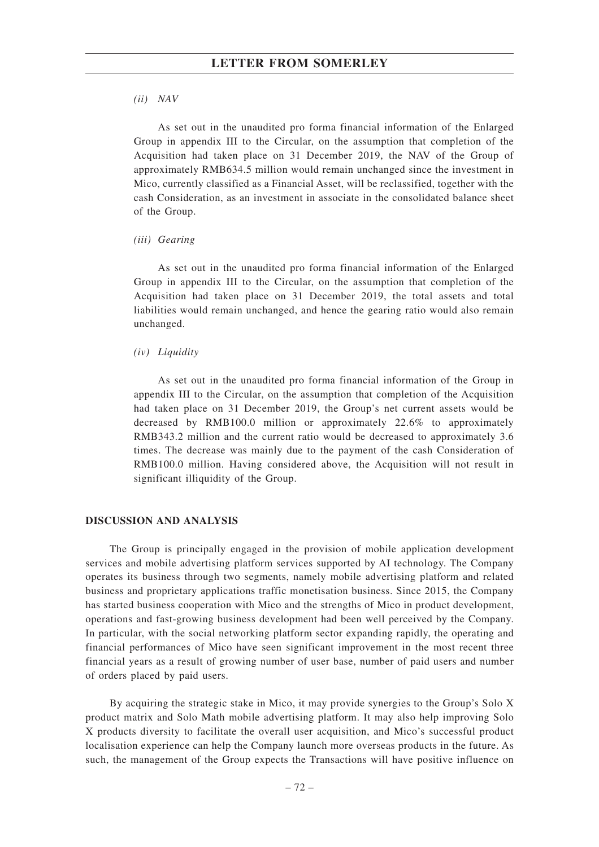### *(ii) NAV*

As set out in the unaudited pro forma financial information of the Enlarged Group in appendix III to the Circular, on the assumption that completion of the Acquisition had taken place on 31 December 2019, the NAV of the Group of approximately RMB634.5 million would remain unchanged since the investment in Mico, currently classified as a Financial Asset, will be reclassified, together with the cash Consideration, as an investment in associate in the consolidated balance sheet of the Group.

### *(iii) Gearing*

As set out in the unaudited pro forma financial information of the Enlarged Group in appendix III to the Circular, on the assumption that completion of the Acquisition had taken place on 31 December 2019, the total assets and total liabilities would remain unchanged, and hence the gearing ratio would also remain unchanged.

## *(iv) Liquidity*

As set out in the unaudited pro forma financial information of the Group in appendix III to the Circular, on the assumption that completion of the Acquisition had taken place on 31 December 2019, the Group's net current assets would be decreased by RMB100.0 million or approximately 22.6% to approximately RMB343.2 million and the current ratio would be decreased to approximately 3.6 times. The decrease was mainly due to the payment of the cash Consideration of RMB100.0 million. Having considered above, the Acquisition will not result in significant illiquidity of the Group.

## **DISCUSSION AND ANALYSIS**

The Group is principally engaged in the provision of mobile application development services and mobile advertising platform services supported by AI technology. The Company operates its business through two segments, namely mobile advertising platform and related business and proprietary applications traffic monetisation business. Since 2015, the Company has started business cooperation with Mico and the strengths of Mico in product development, operations and fast-growing business development had been well perceived by the Company. In particular, with the social networking platform sector expanding rapidly, the operating and financial performances of Mico have seen significant improvement in the most recent three financial years as a result of growing number of user base, number of paid users and number of orders placed by paid users.

By acquiring the strategic stake in Mico, it may provide synergies to the Group's Solo X product matrix and Solo Math mobile advertising platform. It may also help improving Solo X products diversity to facilitate the overall user acquisition, and Mico's successful product localisation experience can help the Company launch more overseas products in the future. As such, the management of the Group expects the Transactions will have positive influence on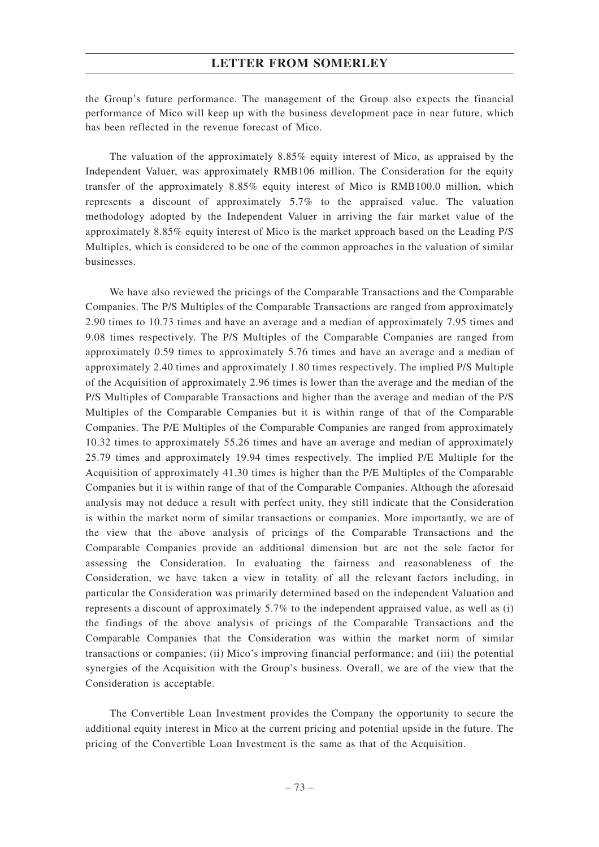# **LETTER FROM SOMERLEY**

the Group's future performance. The management of the Group also expects the financial performance of Mico will keep up with the business development pace in near future, which has been reflected in the revenue forecast of Mico.

The valuation of the approximately 8.85% equity interest of Mico, as appraised by the Independent Valuer, was approximately RMB106 million. The Consideration for the equity transfer of the approximately 8.85% equity interest of Mico is RMB100.0 million, which represents a discount of approximately 5.7% to the appraised value. The valuation methodology adopted by the Independent Valuer in arriving the fair market value of the approximately 8.85% equity interest of Mico is the market approach based on the Leading P/S Multiples, which is considered to be one of the common approaches in the valuation of similar businesses.

We have also reviewed the pricings of the Comparable Transactions and the Comparable Companies. The P/S Multiples of the Comparable Transactions are ranged from approximately 2.90 times to 10.73 times and have an average and a median of approximately 7.95 times and 9.08 times respectively. The P/S Multiples of the Comparable Companies are ranged from approximately 0.59 times to approximately 5.76 times and have an average and a median of approximately 2.40 times and approximately 1.80 times respectively. The implied P/S Multiple of the Acquisition of approximately 2.96 times is lower than the average and the median of the P/S Multiples of Comparable Transactions and higher than the average and median of the P/S Multiples of the Comparable Companies but it is within range of that of the Comparable Companies. The P/E Multiples of the Comparable Companies are ranged from approximately 10.32 times to approximately 55.26 times and have an average and median of approximately 25.79 times and approximately 19.94 times respectively. The implied P/E Multiple for the Acquisition of approximately 41.30 times is higher than the P/E Multiples of the Comparable Companies but it is within range of that of the Comparable Companies. Although the aforesaid analysis may not deduce a result with perfect unity, they still indicate that the Consideration is within the market norm of similar transactions or companies. More importantly, we are of the view that the above analysis of pricings of the Comparable Transactions and the Comparable Companies provide an additional dimension but are not the sole factor for assessing the Consideration. In evaluating the fairness and reasonableness of the Consideration, we have taken a view in totality of all the relevant factors including, in particular the Consideration was primarily determined based on the independent Valuation and represents a discount of approximately 5.7% to the independent appraised value, as well as (i) the findings of the above analysis of pricings of the Comparable Transactions and the Comparable Companies that the Consideration was within the market norm of similar transactions or companies; (ii) Mico's improving financial performance; and (iii) the potential synergies of the Acquisition with the Group's business. Overall, we are of the view that the Consideration is acceptable.

The Convertible Loan Investment provides the Company the opportunity to secure the additional equity interest in Mico at the current pricing and potential upside in the future. The pricing of the Convertible Loan Investment is the same as that of the Acquisition.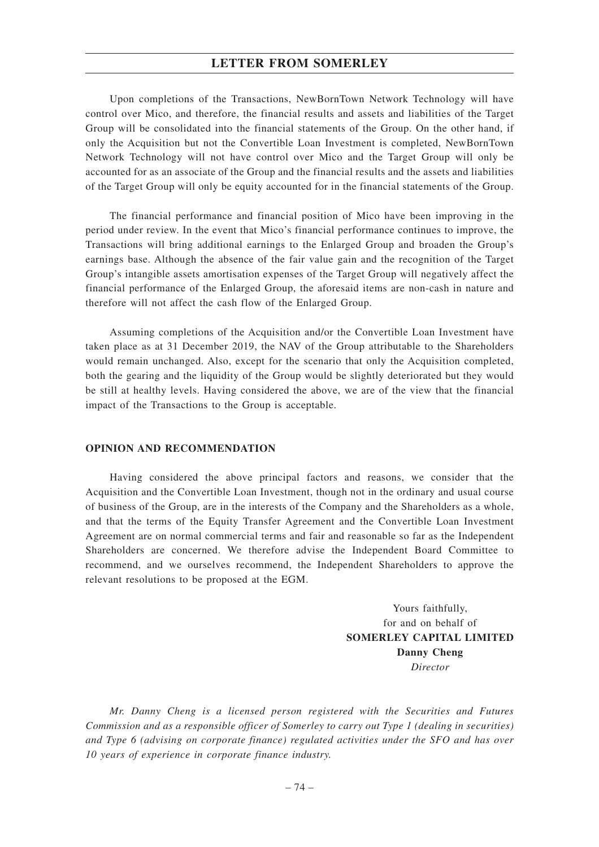# **LETTER FROM SOMERLEY**

Upon completions of the Transactions, NewBornTown Network Technology will have control over Mico, and therefore, the financial results and assets and liabilities of the Target Group will be consolidated into the financial statements of the Group. On the other hand, if only the Acquisition but not the Convertible Loan Investment is completed, NewBornTown Network Technology will not have control over Mico and the Target Group will only be accounted for as an associate of the Group and the financial results and the assets and liabilities of the Target Group will only be equity accounted for in the financial statements of the Group.

The financial performance and financial position of Mico have been improving in the period under review. In the event that Mico's financial performance continues to improve, the Transactions will bring additional earnings to the Enlarged Group and broaden the Group's earnings base. Although the absence of the fair value gain and the recognition of the Target Group's intangible assets amortisation expenses of the Target Group will negatively affect the financial performance of the Enlarged Group, the aforesaid items are non-cash in nature and therefore will not affect the cash flow of the Enlarged Group.

Assuming completions of the Acquisition and/or the Convertible Loan Investment have taken place as at 31 December 2019, the NAV of the Group attributable to the Shareholders would remain unchanged. Also, except for the scenario that only the Acquisition completed, both the gearing and the liquidity of the Group would be slightly deteriorated but they would be still at healthy levels. Having considered the above, we are of the view that the financial impact of the Transactions to the Group is acceptable.

### **OPINION AND RECOMMENDATION**

Having considered the above principal factors and reasons, we consider that the Acquisition and the Convertible Loan Investment, though not in the ordinary and usual course of business of the Group, are in the interests of the Company and the Shareholders as a whole, and that the terms of the Equity Transfer Agreement and the Convertible Loan Investment Agreement are on normal commercial terms and fair and reasonable so far as the Independent Shareholders are concerned. We therefore advise the Independent Board Committee to recommend, and we ourselves recommend, the Independent Shareholders to approve the relevant resolutions to be proposed at the EGM.

> Yours faithfully, for and on behalf of **SOMERLEY CAPITAL LIMITED Danny Cheng** *Director*

*Mr. Danny Cheng is a licensed person registered with the Securities and Futures Commission and as a responsible officer of Somerley to carry out Type 1 (dealing in securities) and Type 6 (advising on corporate finance) regulated activities under the SFO and has over 10 years of experience in corporate finance industry.*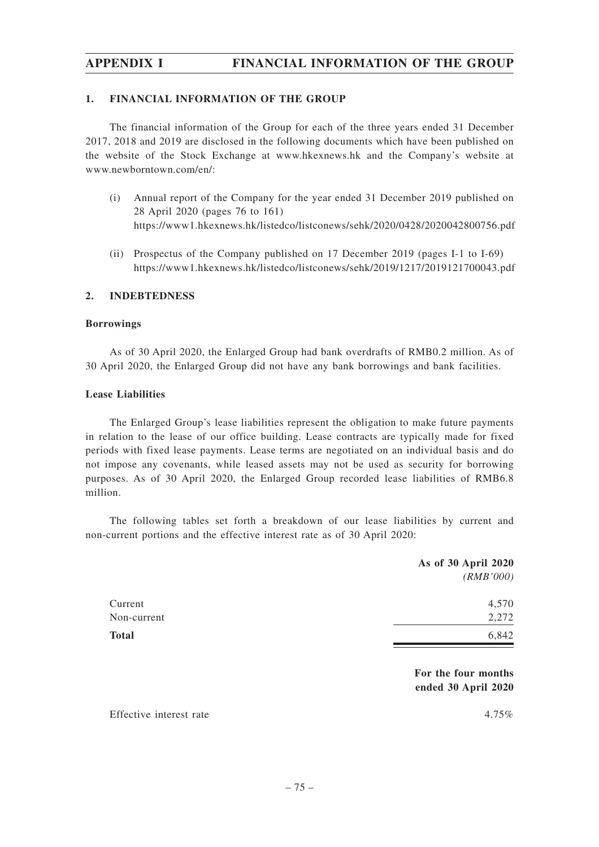# **1. FINANCIAL INFORMATION OF THE GROUP**

The financial information of the Group for each of the three years ended 31 December 2017, 2018 and 2019 are disclosed in the following documents which have been published on the website of the Stock Exchange at www.hkexnews.hk and the Company's website at www.newborntown.com/en/:

- (i) Annual report of the Company for the year ended 31 December 2019 published on 28 April 2020 (pages 76 to 161) https://www1.hkexnews.hk/listedco/listconews/sehk/2020/0428/2020042800756.pdf
- (ii) Prospectus of the Company published on 17 December 2019 (pages I-1 to I-69) https://www1.hkexnews.hk/listedco/listconews/sehk/2019/1217/2019121700043.pdf

# **2. INDEBTEDNESS**

## **Borrowings**

As of 30 April 2020, the Enlarged Group had bank overdrafts of RMB0.2 million. As of 30 April 2020, the Enlarged Group did not have any bank borrowings and bank facilities.

## **Lease Liabilities**

The Enlarged Group's lease liabilities represent the obligation to make future payments in relation to the lease of our office building. Lease contracts are typically made for fixed periods with fixed lease payments. Lease terms are negotiated on an individual basis and do not impose any covenants, while leased assets may not be used as security for borrowing purposes. As of 30 April 2020, the Enlarged Group recorded lease liabilities of RMB6.8 million.

The following tables set forth a breakdown of our lease liabilities by current and non-current portions and the effective interest rate as of 30 April 2020:

| As of 30 April 2020<br>(RMB'000)           |
|--------------------------------------------|
| 4,570<br>2,272                             |
| 6,842                                      |
| For the four months<br>ended 30 April 2020 |
| $4.75\%$                                   |
|                                            |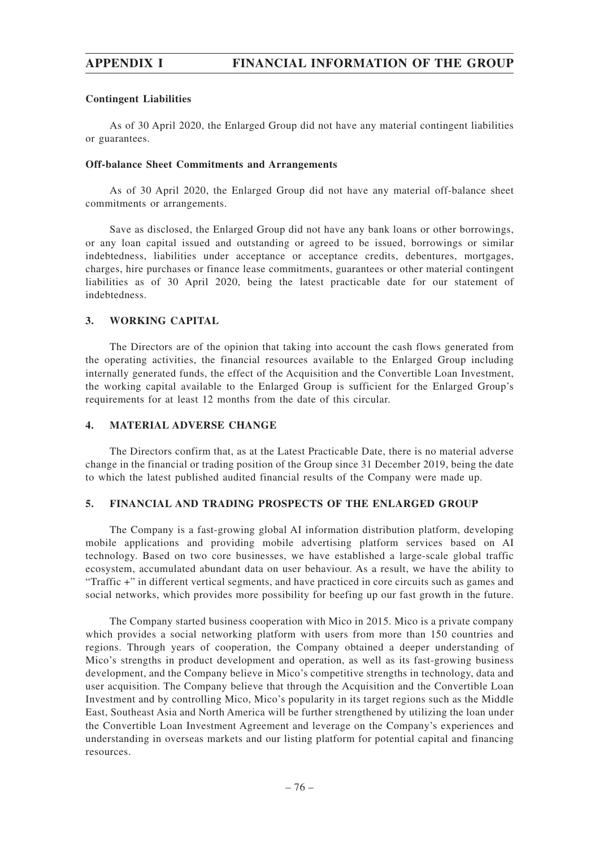## **Contingent Liabilities**

As of 30 April 2020, the Enlarged Group did not have any material contingent liabilities or guarantees.

### **Off-balance Sheet Commitments and Arrangements**

As of 30 April 2020, the Enlarged Group did not have any material off-balance sheet commitments or arrangements.

Save as disclosed, the Enlarged Group did not have any bank loans or other borrowings, or any loan capital issued and outstanding or agreed to be issued, borrowings or similar indebtedness, liabilities under acceptance or acceptance credits, debentures, mortgages, charges, hire purchases or finance lease commitments, guarantees or other material contingent liabilities as of 30 April 2020, being the latest practicable date for our statement of indebtedness.

# **3. WORKING CAPITAL**

The Directors are of the opinion that taking into account the cash flows generated from the operating activities, the financial resources available to the Enlarged Group including internally generated funds, the effect of the Acquisition and the Convertible Loan Investment, the working capital available to the Enlarged Group is sufficient for the Enlarged Group's requirements for at least 12 months from the date of this circular.

## **4. MATERIAL ADVERSE CHANGE**

The Directors confirm that, as at the Latest Practicable Date, there is no material adverse change in the financial or trading position of the Group since 31 December 2019, being the date to which the latest published audited financial results of the Company were made up.

## **5. FINANCIAL AND TRADING PROSPECTS OF THE ENLARGED GROUP**

The Company is a fast-growing global AI information distribution platform, developing mobile applications and providing mobile advertising platform services based on AI technology. Based on two core businesses, we have established a large-scale global traffic ecosystem, accumulated abundant data on user behaviour. As a result, we have the ability to "Traffic +" in different vertical segments, and have practiced in core circuits such as games and social networks, which provides more possibility for beefing up our fast growth in the future.

The Company started business cooperation with Mico in 2015. Mico is a private company which provides a social networking platform with users from more than 150 countries and regions. Through years of cooperation, the Company obtained a deeper understanding of Mico's strengths in product development and operation, as well as its fast-growing business development, and the Company believe in Mico's competitive strengths in technology, data and user acquisition. The Company believe that through the Acquisition and the Convertible Loan Investment and by controlling Mico, Mico's popularity in its target regions such as the Middle East, Southeast Asia and North America will be further strengthened by utilizing the loan under the Convertible Loan Investment Agreement and leverage on the Company's experiences and understanding in overseas markets and our listing platform for potential capital and financing resources.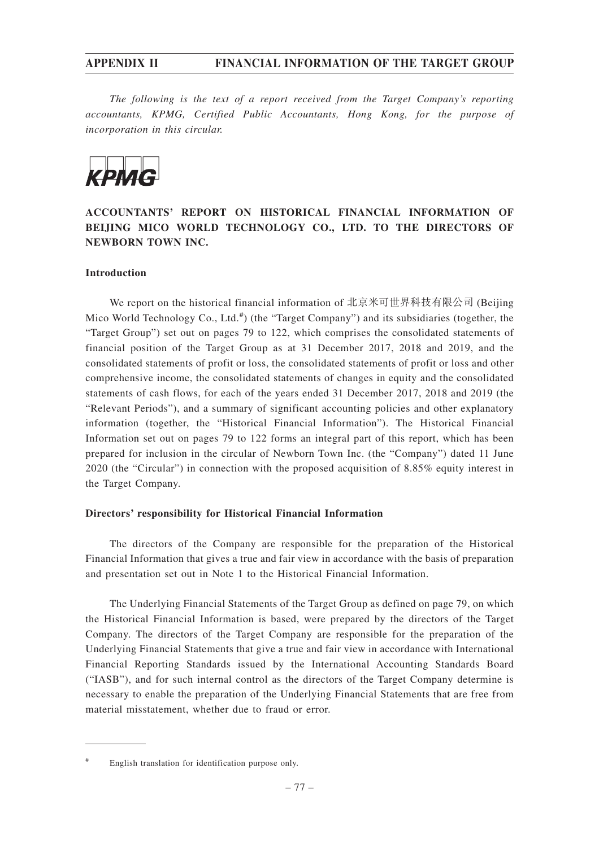*The following is the text of a report received from the Target Company's reporting accountants, KPMG, Certified Public Accountants, Hong Kong, for the purpose of incorporation in this circular.*



# **ACCOUNTANTS' REPORT ON HISTORICAL FINANCIAL INFORMATION OF BEIJING MICO WORLD TECHNOLOGY CO., LTD. TO THE DIRECTORS OF NEWBORN TOWN INC.**

# **Introduction**

We report on the historical financial information of 北京米可世界科技有限公司 (Beijing Mico World Technology Co., Ltd.<sup>#</sup>) (the "Target Company") and its subsidiaries (together, the "Target Group") set out on pages 79 to 122, which comprises the consolidated statements of financial position of the Target Group as at 31 December 2017, 2018 and 2019, and the consolidated statements of profit or loss, the consolidated statements of profit or loss and other comprehensive income, the consolidated statements of changes in equity and the consolidated statements of cash flows, for each of the years ended 31 December 2017, 2018 and 2019 (the "Relevant Periods"), and a summary of significant accounting policies and other explanatory information (together, the "Historical Financial Information"). The Historical Financial Information set out on pages 79 to 122 forms an integral part of this report, which has been prepared for inclusion in the circular of Newborn Town Inc. (the "Company") dated 11 June 2020 (the "Circular") in connection with the proposed acquisition of 8.85% equity interest in the Target Company.

### **Directors' responsibility for Historical Financial Information**

The directors of the Company are responsible for the preparation of the Historical Financial Information that gives a true and fair view in accordance with the basis of preparation and presentation set out in Note 1 to the Historical Financial Information.

The Underlying Financial Statements of the Target Group as defined on page 79, on which the Historical Financial Information is based, were prepared by the directors of the Target Company. The directors of the Target Company are responsible for the preparation of the Underlying Financial Statements that give a true and fair view in accordance with International Financial Reporting Standards issued by the International Accounting Standards Board ("IASB"), and for such internal control as the directors of the Target Company determine is necessary to enable the preparation of the Underlying Financial Statements that are free from material misstatement, whether due to fraud or error.

<sup>#</sup> English translation for identification purpose only.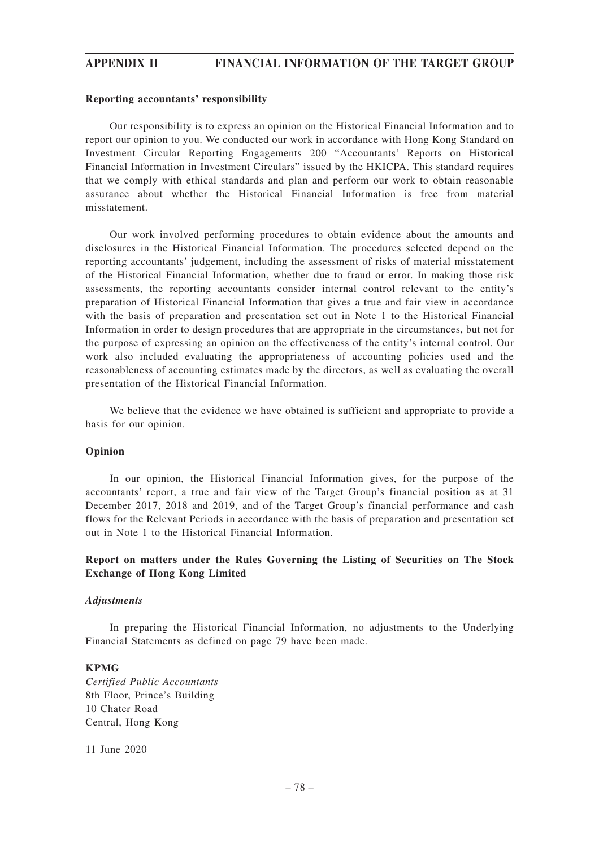### **Reporting accountants' responsibility**

Our responsibility is to express an opinion on the Historical Financial Information and to report our opinion to you. We conducted our work in accordance with Hong Kong Standard on Investment Circular Reporting Engagements 200 "Accountants' Reports on Historical Financial Information in Investment Circulars" issued by the HKICPA. This standard requires that we comply with ethical standards and plan and perform our work to obtain reasonable assurance about whether the Historical Financial Information is free from material misstatement.

Our work involved performing procedures to obtain evidence about the amounts and disclosures in the Historical Financial Information. The procedures selected depend on the reporting accountants' judgement, including the assessment of risks of material misstatement of the Historical Financial Information, whether due to fraud or error. In making those risk assessments, the reporting accountants consider internal control relevant to the entity's preparation of Historical Financial Information that gives a true and fair view in accordance with the basis of preparation and presentation set out in Note 1 to the Historical Financial Information in order to design procedures that are appropriate in the circumstances, but not for the purpose of expressing an opinion on the effectiveness of the entity's internal control. Our work also included evaluating the appropriateness of accounting policies used and the reasonableness of accounting estimates made by the directors, as well as evaluating the overall presentation of the Historical Financial Information.

We believe that the evidence we have obtained is sufficient and appropriate to provide a basis for our opinion.

### **Opinion**

In our opinion, the Historical Financial Information gives, for the purpose of the accountants' report, a true and fair view of the Target Group's financial position as at 31 December 2017, 2018 and 2019, and of the Target Group's financial performance and cash flows for the Relevant Periods in accordance with the basis of preparation and presentation set out in Note 1 to the Historical Financial Information.

# **Report on matters under the Rules Governing the Listing of Securities on The Stock Exchange of Hong Kong Limited**

### *Adjustments*

In preparing the Historical Financial Information, no adjustments to the Underlying Financial Statements as defined on page 79 have been made.

## **KPMG**

*Certified Public Accountants* 8th Floor, Prince's Building 10 Chater Road Central, Hong Kong

11 June 2020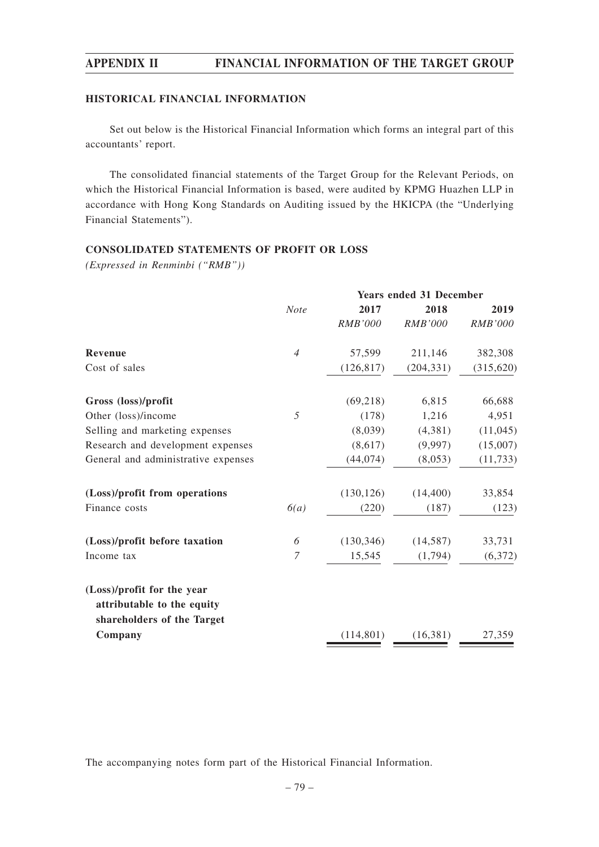## **HISTORICAL FINANCIAL INFORMATION**

Set out below is the Historical Financial Information which forms an integral part of this accountants' report.

The consolidated financial statements of the Target Group for the Relevant Periods, on which the Historical Financial Information is based, were audited by KPMG Huazhen LLP in accordance with Hong Kong Standards on Auditing issued by the HKICPA (the "Underlying Financial Statements").

## **CONSOLIDATED STATEMENTS OF PROFIT OR LOSS**

*(Expressed in Renminbi ("RMB"))*

|                                                          | <b>Years ended 31 December</b> |                |                |            |  |
|----------------------------------------------------------|--------------------------------|----------------|----------------|------------|--|
|                                                          | <b>Note</b>                    | 2017           | 2018           | 2019       |  |
|                                                          |                                | <i>RMB'000</i> | <b>RMB'000</b> | RMB'000    |  |
| Revenue                                                  | $\overline{4}$                 | 57,599         | 211,146        | 382,308    |  |
| Cost of sales                                            |                                | (126, 817)     | (204, 331)     | (315, 620) |  |
| Gross (loss)/profit                                      |                                | (69,218)       | 6,815          | 66,688     |  |
| Other (loss)/income                                      | 5                              | (178)          | 1,216          | 4,951      |  |
| Selling and marketing expenses                           |                                | (8,039)        | (4,381)        | (11, 045)  |  |
| Research and development expenses                        |                                | (8,617)        | (9,997)        | (15,007)   |  |
| General and administrative expenses                      |                                | (44, 074)      | (8,053)        | (11, 733)  |  |
| (Loss)/profit from operations                            |                                | (130, 126)     | (14, 400)      | 33,854     |  |
| Finance costs                                            | 6(a)                           | (220)          | (187)          | (123)      |  |
| (Loss)/profit before taxation                            | 6                              | (130, 346)     | (14, 587)      | 33,731     |  |
| Income tax                                               | 7                              | 15,545         | (1,794)        | (6,372)    |  |
| (Loss)/profit for the year                               |                                |                |                |            |  |
| attributable to the equity<br>shareholders of the Target |                                |                |                |            |  |
| Company                                                  |                                | (114, 801)     | (16,381)       | 27,359     |  |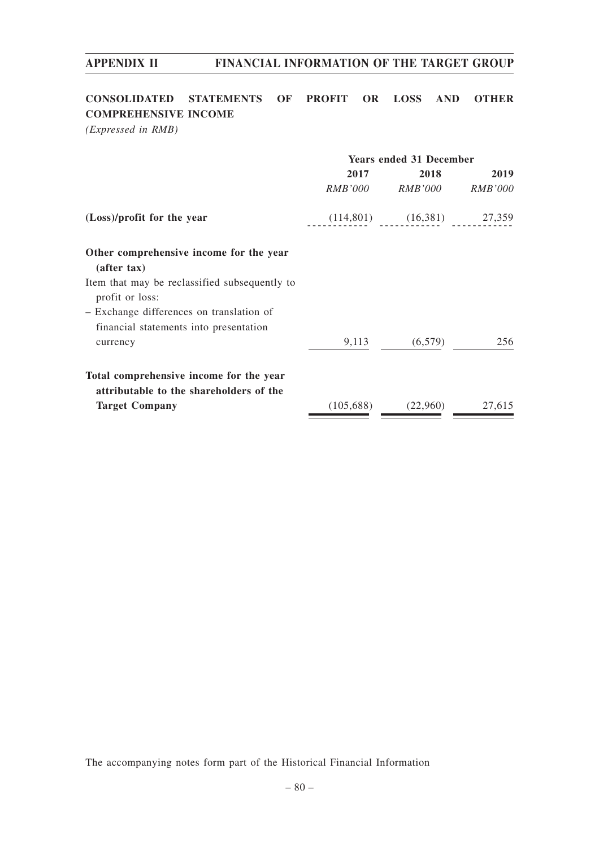# **CONSOLIDATED STATEMENTS OF PROFIT OR LOSS AND OTHER COMPREHENSIVE INCOME**

*(Expressed in RMB)*

|                                                                  | <b>Years ended 31 December</b> |                                 |                |  |
|------------------------------------------------------------------|--------------------------------|---------------------------------|----------------|--|
|                                                                  | 2017                           | 2018                            | 2019           |  |
|                                                                  | <i>RMB'000</i>                 | <i>RMB'000</i>                  | <i>RMB'000</i> |  |
| (Loss)/profit for the year                                       |                                | $(114,801)$ $(16,381)$ $27,359$ |                |  |
| Other comprehensive income for the year                          |                                |                                 |                |  |
| (after tax)                                                      |                                |                                 |                |  |
| Item that may be reclassified subsequently to<br>profit or loss: |                                |                                 |                |  |
| - Exchange differences on translation of                         |                                |                                 |                |  |
| financial statements into presentation                           |                                |                                 |                |  |
| currency                                                         | 9,113                          | (6,579)                         | 256            |  |
| Total comprehensive income for the year                          |                                |                                 |                |  |
| attributable to the shareholders of the                          |                                |                                 |                |  |
| <b>Target Company</b>                                            | (105,688)                      | (22,960)                        | 27,615         |  |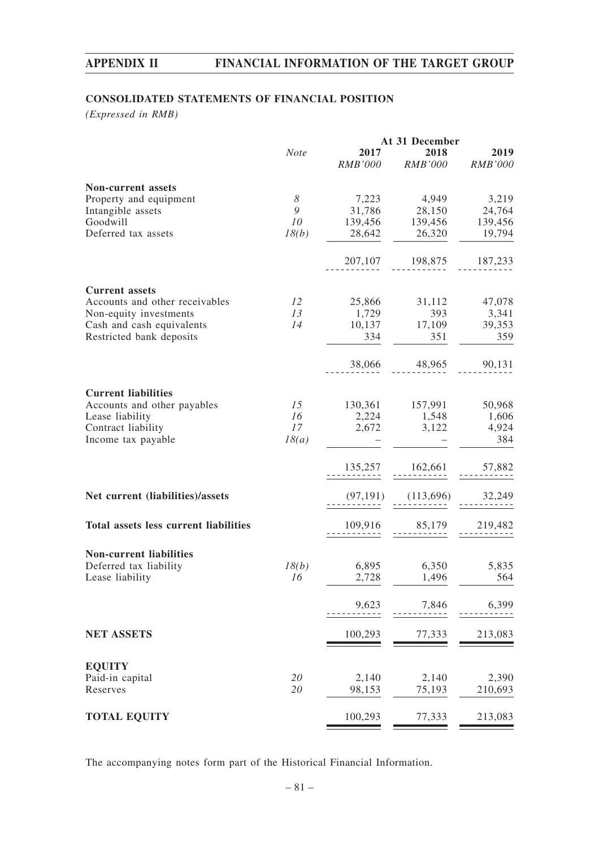# **CONSOLIDATED STATEMENTS OF FINANCIAL POSITION**

*(Expressed in RMB)*

|                                                     |             | At 31 December |                         |                |  |
|-----------------------------------------------------|-------------|----------------|-------------------------|----------------|--|
|                                                     | <b>Note</b> | 2017           | 2018                    | 2019           |  |
|                                                     |             | <i>RMB'000</i> | <b>RMB'000</b>          | <b>RMB'000</b> |  |
|                                                     |             |                |                         |                |  |
| <b>Non-current assets</b><br>Property and equipment | 8           | 7,223          | 4,949                   | 3,219          |  |
| Intangible assets                                   | 9           | 31,786         | 28,150                  | 24,764         |  |
| Goodwill                                            | 10          |                | 139,456 139,456         | 139,456        |  |
| Deferred tax assets                                 | 18(b)       | 28,642         | 26,320                  | 19,794         |  |
|                                                     |             |                |                         |                |  |
|                                                     |             |                | 207,107 198,875 187,233 |                |  |
|                                                     |             |                |                         |                |  |
| <b>Current assets</b>                               |             |                |                         |                |  |
| Accounts and other receivables                      | 12          |                | 25,866 31,112 47,078    |                |  |
| Non-equity investments                              | 13          | 1,729          | 393                     | 3,341          |  |
| Cash and cash equivalents                           | 14          | 334            | 10,137 17,109           | 39,353         |  |
| Restricted bank deposits                            |             |                | 351                     | 359            |  |
|                                                     |             | 38,066         | 48,965                  | 90,131         |  |
|                                                     |             |                |                         |                |  |
| <b>Current liabilities</b>                          |             |                |                         |                |  |
| Accounts and other payables                         | 15          |                | 130,361 157,991 50,968  |                |  |
| Lease liability                                     | 16          |                | 2,224 1,548             | 1,606          |  |
| Contract liability                                  | 17          |                | 2,672 3,122 4,924       |                |  |
| Income tax payable                                  | 18(a)       |                |                         | 384            |  |
|                                                     |             |                |                         |                |  |
|                                                     |             | 135,257        | 162,661                 | 57,882         |  |
| Net current (liabilities)/assets                    |             | (97, 191)      | (113,696)               | 32,249         |  |
|                                                     |             |                |                         |                |  |
| Total assets less current liabilities               |             | 109,916        | 85,179                  | 219,482        |  |
|                                                     |             |                |                         |                |  |
| <b>Non-current liabilities</b>                      |             |                |                         |                |  |
| Deferred tax liability                              | 18(b)       | 6,895          | 6,350                   | 5,835          |  |
| Lease liability                                     | 16          | 2,728          | 1,496                   | 564            |  |
|                                                     |             | 9,623          | 7,846                   | 6,399          |  |
|                                                     |             |                |                         |                |  |
| <b>NET ASSETS</b>                                   |             | 100,293        | 77,333                  | 213,083        |  |
|                                                     |             |                |                         |                |  |
| <b>EQUITY</b>                                       |             |                |                         |                |  |
| Paid-in capital                                     | 20          | 2,140          | 2,140                   | 2,390          |  |
| Reserves                                            | 20          | 98,153         | 75,193                  | 210,693        |  |
|                                                     |             |                |                         |                |  |
| <b>TOTAL EQUITY</b>                                 |             | 100,293        | 77,333                  | 213,083        |  |
|                                                     |             |                |                         |                |  |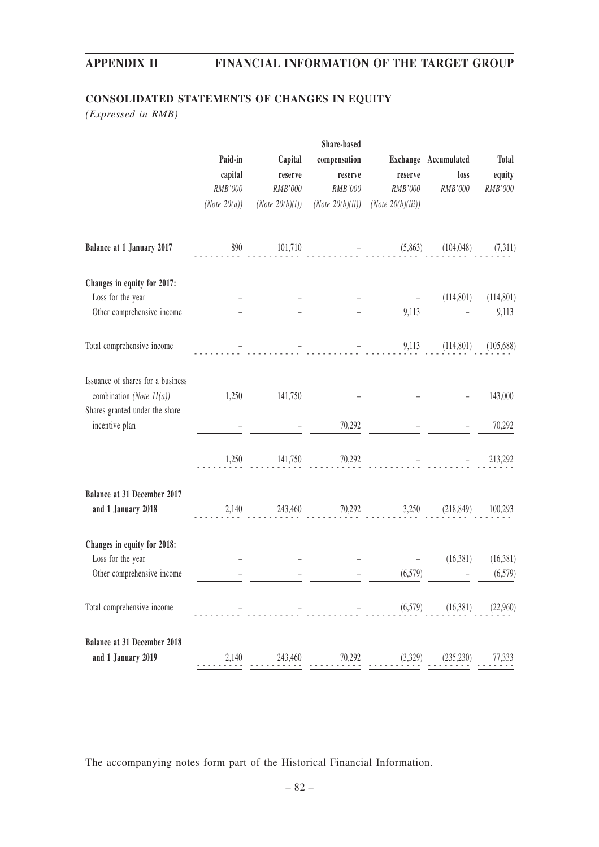# **CONSOLIDATED STATEMENTS OF CHANGES IN EQUITY**

*(Expressed in RMB)*

|                                                               |                 |                    | Share-based                                                                                                                                                |                      |                      |              |
|---------------------------------------------------------------|-----------------|--------------------|------------------------------------------------------------------------------------------------------------------------------------------------------------|----------------------|----------------------|--------------|
|                                                               | Paid-in         | Capital            | compensation                                                                                                                                               |                      | Exchange Accumulated | <b>Total</b> |
|                                                               | capital         | reserve            | reserve                                                                                                                                                    | reserve              | loss                 | equity       |
|                                                               | RMB'000         | RMB'000            | RMB'000                                                                                                                                                    | RMB'000              | RMB'000              | RMB'000      |
|                                                               | (Note $20(a)$ ) | (Note $20(b)(i)$ ) | (Note $20(b)(ii)$ )                                                                                                                                        | (Note $20(b)(iii)$ ) |                      |              |
| Balance at 1 January 2017                                     | 890             | 101,710            |                                                                                                                                                            | (5,863)              | (104, 048)           | (7,311)      |
| Changes in equity for 2017:                                   |                 |                    |                                                                                                                                                            |                      |                      |              |
| Loss for the year                                             |                 |                    |                                                                                                                                                            |                      | (114, 801)           | (114, 801)   |
| Other comprehensive income                                    |                 |                    |                                                                                                                                                            | 9,113                |                      | 9,113        |
| Total comprehensive income                                    |                 |                    | and the state of the state of the state.<br>The state of the state of the state of the state of the state of the state of the state of the state of the st | 9,113                | (114,801)            | (105, 688)   |
| Issuance of shares for a business                             |                 |                    |                                                                                                                                                            |                      |                      |              |
| combination (Note $11(a)$ )<br>Shares granted under the share | 1,250           | 141,750            |                                                                                                                                                            |                      |                      | 143,000      |
| incentive plan                                                |                 |                    | 70,292                                                                                                                                                     |                      |                      | 70,292       |
|                                                               | 1,250           | 141,750            | 70,292                                                                                                                                                     |                      |                      | 213,292      |
| Balance at 31 December 2017                                   |                 |                    |                                                                                                                                                            |                      |                      |              |
| and 1 January 2018                                            |                 | 2,140 243,460      |                                                                                                                                                            | 70,292<br>3,250      | (218, 849)           | 100,293      |
| Changes in equity for 2018:                                   |                 |                    |                                                                                                                                                            |                      |                      |              |
| Loss for the year                                             |                 |                    |                                                                                                                                                            |                      | (16,381)             | (16,381)     |
| Other comprehensive income                                    |                 |                    |                                                                                                                                                            | (6,579)              |                      | (6,579)      |
| Total comprehensive income                                    |                 |                    |                                                                                                                                                            | (6, 579)             | (16,381)             | (22,960)     |
| <b>Balance at 31 December 2018</b>                            |                 |                    |                                                                                                                                                            |                      |                      |              |
| and 1 January 2019                                            | 2,140           | 243,460            | 70,292                                                                                                                                                     | (3,329)              | (235, 230)           | 77,333       |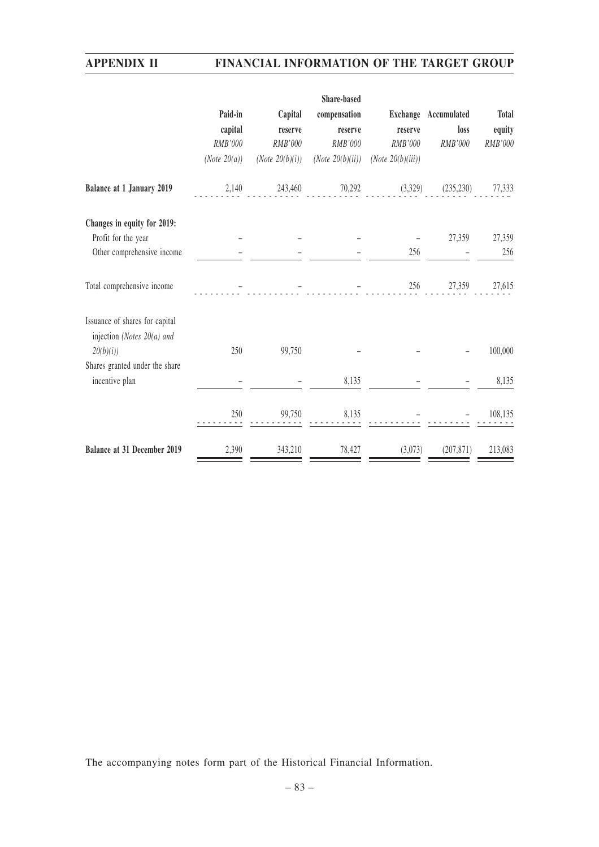|                                                              |                 |                            | Share-based         |                      |                      |         |
|--------------------------------------------------------------|-----------------|----------------------------|---------------------|----------------------|----------------------|---------|
|                                                              | Paid-in         | Capital                    | compensation        |                      | Exchange Accumulated | Total   |
|                                                              | capital         | reserve                    | reserve             | reserve              | loss                 | equity  |
|                                                              | RMB'000         | RMB'000                    | RMB'000             | RMB'000              | RMB'000              | RMB'000 |
|                                                              | (Note $20(a)$ ) | ( <i>Note</i> $20(b)(i)$ ) | (Note $20(b)(ii)$ ) | (Note $20(b)(iii)$ ) |                      |         |
| <b>Balance at 1 January 2019</b>                             | 2,140           | 243,460                    | 70,292              | (3,329)              | (235, 230)           | 77,333  |
| Changes in equity for 2019:                                  |                 |                            |                     |                      |                      |         |
| Profit for the year                                          |                 |                            |                     |                      | 27,359               | 27,359  |
| Other comprehensive income                                   |                 |                            |                     | 256                  |                      | 256     |
| Total comprehensive income                                   |                 |                            |                     | 256                  | 27,359               | 27,615  |
| Issuance of shares for capital<br>injection (Notes 20(a) and |                 |                            |                     |                      |                      |         |
| 20(b)(i)                                                     | 250             | 99,750                     |                     |                      |                      | 100,000 |
| Shares granted under the share                               |                 |                            |                     |                      |                      |         |
| incentive plan                                               |                 |                            | 8,135               |                      |                      | 8,135   |
|                                                              | 250             | 99,750                     | 8,135               |                      |                      | 108,135 |
| Balance at 31 December 2019                                  | 2,390           | 343,210                    | 78,427              | (3,073)              | (207, 871)           | 213,083 |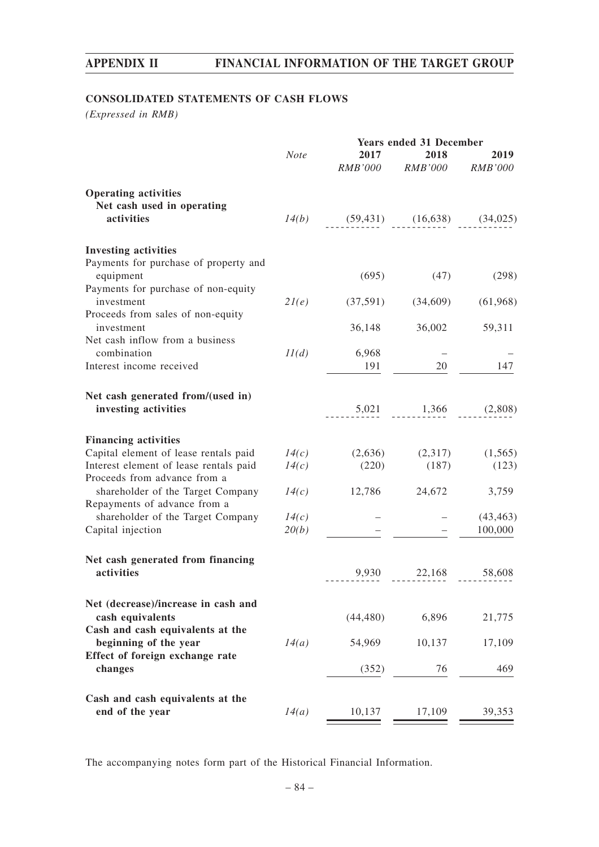# **CONSOLIDATED STATEMENTS OF CASH FLOWS**

*(Expressed in RMB)*

|                                                                        |             |                                    | <b>Years ended 31 December</b>  |           |
|------------------------------------------------------------------------|-------------|------------------------------------|---------------------------------|-----------|
|                                                                        | <b>Note</b> | 2017                               | 2018<br>RMB'000 RMB'000 RMB'000 | 2019      |
| <b>Operating activities</b><br>Net cash used in operating              |             |                                    |                                 |           |
| activities                                                             |             | $14(b)$ (59,431) (16,638) (34,025) |                                 |           |
| <b>Investing activities</b>                                            |             |                                    |                                 |           |
| Payments for purchase of property and<br>equipment                     |             | (695)                              | (47)                            | (298)     |
| Payments for purchase of non-equity<br>investment                      | 2l(e)       |                                    | $(37,591)$ $(34,609)$           | (61,968)  |
| Proceeds from sales of non-equity<br>investment                        |             | 36,148                             | 36,002                          | 59,311    |
| Net cash inflow from a business                                        |             |                                    |                                 |           |
| combination<br>Interest income received                                | 11(d)       | 6,968<br>191                       | 20                              | 147       |
| Net cash generated from/(used in)                                      |             |                                    |                                 |           |
| investing activities                                                   |             |                                    | $5,021$ $1,366$ $(2,808)$       |           |
| <b>Financing activities</b>                                            |             |                                    |                                 |           |
| Capital element of lease rentals paid                                  | 14(c)       |                                    | $(2,636)$ $(2,317)$             | (1,565)   |
| Interest element of lease rentals paid<br>Proceeds from advance from a | 14(c)       | (220)                              | (187)                           | (123)     |
| shareholder of the Target Company<br>Repayments of advance from a      |             | $14(c)$ 12,786 24,672              |                                 | 3,759     |
| shareholder of the Target Company                                      | 14(c)       |                                    |                                 | (43, 463) |
| Capital injection                                                      | 20(b)       |                                    |                                 | 100,000   |
| Net cash generated from financing                                      |             |                                    |                                 |           |
| activities                                                             |             |                                    | $9,930$ $22,168$ $58,608$       |           |
| Net (decrease)/increase in cash and<br>cash equivalents                |             | (44, 480)                          | 6,896                           | 21,775    |
| Cash and cash equivalents at the<br>beginning of the year              | 14(a)       | 54,969                             | 10,137                          | 17,109    |
| Effect of foreign exchange rate<br>changes                             |             | (352)                              | 76                              | 469       |
|                                                                        |             |                                    |                                 |           |
| Cash and cash equivalents at the<br>end of the year                    | 14(a)       | 10,137                             | 17,109                          | 39,353    |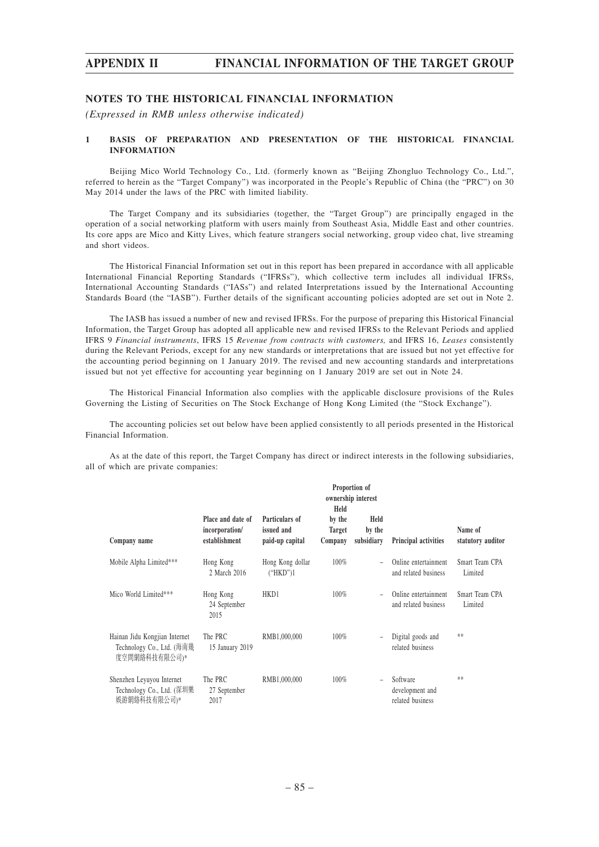### **NOTES TO THE HISTORICAL FINANCIAL INFORMATION**

*(Expressed in RMB unless otherwise indicated)*

### **1 BASIS OF PREPARATION AND PRESENTATION OF THE HISTORICAL FINANCIAL INFORMATION**

Beijing Mico World Technology Co., Ltd. (formerly known as "Beijing Zhongluo Technology Co., Ltd.", referred to herein as the "Target Company") was incorporated in the People's Republic of China (the "PRC") on 30 May 2014 under the laws of the PRC with limited liability.

The Target Company and its subsidiaries (together, the "Target Group") are principally engaged in the operation of a social networking platform with users mainly from Southeast Asia, Middle East and other countries. Its core apps are Mico and Kitty Lives, which feature strangers social networking, group video chat, live streaming and short videos.

The Historical Financial Information set out in this report has been prepared in accordance with all applicable International Financial Reporting Standards ("IFRSs"), which collective term includes all individual IFRSs, International Accounting Standards ("IASs") and related Interpretations issued by the International Accounting Standards Board (the "IASB"). Further details of the significant accounting policies adopted are set out in Note 2.

The IASB has issued a number of new and revised IFRSs. For the purpose of preparing this Historical Financial Information, the Target Group has adopted all applicable new and revised IFRSs to the Relevant Periods and applied IFRS 9 *Financial instruments*, IFRS 15 *Revenue from contracts with customers,* and IFRS 16, *Leases* consistently during the Relevant Periods, except for any new standards or interpretations that are issued but not yet effective for the accounting period beginning on 1 January 2019. The revised and new accounting standards and interpretations issued but not yet effective for accounting year beginning on 1 January 2019 are set out in Note 24.

The Historical Financial Information also complies with the applicable disclosure provisions of the Rules Governing the Listing of Securities on The Stock Exchange of Hong Kong Limited (the "Stock Exchange").

The accounting policies set out below have been applied consistently to all periods presented in the Historical Financial Information.

As at the date of this report, the Target Company has direct or indirect interests in the following subsidiaries, all of which are private companies:

|                                                                             | Proportion of<br>ownership interest<br>Held          |                                                 |                                    |                              |                                                 |                              |
|-----------------------------------------------------------------------------|------------------------------------------------------|-------------------------------------------------|------------------------------------|------------------------------|-------------------------------------------------|------------------------------|
| Company name                                                                | Place and date of<br>incorporation/<br>establishment | Particulars of<br>issued and<br>paid-up capital | by the<br><b>Target</b><br>Company | Held<br>by the<br>subsidiary | Principal activities                            | Name of<br>statutory auditor |
| Mobile Alpha Limited***                                                     | Hong Kong<br>2 March 2016                            | Hong Kong dollar<br>("HKD")1                    | 100%                               | $\equiv$                     | Online entertainment<br>and related business    | Smart Team CPA<br>Limited    |
| Mico World Limited***                                                       | Hong Kong<br>24 September<br>2015                    | HKD1                                            | 100%                               | $\overline{\phantom{a}}$     | Online entertainment<br>and related business    | Smart Team CPA<br>Limited    |
| Hainan Jidu Kongjian Internet<br>Technology Co., Ltd. (海南幾<br>度空間網絡科技有限公司)* | The PRC<br>15 January 2019                           | RMB1,000,000                                    | $100\%$                            | $\qquad \qquad -$            | Digital goods and<br>related business           | **                           |
| Shenzhen Leyuyou Internet<br>Technology Co., Ltd. (深圳樂<br>娛游網絡科技有限公司)*      | The PRC<br>27 September<br>2017                      | RMB1,000,000                                    | 100%                               | $\bar{ }$                    | Software<br>development and<br>related business | **                           |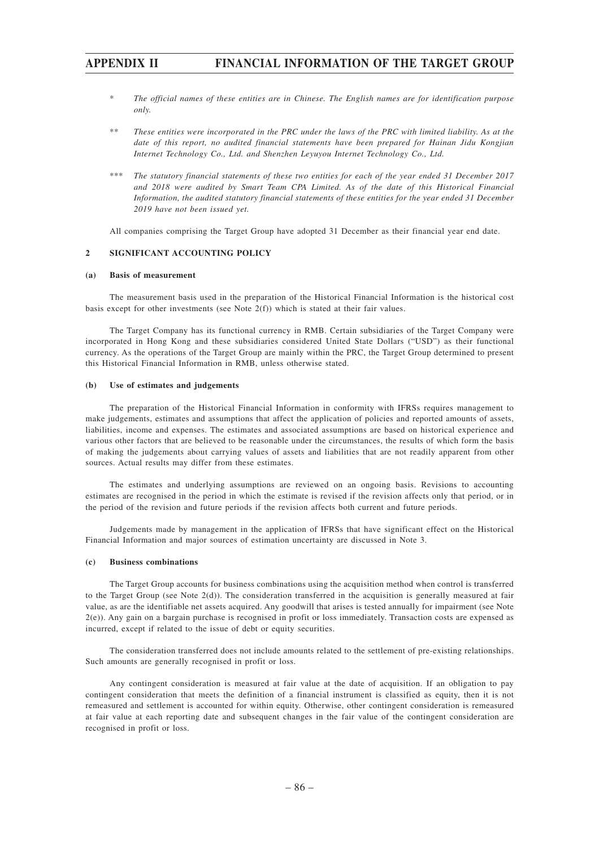- \* *The official names of these entities are in Chinese. The English names are for identification purpose only.*
- \*\* *These entities were incorporated in the PRC under the laws of the PRC with limited liability. As at the date of this report, no audited financial statements have been prepared for Hainan Jidu Kongjian Internet Technology Co., Ltd. and Shenzhen Leyuyou Internet Technology Co., Ltd.*
- \*\*\* *The statutory financial statements of these two entities for each of the year ended 31 December 2017 and 2018 were audited by Smart Team CPA Limited. As of the date of this Historical Financial Information, the audited statutory financial statements of these entities for the year ended 31 December 2019 have not been issued yet.*

All companies comprising the Target Group have adopted 31 December as their financial year end date.

### **2 SIGNIFICANT ACCOUNTING POLICY**

### **(a) Basis of measurement**

The measurement basis used in the preparation of the Historical Financial Information is the historical cost basis except for other investments (see Note 2(f)) which is stated at their fair values.

The Target Company has its functional currency in RMB. Certain subsidiaries of the Target Company were incorporated in Hong Kong and these subsidiaries considered United State Dollars ("USD") as their functional currency. As the operations of the Target Group are mainly within the PRC, the Target Group determined to present this Historical Financial Information in RMB, unless otherwise stated.

### **(b) Use of estimates and judgements**

The preparation of the Historical Financial Information in conformity with IFRSs requires management to make judgements, estimates and assumptions that affect the application of policies and reported amounts of assets, liabilities, income and expenses. The estimates and associated assumptions are based on historical experience and various other factors that are believed to be reasonable under the circumstances, the results of which form the basis of making the judgements about carrying values of assets and liabilities that are not readily apparent from other sources. Actual results may differ from these estimates.

The estimates and underlying assumptions are reviewed on an ongoing basis. Revisions to accounting estimates are recognised in the period in which the estimate is revised if the revision affects only that period, or in the period of the revision and future periods if the revision affects both current and future periods.

Judgements made by management in the application of IFRSs that have significant effect on the Historical Financial Information and major sources of estimation uncertainty are discussed in Note 3.

### **(c) Business combinations**

The Target Group accounts for business combinations using the acquisition method when control is transferred to the Target Group (see Note  $2(d)$ ). The consideration transferred in the acquisition is generally measured at fair value, as are the identifiable net assets acquired. Any goodwill that arises is tested annually for impairment (see Note 2(e)). Any gain on a bargain purchase is recognised in profit or loss immediately. Transaction costs are expensed as incurred, except if related to the issue of debt or equity securities.

The consideration transferred does not include amounts related to the settlement of pre-existing relationships. Such amounts are generally recognised in profit or loss.

Any contingent consideration is measured at fair value at the date of acquisition. If an obligation to pay contingent consideration that meets the definition of a financial instrument is classified as equity, then it is not remeasured and settlement is accounted for within equity. Otherwise, other contingent consideration is remeasured at fair value at each reporting date and subsequent changes in the fair value of the contingent consideration are recognised in profit or loss.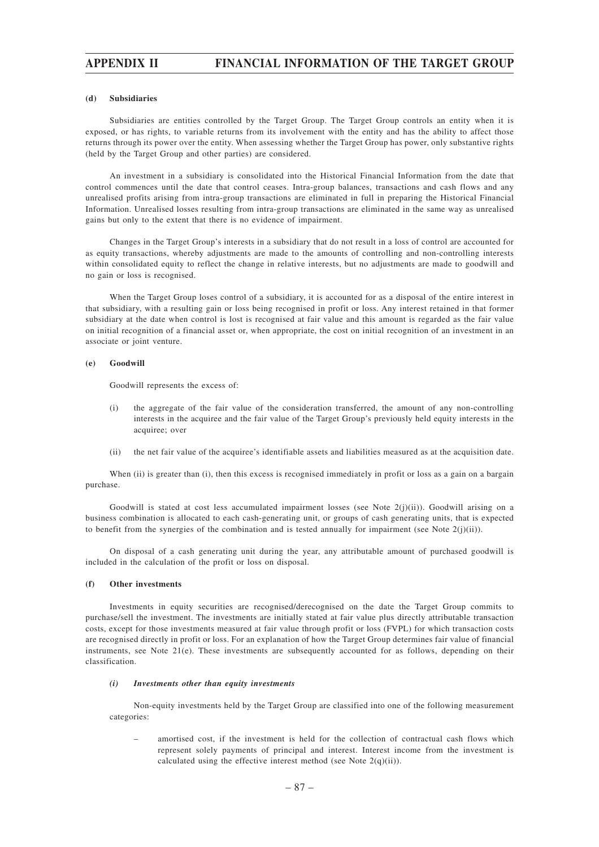### **(d) Subsidiaries**

Subsidiaries are entities controlled by the Target Group. The Target Group controls an entity when it is exposed, or has rights, to variable returns from its involvement with the entity and has the ability to affect those returns through its power over the entity. When assessing whether the Target Group has power, only substantive rights (held by the Target Group and other parties) are considered.

An investment in a subsidiary is consolidated into the Historical Financial Information from the date that control commences until the date that control ceases. Intra-group balances, transactions and cash flows and any unrealised profits arising from intra-group transactions are eliminated in full in preparing the Historical Financial Information. Unrealised losses resulting from intra-group transactions are eliminated in the same way as unrealised gains but only to the extent that there is no evidence of impairment.

Changes in the Target Group's interests in a subsidiary that do not result in a loss of control are accounted for as equity transactions, whereby adjustments are made to the amounts of controlling and non-controlling interests within consolidated equity to reflect the change in relative interests, but no adjustments are made to goodwill and no gain or loss is recognised.

When the Target Group loses control of a subsidiary, it is accounted for as a disposal of the entire interest in that subsidiary, with a resulting gain or loss being recognised in profit or loss. Any interest retained in that former subsidiary at the date when control is lost is recognised at fair value and this amount is regarded as the fair value on initial recognition of a financial asset or, when appropriate, the cost on initial recognition of an investment in an associate or joint venture.

### **(e) Goodwill**

Goodwill represents the excess of:

- (i) the aggregate of the fair value of the consideration transferred, the amount of any non-controlling interests in the acquiree and the fair value of the Target Group's previously held equity interests in the acquiree; over
- (ii) the net fair value of the acquiree's identifiable assets and liabilities measured as at the acquisition date.

When (ii) is greater than (i), then this excess is recognised immediately in profit or loss as a gain on a bargain purchase.

Goodwill is stated at cost less accumulated impairment losses (see Note  $2(j)(ii)$ ). Goodwill arising on a business combination is allocated to each cash-generating unit, or groups of cash generating units, that is expected to benefit from the synergies of the combination and is tested annually for impairment (see Note  $2(j)(ii)$ ).

On disposal of a cash generating unit during the year, any attributable amount of purchased goodwill is included in the calculation of the profit or loss on disposal.

### **(f) Other investments**

Investments in equity securities are recognised/derecognised on the date the Target Group commits to purchase/sell the investment. The investments are initially stated at fair value plus directly attributable transaction costs, except for those investments measured at fair value through profit or loss (FVPL) for which transaction costs are recognised directly in profit or loss. For an explanation of how the Target Group determines fair value of financial instruments, see Note 21(e). These investments are subsequently accounted for as follows, depending on their classification.

#### *(i) Investments other than equity investments*

Non-equity investments held by the Target Group are classified into one of the following measurement categories:

– amortised cost, if the investment is held for the collection of contractual cash flows which represent solely payments of principal and interest. Interest income from the investment is calculated using the effective interest method (see Note  $2(q)(ii)$ ).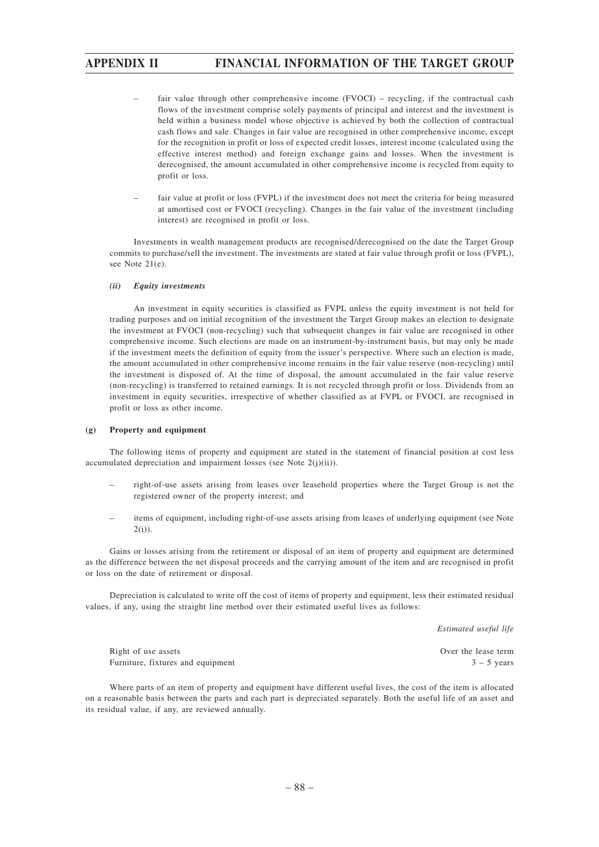- fair value through other comprehensive income (FVOCI) recycling, if the contractual cash flows of the investment comprise solely payments of principal and interest and the investment is held within a business model whose objective is achieved by both the collection of contractual cash flows and sale. Changes in fair value are recognised in other comprehensive income, except for the recognition in profit or loss of expected credit losses, interest income (calculated using the effective interest method) and foreign exchange gains and losses. When the investment is derecognised, the amount accumulated in other comprehensive income is recycled from equity to profit or loss.
- fair value at profit or loss (FVPL) if the investment does not meet the criteria for being measured at amortised cost or FVOCI (recycling). Changes in the fair value of the investment (including interest) are recognised in profit or loss.

Investments in wealth management products are recognised/derecognised on the date the Target Group commits to purchase/sell the investment. The investments are stated at fair value through profit or loss (FVPL), see Note 21(e).

### *(ii) Equity investments*

An investment in equity securities is classified as FVPL unless the equity investment is not held for trading purposes and on initial recognition of the investment the Target Group makes an election to designate the investment at FVOCI (non-recycling) such that subsequent changes in fair value are recognised in other comprehensive income. Such elections are made on an instrument-by-instrument basis, but may only be made if the investment meets the definition of equity from the issuer's perspective. Where such an election is made, the amount accumulated in other comprehensive income remains in the fair value reserve (non-recycling) until the investment is disposed of. At the time of disposal, the amount accumulated in the fair value reserve (non-recycling) is transferred to retained earnings. It is not recycled through profit or loss. Dividends from an investment in equity securities, irrespective of whether classified as at FVPL or FVOCI, are recognised in profit or loss as other income.

### **(g) Property and equipment**

The following items of property and equipment are stated in the statement of financial position at cost less accumulated depreciation and impairment losses (see Note 2(j)(ii)).

- right-of-use assets arising from leases over leasehold properties where the Target Group is not the registered owner of the property interest; and
- items of equipment, including right-of-use assets arising from leases of underlying equipment (see Note 2(i)).

Gains or losses arising from the retirement or disposal of an item of property and equipment are determined as the difference between the net disposal proceeds and the carrying amount of the item and are recognised in profit or loss on the date of retirement or disposal.

Depreciation is calculated to write off the cost of items of property and equipment, less their estimated residual values, if any, using the straight line method over their estimated useful lives as follows:

*Estimated useful life*

Right of use assets **Over the lease term**  $\qquad \qquad$  Over the lease term Furniture, fixtures and equipment  $3 - 5$  years

Where parts of an item of property and equipment have different useful lives, the cost of the item is allocated on a reasonable basis between the parts and each part is depreciated separately. Both the useful life of an asset and its residual value, if any, are reviewed annually.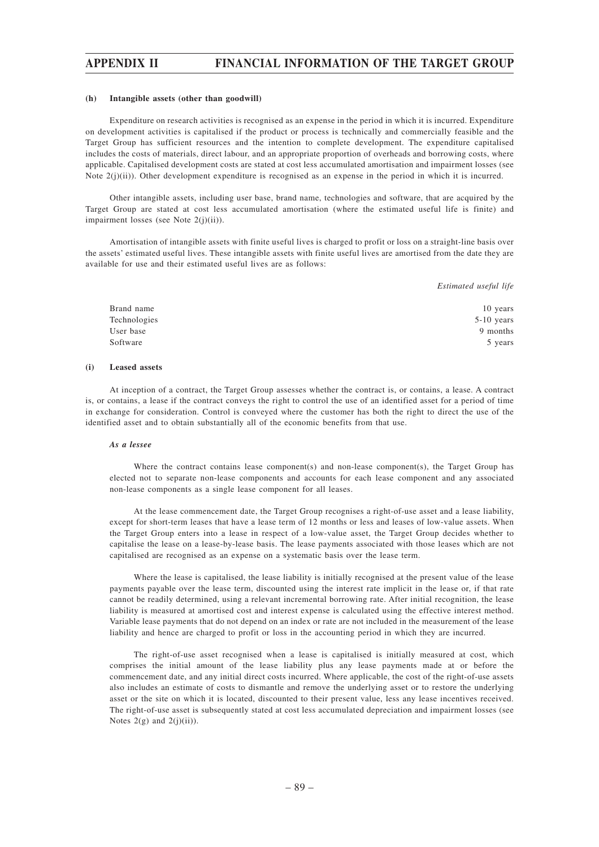#### **(h) Intangible assets (other than goodwill)**

Expenditure on research activities is recognised as an expense in the period in which it is incurred. Expenditure on development activities is capitalised if the product or process is technically and commercially feasible and the Target Group has sufficient resources and the intention to complete development. The expenditure capitalised includes the costs of materials, direct labour, and an appropriate proportion of overheads and borrowing costs, where applicable. Capitalised development costs are stated at cost less accumulated amortisation and impairment losses (see Note 2(j)(ii)). Other development expenditure is recognised as an expense in the period in which it is incurred.

Other intangible assets, including user base, brand name, technologies and software, that are acquired by the Target Group are stated at cost less accumulated amortisation (where the estimated useful life is finite) and impairment losses (see Note 2(j)(ii)).

Amortisation of intangible assets with finite useful lives is charged to profit or loss on a straight-line basis over the assets' estimated useful lives. These intangible assets with finite useful lives are amortised from the date they are available for use and their estimated useful lives are as follows:

*Estimated useful life*

| Brand name   | 10 years     |
|--------------|--------------|
| Technologies | $5-10$ years |
| User base    | 9 months     |
| Software     | 5 years      |

### **(i) Leased assets**

At inception of a contract, the Target Group assesses whether the contract is, or contains, a lease. A contract is, or contains, a lease if the contract conveys the right to control the use of an identified asset for a period of time in exchange for consideration. Control is conveyed where the customer has both the right to direct the use of the identified asset and to obtain substantially all of the economic benefits from that use.

### *As a lessee*

Where the contract contains lease component(s) and non-lease component(s), the Target Group has elected not to separate non-lease components and accounts for each lease component and any associated non-lease components as a single lease component for all leases.

At the lease commencement date, the Target Group recognises a right-of-use asset and a lease liability, except for short-term leases that have a lease term of 12 months or less and leases of low-value assets. When the Target Group enters into a lease in respect of a low-value asset, the Target Group decides whether to capitalise the lease on a lease-by-lease basis. The lease payments associated with those leases which are not capitalised are recognised as an expense on a systematic basis over the lease term.

Where the lease is capitalised, the lease liability is initially recognised at the present value of the lease payments payable over the lease term, discounted using the interest rate implicit in the lease or, if that rate cannot be readily determined, using a relevant incremental borrowing rate. After initial recognition, the lease liability is measured at amortised cost and interest expense is calculated using the effective interest method. Variable lease payments that do not depend on an index or rate are not included in the measurement of the lease liability and hence are charged to profit or loss in the accounting period in which they are incurred.

The right-of-use asset recognised when a lease is capitalised is initially measured at cost, which comprises the initial amount of the lease liability plus any lease payments made at or before the commencement date, and any initial direct costs incurred. Where applicable, the cost of the right-of-use assets also includes an estimate of costs to dismantle and remove the underlying asset or to restore the underlying asset or the site on which it is located, discounted to their present value, less any lease incentives received. The right-of-use asset is subsequently stated at cost less accumulated depreciation and impairment losses (see Notes  $2(g)$  and  $2(j)(ii)$ ).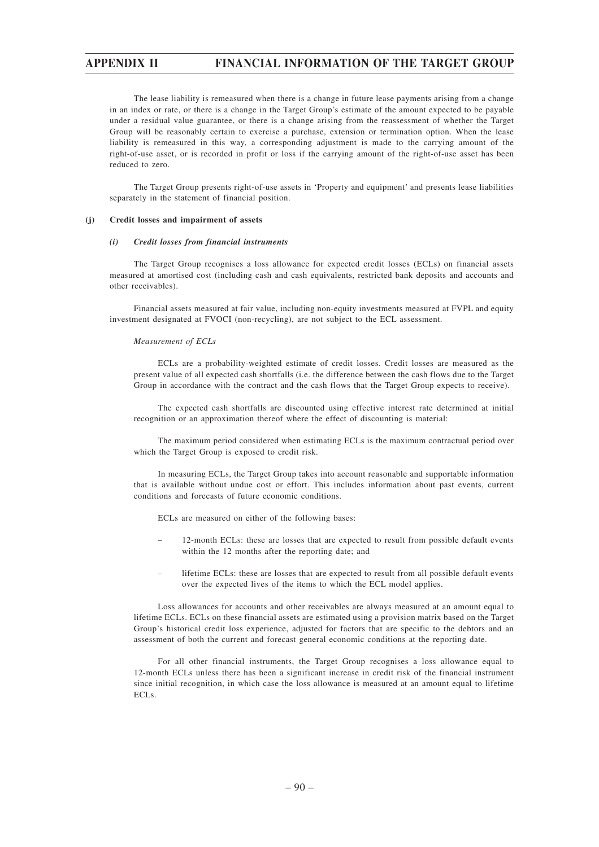The lease liability is remeasured when there is a change in future lease payments arising from a change in an index or rate, or there is a change in the Target Group's estimate of the amount expected to be payable under a residual value guarantee, or there is a change arising from the reassessment of whether the Target Group will be reasonably certain to exercise a purchase, extension or termination option. When the lease liability is remeasured in this way, a corresponding adjustment is made to the carrying amount of the right-of-use asset, or is recorded in profit or loss if the carrying amount of the right-of-use asset has been reduced to zero.

The Target Group presents right-of-use assets in 'Property and equipment' and presents lease liabilities separately in the statement of financial position.

### **(j) Credit losses and impairment of assets**

### *(i) Credit losses from financial instruments*

The Target Group recognises a loss allowance for expected credit losses (ECLs) on financial assets measured at amortised cost (including cash and cash equivalents, restricted bank deposits and accounts and other receivables).

Financial assets measured at fair value, including non-equity investments measured at FVPL and equity investment designated at FVOCI (non-recycling), are not subject to the ECL assessment.

### *Measurement of ECLs*

ECLs are a probability-weighted estimate of credit losses. Credit losses are measured as the present value of all expected cash shortfalls (i.e. the difference between the cash flows due to the Target Group in accordance with the contract and the cash flows that the Target Group expects to receive).

The expected cash shortfalls are discounted using effective interest rate determined at initial recognition or an approximation thereof where the effect of discounting is material:

The maximum period considered when estimating ECLs is the maximum contractual period over which the Target Group is exposed to credit risk.

In measuring ECLs, the Target Group takes into account reasonable and supportable information that is available without undue cost or effort. This includes information about past events, current conditions and forecasts of future economic conditions.

ECLs are measured on either of the following bases:

- 12-month ECLs: these are losses that are expected to result from possible default events within the 12 months after the reporting date; and
- lifetime ECLs: these are losses that are expected to result from all possible default events over the expected lives of the items to which the ECL model applies.

Loss allowances for accounts and other receivables are always measured at an amount equal to lifetime ECLs. ECLs on these financial assets are estimated using a provision matrix based on the Target Group's historical credit loss experience, adjusted for factors that are specific to the debtors and an assessment of both the current and forecast general economic conditions at the reporting date.

For all other financial instruments, the Target Group recognises a loss allowance equal to 12-month ECLs unless there has been a significant increase in credit risk of the financial instrument since initial recognition, in which case the loss allowance is measured at an amount equal to lifetime ECLs.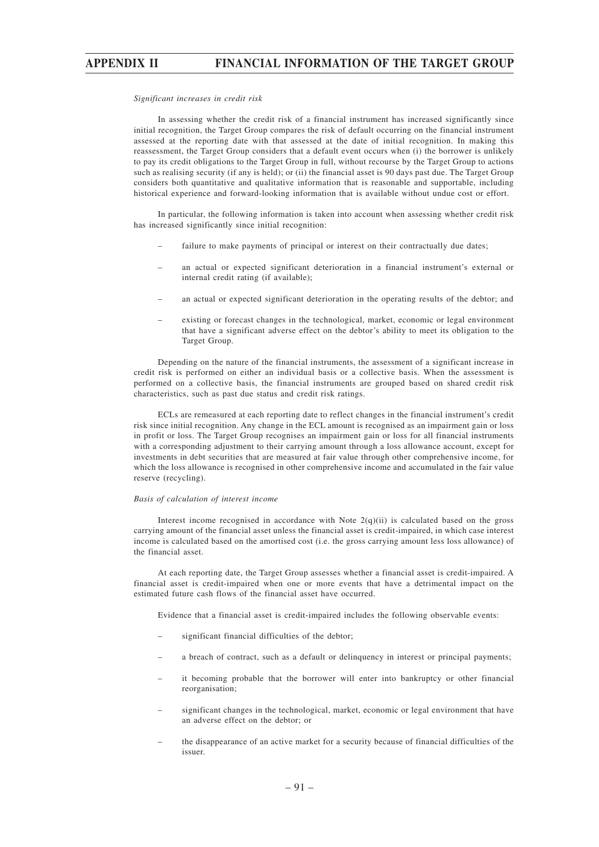#### *Significant increases in credit risk*

In assessing whether the credit risk of a financial instrument has increased significantly since initial recognition, the Target Group compares the risk of default occurring on the financial instrument assessed at the reporting date with that assessed at the date of initial recognition. In making this reassessment, the Target Group considers that a default event occurs when (i) the borrower is unlikely to pay its credit obligations to the Target Group in full, without recourse by the Target Group to actions such as realising security (if any is held); or (ii) the financial asset is 90 days past due. The Target Group considers both quantitative and qualitative information that is reasonable and supportable, including historical experience and forward-looking information that is available without undue cost or effort.

In particular, the following information is taken into account when assessing whether credit risk has increased significantly since initial recognition:

- failure to make payments of principal or interest on their contractually due dates;
- an actual or expected significant deterioration in a financial instrument's external or internal credit rating (if available);
- an actual or expected significant deterioration in the operating results of the debtor; and
- existing or forecast changes in the technological, market, economic or legal environment that have a significant adverse effect on the debtor's ability to meet its obligation to the Target Group.

Depending on the nature of the financial instruments, the assessment of a significant increase in credit risk is performed on either an individual basis or a collective basis. When the assessment is performed on a collective basis, the financial instruments are grouped based on shared credit risk characteristics, such as past due status and credit risk ratings.

ECLs are remeasured at each reporting date to reflect changes in the financial instrument's credit risk since initial recognition. Any change in the ECL amount is recognised as an impairment gain or loss in profit or loss. The Target Group recognises an impairment gain or loss for all financial instruments with a corresponding adjustment to their carrying amount through a loss allowance account, except for investments in debt securities that are measured at fair value through other comprehensive income, for which the loss allowance is recognised in other comprehensive income and accumulated in the fair value reserve (recycling).

### *Basis of calculation of interest income*

Interest income recognised in accordance with Note  $2(q)(ii)$  is calculated based on the gross carrying amount of the financial asset unless the financial asset is credit-impaired, in which case interest income is calculated based on the amortised cost (i.e. the gross carrying amount less loss allowance) of the financial asset.

At each reporting date, the Target Group assesses whether a financial asset is credit-impaired. A financial asset is credit-impaired when one or more events that have a detrimental impact on the estimated future cash flows of the financial asset have occurred.

Evidence that a financial asset is credit-impaired includes the following observable events:

- significant financial difficulties of the debtor;
- a breach of contract, such as a default or delinquency in interest or principal payments;
- it becoming probable that the borrower will enter into bankruptcy or other financial reorganisation;
- significant changes in the technological, market, economic or legal environment that have an adverse effect on the debtor; or
- the disappearance of an active market for a security because of financial difficulties of the issuer.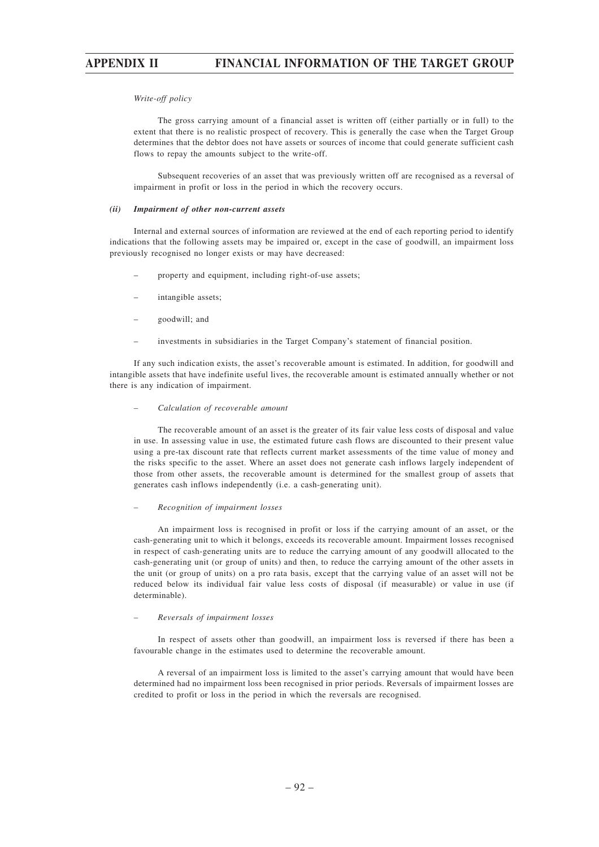### *Write-off policy*

The gross carrying amount of a financial asset is written off (either partially or in full) to the extent that there is no realistic prospect of recovery. This is generally the case when the Target Group determines that the debtor does not have assets or sources of income that could generate sufficient cash flows to repay the amounts subject to the write-off.

Subsequent recoveries of an asset that was previously written off are recognised as a reversal of impairment in profit or loss in the period in which the recovery occurs.

#### *(ii) Impairment of other non-current assets*

Internal and external sources of information are reviewed at the end of each reporting period to identify indications that the following assets may be impaired or, except in the case of goodwill, an impairment loss previously recognised no longer exists or may have decreased:

- property and equipment, including right-of-use assets;
- intangible assets;
- goodwill; and
- investments in subsidiaries in the Target Company's statement of financial position.

If any such indication exists, the asset's recoverable amount is estimated. In addition, for goodwill and intangible assets that have indefinite useful lives, the recoverable amount is estimated annually whether or not there is any indication of impairment.

### *– Calculation of recoverable amount*

The recoverable amount of an asset is the greater of its fair value less costs of disposal and value in use. In assessing value in use, the estimated future cash flows are discounted to their present value using a pre-tax discount rate that reflects current market assessments of the time value of money and the risks specific to the asset. Where an asset does not generate cash inflows largely independent of those from other assets, the recoverable amount is determined for the smallest group of assets that generates cash inflows independently (i.e. a cash-generating unit).

#### *– Recognition of impairment losses*

An impairment loss is recognised in profit or loss if the carrying amount of an asset, or the cash-generating unit to which it belongs, exceeds its recoverable amount. Impairment losses recognised in respect of cash-generating units are to reduce the carrying amount of any goodwill allocated to the cash-generating unit (or group of units) and then, to reduce the carrying amount of the other assets in the unit (or group of units) on a pro rata basis, except that the carrying value of an asset will not be reduced below its individual fair value less costs of disposal (if measurable) or value in use (if determinable).

### *– Reversals of impairment losses*

In respect of assets other than goodwill, an impairment loss is reversed if there has been a favourable change in the estimates used to determine the recoverable amount.

A reversal of an impairment loss is limited to the asset's carrying amount that would have been determined had no impairment loss been recognised in prior periods. Reversals of impairment losses are credited to profit or loss in the period in which the reversals are recognised.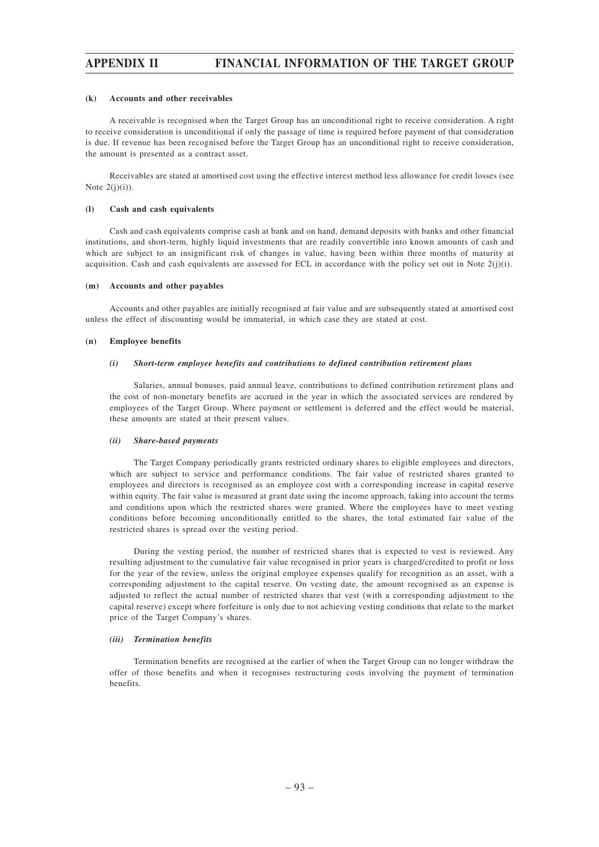#### **(k) Accounts and other receivables**

A receivable is recognised when the Target Group has an unconditional right to receive consideration. A right to receive consideration is unconditional if only the passage of time is required before payment of that consideration is due. If revenue has been recognised before the Target Group has an unconditional right to receive consideration, the amount is presented as a contract asset.

Receivables are stated at amortised cost using the effective interest method less allowance for credit losses (see Note  $2(i)(i)$ ).

### **(l) Cash and cash equivalents**

Cash and cash equivalents comprise cash at bank and on hand, demand deposits with banks and other financial institutions, and short-term, highly liquid investments that are readily convertible into known amounts of cash and which are subject to an insignificant risk of changes in value, having been within three months of maturity at acquisition. Cash and cash equivalents are assessed for ECL in accordance with the policy set out in Note  $2(j)(i)$ .

#### **(m) Accounts and other payables**

Accounts and other payables are initially recognised at fair value and are subsequently stated at amortised cost unless the effect of discounting would be immaterial, in which case they are stated at cost.

### **(n) Employee benefits**

#### *(i) Short-term employee benefits and contributions to defined contribution retirement plans*

Salaries, annual bonuses, paid annual leave, contributions to defined contribution retirement plans and the cost of non-monetary benefits are accrued in the year in which the associated services are rendered by employees of the Target Group. Where payment or settlement is deferred and the effect would be material, these amounts are stated at their present values.

#### *(ii) Share-based payments*

The Target Company periodically grants restricted ordinary shares to eligible employees and directors, which are subject to service and performance conditions. The fair value of restricted shares granted to employees and directors is recognised as an employee cost with a corresponding increase in capital reserve within equity. The fair value is measured at grant date using the income approach, taking into account the terms and conditions upon which the restricted shares were granted. Where the employees have to meet vesting conditions before becoming unconditionally entitled to the shares, the total estimated fair value of the restricted shares is spread over the vesting period.

During the vesting period, the number of restricted shares that is expected to vest is reviewed. Any resulting adjustment to the cumulative fair value recognised in prior years is charged/credited to profit or loss for the year of the review, unless the original employee expenses qualify for recognition as an asset, with a corresponding adjustment to the capital reserve. On vesting date, the amount recognised as an expense is adjusted to reflect the actual number of restricted shares that vest (with a corresponding adjustment to the capital reserve) except where forfeiture is only due to not achieving vesting conditions that relate to the market price of the Target Company's shares.

### *(iii) Termination benefits*

Termination benefits are recognised at the earlier of when the Target Group can no longer withdraw the offer of those benefits and when it recognises restructuring costs involving the payment of termination benefits.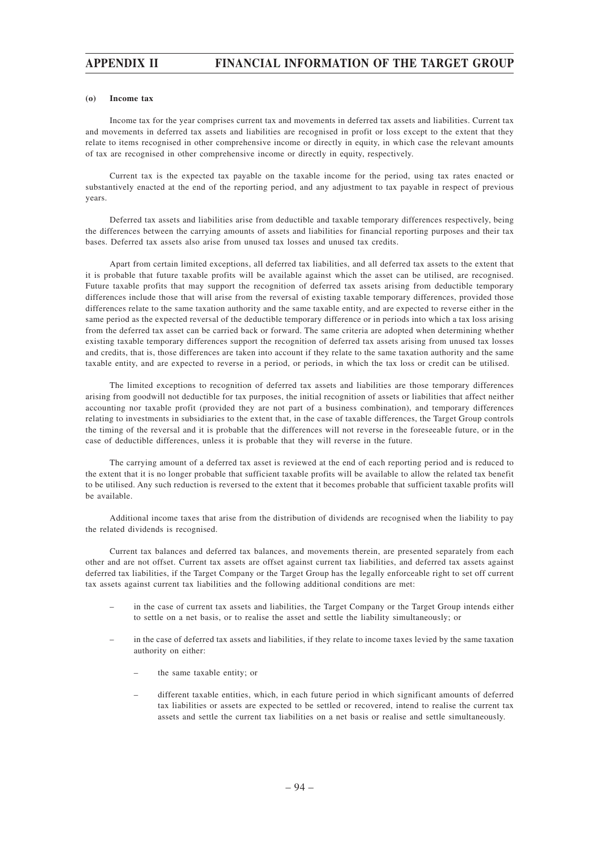### **(o) Income tax**

Income tax for the year comprises current tax and movements in deferred tax assets and liabilities. Current tax and movements in deferred tax assets and liabilities are recognised in profit or loss except to the extent that they relate to items recognised in other comprehensive income or directly in equity, in which case the relevant amounts of tax are recognised in other comprehensive income or directly in equity, respectively.

Current tax is the expected tax payable on the taxable income for the period, using tax rates enacted or substantively enacted at the end of the reporting period, and any adjustment to tax payable in respect of previous years.

Deferred tax assets and liabilities arise from deductible and taxable temporary differences respectively, being the differences between the carrying amounts of assets and liabilities for financial reporting purposes and their tax bases. Deferred tax assets also arise from unused tax losses and unused tax credits.

Apart from certain limited exceptions, all deferred tax liabilities, and all deferred tax assets to the extent that it is probable that future taxable profits will be available against which the asset can be utilised, are recognised. Future taxable profits that may support the recognition of deferred tax assets arising from deductible temporary differences include those that will arise from the reversal of existing taxable temporary differences, provided those differences relate to the same taxation authority and the same taxable entity, and are expected to reverse either in the same period as the expected reversal of the deductible temporary difference or in periods into which a tax loss arising from the deferred tax asset can be carried back or forward. The same criteria are adopted when determining whether existing taxable temporary differences support the recognition of deferred tax assets arising from unused tax losses and credits, that is, those differences are taken into account if they relate to the same taxation authority and the same taxable entity, and are expected to reverse in a period, or periods, in which the tax loss or credit can be utilised.

The limited exceptions to recognition of deferred tax assets and liabilities are those temporary differences arising from goodwill not deductible for tax purposes, the initial recognition of assets or liabilities that affect neither accounting nor taxable profit (provided they are not part of a business combination), and temporary differences relating to investments in subsidiaries to the extent that, in the case of taxable differences, the Target Group controls the timing of the reversal and it is probable that the differences will not reverse in the foreseeable future, or in the case of deductible differences, unless it is probable that they will reverse in the future.

The carrying amount of a deferred tax asset is reviewed at the end of each reporting period and is reduced to the extent that it is no longer probable that sufficient taxable profits will be available to allow the related tax benefit to be utilised. Any such reduction is reversed to the extent that it becomes probable that sufficient taxable profits will be available.

Additional income taxes that arise from the distribution of dividends are recognised when the liability to pay the related dividends is recognised.

Current tax balances and deferred tax balances, and movements therein, are presented separately from each other and are not offset. Current tax assets are offset against current tax liabilities, and deferred tax assets against deferred tax liabilities, if the Target Company or the Target Group has the legally enforceable right to set off current tax assets against current tax liabilities and the following additional conditions are met:

- in the case of current tax assets and liabilities, the Target Company or the Target Group intends either to settle on a net basis, or to realise the asset and settle the liability simultaneously; or
- in the case of deferred tax assets and liabilities, if they relate to income taxes levied by the same taxation authority on either:
	- the same taxable entity; or
	- different taxable entities, which, in each future period in which significant amounts of deferred tax liabilities or assets are expected to be settled or recovered, intend to realise the current tax assets and settle the current tax liabilities on a net basis or realise and settle simultaneously.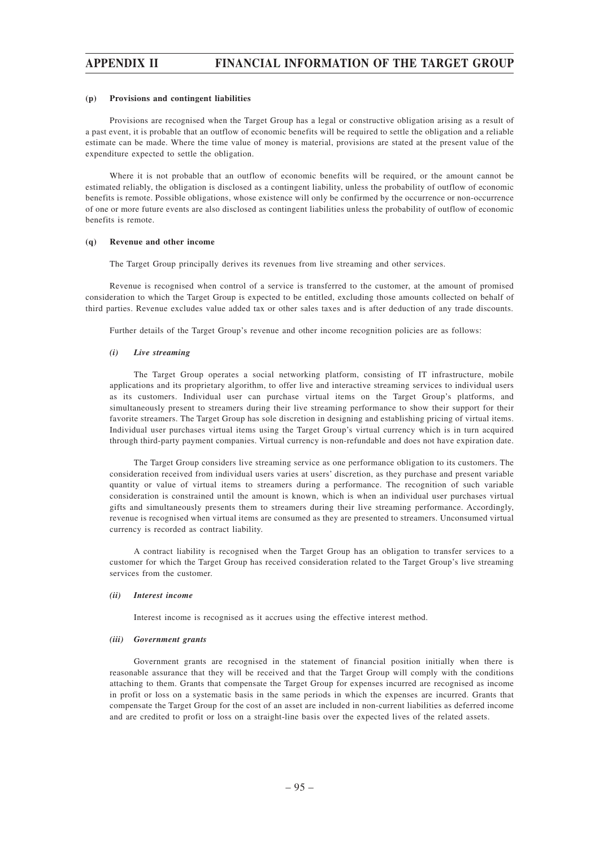#### **(p) Provisions and contingent liabilities**

Provisions are recognised when the Target Group has a legal or constructive obligation arising as a result of a past event, it is probable that an outflow of economic benefits will be required to settle the obligation and a reliable estimate can be made. Where the time value of money is material, provisions are stated at the present value of the expenditure expected to settle the obligation.

Where it is not probable that an outflow of economic benefits will be required, or the amount cannot be estimated reliably, the obligation is disclosed as a contingent liability, unless the probability of outflow of economic benefits is remote. Possible obligations, whose existence will only be confirmed by the occurrence or non-occurrence of one or more future events are also disclosed as contingent liabilities unless the probability of outflow of economic benefits is remote.

### **(q) Revenue and other income**

The Target Group principally derives its revenues from live streaming and other services.

Revenue is recognised when control of a service is transferred to the customer, at the amount of promised consideration to which the Target Group is expected to be entitled, excluding those amounts collected on behalf of third parties. Revenue excludes value added tax or other sales taxes and is after deduction of any trade discounts.

Further details of the Target Group's revenue and other income recognition policies are as follows:

#### *(i) Live streaming*

The Target Group operates a social networking platform, consisting of IT infrastructure, mobile applications and its proprietary algorithm, to offer live and interactive streaming services to individual users as its customers. Individual user can purchase virtual items on the Target Group's platforms, and simultaneously present to streamers during their live streaming performance to show their support for their favorite streamers. The Target Group has sole discretion in designing and establishing pricing of virtual items. Individual user purchases virtual items using the Target Group's virtual currency which is in turn acquired through third-party payment companies. Virtual currency is non-refundable and does not have expiration date.

The Target Group considers live streaming service as one performance obligation to its customers. The consideration received from individual users varies at users' discretion, as they purchase and present variable quantity or value of virtual items to streamers during a performance. The recognition of such variable consideration is constrained until the amount is known, which is when an individual user purchases virtual gifts and simultaneously presents them to streamers during their live streaming performance. Accordingly, revenue is recognised when virtual items are consumed as they are presented to streamers. Unconsumed virtual currency is recorded as contract liability.

A contract liability is recognised when the Target Group has an obligation to transfer services to a customer for which the Target Group has received consideration related to the Target Group's live streaming services from the customer.

#### *(ii) Interest income*

Interest income is recognised as it accrues using the effective interest method.

### *(iii) Government grants*

Government grants are recognised in the statement of financial position initially when there is reasonable assurance that they will be received and that the Target Group will comply with the conditions attaching to them. Grants that compensate the Target Group for expenses incurred are recognised as income in profit or loss on a systematic basis in the same periods in which the expenses are incurred. Grants that compensate the Target Group for the cost of an asset are included in non-current liabilities as deferred income and are credited to profit or loss on a straight-line basis over the expected lives of the related assets.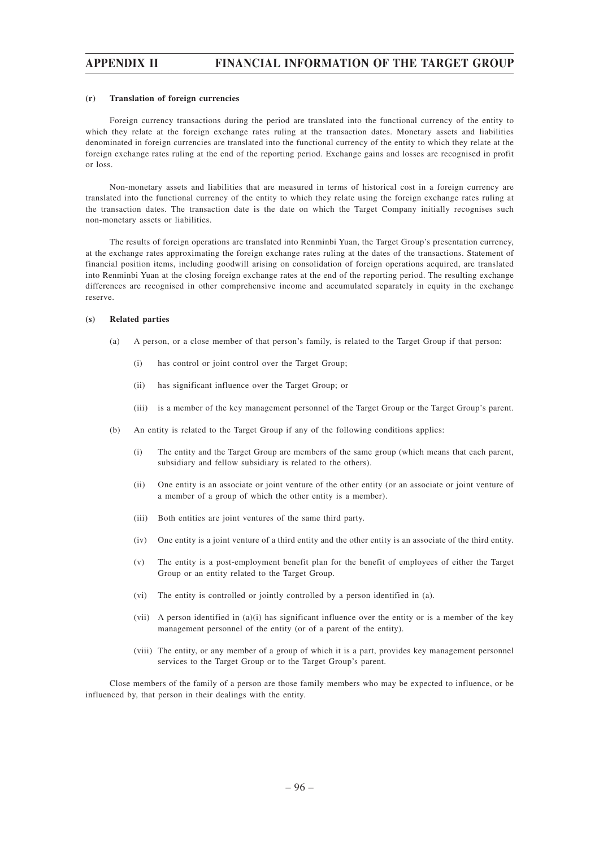### **(r) Translation of foreign currencies**

Foreign currency transactions during the period are translated into the functional currency of the entity to which they relate at the foreign exchange rates ruling at the transaction dates. Monetary assets and liabilities denominated in foreign currencies are translated into the functional currency of the entity to which they relate at the foreign exchange rates ruling at the end of the reporting period. Exchange gains and losses are recognised in profit or loss.

Non-monetary assets and liabilities that are measured in terms of historical cost in a foreign currency are translated into the functional currency of the entity to which they relate using the foreign exchange rates ruling at the transaction dates. The transaction date is the date on which the Target Company initially recognises such non-monetary assets or liabilities.

The results of foreign operations are translated into Renminbi Yuan, the Target Group's presentation currency, at the exchange rates approximating the foreign exchange rates ruling at the dates of the transactions. Statement of financial position items, including goodwill arising on consolidation of foreign operations acquired, are translated into Renminbi Yuan at the closing foreign exchange rates at the end of the reporting period. The resulting exchange differences are recognised in other comprehensive income and accumulated separately in equity in the exchange reserve.

### **(s) Related parties**

- (a) A person, or a close member of that person's family, is related to the Target Group if that person:
	- (i) has control or joint control over the Target Group;
	- (ii) has significant influence over the Target Group; or
	- (iii) is a member of the key management personnel of the Target Group or the Target Group's parent.
- (b) An entity is related to the Target Group if any of the following conditions applies:
	- (i) The entity and the Target Group are members of the same group (which means that each parent, subsidiary and fellow subsidiary is related to the others).
	- (ii) One entity is an associate or joint venture of the other entity (or an associate or joint venture of a member of a group of which the other entity is a member).
	- (iii) Both entities are joint ventures of the same third party.
	- (iv) One entity is a joint venture of a third entity and the other entity is an associate of the third entity.
	- (v) The entity is a post-employment benefit plan for the benefit of employees of either the Target Group or an entity related to the Target Group.
	- (vi) The entity is controlled or jointly controlled by a person identified in (a).
	- (vii) A person identified in (a)(i) has significant influence over the entity or is a member of the key management personnel of the entity (or of a parent of the entity).
	- (viii) The entity, or any member of a group of which it is a part, provides key management personnel services to the Target Group or to the Target Group's parent.

Close members of the family of a person are those family members who may be expected to influence, or be influenced by, that person in their dealings with the entity.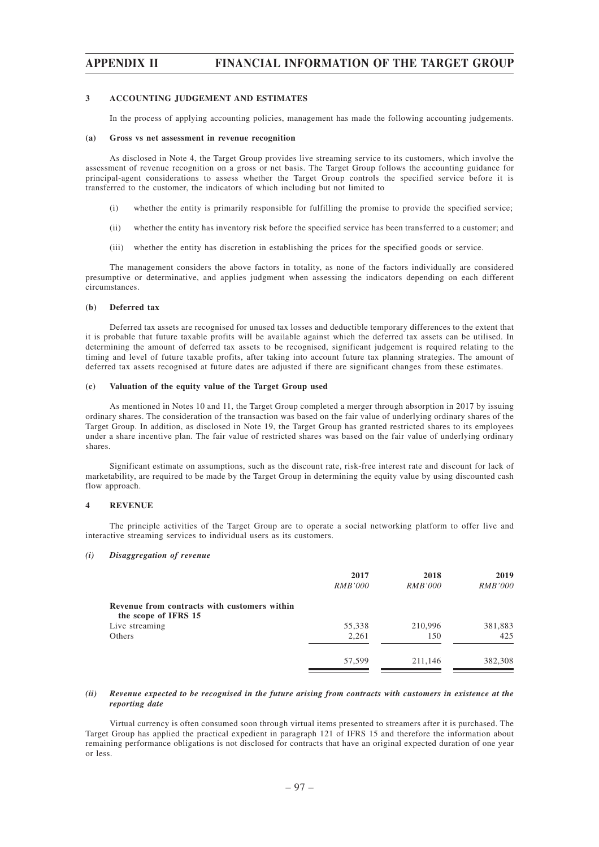### **3 ACCOUNTING JUDGEMENT AND ESTIMATES**

In the process of applying accounting policies, management has made the following accounting judgements.

### **(a) Gross vs net assessment in revenue recognition**

As disclosed in Note 4, the Target Group provides live streaming service to its customers, which involve the assessment of revenue recognition on a gross or net basis. The Target Group follows the accounting guidance for principal-agent considerations to assess whether the Target Group controls the specified service before it is transferred to the customer, the indicators of which including but not limited to

- (i) whether the entity is primarily responsible for fulfilling the promise to provide the specified service;
- (ii) whether the entity has inventory risk before the specified service has been transferred to a customer; and
- (iii) whether the entity has discretion in establishing the prices for the specified goods or service.

The management considers the above factors in totality, as none of the factors individually are considered presumptive or determinative, and applies judgment when assessing the indicators depending on each different circumstances.

### **(b) Deferred tax**

Deferred tax assets are recognised for unused tax losses and deductible temporary differences to the extent that it is probable that future taxable profits will be available against which the deferred tax assets can be utilised. In determining the amount of deferred tax assets to be recognised, significant judgement is required relating to the timing and level of future taxable profits, after taking into account future tax planning strategies. The amount of deferred tax assets recognised at future dates are adjusted if there are significant changes from these estimates.

### **(c) Valuation of the equity value of the Target Group used**

As mentioned in Notes 10 and 11, the Target Group completed a merger through absorption in 2017 by issuing ordinary shares. The consideration of the transaction was based on the fair value of underlying ordinary shares of the Target Group. In addition, as disclosed in Note 19, the Target Group has granted restricted shares to its employees under a share incentive plan. The fair value of restricted shares was based on the fair value of underlying ordinary shares.

Significant estimate on assumptions, such as the discount rate, risk-free interest rate and discount for lack of marketability, are required to be made by the Target Group in determining the equity value by using discounted cash flow approach.

#### **4 REVENUE**

The principle activities of the Target Group are to operate a social networking platform to offer live and interactive streaming services to individual users as its customers.

#### *(i) Disaggregation of revenue*

| 2017<br><i>RMB'000</i> | 2018<br><i>RMB'000</i> | 2019<br><i>RMB'000</i> |
|------------------------|------------------------|------------------------|
|                        |                        |                        |
| 55,338                 | 210,996                | 381,883                |
| 2,261                  | 150                    | 425                    |
| 57,599                 | 211.146                | 382,308                |
|                        |                        |                        |

### *(ii) Revenue expected to be recognised in the future arising from contracts with customers in existence at the reporting date*

Virtual currency is often consumed soon through virtual items presented to streamers after it is purchased. The Target Group has applied the practical expedient in paragraph 121 of IFRS 15 and therefore the information about remaining performance obligations is not disclosed for contracts that have an original expected duration of one year or less.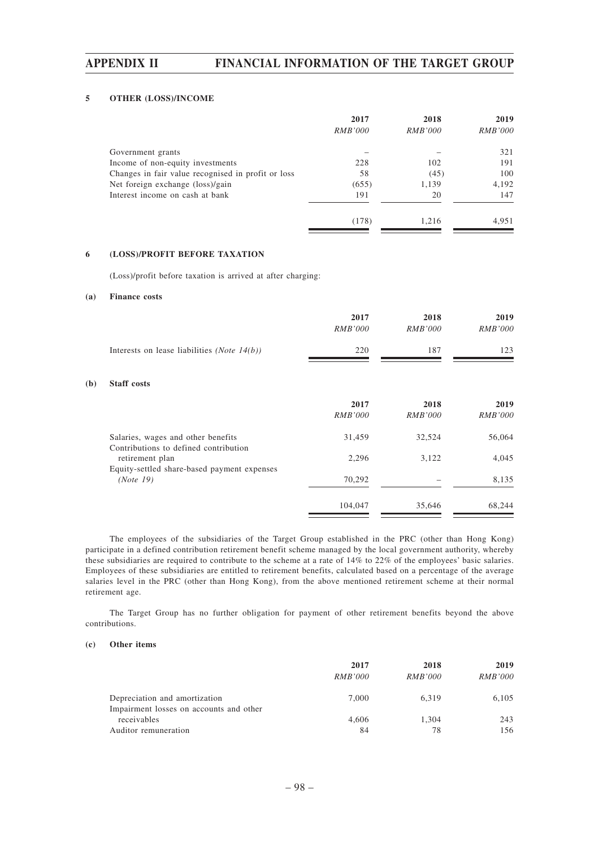### **5 OTHER (LOSS)/INCOME**

|                                                    | 2017           | 2018           | 2019           |
|----------------------------------------------------|----------------|----------------|----------------|
|                                                    | <i>RMB'000</i> | <i>RMB'000</i> | <i>RMB'000</i> |
| Government grants                                  |                |                | 321            |
| Income of non-equity investments                   | 228            | 102            | 191            |
| Changes in fair value recognised in profit or loss | 58             | (45)           | 100            |
| Net foreign exchange (loss)/gain                   | (655)          | 1,139          | 4,192          |
| Interest income on cash at bank                    | 191            | 20             | 147            |
|                                                    | (178)          | 1.216          | 4.951          |

### **6 (LOSS)/PROFIT BEFORE TAXATION**

(Loss)/profit before taxation is arrived at after charging:

### **(a) Finance costs**

**(b)** 

|                                                                             | 2017<br><i>RMB'000</i> | 2018<br><i>RMB'000</i> | 2019<br><i>RMB'000</i> |
|-----------------------------------------------------------------------------|------------------------|------------------------|------------------------|
| Interests on lease liabilities ( <i>Note 14(b)</i> )                        | 220                    | 187                    | 123                    |
| <b>Staff</b> costs                                                          |                        |                        |                        |
|                                                                             | 2017<br><i>RMB'000</i> | 2018<br><i>RMB'000</i> | 2019<br><b>RMB'000</b> |
| Salaries, wages and other benefits<br>Contributions to defined contribution | 31,459                 | 32,524                 | 56,064                 |
| retirement plan<br>Equity-settled share-based payment expenses              | 2,296                  | 3,122                  | 4,045                  |
| (Note 19)                                                                   | 70,292                 |                        | 8,135                  |
|                                                                             | 104,047                | 35,646                 | 68,244                 |

The employees of the subsidiaries of the Target Group established in the PRC (other than Hong Kong) participate in a defined contribution retirement benefit scheme managed by the local government authority, whereby these subsidiaries are required to contribute to the scheme at a rate of 14% to 22% of the employees' basic salaries. Employees of these subsidiaries are entitled to retirement benefits, calculated based on a percentage of the average salaries level in the PRC (other than Hong Kong), from the above mentioned retirement scheme at their normal retirement age.

The Target Group has no further obligation for payment of other retirement benefits beyond the above contributions.

#### **(c) Other items**

|                                                                          | 2017<br><i>RMB'000</i> | 2018<br><i>RMB'000</i> | 2019<br><i>RMB'000</i> |
|--------------------------------------------------------------------------|------------------------|------------------------|------------------------|
| Depreciation and amortization<br>Impairment losses on accounts and other | 7.000                  | 6.319                  | 6,105                  |
| receivables                                                              | 4.606                  | 1.304                  | 243                    |
| Auditor remuneration                                                     | 84                     | 78                     | 156                    |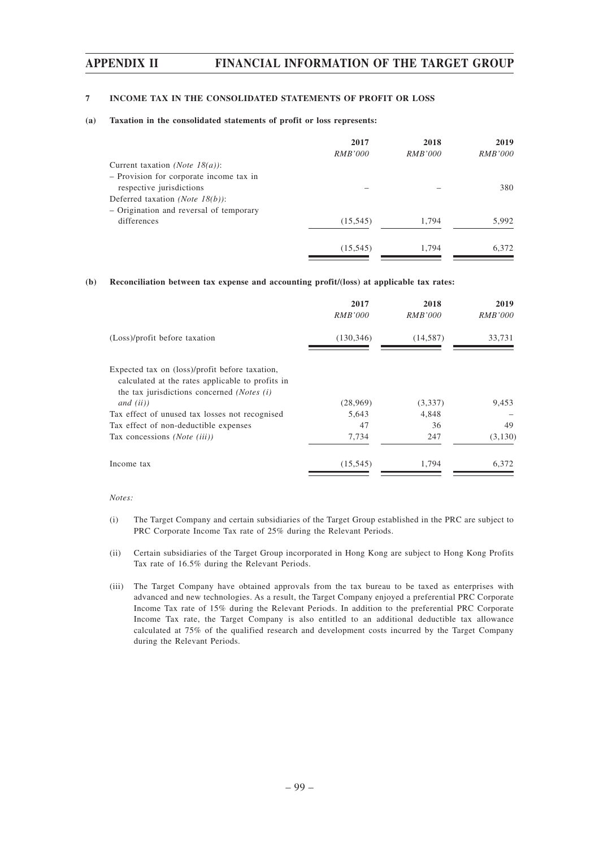### **7 INCOME TAX IN THE CONSOLIDATED STATEMENTS OF PROFIT OR LOSS**

### **(a) Taxation in the consolidated statements of profit or loss represents:**

|                                         | 2017           | 2018           | 2019           |
|-----------------------------------------|----------------|----------------|----------------|
|                                         | <i>RMB'000</i> | <i>RMB'000</i> | <i>RMB'000</i> |
| Current taxation <i>(Note 18(a)</i> ):  |                |                |                |
| - Provision for corporate income tax in |                |                |                |
| respective jurisdictions                |                |                | 380            |
| Deferred taxation <i>(Note 18(b))</i> : |                |                |                |
| - Origination and reversal of temporary |                |                |                |
| differences                             | (15, 545)      | 1.794          | 5,992          |
|                                         | (15, 545)      | 1.794          | 6.372          |

### **(b) Reconciliation between tax expense and accounting profit/(loss) at applicable tax rates:**

|                                                                                                                                                                  | 2017<br><i>RMB'000</i> | 2018<br><i>RMB'000</i> | 2019<br><i>RMB'000</i> |
|------------------------------------------------------------------------------------------------------------------------------------------------------------------|------------------------|------------------------|------------------------|
| (Loss)/profit before taxation                                                                                                                                    | (130, 346)             | (14, 587)              | 33,731                 |
| Expected tax on (loss)/profit before taxation,<br>calculated at the rates applicable to profits in<br>the tax jurisdictions concerned (Notes (i)<br>and $(ii)$ ) | (28,969)               | (3,337)                | 9,453                  |
| Tax effect of unused tax losses not recognised                                                                                                                   | 5,643                  | 4,848                  |                        |
| Tax effect of non-deductible expenses                                                                                                                            | 47                     | 36                     | 49                     |
| Tax concessions (Note (iii))                                                                                                                                     | 7,734                  | 247                    | (3,130)                |
| Income tax                                                                                                                                                       | (15, 545)              | 1.794                  | 6,372                  |

#### *Notes:*

- (i) The Target Company and certain subsidiaries of the Target Group established in the PRC are subject to PRC Corporate Income Tax rate of 25% during the Relevant Periods.
- (ii) Certain subsidiaries of the Target Group incorporated in Hong Kong are subject to Hong Kong Profits Tax rate of 16.5% during the Relevant Periods.
- (iii) The Target Company have obtained approvals from the tax bureau to be taxed as enterprises with advanced and new technologies. As a result, the Target Company enjoyed a preferential PRC Corporate Income Tax rate of 15% during the Relevant Periods. In addition to the preferential PRC Corporate Income Tax rate, the Target Company is also entitled to an additional deductible tax allowance calculated at 75% of the qualified research and development costs incurred by the Target Company during the Relevant Periods.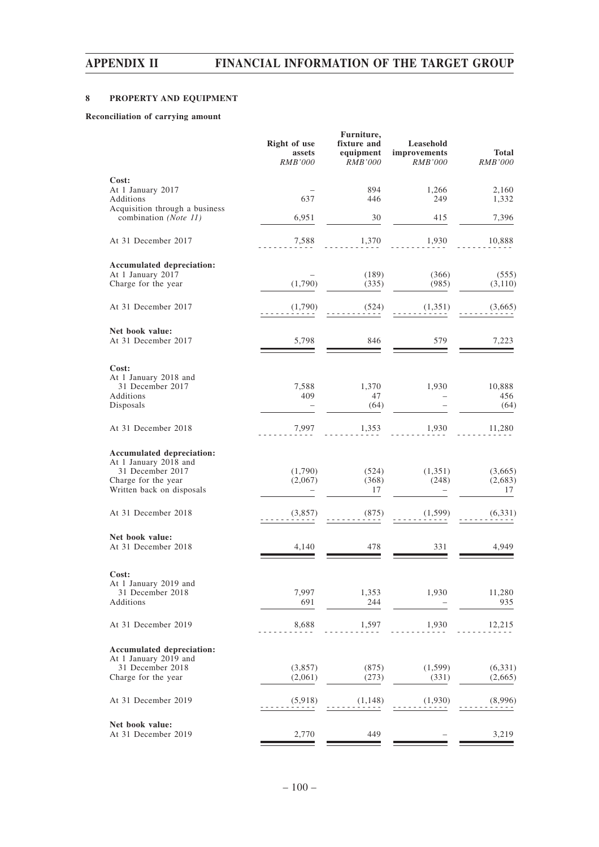# **8 PROPERTY AND EQUIPMENT**

### **Reconciliation of carrying amount**

|                                                                     | <b>Right of use</b><br>assets<br><i>RMB'000</i> | Furniture,<br>fixture and<br>equipment<br>RMB'000 | Leasehold<br>improvements<br>RMB'000 | <b>Total</b><br><b>RMB'000</b> |
|---------------------------------------------------------------------|-------------------------------------------------|---------------------------------------------------|--------------------------------------|--------------------------------|
| Cost:                                                               |                                                 |                                                   |                                      |                                |
| At 1 January 2017<br>Additions<br>Acquisition through a business    | 637                                             | 894<br>446                                        | 1,266<br>249                         | 2,160<br>1,332                 |
| combination (Note 11)                                               | 6,951                                           | 30                                                | 415                                  | 7,396                          |
| At 31 December 2017                                                 | 7,588                                           | 1,370                                             | 1,930                                | 10,888                         |
| Accumulated depreciation:                                           |                                                 |                                                   |                                      |                                |
| At 1 January 2017<br>Charge for the year                            | (1,790)                                         | (189)<br>(335)                                    | (366)<br>(985)                       | (555)<br>(3,110)               |
| At 31 December 2017                                                 | (1,790)                                         | (524)                                             | (1,351)                              | (3,665)                        |
| Net book value:<br>At 31 December 2017                              | 5,798                                           | 846                                               | 579                                  | 7,223                          |
| Cost:                                                               |                                                 |                                                   |                                      |                                |
| At 1 January 2018 and<br>31 December 2017<br>Additions<br>Disposals | 7,588<br>409                                    | 1,370<br>47<br>(64)                               | 1,930                                | 10,888<br>456<br>(64)          |
|                                                                     |                                                 |                                                   |                                      |                                |
| At 31 December 2018                                                 | 7,997                                           | 1,353                                             | 1,930                                | 11,280                         |
| Accumulated depreciation:                                           |                                                 |                                                   |                                      |                                |
| At 1 January 2018 and<br>31 December 2017                           |                                                 |                                                   |                                      |                                |
| Charge for the year                                                 | (1,790)<br>(2,067)                              | (524)<br>(368)                                    | (1,351)<br>(248)                     | (3,665)<br>(2,683)             |
| Written back on disposals                                           |                                                 | 17                                                |                                      | 17                             |
| At 31 December 2018                                                 | (3,857)                                         | (875)                                             | (1, 599)                             | (6,331)                        |
| Net book value:                                                     |                                                 |                                                   |                                      |                                |
| At 31 December 2018                                                 | 4,140                                           | 478                                               | 331                                  | 4,949                          |
| Cost:                                                               |                                                 |                                                   |                                      |                                |
| At 1 January 2019 and                                               |                                                 |                                                   |                                      |                                |
| 31 December 2018<br>Additions                                       | 7,997<br>691                                    | 1,353<br>244                                      | 1,930                                | 11,280<br>935                  |
| At 31 December 2019                                                 | 8,688                                           | 1,597                                             | 1,930                                | 12,215                         |
|                                                                     |                                                 |                                                   |                                      |                                |
| Accumulated depreciation:<br>At 1 January 2019 and                  |                                                 |                                                   |                                      |                                |
| 31 December 2018<br>Charge for the year                             | (3,857)<br>(2,061)                              | (875)<br>(273)                                    | (1,599)<br>(331)                     | (6,331)<br>(2,665)             |
|                                                                     |                                                 |                                                   |                                      |                                |
| At 31 December 2019                                                 | (5,918)                                         | (1,148)                                           | (1,930)                              | (8,996)                        |
| Net book value:<br>At 31 December 2019                              | 2,770                                           | 449                                               |                                      | 3,219                          |
|                                                                     |                                                 |                                                   |                                      |                                |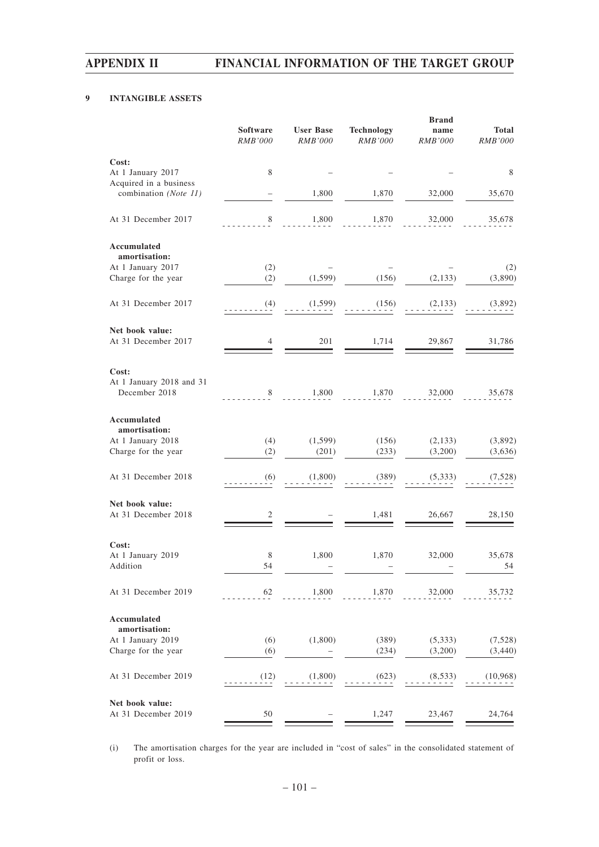# **9 INTANGIBLE ASSETS**

|                                                 | Software<br><b>RMB'000</b> | <b>User Base</b><br>RMB'000 | <b>Technology</b><br><b>RMB'000</b> | <b>Brand</b><br>name<br><b>RMB'000</b> | <b>Total</b><br><b>RMB'000</b> |
|-------------------------------------------------|----------------------------|-----------------------------|-------------------------------------|----------------------------------------|--------------------------------|
| Cost:                                           |                            |                             |                                     |                                        |                                |
| At 1 January 2017                               | 8                          |                             |                                     |                                        | 8                              |
| Acquired in a business<br>combination (Note 11) |                            | 1,800                       | 1,870                               | 32,000                                 | 35,670                         |
| At 31 December 2017                             | 8                          | 1,800                       | 1,870                               | 32,000                                 | 35,678                         |
| Accumulated                                     |                            |                             |                                     |                                        |                                |
| amortisation:<br>At 1 January 2017              | (2)                        |                             |                                     |                                        | (2)                            |
| Charge for the year                             | (2)                        | (1, 599)                    | (156)                               | (2, 133)                               | (3,890)                        |
| At 31 December 2017                             | (4)                        | (1, 599)                    | (156)                               | (2,133)                                | (3,892)                        |
| Net book value:                                 |                            |                             |                                     |                                        |                                |
| At 31 December 2017                             | 4                          | 201                         | 1,714                               | 29,867                                 | 31,786                         |
| Cost:                                           |                            |                             |                                     |                                        |                                |
| At 1 January 2018 and 31<br>December 2018       | 8                          | 1,800                       | 1,870                               | 32,000                                 | 35,678                         |
|                                                 |                            |                             |                                     |                                        |                                |
| Accumulated                                     |                            |                             |                                     |                                        |                                |
| amortisation:<br>At 1 January 2018              | (4)                        | (1, 599)                    | (156)                               | (2,133)                                | (3,892)                        |
| Charge for the year                             | (2)                        | (201)                       | (233)                               | (3,200)                                | (3,636)                        |
|                                                 |                            |                             |                                     |                                        |                                |
| At 31 December 2018                             | (6)                        | (1,800)                     | (389)                               | (5,333)                                | (7,528)                        |
| Net book value:                                 |                            |                             |                                     |                                        |                                |
| At 31 December 2018                             | 2                          |                             | 1,481                               | 26,667                                 | 28,150                         |
| Cost:                                           |                            |                             |                                     |                                        |                                |
| At 1 January 2019                               | 8                          | 1,800                       | 1,870                               | 32,000                                 | 35,678                         |
| Addition                                        | 54                         |                             |                                     |                                        | 54                             |
| At 31 December 2019                             | 62                         | 1,800                       | 1,870                               | 32,000                                 | 35,732                         |
| Accumulated                                     |                            |                             |                                     |                                        |                                |
| amortisation:                                   |                            |                             |                                     |                                        |                                |
| At 1 January 2019<br>Charge for the year        | (6)<br>(6)                 | (1,800)                     | (389)<br>(234)                      | (5, 333)<br>(3,200)                    | (7, 528)<br>(3, 440)           |
|                                                 |                            |                             |                                     |                                        |                                |
| At 31 December 2019                             | (12)                       | (1,800)                     | (623)                               | (8,533)                                | (10,968)                       |
| Net book value:                                 |                            |                             |                                     |                                        |                                |
| At 31 December 2019                             | 50                         |                             | 1,247                               | 23,467                                 | 24,764                         |

(i) The amortisation charges for the year are included in "cost of sales" in the consolidated statement of profit or loss.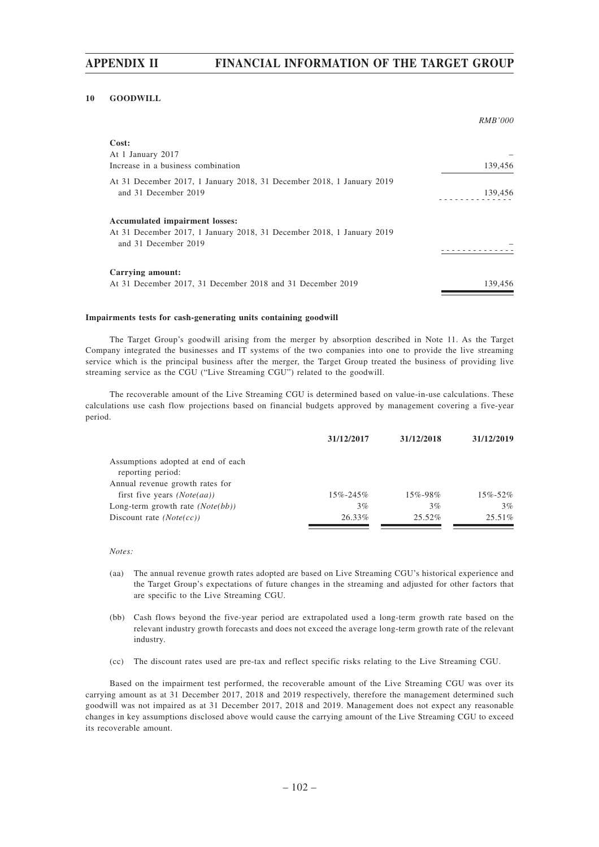### **10 GOODWILL**

|                                                                                               | <i>RMB'000</i> |
|-----------------------------------------------------------------------------------------------|----------------|
| Cost:                                                                                         |                |
| At 1 January 2017                                                                             |                |
| Increase in a business combination                                                            | 139,456        |
| At 31 December 2017, 1 January 2018, 31 December 2018, 1 January 2019                         |                |
| and 31 December 2019                                                                          | 139,456        |
| <b>Accumulated impairment losses:</b>                                                         |                |
| At 31 December 2017, 1 January 2018, 31 December 2018, 1 January 2019<br>and 31 December 2019 |                |
|                                                                                               |                |
| Carrying amount:                                                                              |                |
| At 31 December 2017, 31 December 2018 and 31 December 2019                                    | 139.456        |

### **Impairments tests for cash-generating units containing goodwill**

The Target Group's goodwill arising from the merger by absorption described in Note 11. As the Target Company integrated the businesses and IT systems of the two companies into one to provide the live streaming service which is the principal business after the merger, the Target Group treated the business of providing live streaming service as the CGU ("Live Streaming CGU") related to the goodwill.

The recoverable amount of the Live Streaming CGU is determined based on value-in-use calculations. These calculations use cash flow projections based on financial budgets approved by management covering a five-year period.

|                                                         | 31/12/2017     | 31/12/2018    | 31/12/2019 |
|---------------------------------------------------------|----------------|---------------|------------|
| Assumptions adopted at end of each<br>reporting period: |                |               |            |
| Annual revenue growth rates for                         |                |               |            |
| first five years $(Note(aa))$                           | $15\% - 245\%$ | $15\% - 98\%$ | 15%-52%    |
| Long-term growth rate $(Note(bb))$                      | 3%             | 3%            | $3\%$      |
| Discount rate $(Note(cc))$                              | 26.33%         | $25.52\%$     | $25.51\%$  |

#### *Notes:*

- (aa) The annual revenue growth rates adopted are based on Live Streaming CGU's historical experience and the Target Group's expectations of future changes in the streaming and adjusted for other factors that are specific to the Live Streaming CGU.
- (bb) Cash flows beyond the five-year period are extrapolated used a long-term growth rate based on the relevant industry growth forecasts and does not exceed the average long-term growth rate of the relevant industry.
- (cc) The discount rates used are pre-tax and reflect specific risks relating to the Live Streaming CGU.

Based on the impairment test performed, the recoverable amount of the Live Streaming CGU was over its carrying amount as at 31 December 2017, 2018 and 2019 respectively, therefore the management determined such goodwill was not impaired as at 31 December 2017, 2018 and 2019. Management does not expect any reasonable changes in key assumptions disclosed above would cause the carrying amount of the Live Streaming CGU to exceed its recoverable amount.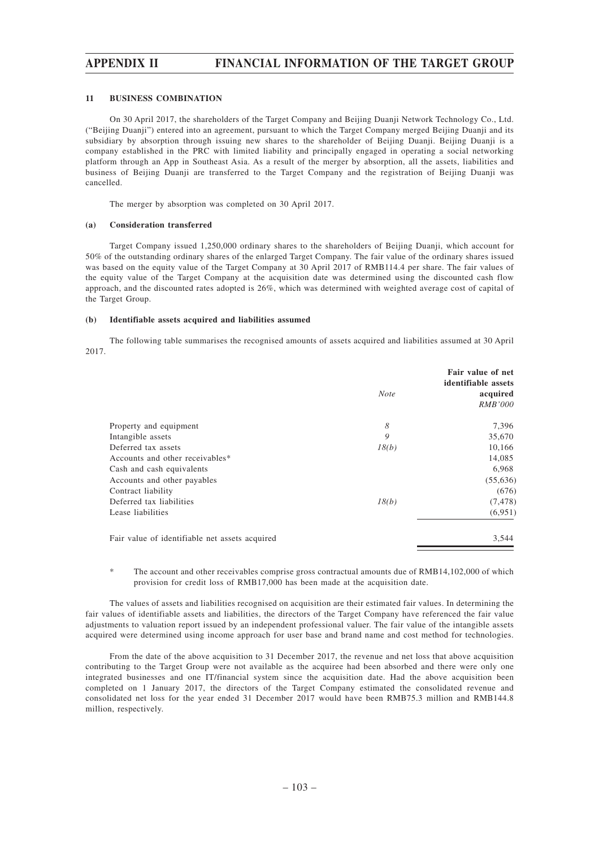### **11 BUSINESS COMBINATION**

On 30 April 2017, the shareholders of the Target Company and Beijing Duanji Network Technology Co., Ltd. ("Beijing Duanji") entered into an agreement, pursuant to which the Target Company merged Beijing Duanji and its subsidiary by absorption through issuing new shares to the shareholder of Beijing Duanji. Beijing Duanji is a company established in the PRC with limited liability and principally engaged in operating a social networking platform through an App in Southeast Asia. As a result of the merger by absorption, all the assets, liabilities and business of Beijing Duanji are transferred to the Target Company and the registration of Beijing Duanji was cancelled.

The merger by absorption was completed on 30 April 2017.

### **(a) Consideration transferred**

Target Company issued 1,250,000 ordinary shares to the shareholders of Beijing Duanji, which account for 50% of the outstanding ordinary shares of the enlarged Target Company. The fair value of the ordinary shares issued was based on the equity value of the Target Company at 30 April 2017 of RMB114.4 per share. The fair values of the equity value of the Target Company at the acquisition date was determined using the discounted cash flow approach, and the discounted rates adopted is 26%, which was determined with weighted average cost of capital of the Target Group.

### **(b) Identifiable assets acquired and liabilities assumed**

The following table summarises the recognised amounts of assets acquired and liabilities assumed at 30 April 2017.

|                                                | <b>Note</b> | Fair value of net<br>identifiable assets<br>acquired<br><i>RMB'000</i> |
|------------------------------------------------|-------------|------------------------------------------------------------------------|
| Property and equipment                         | 8           | 7,396                                                                  |
| Intangible assets                              | 9           | 35,670                                                                 |
| Deferred tax assets                            | 18(b)       | 10,166                                                                 |
| Accounts and other receivables*                |             | 14,085                                                                 |
| Cash and cash equivalents                      |             | 6,968                                                                  |
| Accounts and other payables                    |             | (55,636)                                                               |
| Contract liability                             |             | (676)                                                                  |
| Deferred tax liabilities                       | 18(b)       | (7, 478)                                                               |
| Lease liabilities                              |             | (6,951)                                                                |
| Fair value of identifiable net assets acquired |             | 3,544                                                                  |
|                                                |             |                                                                        |

\* The account and other receivables comprise gross contractual amounts due of RMB14,102,000 of which provision for credit loss of RMB17,000 has been made at the acquisition date.

The values of assets and liabilities recognised on acquisition are their estimated fair values. In determining the fair values of identifiable assets and liabilities, the directors of the Target Company have referenced the fair value adjustments to valuation report issued by an independent professional valuer. The fair value of the intangible assets acquired were determined using income approach for user base and brand name and cost method for technologies.

From the date of the above acquisition to 31 December 2017, the revenue and net loss that above acquisition contributing to the Target Group were not available as the acquiree had been absorbed and there were only one integrated businesses and one IT/financial system since the acquisition date. Had the above acquisition been completed on 1 January 2017, the directors of the Target Company estimated the consolidated revenue and consolidated net loss for the year ended 31 December 2017 would have been RMB75.3 million and RMB144.8 million, respectively.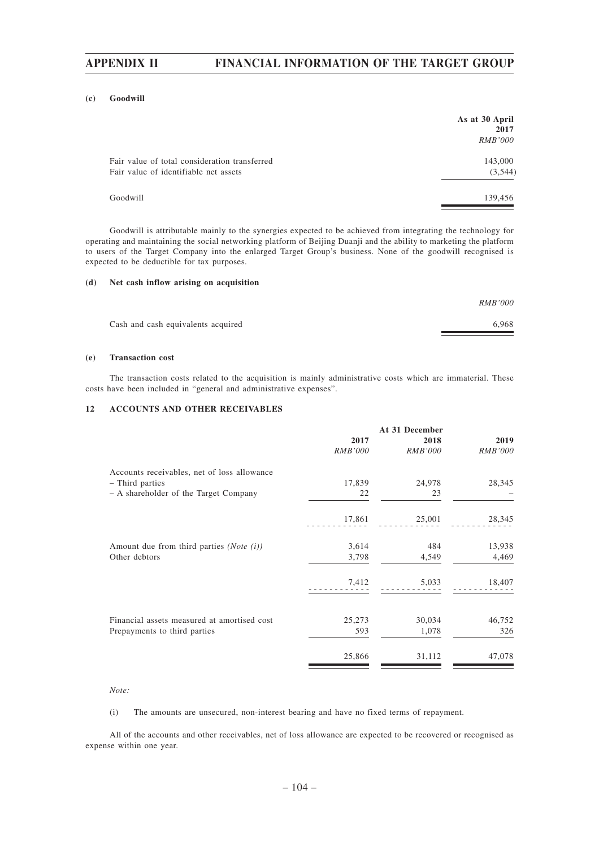#### **(c) Goodwill**

|                                                                                        | As at 30 April<br>2017 |
|----------------------------------------------------------------------------------------|------------------------|
|                                                                                        | <i>RMB'000</i>         |
| Fair value of total consideration transferred<br>Fair value of identifiable net assets | 143,000<br>(3,544)     |
| Goodwill                                                                               | 139,456                |

Goodwill is attributable mainly to the synergies expected to be achieved from integrating the technology for operating and maintaining the social networking platform of Beijing Duanji and the ability to marketing the platform to users of the Target Company into the enlarged Target Group's business. None of the goodwill recognised is expected to be deductible for tax purposes.

#### **(d) Net cash inflow arising on acquisition**

|                                    | <b>RMB'000</b> |
|------------------------------------|----------------|
| Cash and cash equivalents acquired | 6.968          |
|                                    |                |

### **(e) Transaction cost**

The transaction costs related to the acquisition is mainly administrative costs which are immaterial. These costs have been included in "general and administrative expenses".

### **12 ACCOUNTS AND OTHER RECEIVABLES**

|                                                     | 2017           | 2018           | 2019           |
|-----------------------------------------------------|----------------|----------------|----------------|
|                                                     | <b>RMB'000</b> | <b>RMB'000</b> | <b>RMB'000</b> |
| Accounts receivables, net of loss allowance         |                |                |                |
| - Third parties                                     | 17,839         | 24,978         | 28,345         |
| - A shareholder of the Target Company               | 22             | 23             |                |
|                                                     | 17,861         | 25,001         | 28,345         |
| Amount due from third parties ( <i>Note</i> $(i)$ ) | 3,614          | 484            | 13,938         |
| Other debtors                                       | 3,798          | 4,549          | 4,469          |
|                                                     | 7,412          | 5,033          | 18,407         |
|                                                     |                |                |                |
| Financial assets measured at amortised cost         | 25,273         | 30,034         | 46,752         |
| Prepayments to third parties                        | 593            | 1,078          | 326            |
|                                                     | 25,866         | 31,112         | 47,078         |

### *Note:*

(i) The amounts are unsecured, non-interest bearing and have no fixed terms of repayment.

All of the accounts and other receivables, net of loss allowance are expected to be recovered or recognised as expense within one year.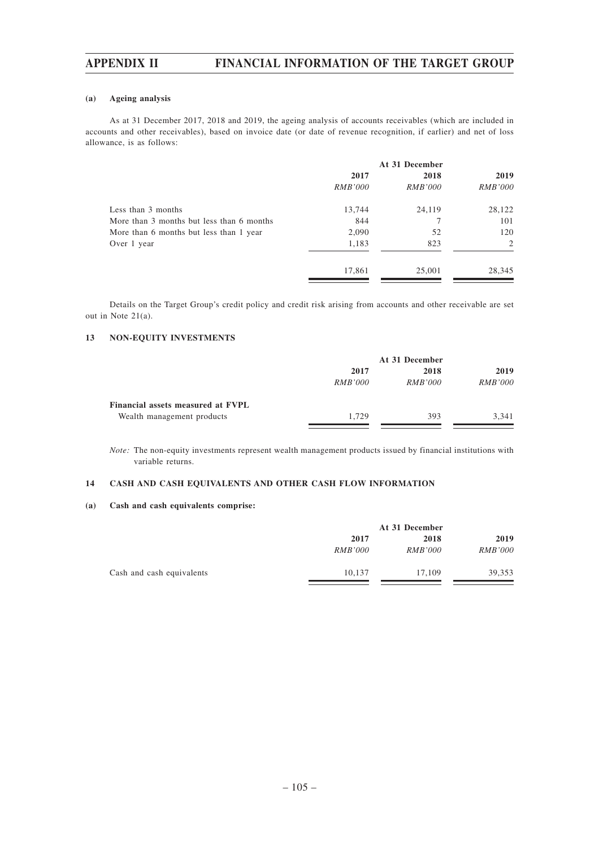### **(a) Ageing analysis**

As at 31 December 2017, 2018 and 2019, the ageing analysis of accounts receivables (which are included in accounts and other receivables), based on invoice date (or date of revenue recognition, if earlier) and net of loss allowance, is as follows:

|                                           | At 31 December |                |                |
|-------------------------------------------|----------------|----------------|----------------|
|                                           | 2017           | 2018           | 2019           |
|                                           | <i>RMB'000</i> | <i>RMB'000</i> | <i>RMB'000</i> |
| Less than 3 months                        | 13,744         | 24,119         | 28,122         |
| More than 3 months but less than 6 months | 844            |                | 101            |
| More than 6 months but less than 1 year   | 2,090          | 52             | 120            |
| Over 1 year                               | 1,183          | 823            | 2              |
|                                           | 17,861         | 25,001         | 28,345         |

Details on the Target Group's credit policy and credit risk arising from accounts and other receivable are set out in Note 21(a).

### **13 NON-EQUITY INVESTMENTS**

|                                   | At 31 December |                |                |  |
|-----------------------------------|----------------|----------------|----------------|--|
|                                   | 2017           | 2018           | 2019           |  |
|                                   | <i>RMB'000</i> | <i>RMB'000</i> | <i>RMB'000</i> |  |
| Financial assets measured at FVPL |                |                |                |  |
| Wealth management products        | 1.729          | 393            | 3.341          |  |
|                                   |                |                |                |  |

*Note:* The non-equity investments represent wealth management products issued by financial institutions with variable returns.

### **14 CASH AND CASH EQUIVALENTS AND OTHER CASH FLOW INFORMATION**

### **(a) Cash and cash equivalents comprise:**

|                           | At 31 December |                |                |  |
|---------------------------|----------------|----------------|----------------|--|
|                           | 2017           | 2018           | 2019           |  |
|                           | <i>RMB'000</i> | <i>RMB'000</i> | <i>RMB'000</i> |  |
| Cash and cash equivalents | 10.137         | 17.109         | 39.353         |  |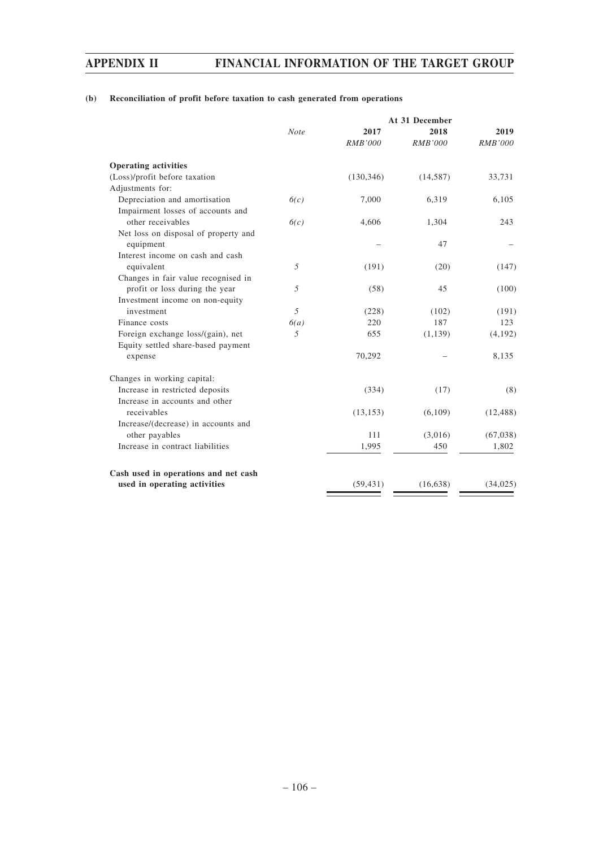# **(b) Reconciliation of profit before taxation to cash generated from operations**

| 2017<br>2018<br>2019<br><b>Note</b><br><b>RMB'000</b><br><b>RMB'000</b><br><b>RMB'000</b><br><b>Operating activities</b><br>(Loss)/profit before taxation<br>(130, 346)<br>(14, 587)<br>33,731<br>Adjustments for:<br>Depreciation and amortisation<br>7,000<br>6,319<br>6,105<br>6(c)<br>Impairment losses of accounts and<br>other receivables<br>6(c)<br>4,606<br>1,304<br>243<br>Net loss on disposal of property and<br>equipment<br>47<br>Interest income on cash and cash<br>5<br>equivalent<br>(191)<br>(20)<br>(147)<br>Changes in fair value recognised in<br>profit or loss during the year<br>5<br>(58)<br>45<br>(100)<br>Investment income on non-equity<br>investment<br>.5<br>(228)<br>(102)<br>(191)<br>187<br>Finance costs<br>220<br>123<br>6(a)<br>Foreign exchange loss/(gain), net<br>.5<br>655<br>(1,139)<br>(4,192)<br>Equity settled share-based payment<br>70,292<br>8,135<br>expense<br>Changes in working capital:<br>Increase in restricted deposits<br>(8)<br>(334)<br>(17)<br>Increase in accounts and other<br>receivables<br>(13, 153)<br>(6,109)<br>(12, 488)<br>Increase/(decrease) in accounts and<br>other payables<br>(3,016)<br>111<br>(67,038)<br>Increase in contract liabilities<br>1,995<br>450<br>1,802<br>Cash used in operations and net cash<br>used in operating activities<br>(59, 431)<br>(16, 638)<br>(34, 025) |  |  | At 31 December |  |  |  |
|-------------------------------------------------------------------------------------------------------------------------------------------------------------------------------------------------------------------------------------------------------------------------------------------------------------------------------------------------------------------------------------------------------------------------------------------------------------------------------------------------------------------------------------------------------------------------------------------------------------------------------------------------------------------------------------------------------------------------------------------------------------------------------------------------------------------------------------------------------------------------------------------------------------------------------------------------------------------------------------------------------------------------------------------------------------------------------------------------------------------------------------------------------------------------------------------------------------------------------------------------------------------------------------------------------------------------------------------------------------------|--|--|----------------|--|--|--|
|                                                                                                                                                                                                                                                                                                                                                                                                                                                                                                                                                                                                                                                                                                                                                                                                                                                                                                                                                                                                                                                                                                                                                                                                                                                                                                                                                                   |  |  |                |  |  |  |
|                                                                                                                                                                                                                                                                                                                                                                                                                                                                                                                                                                                                                                                                                                                                                                                                                                                                                                                                                                                                                                                                                                                                                                                                                                                                                                                                                                   |  |  |                |  |  |  |
|                                                                                                                                                                                                                                                                                                                                                                                                                                                                                                                                                                                                                                                                                                                                                                                                                                                                                                                                                                                                                                                                                                                                                                                                                                                                                                                                                                   |  |  |                |  |  |  |
|                                                                                                                                                                                                                                                                                                                                                                                                                                                                                                                                                                                                                                                                                                                                                                                                                                                                                                                                                                                                                                                                                                                                                                                                                                                                                                                                                                   |  |  |                |  |  |  |
|                                                                                                                                                                                                                                                                                                                                                                                                                                                                                                                                                                                                                                                                                                                                                                                                                                                                                                                                                                                                                                                                                                                                                                                                                                                                                                                                                                   |  |  |                |  |  |  |
|                                                                                                                                                                                                                                                                                                                                                                                                                                                                                                                                                                                                                                                                                                                                                                                                                                                                                                                                                                                                                                                                                                                                                                                                                                                                                                                                                                   |  |  |                |  |  |  |
|                                                                                                                                                                                                                                                                                                                                                                                                                                                                                                                                                                                                                                                                                                                                                                                                                                                                                                                                                                                                                                                                                                                                                                                                                                                                                                                                                                   |  |  |                |  |  |  |
|                                                                                                                                                                                                                                                                                                                                                                                                                                                                                                                                                                                                                                                                                                                                                                                                                                                                                                                                                                                                                                                                                                                                                                                                                                                                                                                                                                   |  |  |                |  |  |  |
|                                                                                                                                                                                                                                                                                                                                                                                                                                                                                                                                                                                                                                                                                                                                                                                                                                                                                                                                                                                                                                                                                                                                                                                                                                                                                                                                                                   |  |  |                |  |  |  |
|                                                                                                                                                                                                                                                                                                                                                                                                                                                                                                                                                                                                                                                                                                                                                                                                                                                                                                                                                                                                                                                                                                                                                                                                                                                                                                                                                                   |  |  |                |  |  |  |
|                                                                                                                                                                                                                                                                                                                                                                                                                                                                                                                                                                                                                                                                                                                                                                                                                                                                                                                                                                                                                                                                                                                                                                                                                                                                                                                                                                   |  |  |                |  |  |  |
|                                                                                                                                                                                                                                                                                                                                                                                                                                                                                                                                                                                                                                                                                                                                                                                                                                                                                                                                                                                                                                                                                                                                                                                                                                                                                                                                                                   |  |  |                |  |  |  |
|                                                                                                                                                                                                                                                                                                                                                                                                                                                                                                                                                                                                                                                                                                                                                                                                                                                                                                                                                                                                                                                                                                                                                                                                                                                                                                                                                                   |  |  |                |  |  |  |
|                                                                                                                                                                                                                                                                                                                                                                                                                                                                                                                                                                                                                                                                                                                                                                                                                                                                                                                                                                                                                                                                                                                                                                                                                                                                                                                                                                   |  |  |                |  |  |  |
|                                                                                                                                                                                                                                                                                                                                                                                                                                                                                                                                                                                                                                                                                                                                                                                                                                                                                                                                                                                                                                                                                                                                                                                                                                                                                                                                                                   |  |  |                |  |  |  |
|                                                                                                                                                                                                                                                                                                                                                                                                                                                                                                                                                                                                                                                                                                                                                                                                                                                                                                                                                                                                                                                                                                                                                                                                                                                                                                                                                                   |  |  |                |  |  |  |
|                                                                                                                                                                                                                                                                                                                                                                                                                                                                                                                                                                                                                                                                                                                                                                                                                                                                                                                                                                                                                                                                                                                                                                                                                                                                                                                                                                   |  |  |                |  |  |  |
|                                                                                                                                                                                                                                                                                                                                                                                                                                                                                                                                                                                                                                                                                                                                                                                                                                                                                                                                                                                                                                                                                                                                                                                                                                                                                                                                                                   |  |  |                |  |  |  |
|                                                                                                                                                                                                                                                                                                                                                                                                                                                                                                                                                                                                                                                                                                                                                                                                                                                                                                                                                                                                                                                                                                                                                                                                                                                                                                                                                                   |  |  |                |  |  |  |
|                                                                                                                                                                                                                                                                                                                                                                                                                                                                                                                                                                                                                                                                                                                                                                                                                                                                                                                                                                                                                                                                                                                                                                                                                                                                                                                                                                   |  |  |                |  |  |  |
|                                                                                                                                                                                                                                                                                                                                                                                                                                                                                                                                                                                                                                                                                                                                                                                                                                                                                                                                                                                                                                                                                                                                                                                                                                                                                                                                                                   |  |  |                |  |  |  |
|                                                                                                                                                                                                                                                                                                                                                                                                                                                                                                                                                                                                                                                                                                                                                                                                                                                                                                                                                                                                                                                                                                                                                                                                                                                                                                                                                                   |  |  |                |  |  |  |
|                                                                                                                                                                                                                                                                                                                                                                                                                                                                                                                                                                                                                                                                                                                                                                                                                                                                                                                                                                                                                                                                                                                                                                                                                                                                                                                                                                   |  |  |                |  |  |  |
|                                                                                                                                                                                                                                                                                                                                                                                                                                                                                                                                                                                                                                                                                                                                                                                                                                                                                                                                                                                                                                                                                                                                                                                                                                                                                                                                                                   |  |  |                |  |  |  |
|                                                                                                                                                                                                                                                                                                                                                                                                                                                                                                                                                                                                                                                                                                                                                                                                                                                                                                                                                                                                                                                                                                                                                                                                                                                                                                                                                                   |  |  |                |  |  |  |
|                                                                                                                                                                                                                                                                                                                                                                                                                                                                                                                                                                                                                                                                                                                                                                                                                                                                                                                                                                                                                                                                                                                                                                                                                                                                                                                                                                   |  |  |                |  |  |  |
|                                                                                                                                                                                                                                                                                                                                                                                                                                                                                                                                                                                                                                                                                                                                                                                                                                                                                                                                                                                                                                                                                                                                                                                                                                                                                                                                                                   |  |  |                |  |  |  |
|                                                                                                                                                                                                                                                                                                                                                                                                                                                                                                                                                                                                                                                                                                                                                                                                                                                                                                                                                                                                                                                                                                                                                                                                                                                                                                                                                                   |  |  |                |  |  |  |
|                                                                                                                                                                                                                                                                                                                                                                                                                                                                                                                                                                                                                                                                                                                                                                                                                                                                                                                                                                                                                                                                                                                                                                                                                                                                                                                                                                   |  |  |                |  |  |  |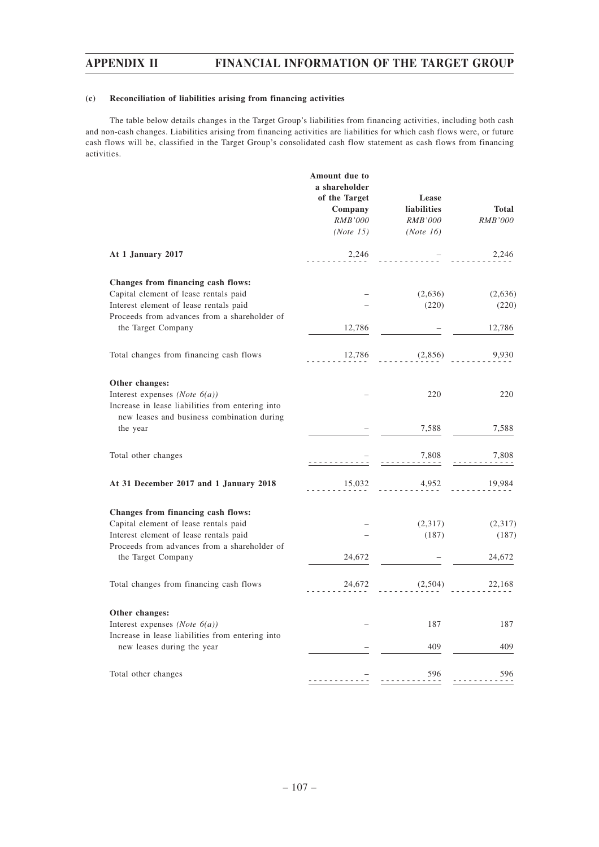## **(c) Reconciliation of liabilities arising from financing activities**

The table below details changes in the Target Group's liabilities from financing activities, including both cash and non-cash changes. Liabilities arising from financing activities are liabilities for which cash flows were, or future cash flows will be, classified in the Target Group's consolidated cash flow statement as cash flows from financing activities.

|                                                  | Amount due to<br>a shareholder<br>of the Target<br>Company<br><b>RMB'000</b><br>(Note 15) | Lease<br>liabilities<br><b>RMB'000</b><br>(Note 16) | <b>Total</b><br>RMB'000 |
|--------------------------------------------------|-------------------------------------------------------------------------------------------|-----------------------------------------------------|-------------------------|
| At 1 January 2017                                | 2,246                                                                                     |                                                     | 2,246                   |
| Changes from financing cash flows:               |                                                                                           |                                                     |                         |
| Capital element of lease rentals paid            |                                                                                           | (2,636)                                             | (2,636)                 |
| Interest element of lease rentals paid           |                                                                                           | (220)                                               | (220)                   |
| Proceeds from advances from a shareholder of     |                                                                                           |                                                     |                         |
| the Target Company                               | 12,786                                                                                    |                                                     | 12,786                  |
|                                                  |                                                                                           |                                                     |                         |
| Total changes from financing cash flows          | 12,786                                                                                    | (2,856)                                             | 9,930                   |
| Other changes:                                   |                                                                                           |                                                     |                         |
| Interest expenses (Note $6(a)$ )                 |                                                                                           | 220                                                 | 220                     |
| Increase in lease liabilities from entering into |                                                                                           |                                                     |                         |
| new leases and business combination during       |                                                                                           |                                                     |                         |
| the year                                         |                                                                                           | 7,588                                               | 7,588                   |
|                                                  |                                                                                           |                                                     |                         |
| Total other changes                              |                                                                                           | 7,808                                               | 7,808                   |
| At 31 December 2017 and 1 January 2018           | 15,032                                                                                    | 4,952                                               | 19,984                  |
| Changes from financing cash flows:               |                                                                                           |                                                     |                         |
| Capital element of lease rentals paid            |                                                                                           | (2,317)                                             | (2,317)                 |
| Interest element of lease rentals paid           |                                                                                           | (187)                                               | (187)                   |
| Proceeds from advances from a shareholder of     |                                                                                           |                                                     |                         |
| the Target Company                               | 24,672                                                                                    |                                                     | 24,672                  |
| Total changes from financing cash flows          | 24,672                                                                                    | (2,504)                                             | 22,168                  |
| Other changes:                                   |                                                                                           |                                                     |                         |
| Interest expenses (Note $6(a)$ )                 |                                                                                           | 187                                                 | 187                     |
| Increase in lease liabilities from entering into |                                                                                           |                                                     |                         |
| new leases during the year                       |                                                                                           | 409                                                 | 409                     |
|                                                  |                                                                                           |                                                     |                         |
| Total other changes                              |                                                                                           | 596                                                 | 596                     |
|                                                  |                                                                                           |                                                     |                         |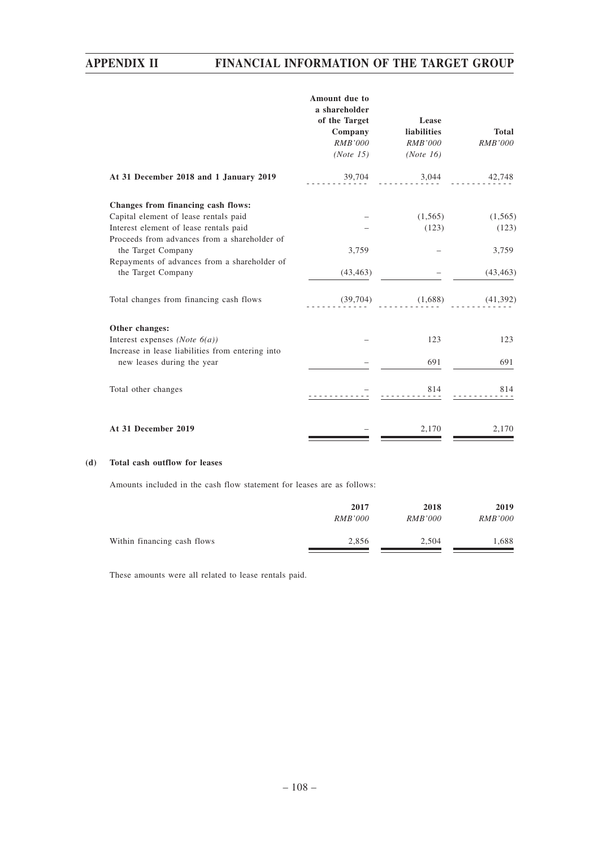|                                                                                                                                                                       | Amount due to<br>a shareholder<br>of the Target<br>Company<br><b>RMB'000</b><br>(Note 15) | Lease<br><b>liabilities</b><br><b>RMB'000</b><br>(Note 16) | <b>Total</b><br><b>RMB'000</b> |
|-----------------------------------------------------------------------------------------------------------------------------------------------------------------------|-------------------------------------------------------------------------------------------|------------------------------------------------------------|--------------------------------|
| At 31 December 2018 and 1 January 2019                                                                                                                                | 39,704                                                                                    | 3,044                                                      | 42,748                         |
| Changes from financing cash flows:<br>Capital element of lease rentals paid<br>Interest element of lease rentals paid<br>Proceeds from advances from a shareholder of |                                                                                           | (1, 565)<br>(123)                                          | (1, 565)<br>(123)              |
| the Target Company                                                                                                                                                    | 3,759                                                                                     |                                                            | 3,759                          |
| Repayments of advances from a shareholder of<br>the Target Company                                                                                                    | (43, 463)                                                                                 |                                                            | (43, 463)                      |
| Total changes from financing cash flows                                                                                                                               | (39, 704)                                                                                 | (1,688)                                                    | (41,392)                       |
| Other changes:                                                                                                                                                        |                                                                                           |                                                            |                                |
| Interest expenses (Note $6(a)$ )                                                                                                                                      |                                                                                           | 123                                                        | 123                            |
| Increase in lease liabilities from entering into<br>new leases during the year                                                                                        |                                                                                           | 691                                                        | 691                            |
| Total other changes                                                                                                                                                   |                                                                                           | 814                                                        | 814                            |
| At 31 December 2019                                                                                                                                                   |                                                                                           | 2,170                                                      | 2,170                          |

## **(d) Total cash outflow for leases**

Amounts included in the cash flow statement for leases are as follows:

|                             | 2017           | 2018           | 2019           |
|-----------------------------|----------------|----------------|----------------|
|                             | <i>RMB'000</i> | <i>RMB'000</i> | <i>RMB'000</i> |
| Within financing cash flows | 2.856          | 2.504          | 1,688          |

These amounts were all related to lease rentals paid.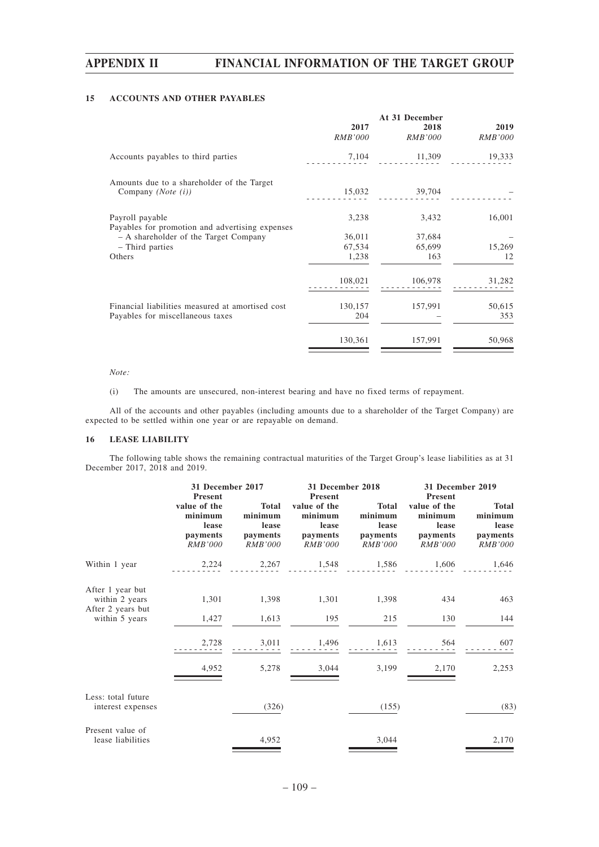## **15 ACCOUNTS AND OTHER PAYABLES**

|                                                                                      | 2017<br><i>RMB'000</i>    | At 31 December<br>2018<br><i>RMB'000</i> | 2019<br><b>RMB'000</b> |
|--------------------------------------------------------------------------------------|---------------------------|------------------------------------------|------------------------|
| Accounts payables to third parties                                                   |                           | 7,104 11,309                             | 19,333                 |
| Amounts due to a shareholder of the Target<br>Company (Note (i))                     |                           | 15,032 39,704                            |                        |
| Payroll payable<br>Payables for promotion and advertising expenses                   | 3,238                     | 3,432                                    | 16,001                 |
| - A shareholder of the Target Company<br>- Third parties<br>Others                   | 36,011<br>67,534<br>1,238 | 37,684<br>65,699<br>163                  | 15,269<br>12           |
|                                                                                      | 108,021                   | 106,978                                  | 31,282                 |
| Financial liabilities measured at amortised cost<br>Payables for miscellaneous taxes | 130,157<br>204            | 157,991                                  | 50,615<br>353          |
|                                                                                      | 130,361                   | 157,991                                  | 50,968                 |

#### *Note:*

(i) The amounts are unsecured, non-interest bearing and have no fixed terms of repayment.

All of the accounts and other payables (including amounts due to a shareholder of the Target Company) are expected to be settled within one year or are repayable on demand.

### **16 LEASE LIABILITY**

The following table shows the remaining contractual maturities of the Target Group's lease liabilities as at 31 December 2017, 2018 and 2019.

|                                                         | 31 December 2017<br><b>Present</b>                             |                                                                | 31 December 2018<br>Present                                    |                                                                | 31 December 2019<br>Present                                    |                                                                |
|---------------------------------------------------------|----------------------------------------------------------------|----------------------------------------------------------------|----------------------------------------------------------------|----------------------------------------------------------------|----------------------------------------------------------------|----------------------------------------------------------------|
|                                                         | value of the<br>minimum<br>lease<br>payments<br><b>RMB'000</b> | <b>Total</b><br>minimum<br>lease<br>payments<br><b>RMB'000</b> | value of the<br>minimum<br>lease<br>payments<br><b>RMB'000</b> | <b>Total</b><br>minimum<br>lease<br>payments<br><b>RMB'000</b> | value of the<br>minimum<br>lease<br>payments<br><b>RMB'000</b> | <b>Total</b><br>minimum<br>lease<br>payments<br><i>RMB'000</i> |
| Within 1 year                                           | 2,224                                                          | 2,267                                                          | 1,548                                                          | 1,586                                                          | 1,606                                                          | 1,646                                                          |
| After 1 year but<br>within 2 years<br>After 2 years but | 1,301                                                          | 1,398                                                          | 1,301                                                          | 1,398                                                          | 434                                                            | 463                                                            |
| within 5 years                                          | 1,427                                                          | 1,613                                                          | 195                                                            | 215                                                            | 130                                                            | 144                                                            |
|                                                         | 2,728                                                          | 3,011                                                          | 1,496                                                          | 1,613                                                          | 564                                                            | 607                                                            |
|                                                         | 4,952                                                          | 5,278                                                          | 3,044                                                          | 3,199                                                          | 2,170                                                          | 2,253                                                          |
| Less: total future<br>interest expenses                 |                                                                | (326)                                                          |                                                                | (155)                                                          |                                                                | (83)                                                           |
| Present value of<br>lease liabilities                   |                                                                | 4,952                                                          |                                                                | 3,044                                                          |                                                                | 2,170                                                          |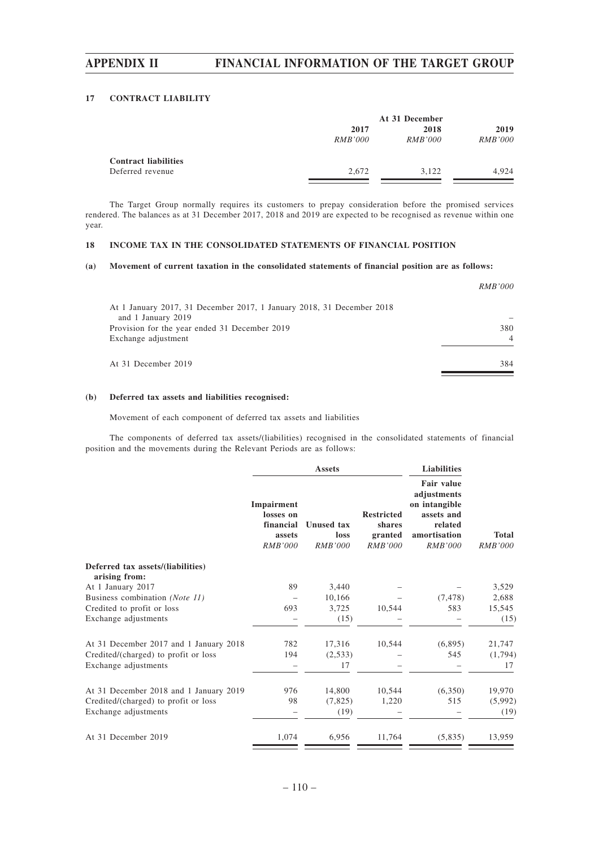### **17 CONTRACT LIABILITY**

|                             | At 31 December |                |                |
|-----------------------------|----------------|----------------|----------------|
|                             | 2017           | 2018           | 2019           |
|                             | <i>RMB'000</i> | <i>RMB'000</i> | <i>RMB'000</i> |
| <b>Contract liabilities</b> |                |                |                |
| Deferred revenue            | 2.672          | 3.122          | 4.924          |

The Target Group normally requires its customers to prepay consideration before the promised services rendered. The balances as at 31 December 2017, 2018 and 2019 are expected to be recognised as revenue within one year.

## **18 INCOME TAX IN THE CONSOLIDATED STATEMENTS OF FINANCIAL POSITION**

#### **(a) Movement of current taxation in the consolidated statements of financial position are as follows:**

|                                                                       | <i>RMB'000</i> |
|-----------------------------------------------------------------------|----------------|
| At 1 January 2017, 31 December 2017, 1 January 2018, 31 December 2018 |                |
| and 1 January 2019                                                    |                |
| Provision for the year ended 31 December 2019                         | 380            |
| Exchange adjustment                                                   | $\overline{4}$ |
| At 31 December 2019                                                   | 384            |
|                                                                       |                |

### **(b) Deferred tax assets and liabilities recognised:**

Movement of each component of deferred tax assets and liabilities

The components of deferred tax assets/(liabilities) recognised in the consolidated statements of financial position and the movements during the Relevant Periods are as follows:

|                                                    |                                                           | <b>Assets</b>                               |                                                   |                                                                                                              |                                |
|----------------------------------------------------|-----------------------------------------------------------|---------------------------------------------|---------------------------------------------------|--------------------------------------------------------------------------------------------------------------|--------------------------------|
|                                                    | Impairment<br>losses on<br>financial<br>assets<br>RMB'000 | <b>Unused tax</b><br>loss<br><b>RMB'000</b> | <b>Restricted</b><br>shares<br>granted<br>RMB'000 | <b>Fair value</b><br>adjustments<br>on intangible<br>assets and<br>related<br>amortisation<br><b>RMB'000</b> | <b>Total</b><br><b>RMB'000</b> |
| Deferred tax assets/(liabilities)<br>arising from: |                                                           |                                             |                                                   |                                                                                                              |                                |
| At 1 January 2017                                  | 89                                                        | 3,440                                       |                                                   |                                                                                                              | 3,529                          |
| Business combination (Note 11)                     |                                                           | 10,166                                      |                                                   | (7, 478)                                                                                                     | 2,688                          |
| Credited to profit or loss                         | 693                                                       | 3,725                                       | 10,544                                            | 583                                                                                                          | 15,545                         |
| Exchange adjustments                               |                                                           | (15)                                        |                                                   |                                                                                                              | (15)                           |
| At 31 December 2017 and 1 January 2018             | 782                                                       | 17,316                                      | 10,544                                            | (6,895)                                                                                                      | 21,747                         |
| Credited/(charged) to profit or loss               | 194                                                       | (2,533)                                     |                                                   | 545                                                                                                          | (1,794)                        |
| Exchange adjustments                               |                                                           | 17                                          |                                                   |                                                                                                              | 17                             |
| At 31 December 2018 and 1 January 2019             | 976                                                       | 14,800                                      | 10,544                                            | (6,350)                                                                                                      | 19,970                         |
| Credited/(charged) to profit or loss               | 98                                                        | (7,825)                                     | 1,220                                             | 515                                                                                                          | (5,992)                        |
| Exchange adjustments                               |                                                           | (19)                                        |                                                   |                                                                                                              | (19)                           |
| At 31 December 2019                                | 1,074                                                     | 6,956                                       | 11,764                                            | (5,835)                                                                                                      | 13,959                         |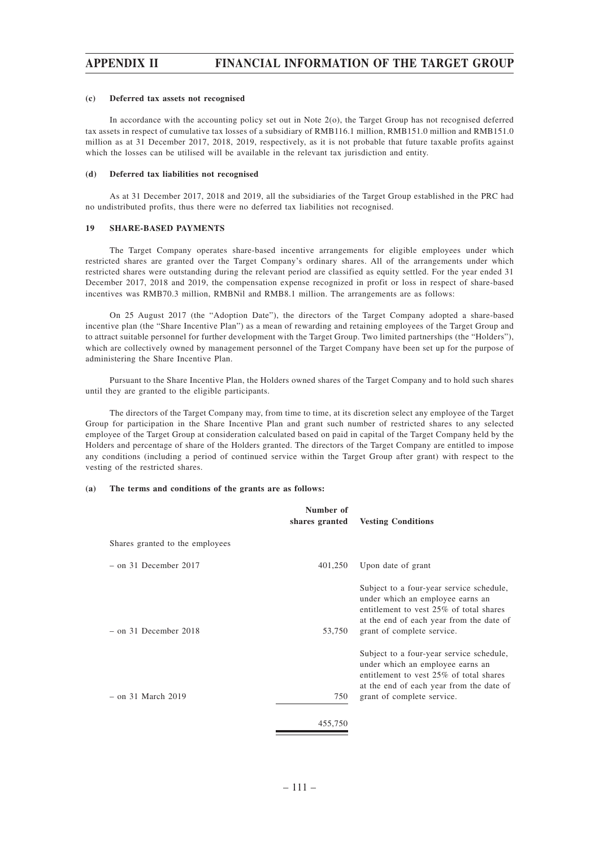### **(c) Deferred tax assets not recognised**

In accordance with the accounting policy set out in Note 2(o), the Target Group has not recognised deferred tax assets in respect of cumulative tax losses of a subsidiary of RMB116.1 million, RMB151.0 million and RMB151.0 million as at 31 December 2017, 2018, 2019, respectively, as it is not probable that future taxable profits against which the losses can be utilised will be available in the relevant tax jurisdiction and entity.

#### **(d) Deferred tax liabilities not recognised**

As at 31 December 2017, 2018 and 2019, all the subsidiaries of the Target Group established in the PRC had no undistributed profits, thus there were no deferred tax liabilities not recognised.

#### **19 SHARE-BASED PAYMENTS**

The Target Company operates share-based incentive arrangements for eligible employees under which restricted shares are granted over the Target Company's ordinary shares. All of the arrangements under which restricted shares were outstanding during the relevant period are classified as equity settled. For the year ended 31 December 2017, 2018 and 2019, the compensation expense recognized in profit or loss in respect of share-based incentives was RMB70.3 million, RMBNil and RMB8.1 million. The arrangements are as follows:

On 25 August 2017 (the "Adoption Date"), the directors of the Target Company adopted a share-based incentive plan (the "Share Incentive Plan") as a mean of rewarding and retaining employees of the Target Group and to attract suitable personnel for further development with the Target Group. Two limited partnerships (the "Holders"), which are collectively owned by management personnel of the Target Company have been set up for the purpose of administering the Share Incentive Plan.

Pursuant to the Share Incentive Plan, the Holders owned shares of the Target Company and to hold such shares until they are granted to the eligible participants.

The directors of the Target Company may, from time to time, at its discretion select any employee of the Target Group for participation in the Share Incentive Plan and grant such number of restricted shares to any selected employee of the Target Group at consideration calculated based on paid in capital of the Target Company held by the Holders and percentage of share of the Holders granted. The directors of the Target Company are entitled to impose any conditions (including a period of continued service within the Target Group after grant) with respect to the vesting of the restricted shares.

### **(a) The terms and conditions of the grants are as follows:**

|                                 | Number of<br>shares granted | <b>Vesting Conditions</b>                                                                                                                                                                         |
|---------------------------------|-----------------------------|---------------------------------------------------------------------------------------------------------------------------------------------------------------------------------------------------|
| Shares granted to the employees |                             |                                                                                                                                                                                                   |
| $-$ on 31 December 2017         | 401,250                     | Upon date of grant                                                                                                                                                                                |
| $-$ on 31 December 2018         | 53,750                      | Subject to a four-year service schedule,<br>under which an employee earns an<br>entitlement to vest 25% of total shares<br>at the end of each year from the date of<br>grant of complete service. |
| – on 31 March 2019              | 750                         | Subject to a four-year service schedule,<br>under which an employee earns an<br>entitlement to vest 25% of total shares<br>at the end of each year from the date of<br>grant of complete service. |
|                                 | 455,750                     |                                                                                                                                                                                                   |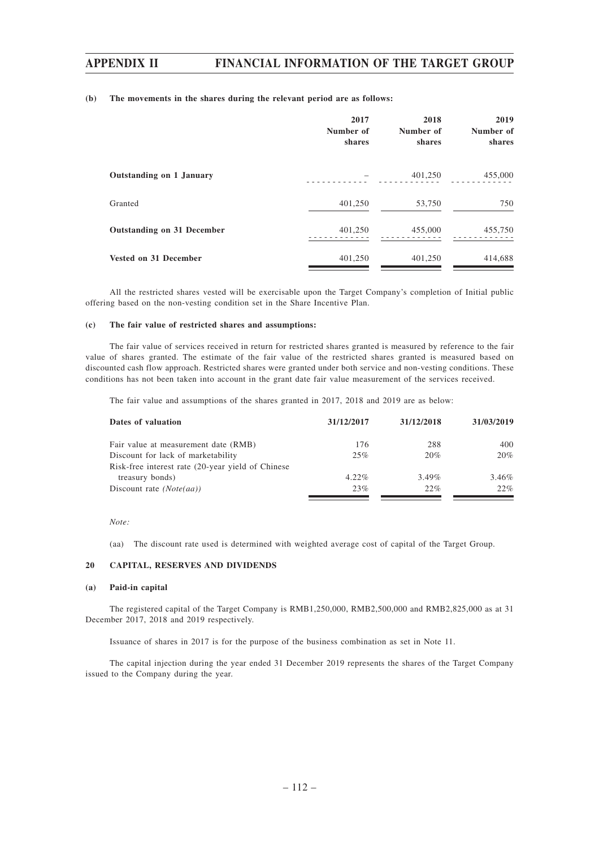### **(b) The movements in the shares during the relevant period are as follows:**

|                                   | 2017<br>Number of<br>shares | 2018<br>Number of<br>shares | 2019<br>Number of<br>shares |
|-----------------------------------|-----------------------------|-----------------------------|-----------------------------|
| Outstanding on 1 January          |                             | 401,250                     | 455,000                     |
| Granted                           | 401,250                     | 53,750                      | 750                         |
| <b>Outstanding on 31 December</b> | 401,250                     | 455,000                     | 455,750                     |
| <b>Vested on 31 December</b>      | 401,250                     | 401,250                     | 414,688                     |

All the restricted shares vested will be exercisable upon the Target Company's completion of Initial public offering based on the non-vesting condition set in the Share Incentive Plan.

### **(c) The fair value of restricted shares and assumptions:**

The fair value of services received in return for restricted shares granted is measured by reference to the fair value of shares granted. The estimate of the fair value of the restricted shares granted is measured based on discounted cash flow approach. Restricted shares were granted under both service and non-vesting conditions. These conditions has not been taken into account in the grant date fair value measurement of the services received.

The fair value and assumptions of the shares granted in 2017, 2018 and 2019 are as below:

| Dates of valuation                                 | 31/12/2017 | 31/12/2018 | 31/03/2019 |
|----------------------------------------------------|------------|------------|------------|
| Fair value at measurement date (RMB)               | 176        | 288        | 400        |
| Discount for lack of marketability                 | 25%        | 20%        | 20%        |
| Risk-free interest rate (20-year yield of Chinese) |            |            |            |
| treasury bonds)                                    | $4.22\%$   | $3.49\%$   | 3.46%      |
| Discount rate $(Note(aa))$                         | 23%        | 22%        | 22%        |

*Note:*

(aa) The discount rate used is determined with weighted average cost of capital of the Target Group.

### **20 CAPITAL, RESERVES AND DIVIDENDS**

## **(a) Paid-in capital**

The registered capital of the Target Company is RMB1,250,000, RMB2,500,000 and RMB2,825,000 as at 31 December 2017, 2018 and 2019 respectively.

Issuance of shares in 2017 is for the purpose of the business combination as set in Note 11.

The capital injection during the year ended 31 December 2019 represents the shares of the Target Company issued to the Company during the year.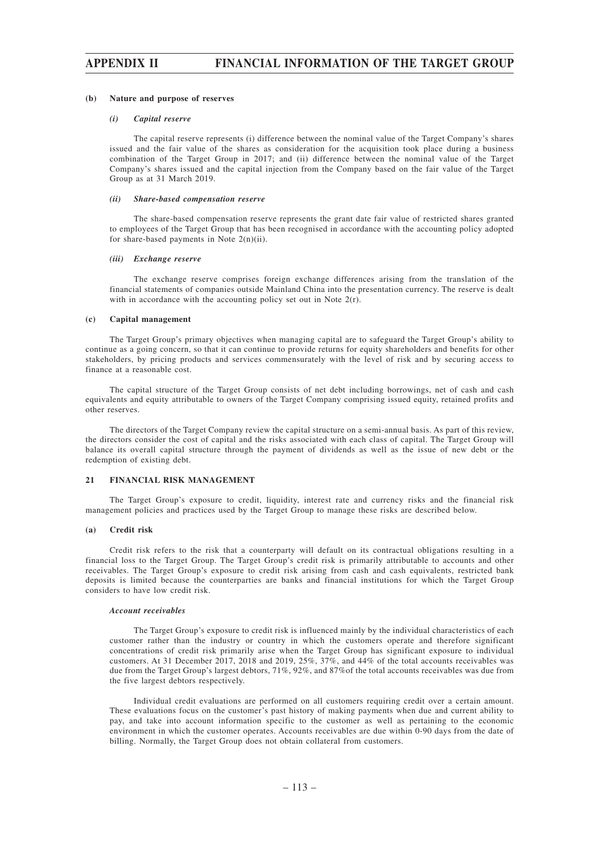#### **(b) Nature and purpose of reserves**

#### *(i) Capital reserve*

The capital reserve represents (i) difference between the nominal value of the Target Company's shares issued and the fair value of the shares as consideration for the acquisition took place during a business combination of the Target Group in 2017; and (ii) difference between the nominal value of the Target Company's shares issued and the capital injection from the Company based on the fair value of the Target Group as at 31 March 2019.

#### *(ii) Share-based compensation reserve*

The share-based compensation reserve represents the grant date fair value of restricted shares granted to employees of the Target Group that has been recognised in accordance with the accounting policy adopted for share-based payments in Note 2(n)(ii).

#### *(iii) Exchange reserve*

The exchange reserve comprises foreign exchange differences arising from the translation of the financial statements of companies outside Mainland China into the presentation currency. The reserve is dealt with in accordance with the accounting policy set out in Note 2(r).

### **(c) Capital management**

The Target Group's primary objectives when managing capital are to safeguard the Target Group's ability to continue as a going concern, so that it can continue to provide returns for equity shareholders and benefits for other stakeholders, by pricing products and services commensurately with the level of risk and by securing access to finance at a reasonable cost.

The capital structure of the Target Group consists of net debt including borrowings, net of cash and cash equivalents and equity attributable to owners of the Target Company comprising issued equity, retained profits and other reserves.

The directors of the Target Company review the capital structure on a semi-annual basis. As part of this review, the directors consider the cost of capital and the risks associated with each class of capital. The Target Group will balance its overall capital structure through the payment of dividends as well as the issue of new debt or the redemption of existing debt.

### **21 FINANCIAL RISK MANAGEMENT**

The Target Group's exposure to credit, liquidity, interest rate and currency risks and the financial risk management policies and practices used by the Target Group to manage these risks are described below.

### **(a) Credit risk**

Credit risk refers to the risk that a counterparty will default on its contractual obligations resulting in a financial loss to the Target Group. The Target Group's credit risk is primarily attributable to accounts and other receivables. The Target Group's exposure to credit risk arising from cash and cash equivalents, restricted bank deposits is limited because the counterparties are banks and financial institutions for which the Target Group considers to have low credit risk.

### *Account receivables*

The Target Group's exposure to credit risk is influenced mainly by the individual characteristics of each customer rather than the industry or country in which the customers operate and therefore significant concentrations of credit risk primarily arise when the Target Group has significant exposure to individual customers. At 31 December 2017, 2018 and 2019, 25%, 37%, and 44% of the total accounts receivables was due from the Target Group's largest debtors, 71%, 92%, and 87%of the total accounts receivables was due from the five largest debtors respectively.

Individual credit evaluations are performed on all customers requiring credit over a certain amount. These evaluations focus on the customer's past history of making payments when due and current ability to pay, and take into account information specific to the customer as well as pertaining to the economic environment in which the customer operates. Accounts receivables are due within 0-90 days from the date of billing. Normally, the Target Group does not obtain collateral from customers.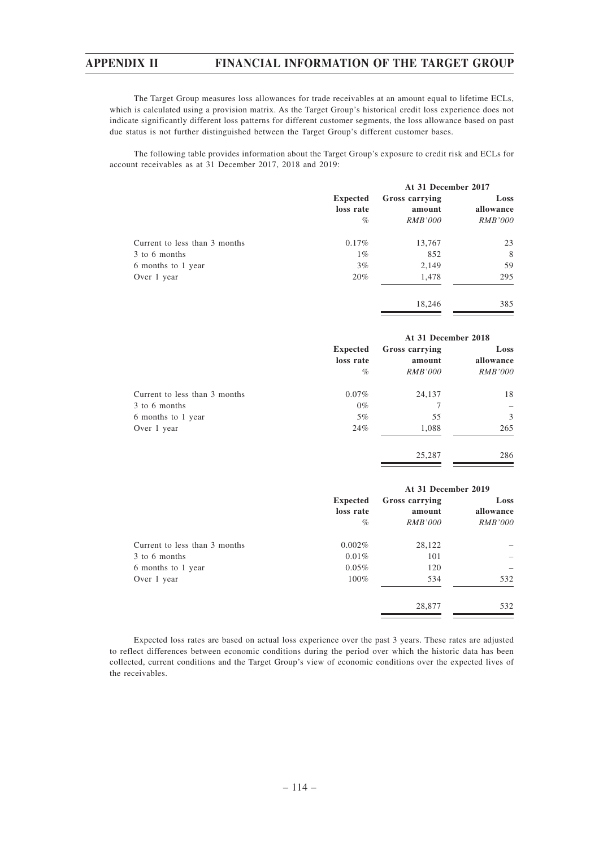The Target Group measures loss allowances for trade receivables at an amount equal to lifetime ECLs, which is calculated using a provision matrix. As the Target Group's historical credit loss experience does not indicate significantly different loss patterns for different customer segments, the loss allowance based on past due status is not further distinguished between the Target Group's different customer bases.

The following table provides information about the Target Group's exposure to credit risk and ECLs for account receivables as at 31 December 2017, 2018 and 2019:

|                               | <b>Expected</b> | At 31 December 2017 |                |
|-------------------------------|-----------------|---------------------|----------------|
|                               |                 | Gross carrying      | Loss           |
|                               | loss rate       | amount              | allowance      |
|                               | $\%$            | <i>RMB'000</i>      | <i>RMB'000</i> |
| Current to less than 3 months | $0.17\%$        | 13,767              | 23             |
| 3 to 6 months                 | $1\%$           | 852                 | 8              |
| 6 months to 1 year            | 3%              | 2,149               | 59             |
| Over 1 year                   | 20%             | 1,478               | 295            |
|                               |                 | 18.246              | 385            |

|                               |                                      | At 31 December 2018                        |                                     |  |
|-------------------------------|--------------------------------------|--------------------------------------------|-------------------------------------|--|
|                               | <b>Expected</b><br>loss rate<br>$\%$ | Gross carrying<br>amount<br><i>RMB'000</i> | Loss<br>allowance<br><i>RMB'000</i> |  |
| Current to less than 3 months | $0.07\%$                             | 24,137                                     | 18                                  |  |
| 3 to 6 months                 | $0\%$                                |                                            |                                     |  |
| 6 months to 1 year            | $5\%$                                | 55                                         | 3                                   |  |
| Over 1 year                   | 24%                                  | 1,088                                      | 265                                 |  |
|                               |                                      | 25,287                                     | 286                                 |  |

|                               |                 | At 31 December 2019 |                |  |
|-------------------------------|-----------------|---------------------|----------------|--|
|                               | <b>Expected</b> | Gross carrying      | Loss           |  |
|                               | loss rate       | amount              | allowance      |  |
|                               | $\%$            | <i>RMB'000</i>      | <i>RMB'000</i> |  |
| Current to less than 3 months | 0.002%          | 28,122              |                |  |
| 3 to 6 months                 | $0.01\%$        | 101                 |                |  |
| 6 months to 1 year            | $0.05\%$        | 120                 |                |  |
| Over 1 year                   | $100\%$         | 534                 | 532            |  |
|                               |                 | 28,877              | 532            |  |

Expected loss rates are based on actual loss experience over the past 3 years. These rates are adjusted to reflect differences between economic conditions during the period over which the historic data has been collected, current conditions and the Target Group's view of economic conditions over the expected lives of the receivables.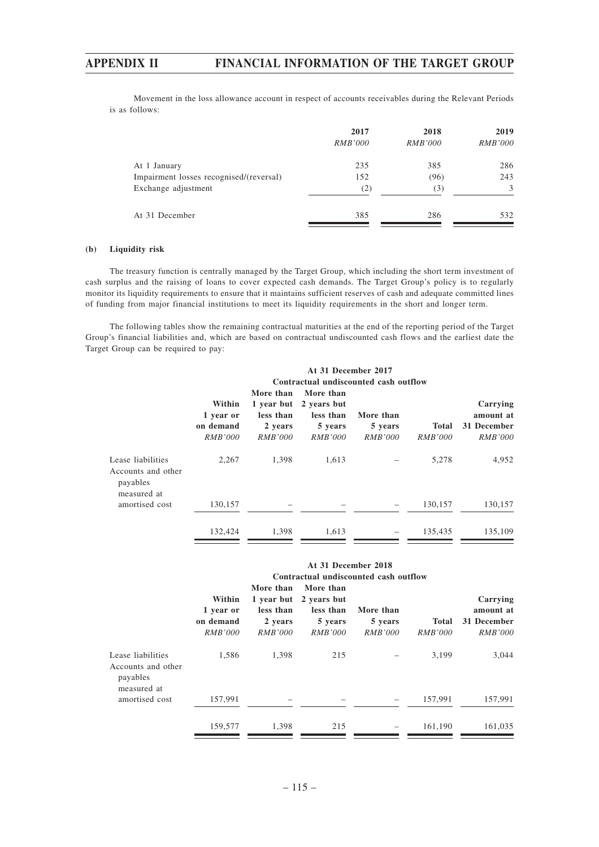Movement in the loss allowance account in respect of accounts receivables during the Relevant Periods is as follows:

|                                         | 2017<br><i>RMB'000</i> | 2018<br><i>RMB'000</i> | 2019<br><b>RMB'000</b> |
|-----------------------------------------|------------------------|------------------------|------------------------|
| At 1 January                            | 235                    | 385                    | 286                    |
| Impairment losses recognised/(reversal) | 152                    | (96)                   | 243                    |
| Exchange adjustment                     | (2)                    | (3)                    | 3                      |
| At 31 December                          | 385                    | 286                    | 532                    |

## **(b) Liquidity risk**

The treasury function is centrally managed by the Target Group, which including the short term investment of cash surplus and the raising of loans to cover expected cash demands. The Target Group's policy is to regularly monitor its liquidity requirements to ensure that it maintains sufficient reserves of cash and adequate committed lines of funding from major financial institutions to meet its liquidity requirements in the short and longer term.

The following tables show the remaining contractual maturities at the end of the reporting period of the Target Group's financial liabilities and, which are based on contractual undiscounted cash flows and the earliest date the Target Group can be required to pay:

|                                                                    | At 31 December 2017<br>Contractual undiscounted cash outflow |                                                                   |                                                                    |                                        |                         |                                                        |
|--------------------------------------------------------------------|--------------------------------------------------------------|-------------------------------------------------------------------|--------------------------------------------------------------------|----------------------------------------|-------------------------|--------------------------------------------------------|
|                                                                    | Within<br>1 year or<br>on demand<br><i>RMB'000</i>           | More than<br>1 year but<br>less than<br>2 years<br><i>RMB'000</i> | More than<br>2 years but<br>less than<br>5 years<br><i>RMB'000</i> | More than<br>5 years<br><i>RMB'000</i> | <b>Total</b><br>RMB'000 | Carrying<br>amount at<br>31 December<br><i>RMB'000</i> |
| Lease liabilities<br>Accounts and other<br>payables<br>measured at | 2,267                                                        | 1.398                                                             | 1.613                                                              |                                        | 5.278                   | 4,952                                                  |
| amortised cost                                                     | 130,157                                                      |                                                                   |                                                                    |                                        | 130,157                 | 130,157                                                |
|                                                                    | 132,424                                                      | 1,398                                                             | 1,613                                                              |                                        | 135,435                 | 135,109                                                |

|                                                                    |                                                    |                                                     | At 31 December 2018                                                           | Contractual undiscounted cash outflow  |                                |                                                        |
|--------------------------------------------------------------------|----------------------------------------------------|-----------------------------------------------------|-------------------------------------------------------------------------------|----------------------------------------|--------------------------------|--------------------------------------------------------|
|                                                                    | Within<br>1 year or<br>on demand<br><b>RMB'000</b> | More than<br>less than<br>2 years<br><i>RMB'000</i> | More than<br>1 year but 2 years but<br>less than<br>5 years<br><i>RMB'000</i> | More than<br>5 years<br><i>RMB'000</i> | <b>Total</b><br><i>RMB'000</i> | Carrying<br>amount at<br>31 December<br><i>RMB'000</i> |
| Lease liabilities<br>Accounts and other<br>payables<br>measured at | 1,586                                              | 1,398                                               | 215                                                                           |                                        | 3.199                          | 3,044                                                  |
| amortised cost                                                     | 157,991                                            |                                                     |                                                                               |                                        | 157,991                        | 157,991                                                |
|                                                                    | 159,577                                            | 1.398                                               | 215                                                                           |                                        | 161.190                        | 161,035                                                |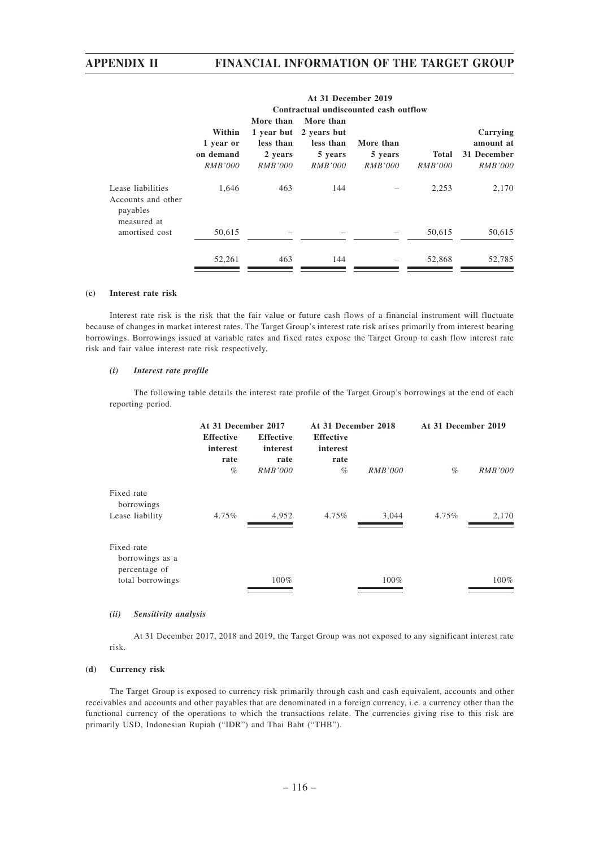|                                                                    | Contractual undiscounted cash outflow |                           |                                                  |                           |                                |                               |
|--------------------------------------------------------------------|---------------------------------------|---------------------------|--------------------------------------------------|---------------------------|--------------------------------|-------------------------------|
|                                                                    | Within<br>1 year or                   | More than<br>less than    | More than<br>1 year but 2 years but<br>less than | More than                 |                                | Carrying<br>amount at         |
|                                                                    | on demand<br><i>RMB'000</i>           | 2 years<br><i>RMB'000</i> | 5 years<br><i>RMB'000</i>                        | 5 years<br><i>RMB'000</i> | <b>Total</b><br><i>RMB'000</i> | 31 December<br><i>RMB'000</i> |
| Lease liabilities<br>Accounts and other<br>payables<br>measured at | 1.646                                 | 463                       | 144                                              |                           | 2,253                          | 2,170                         |
| amortised cost                                                     | 50,615                                |                           |                                                  |                           | 50,615                         | 50,615                        |
|                                                                    | 52,261                                | 463                       | 144                                              |                           | 52,868                         | 52.785                        |

# **At 31 December 2019**

## **(c) Interest rate risk**

Interest rate risk is the risk that the fair value or future cash flows of a financial instrument will fluctuate because of changes in market interest rates. The Target Group's interest rate risk arises primarily from interest bearing borrowings. Borrowings issued at variable rates and fixed rates expose the Target Group to cash flow interest rate risk and fair value interest rate risk respectively.

## *(i) Interest rate profile*

The following table details the interest rate profile of the Target Group's borrowings at the end of each reporting period.

| At 31 December 2017                  |                                      | At 31 December 2018                  |       | At 31 December 2019 |                |
|--------------------------------------|--------------------------------------|--------------------------------------|-------|---------------------|----------------|
| <b>Effective</b><br>interest<br>rate | <b>Effective</b><br>interest<br>rate | <b>Effective</b><br>interest<br>rate |       |                     |                |
|                                      |                                      |                                      |       |                     | <b>RMB'000</b> |
|                                      |                                      |                                      |       |                     |                |
| $4.75\%$                             | 4,952                                | $4.75\%$                             | 3,044 | $4.75\%$            | 2,170          |
|                                      |                                      |                                      |       |                     |                |
|                                      | $100\%$                              |                                      | 100%  |                     | $100\%$        |
|                                      | $\%$                                 | <b>RMB'000</b>                       | %     | <b>RMB'000</b>      | $\%$           |

### *(ii) Sensitivity analysis*

At 31 December 2017, 2018 and 2019, the Target Group was not exposed to any significant interest rate risk.

## **(d) Currency risk**

The Target Group is exposed to currency risk primarily through cash and cash equivalent, accounts and other receivables and accounts and other payables that are denominated in a foreign currency, i.e. a currency other than the functional currency of the operations to which the transactions relate. The currencies giving rise to this risk are primarily USD, Indonesian Rupiah ("IDR") and Thai Baht ("THB").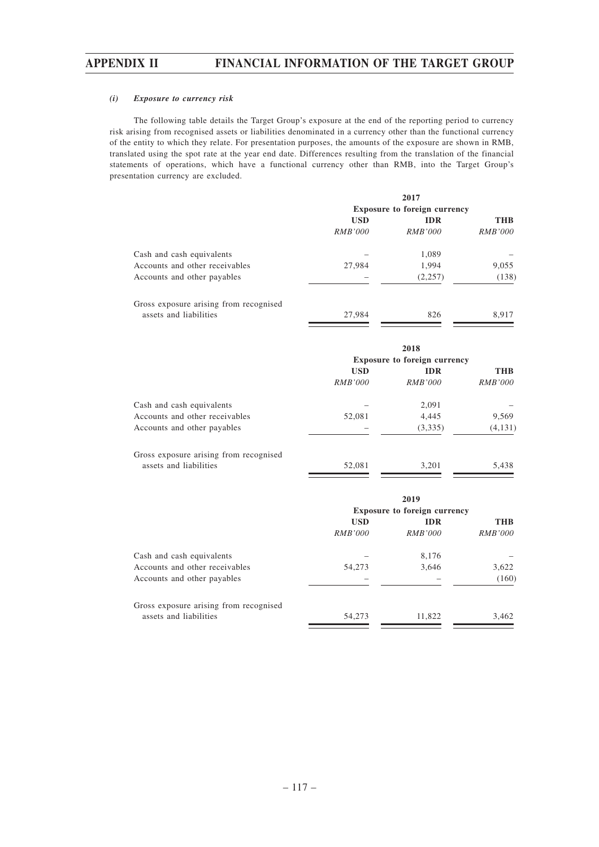### *(i) Exposure to currency risk*

The following table details the Target Group's exposure at the end of the reporting period to currency risk arising from recognised assets or liabilities denominated in a currency other than the functional currency of the entity to which they relate. For presentation purposes, the amounts of the exposure are shown in RMB, translated using the spot rate at the year end date. Differences resulting from the translation of the financial statements of operations, which have a functional currency other than RMB, into the Target Group's presentation currency are excluded.

|                                        |                | 2017                                |                |
|----------------------------------------|----------------|-------------------------------------|----------------|
|                                        |                | <b>Exposure to foreign currency</b> |                |
|                                        | <b>USD</b>     | <b>IDR</b>                          | <b>THB</b>     |
|                                        | <i>RMB'000</i> | <i>RMB'000</i>                      | <i>RMB'000</i> |
| Cash and cash equivalents              |                | 1,089                               |                |
| Accounts and other receivables         | 27,984         | 1,994                               | 9,055          |
| Accounts and other payables            |                | (2,257)                             | (138)          |
| Gross exposure arising from recognised |                |                                     |                |
| assets and liabilities                 | 27,984         | 826                                 | 8.917          |

|                                | <b>Exposure to foreign currency</b> |                |                |
|--------------------------------|-------------------------------------|----------------|----------------|
|                                | <b>USD</b>                          | <b>IDR</b>     | <b>THB</b>     |
|                                | <i>RMB'000</i>                      | <i>RMB'000</i> | <i>RMB'000</i> |
| Cash and cash equivalents      |                                     | 2,091          |                |
| Accounts and other receivables | 52,081                              | 4,445          | 9,569          |
| Accounts and other payables    |                                     | (3,335)        | (4, 131)       |

| Gross exposure arising from recognised |        |       |       |
|----------------------------------------|--------|-------|-------|
| assets and liabilities                 | 52,081 | 3.201 | 5.438 |
|                                        |        |       |       |

|                                        |                | 2019                                |                |
|----------------------------------------|----------------|-------------------------------------|----------------|
|                                        |                | <b>Exposure to foreign currency</b> |                |
|                                        | <b>USD</b>     | <b>IDR</b>                          | <b>THB</b>     |
|                                        | <i>RMB'000</i> | <i>RMB'000</i>                      | <i>RMB'000</i> |
| Cash and cash equivalents              |                | 8,176                               |                |
| Accounts and other receivables         | 54,273         | 3,646                               | 3,622          |
| Accounts and other payables            |                |                                     | (160)          |
| Gross exposure arising from recognised |                |                                     |                |
| assets and liabilities                 | 54,273         | 11.822                              | 3,462          |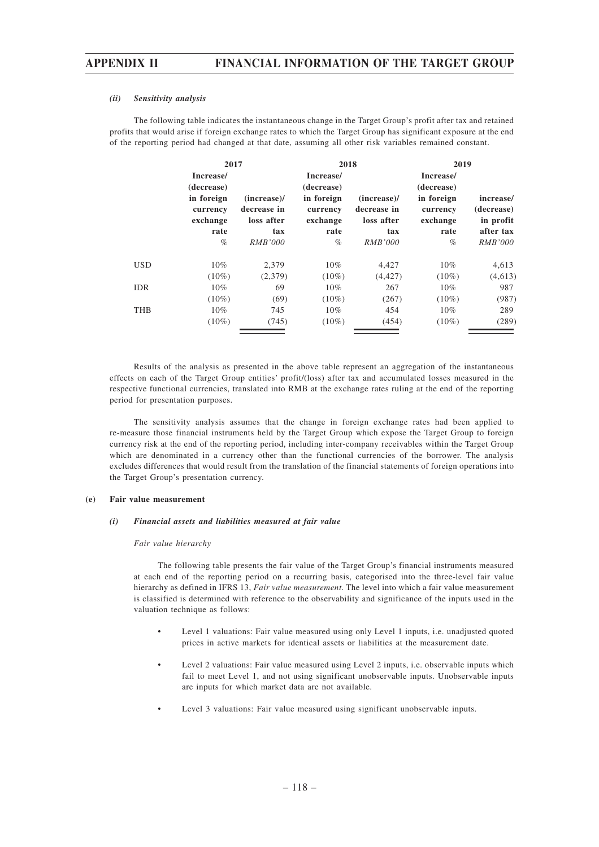### *(ii) Sensitivity analysis*

The following table indicates the instantaneous change in the Target Group's profit after tax and retained profits that would arise if foreign exchange rates to which the Target Group has significant exposure at the end of the reporting period had changed at that date, assuming all other risk variables remained constant.

|     | 2017                                                                          |                                                                      | 2018                                                                          |                                                                      | 2019                                                                          |                                                                     |
|-----|-------------------------------------------------------------------------------|----------------------------------------------------------------------|-------------------------------------------------------------------------------|----------------------------------------------------------------------|-------------------------------------------------------------------------------|---------------------------------------------------------------------|
|     | Increase/<br>(decrease)<br>in foreign<br>currency<br>exchange<br>rate<br>$\%$ | $(increase)$ /<br>decrease in<br>loss after<br>tax<br><i>RMB'000</i> | Increase/<br>(decrease)<br>in foreign<br>currency<br>exchange<br>rate<br>$\%$ | $(increase)$ /<br>decrease in<br>loss after<br>tax<br><i>RMB'000</i> | Increase/<br>(decrease)<br>in foreign<br>currency<br>exchange<br>rate<br>$\%$ | increase/<br>(decrease)<br>in profit<br>after tax<br><b>RMB'000</b> |
| USD | 10%                                                                           | 2,379                                                                | $10\%$                                                                        | 4,427                                                                | $10\%$                                                                        | 4,613                                                               |
|     | $(10\%)$                                                                      | (2,379)                                                              | $(10\%)$                                                                      | (4, 427)                                                             | $(10\%)$                                                                      | (4,613)                                                             |
| IDR | $10\%$                                                                        | 69                                                                   | $10\%$                                                                        | 267                                                                  | $10\%$                                                                        | 987                                                                 |
|     | $(10\%)$                                                                      | (69)                                                                 | $(10\%)$                                                                      | (267)                                                                | $(10\%)$                                                                      | (987)                                                               |
| THB | $10\%$                                                                        | 745                                                                  | $10\%$                                                                        | 454                                                                  | $10\%$                                                                        | 289                                                                 |
|     | $(10\%)$                                                                      | (745)                                                                | $(10\%)$                                                                      | (454)                                                                | $(10\%)$                                                                      | (289)                                                               |

Results of the analysis as presented in the above table represent an aggregation of the instantaneous effects on each of the Target Group entities' profit/(loss) after tax and accumulated losses measured in the respective functional currencies, translated into RMB at the exchange rates ruling at the end of the reporting period for presentation purposes.

The sensitivity analysis assumes that the change in foreign exchange rates had been applied to re-measure those financial instruments held by the Target Group which expose the Target Group to foreign currency risk at the end of the reporting period, including inter-company receivables within the Target Group which are denominated in a currency other than the functional currencies of the borrower. The analysis excludes differences that would result from the translation of the financial statements of foreign operations into the Target Group's presentation currency.

### **(e) Fair value measurement**

### *(i) Financial assets and liabilities measured at fair value*

### *Fair value hierarchy*

The following table presents the fair value of the Target Group's financial instruments measured at each end of the reporting period on a recurring basis, categorised into the three-level fair value hierarchy as defined in IFRS 13, *Fair value measurement*. The level into which a fair value measurement is classified is determined with reference to the observability and significance of the inputs used in the valuation technique as follows:

- Level 1 valuations: Fair value measured using only Level 1 inputs, i.e. unadjusted quoted prices in active markets for identical assets or liabilities at the measurement date.
- Level 2 valuations: Fair value measured using Level 2 inputs, i.e. observable inputs which fail to meet Level 1, and not using significant unobservable inputs. Unobservable inputs are inputs for which market data are not available.
- Level 3 valuations: Fair value measured using significant unobservable inputs.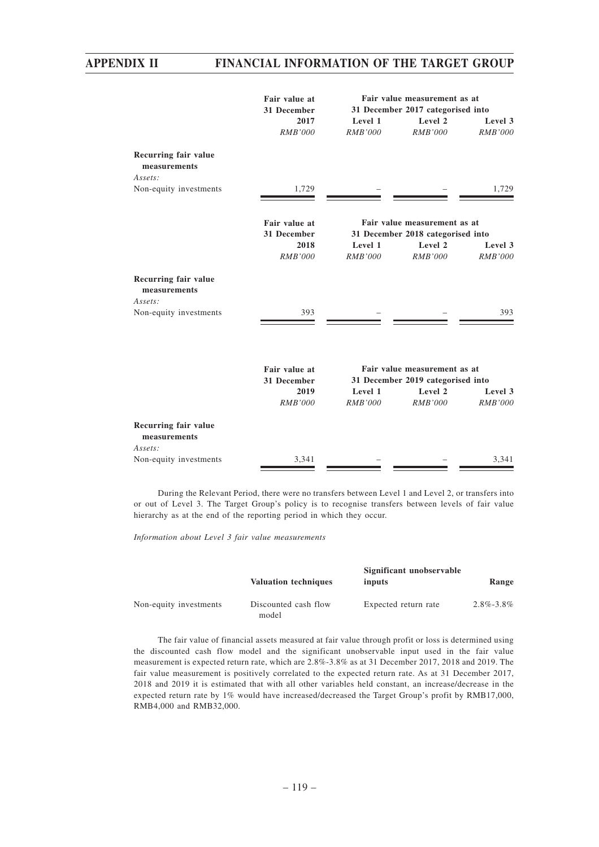|                                                 | Fair value at<br>31 December | Fair value measurement as at<br>31 December 2017 categorised into |                                                                   |                           |
|-------------------------------------------------|------------------------------|-------------------------------------------------------------------|-------------------------------------------------------------------|---------------------------|
|                                                 | 2017<br><b>RMB'000</b>       | Level 1<br>RMB'000                                                | Level 2<br><b>RMB'000</b>                                         | Level 3<br><b>RMB'000</b> |
| Recurring fair value<br>measurements            |                              |                                                                   |                                                                   |                           |
| Assets:                                         |                              |                                                                   |                                                                   |                           |
| Non-equity investments                          | 1,729                        |                                                                   |                                                                   | 1,729                     |
|                                                 | Fair value at<br>31 December |                                                                   | Fair value measurement as at<br>31 December 2018 categorised into |                           |
|                                                 | 2018                         | Level 1                                                           | Level 2                                                           | Level 3                   |
|                                                 | <b>RMB'000</b>               | RMB'000                                                           | <b>RMB'000</b>                                                    | RMB'000                   |
| Recurring fair value<br>measurements<br>Assets: |                              |                                                                   |                                                                   |                           |
| Non-equity investments                          | 393                          |                                                                   |                                                                   | 393                       |
|                                                 | Fair value at<br>31 December |                                                                   | Fair value measurement as at<br>31 December 2019 categorised into |                           |
|                                                 | 2019                         | Level 1                                                           | Level 2                                                           | Level 3                   |
|                                                 | <b>RMB'000</b>               | RMB'000                                                           | RMB'000                                                           | <i>RMB'000</i>            |
| Recurring fair value<br>measurements<br>Assets: |                              |                                                                   |                                                                   |                           |
| Non-equity investments                          | 3,341                        |                                                                   |                                                                   | 3,341                     |
|                                                 |                              |                                                                   |                                                                   |                           |

During the Relevant Period, there were no transfers between Level 1 and Level 2, or transfers into or out of Level 3. The Target Group's policy is to recognise transfers between levels of fair value hierarchy as at the end of the reporting period in which they occur.

*Information about Level 3 fair value measurements*

|                        | <b>Valuation techniques</b>   | Significant unobservable<br>inputs | Range           |
|------------------------|-------------------------------|------------------------------------|-----------------|
| Non-equity investments | Discounted cash flow<br>model | Expected return rate               | $2.8\% - 3.8\%$ |

The fair value of financial assets measured at fair value through profit or loss is determined using the discounted cash flow model and the significant unobservable input used in the fair value measurement is expected return rate, which are 2.8%-3.8% as at 31 December 2017, 2018 and 2019. The fair value measurement is positively correlated to the expected return rate. As at 31 December 2017, 2018 and 2019 it is estimated that with all other variables held constant, an increase/decrease in the expected return rate by 1% would have increased/decreased the Target Group's profit by RMB17,000, RMB4,000 and RMB32,000.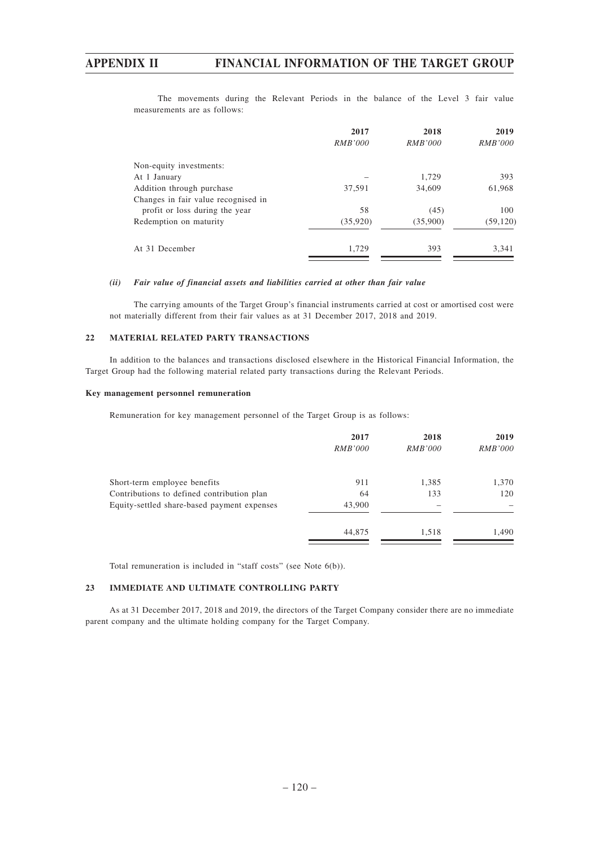The movements during the Relevant Periods in the balance of the Level 3 fair value measurements are as follows:

|                                     | 2017<br><i>RMB'000</i> | 2018<br><i>RMB'000</i> | 2019<br><i>RMB'000</i> |
|-------------------------------------|------------------------|------------------------|------------------------|
| Non-equity investments:             |                        |                        |                        |
| At 1 January                        |                        | 1.729                  | 393                    |
| Addition through purchase           | 37,591                 | 34,609                 | 61,968                 |
| Changes in fair value recognised in |                        |                        |                        |
| profit or loss during the year      | 58                     | (45)                   | 100                    |
| Redemption on maturity              | (35,920)               | (35,900)               | (59, 120)              |
| At 31 December                      | 1,729                  | 393                    | 3,341                  |

## *(ii) Fair value of financial assets and liabilities carried at other than fair value*

The carrying amounts of the Target Group's financial instruments carried at cost or amortised cost were not materially different from their fair values as at 31 December 2017, 2018 and 2019.

### **22 MATERIAL RELATED PARTY TRANSACTIONS**

In addition to the balances and transactions disclosed elsewhere in the Historical Financial Information, the Target Group had the following material related party transactions during the Relevant Periods.

### **Key management personnel remuneration**

Remuneration for key management personnel of the Target Group is as follows:

| 2017           | 2018           | 2019           |
|----------------|----------------|----------------|
| <i>RMB'000</i> | <i>RMB'000</i> | <i>RMB'000</i> |
| 911            | 1,385          | 1,370          |
| 64             | 133            | 120            |
| 43,900         |                |                |
| 44,875         | 1,518          | 1,490          |
|                |                |                |

Total remuneration is included in "staff costs" (see Note 6(b)).

### **23 IMMEDIATE AND ULTIMATE CONTROLLING PARTY**

As at 31 December 2017, 2018 and 2019, the directors of the Target Company consider there are no immediate parent company and the ultimate holding company for the Target Company.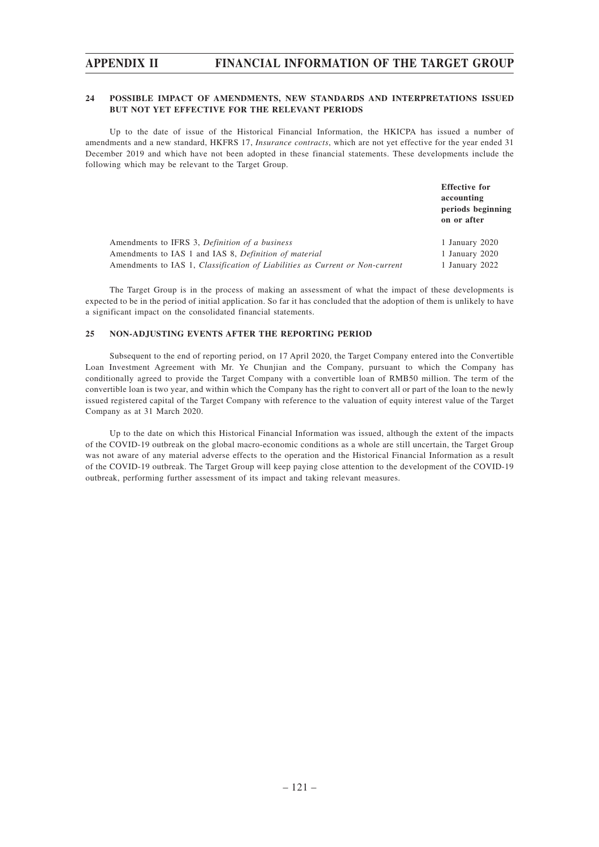## **24 POSSIBLE IMPACT OF AMENDMENTS, NEW STANDARDS AND INTERPRETATIONS ISSUED BUT NOT YET EFFECTIVE FOR THE RELEVANT PERIODS**

Up to the date of issue of the Historical Financial Information, the HKICPA has issued a number of amendments and a new standard, HKFRS 17, *Insurance contracts*, which are not yet effective for the year ended 31 December 2019 and which have not been adopted in these financial statements. These developments include the following which may be relevant to the Target Group.

**Effective for accounting periods beginning on or after** Amendments to IFRS 3, *Definition of a business* 1 January 2020 Amendments to IAS 1 and IAS 8, *Definition of material* 1 January 2020 Amendments to IAS 1, *Classification of Liabilities as Current or Non-current* 1 January 2022

The Target Group is in the process of making an assessment of what the impact of these developments is expected to be in the period of initial application. So far it has concluded that the adoption of them is unlikely to have a significant impact on the consolidated financial statements.

### **25 NON-ADJUSTING EVENTS AFTER THE REPORTING PERIOD**

Subsequent to the end of reporting period, on 17 April 2020, the Target Company entered into the Convertible Loan Investment Agreement with Mr. Ye Chunjian and the Company, pursuant to which the Company has conditionally agreed to provide the Target Company with a convertible loan of RMB50 million. The term of the convertible loan is two year, and within which the Company has the right to convert all or part of the loan to the newly issued registered capital of the Target Company with reference to the valuation of equity interest value of the Target Company as at 31 March 2020.

Up to the date on which this Historical Financial Information was issued, although the extent of the impacts of the COVID-19 outbreak on the global macro-economic conditions as a whole are still uncertain, the Target Group was not aware of any material adverse effects to the operation and the Historical Financial Information as a result of the COVID-19 outbreak. The Target Group will keep paying close attention to the development of the COVID-19 outbreak, performing further assessment of its impact and taking relevant measures.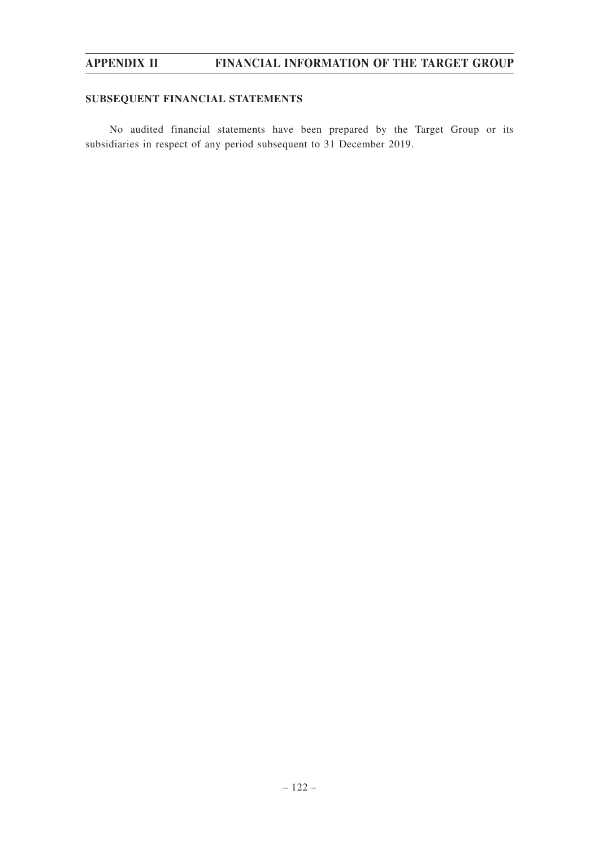# **SUBSEQUENT FINANCIAL STATEMENTS**

No audited financial statements have been prepared by the Target Group or its subsidiaries in respect of any period subsequent to 31 December 2019.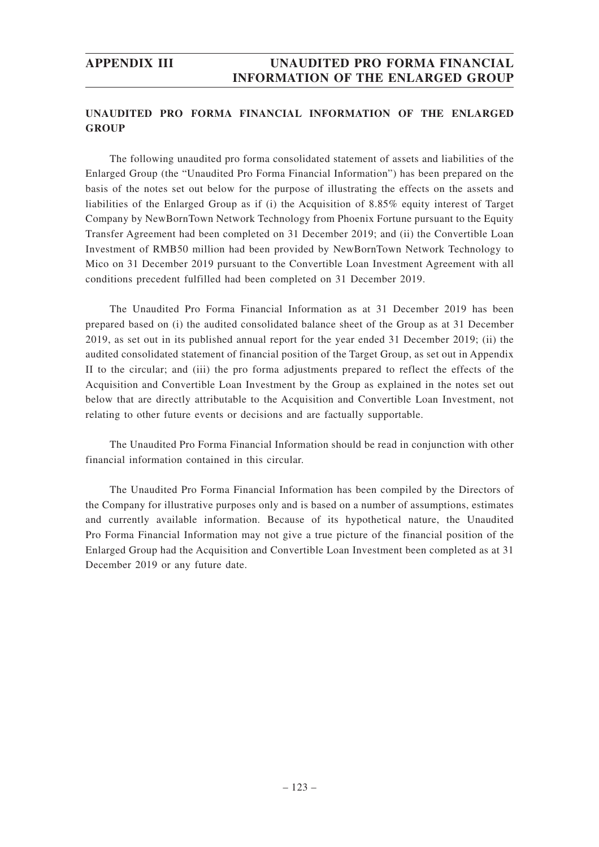# **UNAUDITED PRO FORMA FINANCIAL INFORMATION OF THE ENLARGED GROUP**

The following unaudited pro forma consolidated statement of assets and liabilities of the Enlarged Group (the "Unaudited Pro Forma Financial Information") has been prepared on the basis of the notes set out below for the purpose of illustrating the effects on the assets and liabilities of the Enlarged Group as if (i) the Acquisition of 8.85% equity interest of Target Company by NewBornTown Network Technology from Phoenix Fortune pursuant to the Equity Transfer Agreement had been completed on 31 December 2019; and (ii) the Convertible Loan Investment of RMB50 million had been provided by NewBornTown Network Technology to Mico on 31 December 2019 pursuant to the Convertible Loan Investment Agreement with all conditions precedent fulfilled had been completed on 31 December 2019.

The Unaudited Pro Forma Financial Information as at 31 December 2019 has been prepared based on (i) the audited consolidated balance sheet of the Group as at 31 December 2019, as set out in its published annual report for the year ended 31 December 2019; (ii) the audited consolidated statement of financial position of the Target Group, as set out in Appendix II to the circular; and (iii) the pro forma adjustments prepared to reflect the effects of the Acquisition and Convertible Loan Investment by the Group as explained in the notes set out below that are directly attributable to the Acquisition and Convertible Loan Investment, not relating to other future events or decisions and are factually supportable.

The Unaudited Pro Forma Financial Information should be read in conjunction with other financial information contained in this circular.

The Unaudited Pro Forma Financial Information has been compiled by the Directors of the Company for illustrative purposes only and is based on a number of assumptions, estimates and currently available information. Because of its hypothetical nature, the Unaudited Pro Forma Financial Information may not give a true picture of the financial position of the Enlarged Group had the Acquisition and Convertible Loan Investment been completed as at 31 December 2019 or any future date.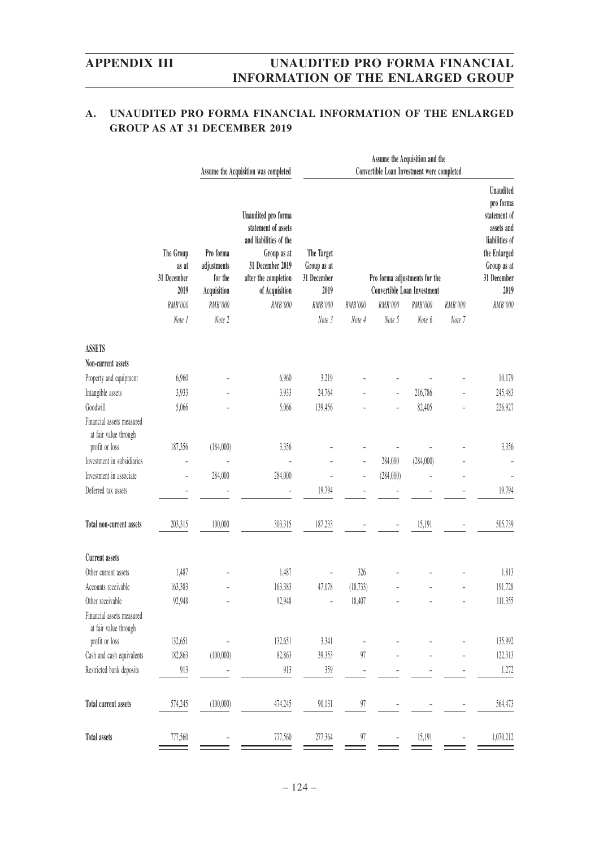# **A. UNAUDITED PRO FORMA FINANCIAL INFORMATION OF THE ENLARGED GROUP AS AT 31 DECEMBER 2019**

| Unaudited pro forma<br>statement of assets<br>and liabilities of the<br>Pro forma<br>The Group<br>The Target<br>Group as at<br>31 December 2019<br>adjustments<br>Group as at<br>as at<br>31 December<br>for the<br>after the completion<br>31 December<br>Pro forma adjustments for the<br>2019<br>Acquisition<br>2019<br><b>Convertible Loan Investment</b><br>of Acquisition<br>RMB'000<br>RMB'000<br>RMB'000<br>RMB'000<br>RMB'000<br>RMB'000<br>RMB'000<br>RMB'000<br>Note 2<br>Note 3<br>Note 7<br>Note 1<br>Note 4<br>Note 5<br>Note 6<br><b>ASSETS</b><br>Non-current assets<br>6,960<br>6,960<br>3,219<br>Property and equipment<br>216,786<br>Intangible assets<br>24,764<br>3,933<br>3,933<br>Goodwill<br>139,456<br>82,405<br>5,066<br>5,066 | Assume the Acquisition and the<br>Convertible Loan Investment were completed                                                        |  |  |  |  |
|----------------------------------------------------------------------------------------------------------------------------------------------------------------------------------------------------------------------------------------------------------------------------------------------------------------------------------------------------------------------------------------------------------------------------------------------------------------------------------------------------------------------------------------------------------------------------------------------------------------------------------------------------------------------------------------------------------------------------------------------------------|-------------------------------------------------------------------------------------------------------------------------------------|--|--|--|--|
|                                                                                                                                                                                                                                                                                                                                                                                                                                                                                                                                                                                                                                                                                                                                                          | <b>Unaudited</b><br>pro forma<br>statement of<br>assets and<br>liabilities of<br>the Enlarged<br>Group as at<br>31 December<br>2019 |  |  |  |  |
|                                                                                                                                                                                                                                                                                                                                                                                                                                                                                                                                                                                                                                                                                                                                                          | RMB'000                                                                                                                             |  |  |  |  |
|                                                                                                                                                                                                                                                                                                                                                                                                                                                                                                                                                                                                                                                                                                                                                          |                                                                                                                                     |  |  |  |  |
|                                                                                                                                                                                                                                                                                                                                                                                                                                                                                                                                                                                                                                                                                                                                                          |                                                                                                                                     |  |  |  |  |
|                                                                                                                                                                                                                                                                                                                                                                                                                                                                                                                                                                                                                                                                                                                                                          |                                                                                                                                     |  |  |  |  |
|                                                                                                                                                                                                                                                                                                                                                                                                                                                                                                                                                                                                                                                                                                                                                          | 10,179                                                                                                                              |  |  |  |  |
|                                                                                                                                                                                                                                                                                                                                                                                                                                                                                                                                                                                                                                                                                                                                                          | 245,483                                                                                                                             |  |  |  |  |
|                                                                                                                                                                                                                                                                                                                                                                                                                                                                                                                                                                                                                                                                                                                                                          | 226,927                                                                                                                             |  |  |  |  |
| Financial assets measured<br>at fair value through                                                                                                                                                                                                                                                                                                                                                                                                                                                                                                                                                                                                                                                                                                       |                                                                                                                                     |  |  |  |  |
| profit or loss<br>187,356<br>(184,000)<br>3,356                                                                                                                                                                                                                                                                                                                                                                                                                                                                                                                                                                                                                                                                                                          | 3,356                                                                                                                               |  |  |  |  |
| Investment in subsidiaries<br>284,000<br>(284,000)                                                                                                                                                                                                                                                                                                                                                                                                                                                                                                                                                                                                                                                                                                       |                                                                                                                                     |  |  |  |  |
| Investment in associate<br>284,000<br>284,000<br>(284,000)<br>Ĭ.                                                                                                                                                                                                                                                                                                                                                                                                                                                                                                                                                                                                                                                                                         |                                                                                                                                     |  |  |  |  |
| 19,794<br>Deferred tax assets                                                                                                                                                                                                                                                                                                                                                                                                                                                                                                                                                                                                                                                                                                                            | 19,794                                                                                                                              |  |  |  |  |
| 203,315<br>100,000<br>303,315<br>187,233<br>15,191<br>Total non-current assets                                                                                                                                                                                                                                                                                                                                                                                                                                                                                                                                                                                                                                                                           | 505,739                                                                                                                             |  |  |  |  |
| <b>Current assets</b>                                                                                                                                                                                                                                                                                                                                                                                                                                                                                                                                                                                                                                                                                                                                    |                                                                                                                                     |  |  |  |  |
| 1,487<br>1,487<br>326<br>Other current assets                                                                                                                                                                                                                                                                                                                                                                                                                                                                                                                                                                                                                                                                                                            | 1,813                                                                                                                               |  |  |  |  |
| 47,078<br>(18, 733)<br>Accounts receivable<br>163,383<br>163,383                                                                                                                                                                                                                                                                                                                                                                                                                                                                                                                                                                                                                                                                                         | 191,728                                                                                                                             |  |  |  |  |
| 92,948<br>92.948<br>Other receivable<br>18,407                                                                                                                                                                                                                                                                                                                                                                                                                                                                                                                                                                                                                                                                                                           | 111,355                                                                                                                             |  |  |  |  |
| Financial assets measured<br>at fair value through                                                                                                                                                                                                                                                                                                                                                                                                                                                                                                                                                                                                                                                                                                       |                                                                                                                                     |  |  |  |  |
| profit or loss<br>132,651<br>132,651<br>3,341                                                                                                                                                                                                                                                                                                                                                                                                                                                                                                                                                                                                                                                                                                            | 135,992                                                                                                                             |  |  |  |  |
| Cash and cash equivalents<br>(100,000)<br>82,863<br>$97\,$<br>182,863<br>39,353                                                                                                                                                                                                                                                                                                                                                                                                                                                                                                                                                                                                                                                                          | 122,313                                                                                                                             |  |  |  |  |
| Restricted bank deposits<br>913<br>913<br>$359\,$<br>$\overline{\phantom{m}}$                                                                                                                                                                                                                                                                                                                                                                                                                                                                                                                                                                                                                                                                            | 1,272                                                                                                                               |  |  |  |  |
| Total current assets<br>(100,000)<br>90,131<br>97<br>574,245<br>474,245                                                                                                                                                                                                                                                                                                                                                                                                                                                                                                                                                                                                                                                                                  | 564,473                                                                                                                             |  |  |  |  |
| <b>Total assets</b><br>777,560<br>777,560<br>277,364<br>15,191<br>97                                                                                                                                                                                                                                                                                                                                                                                                                                                                                                                                                                                                                                                                                     | 1,070,212                                                                                                                           |  |  |  |  |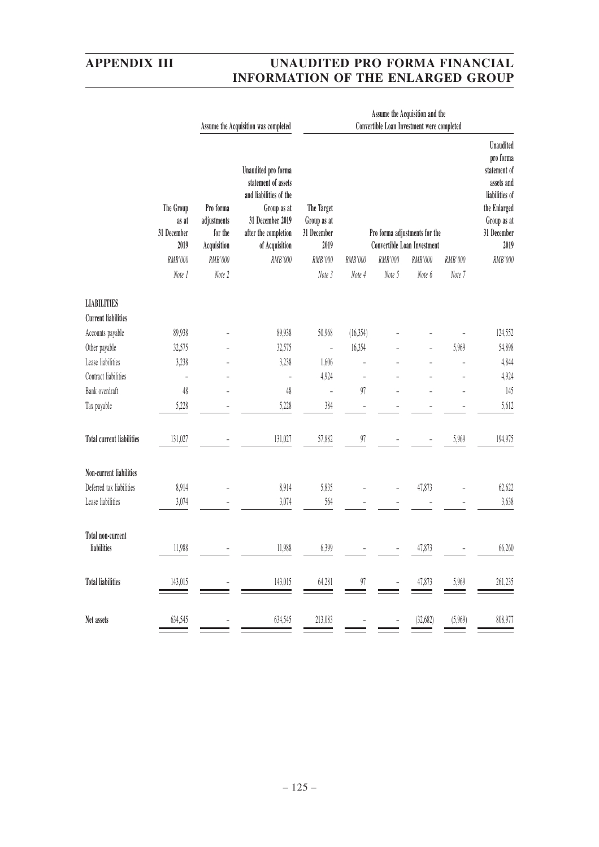|                                                  |                                                                |                                                                         | Assume the Acquisition was completed                                                                                                                         | Assume the Acquisition and the<br>Convertible Loan Investment were completed |                   |                   |                                                                                   |                   |                                                                                                                                         |
|--------------------------------------------------|----------------------------------------------------------------|-------------------------------------------------------------------------|--------------------------------------------------------------------------------------------------------------------------------------------------------------|------------------------------------------------------------------------------|-------------------|-------------------|-----------------------------------------------------------------------------------|-------------------|-----------------------------------------------------------------------------------------------------------------------------------------|
|                                                  | The Group<br>as at<br>31 December<br>2019<br>RMB'000<br>Note 1 | Pro forma<br>adjustments<br>for the<br>Acquisition<br>RMB'000<br>Note 2 | Unaudited pro forma<br>statement of assets<br>and liabilities of the<br>Group as at<br>31 December 2019<br>after the completion<br>of Acquisition<br>RMB'000 | The Target<br>Group as at<br>31 December<br>2019<br>RMB'000<br>Note 3        | RMB'000<br>Note 4 | RMB'000<br>Note 5 | Pro forma adjustments for the<br>Convertible Loan Investment<br>RMB'000<br>Note 6 | RMB'000<br>Note 7 | Unaudited<br>pro forma<br>statement of<br>assets and<br>liabilities of<br>the Enlarged<br>Group as at<br>31 December<br>2019<br>RMB'000 |
|                                                  |                                                                |                                                                         |                                                                                                                                                              |                                                                              |                   |                   |                                                                                   |                   |                                                                                                                                         |
| <b>LIABILITIES</b><br><b>Current liabilities</b> |                                                                |                                                                         |                                                                                                                                                              |                                                                              |                   |                   |                                                                                   |                   |                                                                                                                                         |
| Accounts payable                                 | 89,938                                                         |                                                                         | 89,938                                                                                                                                                       | 50,968                                                                       | (16, 354)         |                   |                                                                                   |                   | 124,552                                                                                                                                 |
| Other payable                                    | 32,575                                                         |                                                                         | 32,575                                                                                                                                                       | $\overline{a}$                                                               | 16,354            |                   |                                                                                   | 5,969             | 54,898                                                                                                                                  |
| Lease liabilities                                | 3,238                                                          |                                                                         | 3,238                                                                                                                                                        | 1,606                                                                        |                   |                   |                                                                                   |                   | 4,844                                                                                                                                   |
| Contract liabilities                             | ÷,                                                             |                                                                         | ÷                                                                                                                                                            | 4,924                                                                        | ÷,                |                   |                                                                                   |                   | 4,924                                                                                                                                   |
| Bank overdraft                                   | 48                                                             |                                                                         | $48\,$                                                                                                                                                       | $\overline{a}$                                                               | 97                |                   |                                                                                   |                   | 145                                                                                                                                     |
| Tax payable                                      | 5,228                                                          |                                                                         | 5,228                                                                                                                                                        | 384                                                                          | L.                |                   |                                                                                   |                   | 5,612                                                                                                                                   |
| <b>Total current liabilities</b>                 | 131,027                                                        |                                                                         | 131,027                                                                                                                                                      | 57,882                                                                       | 97                |                   |                                                                                   | 5,969             | 194,975                                                                                                                                 |
| Non-current liabilities                          |                                                                |                                                                         |                                                                                                                                                              |                                                                              |                   |                   |                                                                                   |                   |                                                                                                                                         |
| Deferred tax liabilities                         | 8,914                                                          |                                                                         | 8,914                                                                                                                                                        | 5,835                                                                        |                   |                   | 47,873                                                                            |                   | 62,622                                                                                                                                  |
| Lease liabilities                                | 3,074                                                          |                                                                         | 3,074                                                                                                                                                        | 564                                                                          |                   |                   |                                                                                   |                   | 3,638                                                                                                                                   |
| Total non-current<br>liabilities                 | 11,988                                                         |                                                                         | 11,988                                                                                                                                                       | 6,399                                                                        |                   |                   | 47,873                                                                            |                   | 66,260                                                                                                                                  |
| <b>Total liabilities</b>                         | 143,015                                                        |                                                                         | 143,015                                                                                                                                                      | 64,281                                                                       | 97                |                   | 47,873                                                                            | 5,969             | 261,235                                                                                                                                 |
| Net assets                                       | 634,545                                                        |                                                                         | 634,545                                                                                                                                                      | 213,083                                                                      |                   |                   | (32, 682)                                                                         | (5,969)           | 808,977                                                                                                                                 |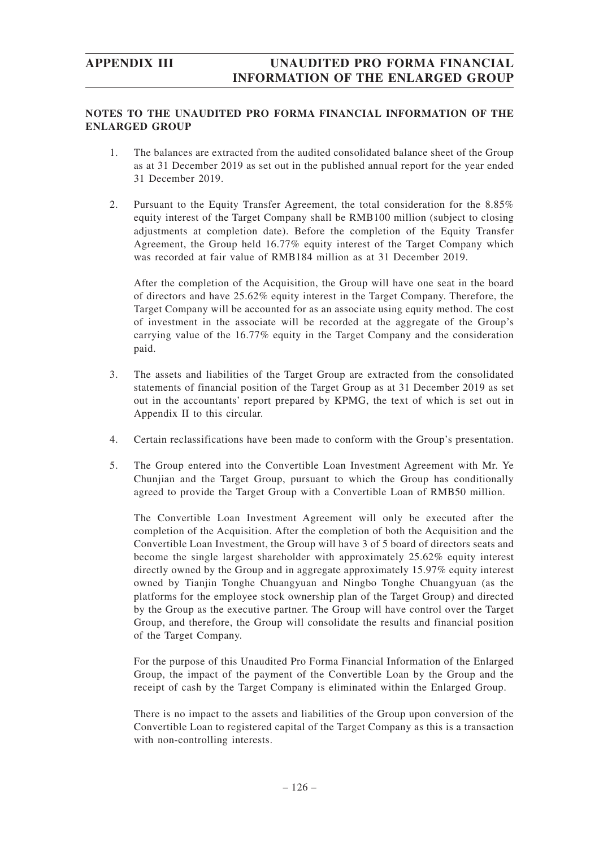# **NOTES TO THE UNAUDITED PRO FORMA FINANCIAL INFORMATION OF THE ENLARGED GROUP**

- 1. The balances are extracted from the audited consolidated balance sheet of the Group as at 31 December 2019 as set out in the published annual report for the year ended 31 December 2019.
- 2. Pursuant to the Equity Transfer Agreement, the total consideration for the 8.85% equity interest of the Target Company shall be RMB100 million (subject to closing adjustments at completion date). Before the completion of the Equity Transfer Agreement, the Group held 16.77% equity interest of the Target Company which was recorded at fair value of RMB184 million as at 31 December 2019.

After the completion of the Acquisition, the Group will have one seat in the board of directors and have 25.62% equity interest in the Target Company. Therefore, the Target Company will be accounted for as an associate using equity method. The cost of investment in the associate will be recorded at the aggregate of the Group's carrying value of the 16.77% equity in the Target Company and the consideration paid.

- 3. The assets and liabilities of the Target Group are extracted from the consolidated statements of financial position of the Target Group as at 31 December 2019 as set out in the accountants' report prepared by KPMG, the text of which is set out in Appendix II to this circular.
- 4. Certain reclassifications have been made to conform with the Group's presentation.
- 5. The Group entered into the Convertible Loan Investment Agreement with Mr. Ye Chunjian and the Target Group, pursuant to which the Group has conditionally agreed to provide the Target Group with a Convertible Loan of RMB50 million.

The Convertible Loan Investment Agreement will only be executed after the completion of the Acquisition. After the completion of both the Acquisition and the Convertible Loan Investment, the Group will have 3 of 5 board of directors seats and become the single largest shareholder with approximately 25.62% equity interest directly owned by the Group and in aggregate approximately 15.97% equity interest owned by Tianjin Tonghe Chuangyuan and Ningbo Tonghe Chuangyuan (as the platforms for the employee stock ownership plan of the Target Group) and directed by the Group as the executive partner. The Group will have control over the Target Group, and therefore, the Group will consolidate the results and financial position of the Target Company.

For the purpose of this Unaudited Pro Forma Financial Information of the Enlarged Group, the impact of the payment of the Convertible Loan by the Group and the receipt of cash by the Target Company is eliminated within the Enlarged Group.

There is no impact to the assets and liabilities of the Group upon conversion of the Convertible Loan to registered capital of the Target Company as this is a transaction with non-controlling interests.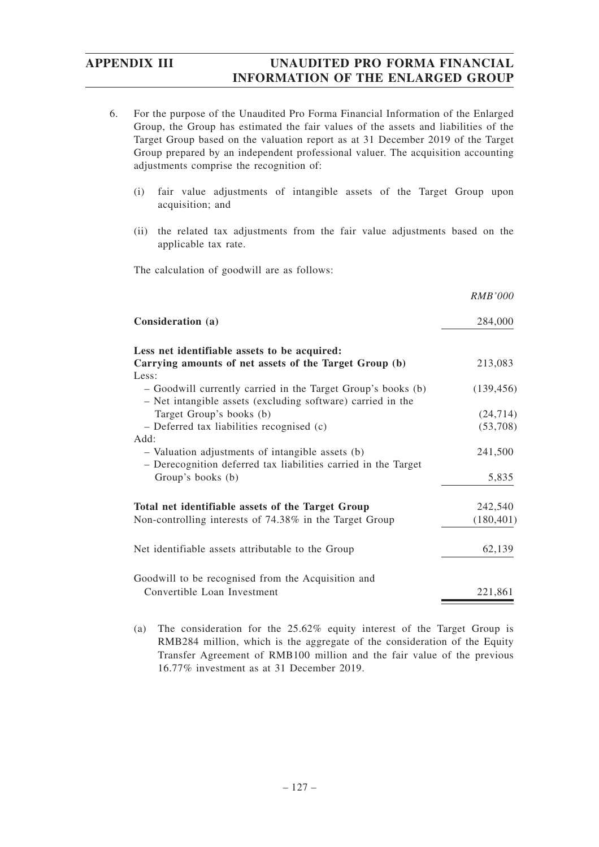- 6. For the purpose of the Unaudited Pro Forma Financial Information of the Enlarged Group, the Group has estimated the fair values of the assets and liabilities of the Target Group based on the valuation report as at 31 December 2019 of the Target Group prepared by an independent professional valuer. The acquisition accounting adjustments comprise the recognition of:
	- (i) fair value adjustments of intangible assets of the Target Group upon acquisition; and
	- (ii) the related tax adjustments from the fair value adjustments based on the applicable tax rate.

The calculation of goodwill are as follows:

|                                                                                         | <i>RMB'000</i> |
|-----------------------------------------------------------------------------------------|----------------|
| Consideration (a)                                                                       | 284,000        |
| Less net identifiable assets to be acquired:                                            |                |
| Carrying amounts of net assets of the Target Group (b)                                  | 213,083        |
| Less:<br>- Goodwill currently carried in the Target Group's books (b)                   | (139, 456)     |
| - Net intangible assets (excluding software) carried in the<br>Target Group's books (b) | (24, 714)      |
| - Deferred tax liabilities recognised (c)                                               | (53,708)       |
| Add:                                                                                    |                |
| - Valuation adjustments of intangible assets (b)                                        | 241,500        |
| - Derecognition deferred tax liabilities carried in the Target                          |                |
| Group's books (b)                                                                       | 5,835          |
| Total net identifiable assets of the Target Group                                       | 242,540        |
| Non-controlling interests of 74.38% in the Target Group                                 | (180, 401)     |
| Net identifiable assets attributable to the Group                                       | 62,139         |
| Goodwill to be recognised from the Acquisition and                                      |                |
| Convertible Loan Investment                                                             | 221,861        |
|                                                                                         |                |

(a) The consideration for the 25.62% equity interest of the Target Group is RMB284 million, which is the aggregate of the consideration of the Equity Transfer Agreement of RMB100 million and the fair value of the previous 16.77% investment as at 31 December 2019.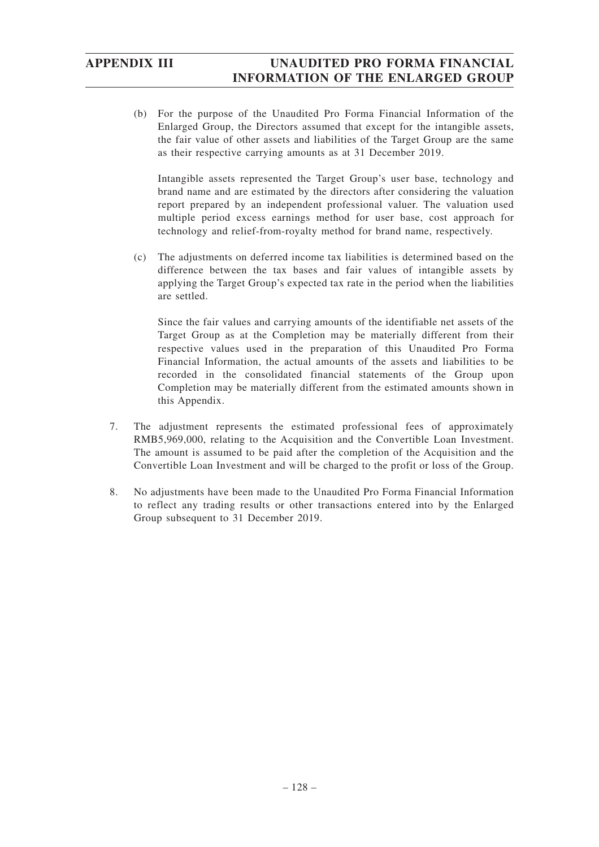(b) For the purpose of the Unaudited Pro Forma Financial Information of the Enlarged Group, the Directors assumed that except for the intangible assets, the fair value of other assets and liabilities of the Target Group are the same as their respective carrying amounts as at 31 December 2019.

Intangible assets represented the Target Group's user base, technology and brand name and are estimated by the directors after considering the valuation report prepared by an independent professional valuer. The valuation used multiple period excess earnings method for user base, cost approach for technology and relief-from-royalty method for brand name, respectively.

(c) The adjustments on deferred income tax liabilities is determined based on the difference between the tax bases and fair values of intangible assets by applying the Target Group's expected tax rate in the period when the liabilities are settled.

Since the fair values and carrying amounts of the identifiable net assets of the Target Group as at the Completion may be materially different from their respective values used in the preparation of this Unaudited Pro Forma Financial Information, the actual amounts of the assets and liabilities to be recorded in the consolidated financial statements of the Group upon Completion may be materially different from the estimated amounts shown in this Appendix.

- 7. The adjustment represents the estimated professional fees of approximately RMB5,969,000, relating to the Acquisition and the Convertible Loan Investment. The amount is assumed to be paid after the completion of the Acquisition and the Convertible Loan Investment and will be charged to the profit or loss of the Group.
- 8. No adjustments have been made to the Unaudited Pro Forma Financial Information to reflect any trading results or other transactions entered into by the Enlarged Group subsequent to 31 December 2019.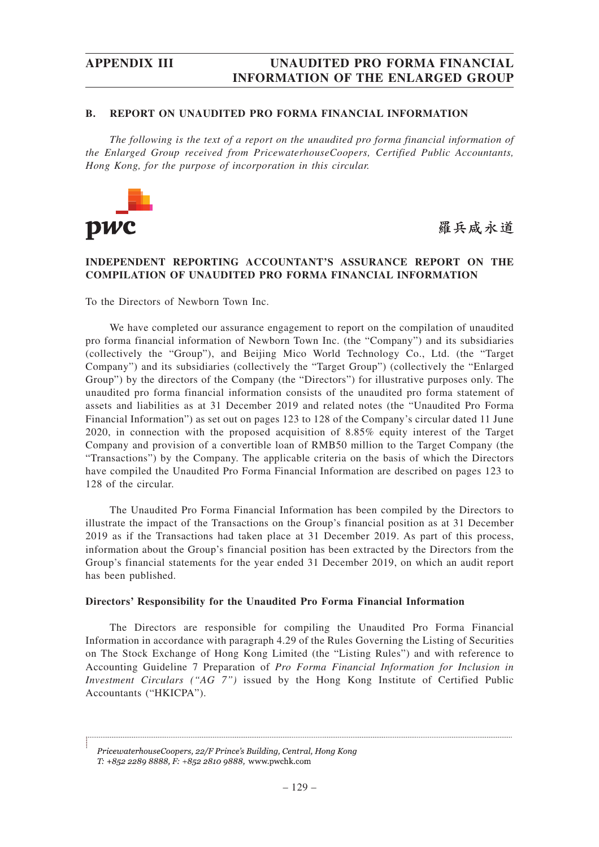## **B. REPORT ON UNAUDITED PRO FORMA FINANCIAL INFORMATION**

*The following is the text of a report on the unaudited pro forma financial information of the Enlarged Group received from PricewaterhouseCoopers, Certified Public Accountants, Hong Kong, for the purpose of incorporation in this circular.*



羅兵咸永道

# **INDEPENDENT REPORTING ACCOUNTANT'S ASSURANCE REPORT ON THE COMPILATION OF UNAUDITED PRO FORMA FINANCIAL INFORMATION**

To the Directors of Newborn Town Inc.

We have completed our assurance engagement to report on the compilation of unaudited pro forma financial information of Newborn Town Inc. (the "Company") and its subsidiaries (collectively the "Group"), and Beijing Mico World Technology Co., Ltd. (the "Target Company") and its subsidiaries (collectively the "Target Group") (collectively the "Enlarged Group") by the directors of the Company (the "Directors") for illustrative purposes only. The unaudited pro forma financial information consists of the unaudited pro forma statement of assets and liabilities as at 31 December 2019 and related notes (the "Unaudited Pro Forma Financial Information") as set out on pages 123 to 128 of the Company's circular dated 11 June 2020, in connection with the proposed acquisition of 8.85% equity interest of the Target Company and provision of a convertible loan of RMB50 million to the Target Company (the "Transactions") by the Company. The applicable criteria on the basis of which the Directors have compiled the Unaudited Pro Forma Financial Information are described on pages 123 to 128 of the circular.

The Unaudited Pro Forma Financial Information has been compiled by the Directors to illustrate the impact of the Transactions on the Group's financial position as at 31 December 2019 as if the Transactions had taken place at 31 December 2019. As part of this process, information about the Group's financial position has been extracted by the Directors from the Group's financial statements for the year ended 31 December 2019, on which an audit report has been published.

## **Directors' Responsibility for the Unaudited Pro Forma Financial Information**

The Directors are responsible for compiling the Unaudited Pro Forma Financial Information in accordance with paragraph 4.29 of the Rules Governing the Listing of Securities on The Stock Exchange of Hong Kong Limited (the "Listing Rules") and with reference to Accounting Guideline 7 Preparation of *Pro Forma Financial Information for Inclusion in Investment Circulars ("AG 7")* issued by the Hong Kong Institute of Certified Public Accountants ("HKICPA").

PricewaterhouseCoopers, 22/F Prince's Building, Central, Hong Kong

T: +852 2289 8888, F: +852 2810 9888, www.pwchk.com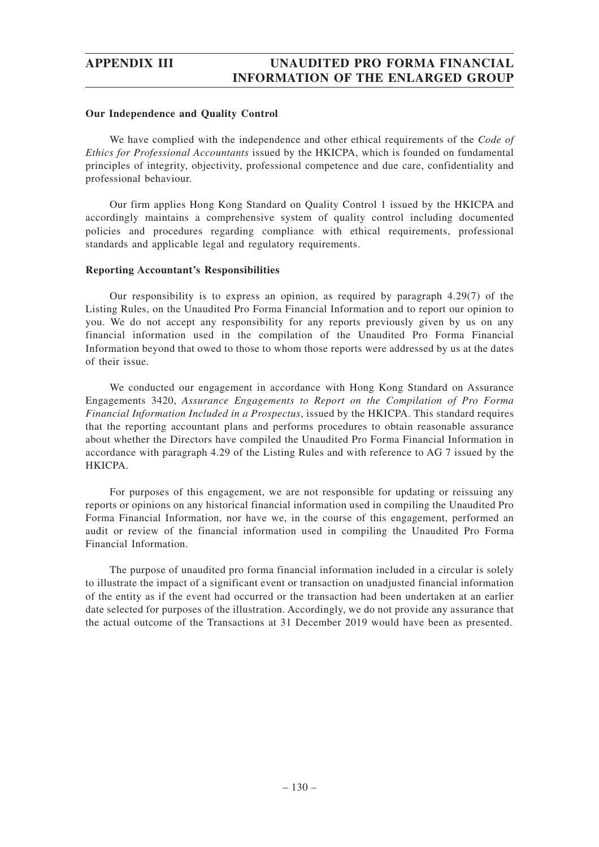## **Our Independence and Quality Control**

We have complied with the independence and other ethical requirements of the *Code of Ethics for Professional Accountants* issued by the HKICPA, which is founded on fundamental principles of integrity, objectivity, professional competence and due care, confidentiality and professional behaviour.

Our firm applies Hong Kong Standard on Quality Control 1 issued by the HKICPA and accordingly maintains a comprehensive system of quality control including documented policies and procedures regarding compliance with ethical requirements, professional standards and applicable legal and regulatory requirements.

## **Reporting Accountant's Responsibilities**

Our responsibility is to express an opinion, as required by paragraph 4.29(7) of the Listing Rules, on the Unaudited Pro Forma Financial Information and to report our opinion to you. We do not accept any responsibility for any reports previously given by us on any financial information used in the compilation of the Unaudited Pro Forma Financial Information beyond that owed to those to whom those reports were addressed by us at the dates of their issue.

We conducted our engagement in accordance with Hong Kong Standard on Assurance Engagements 3420, *Assurance Engagements to Report on the Compilation of Pro Forma Financial Information Included in a Prospectus*, issued by the HKICPA. This standard requires that the reporting accountant plans and performs procedures to obtain reasonable assurance about whether the Directors have compiled the Unaudited Pro Forma Financial Information in accordance with paragraph 4.29 of the Listing Rules and with reference to AG 7 issued by the HKICPA.

For purposes of this engagement, we are not responsible for updating or reissuing any reports or opinions on any historical financial information used in compiling the Unaudited Pro Forma Financial Information, nor have we, in the course of this engagement, performed an audit or review of the financial information used in compiling the Unaudited Pro Forma Financial Information.

The purpose of unaudited pro forma financial information included in a circular is solely to illustrate the impact of a significant event or transaction on unadjusted financial information of the entity as if the event had occurred or the transaction had been undertaken at an earlier date selected for purposes of the illustration. Accordingly, we do not provide any assurance that the actual outcome of the Transactions at 31 December 2019 would have been as presented.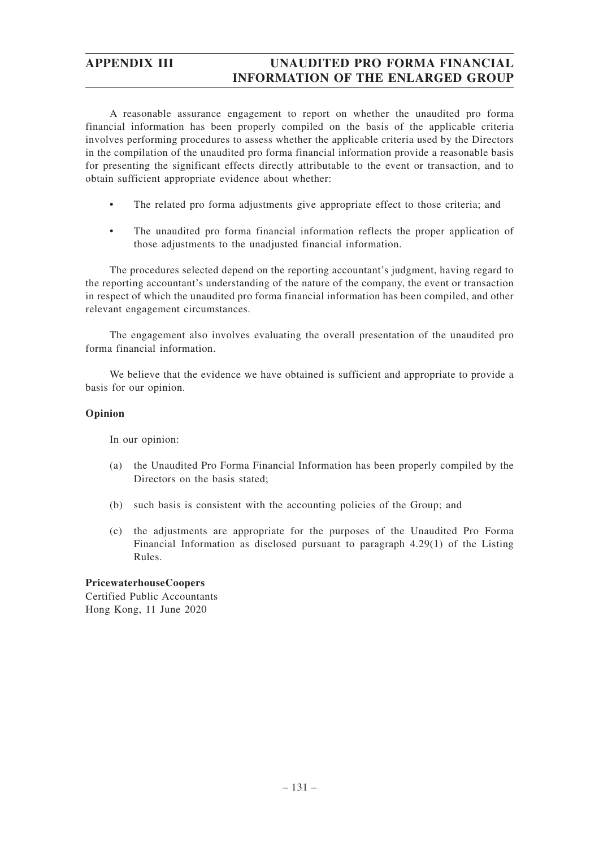A reasonable assurance engagement to report on whether the unaudited pro forma financial information has been properly compiled on the basis of the applicable criteria involves performing procedures to assess whether the applicable criteria used by the Directors in the compilation of the unaudited pro forma financial information provide a reasonable basis for presenting the significant effects directly attributable to the event or transaction, and to obtain sufficient appropriate evidence about whether:

- The related pro forma adjustments give appropriate effect to those criteria; and
- The unaudited pro forma financial information reflects the proper application of those adjustments to the unadjusted financial information.

The procedures selected depend on the reporting accountant's judgment, having regard to the reporting accountant's understanding of the nature of the company, the event or transaction in respect of which the unaudited pro forma financial information has been compiled, and other relevant engagement circumstances.

The engagement also involves evaluating the overall presentation of the unaudited pro forma financial information.

We believe that the evidence we have obtained is sufficient and appropriate to provide a basis for our opinion.

# **Opinion**

In our opinion:

- (a) the Unaudited Pro Forma Financial Information has been properly compiled by the Directors on the basis stated;
- (b) such basis is consistent with the accounting policies of the Group; and
- (c) the adjustments are appropriate for the purposes of the Unaudited Pro Forma Financial Information as disclosed pursuant to paragraph 4.29(1) of the Listing Rules.

**PricewaterhouseCoopers** Certified Public Accountants Hong Kong, 11 June 2020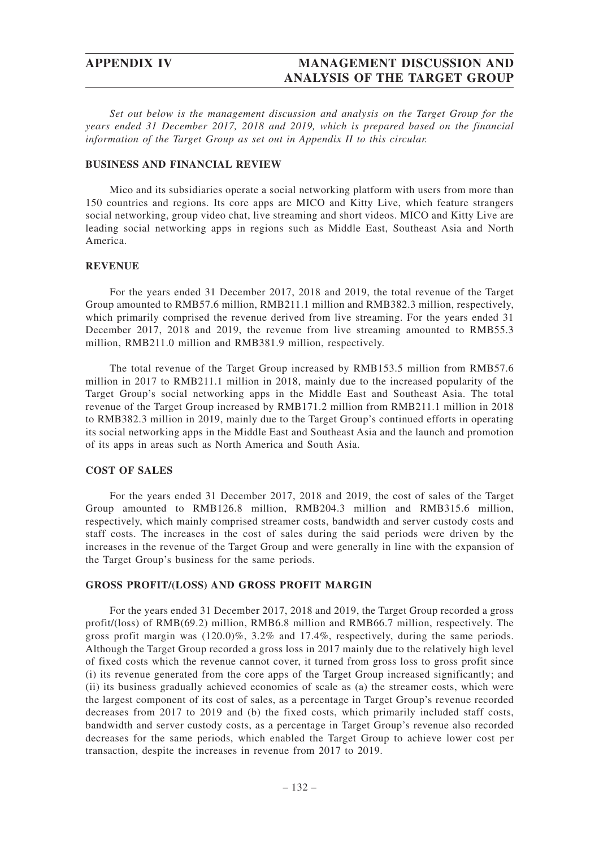# **APPENDIX IV MANAGEMENT DISCUSSION AND ANALYSIS OF THE TARGET GROUP**

*Set out below is the management discussion and analysis on the Target Group for the years ended 31 December 2017, 2018 and 2019, which is prepared based on the financial information of the Target Group as set out in Appendix II to this circular.*

## **BUSINESS AND FINANCIAL REVIEW**

Mico and its subsidiaries operate a social networking platform with users from more than 150 countries and regions. Its core apps are MICO and Kitty Live, which feature strangers social networking, group video chat, live streaming and short videos. MICO and Kitty Live are leading social networking apps in regions such as Middle East, Southeast Asia and North America.

## **REVENUE**

For the years ended 31 December 2017, 2018 and 2019, the total revenue of the Target Group amounted to RMB57.6 million, RMB211.1 million and RMB382.3 million, respectively, which primarily comprised the revenue derived from live streaming. For the years ended 31 December 2017, 2018 and 2019, the revenue from live streaming amounted to RMB55.3 million, RMB211.0 million and RMB381.9 million, respectively.

The total revenue of the Target Group increased by RMB153.5 million from RMB57.6 million in 2017 to RMB211.1 million in 2018, mainly due to the increased popularity of the Target Group's social networking apps in the Middle East and Southeast Asia. The total revenue of the Target Group increased by RMB171.2 million from RMB211.1 million in 2018 to RMB382.3 million in 2019, mainly due to the Target Group's continued efforts in operating its social networking apps in the Middle East and Southeast Asia and the launch and promotion of its apps in areas such as North America and South Asia.

## **COST OF SALES**

For the years ended 31 December 2017, 2018 and 2019, the cost of sales of the Target Group amounted to RMB126.8 million, RMB204.3 million and RMB315.6 million, respectively, which mainly comprised streamer costs, bandwidth and server custody costs and staff costs. The increases in the cost of sales during the said periods were driven by the increases in the revenue of the Target Group and were generally in line with the expansion of the Target Group's business for the same periods.

## **GROSS PROFIT/(LOSS) AND GROSS PROFIT MARGIN**

For the years ended 31 December 2017, 2018 and 2019, the Target Group recorded a gross profit/(loss) of RMB(69.2) million, RMB6.8 million and RMB66.7 million, respectively. The gross profit margin was (120.0)%, 3.2% and 17.4%, respectively, during the same periods. Although the Target Group recorded a gross loss in 2017 mainly due to the relatively high level of fixed costs which the revenue cannot cover, it turned from gross loss to gross profit since (i) its revenue generated from the core apps of the Target Group increased significantly; and (ii) its business gradually achieved economies of scale as (a) the streamer costs, which were the largest component of its cost of sales, as a percentage in Target Group's revenue recorded decreases from 2017 to 2019 and (b) the fixed costs, which primarily included staff costs, bandwidth and server custody costs, as a percentage in Target Group's revenue also recorded decreases for the same periods, which enabled the Target Group to achieve lower cost per transaction, despite the increases in revenue from 2017 to 2019.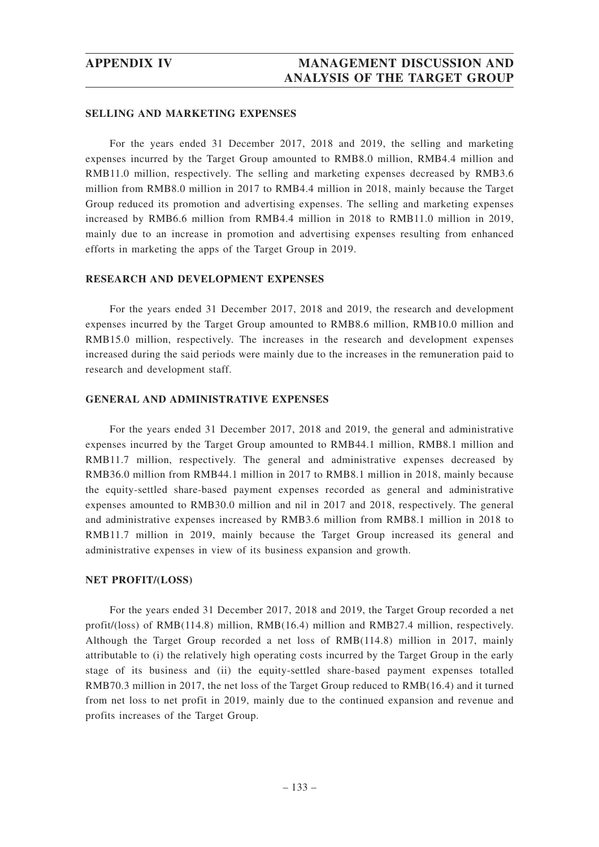## **SELLING AND MARKETING EXPENSES**

For the years ended 31 December 2017, 2018 and 2019, the selling and marketing expenses incurred by the Target Group amounted to RMB8.0 million, RMB4.4 million and RMB11.0 million, respectively. The selling and marketing expenses decreased by RMB3.6 million from RMB8.0 million in 2017 to RMB4.4 million in 2018, mainly because the Target Group reduced its promotion and advertising expenses. The selling and marketing expenses increased by RMB6.6 million from RMB4.4 million in 2018 to RMB11.0 million in 2019, mainly due to an increase in promotion and advertising expenses resulting from enhanced efforts in marketing the apps of the Target Group in 2019.

## **RESEARCH AND DEVELOPMENT EXPENSES**

For the years ended 31 December 2017, 2018 and 2019, the research and development expenses incurred by the Target Group amounted to RMB8.6 million, RMB10.0 million and RMB15.0 million, respectively. The increases in the research and development expenses increased during the said periods were mainly due to the increases in the remuneration paid to research and development staff.

## **GENERAL AND ADMINISTRATIVE EXPENSES**

For the years ended 31 December 2017, 2018 and 2019, the general and administrative expenses incurred by the Target Group amounted to RMB44.1 million, RMB8.1 million and RMB11.7 million, respectively. The general and administrative expenses decreased by RMB36.0 million from RMB44.1 million in 2017 to RMB8.1 million in 2018, mainly because the equity-settled share-based payment expenses recorded as general and administrative expenses amounted to RMB30.0 million and nil in 2017 and 2018, respectively. The general and administrative expenses increased by RMB3.6 million from RMB8.1 million in 2018 to RMB11.7 million in 2019, mainly because the Target Group increased its general and administrative expenses in view of its business expansion and growth.

## **NET PROFIT/(LOSS)**

For the years ended 31 December 2017, 2018 and 2019, the Target Group recorded a net profit/(loss) of RMB(114.8) million, RMB(16.4) million and RMB27.4 million, respectively. Although the Target Group recorded a net loss of RMB(114.8) million in 2017, mainly attributable to (i) the relatively high operating costs incurred by the Target Group in the early stage of its business and (ii) the equity-settled share-based payment expenses totalled RMB70.3 million in 2017, the net loss of the Target Group reduced to RMB(16.4) and it turned from net loss to net profit in 2019, mainly due to the continued expansion and revenue and profits increases of the Target Group.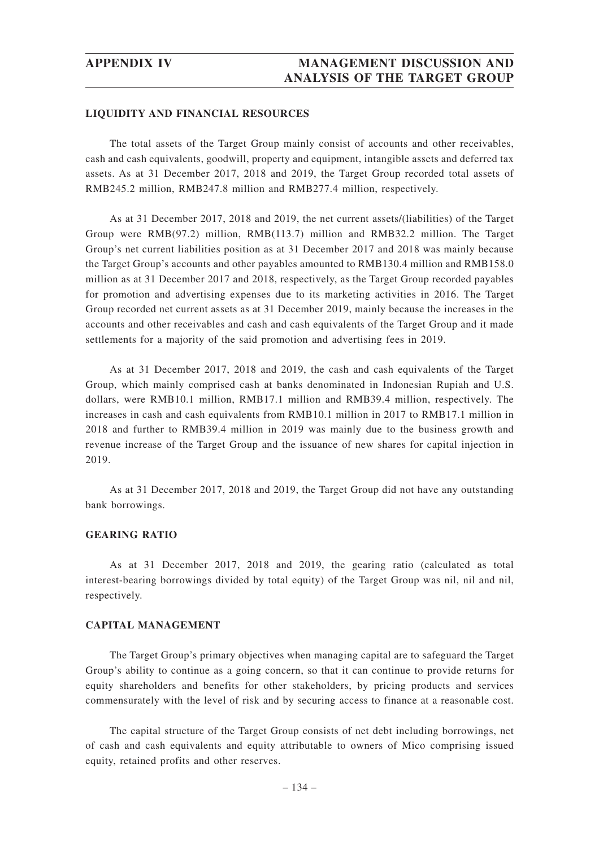## **LIQUIDITY AND FINANCIAL RESOURCES**

The total assets of the Target Group mainly consist of accounts and other receivables, cash and cash equivalents, goodwill, property and equipment, intangible assets and deferred tax assets. As at 31 December 2017, 2018 and 2019, the Target Group recorded total assets of RMB245.2 million, RMB247.8 million and RMB277.4 million, respectively.

As at 31 December 2017, 2018 and 2019, the net current assets/(liabilities) of the Target Group were RMB(97.2) million, RMB(113.7) million and RMB32.2 million. The Target Group's net current liabilities position as at 31 December 2017 and 2018 was mainly because the Target Group's accounts and other payables amounted to RMB130.4 million and RMB158.0 million as at 31 December 2017 and 2018, respectively, as the Target Group recorded payables for promotion and advertising expenses due to its marketing activities in 2016. The Target Group recorded net current assets as at 31 December 2019, mainly because the increases in the accounts and other receivables and cash and cash equivalents of the Target Group and it made settlements for a majority of the said promotion and advertising fees in 2019.

As at 31 December 2017, 2018 and 2019, the cash and cash equivalents of the Target Group, which mainly comprised cash at banks denominated in Indonesian Rupiah and U.S. dollars, were RMB10.1 million, RMB17.1 million and RMB39.4 million, respectively. The increases in cash and cash equivalents from RMB10.1 million in 2017 to RMB17.1 million in 2018 and further to RMB39.4 million in 2019 was mainly due to the business growth and revenue increase of the Target Group and the issuance of new shares for capital injection in 2019.

As at 31 December 2017, 2018 and 2019, the Target Group did not have any outstanding bank borrowings.

## **GEARING RATIO**

As at 31 December 2017, 2018 and 2019, the gearing ratio (calculated as total interest-bearing borrowings divided by total equity) of the Target Group was nil, nil and nil, respectively.

## **CAPITAL MANAGEMENT**

The Target Group's primary objectives when managing capital are to safeguard the Target Group's ability to continue as a going concern, so that it can continue to provide returns for equity shareholders and benefits for other stakeholders, by pricing products and services commensurately with the level of risk and by securing access to finance at a reasonable cost.

The capital structure of the Target Group consists of net debt including borrowings, net of cash and cash equivalents and equity attributable to owners of Mico comprising issued equity, retained profits and other reserves.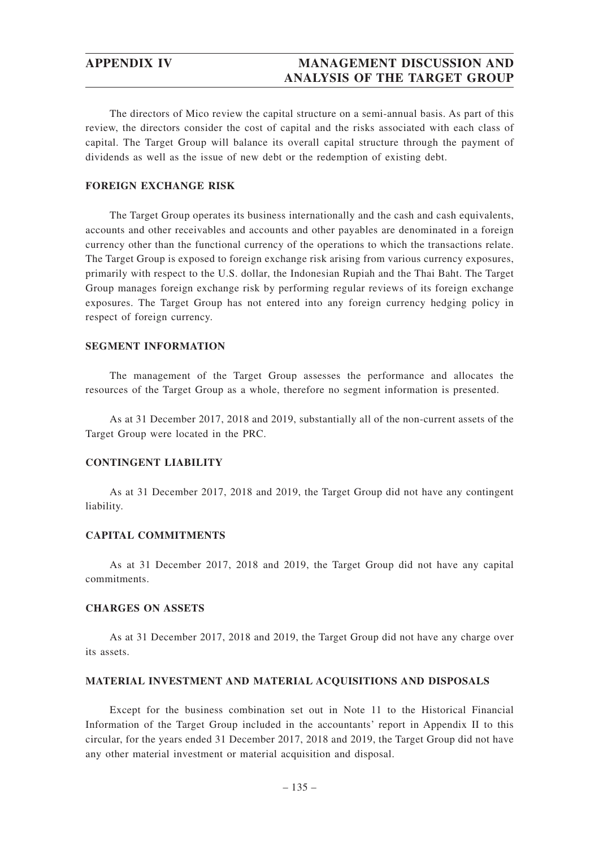# **APPENDIX IV MANAGEMENT DISCUSSION AND ANALYSIS OF THE TARGET GROUP**

The directors of Mico review the capital structure on a semi-annual basis. As part of this review, the directors consider the cost of capital and the risks associated with each class of capital. The Target Group will balance its overall capital structure through the payment of dividends as well as the issue of new debt or the redemption of existing debt.

# **FOREIGN EXCHANGE RISK**

The Target Group operates its business internationally and the cash and cash equivalents, accounts and other receivables and accounts and other payables are denominated in a foreign currency other than the functional currency of the operations to which the transactions relate. The Target Group is exposed to foreign exchange risk arising from various currency exposures, primarily with respect to the U.S. dollar, the Indonesian Rupiah and the Thai Baht. The Target Group manages foreign exchange risk by performing regular reviews of its foreign exchange exposures. The Target Group has not entered into any foreign currency hedging policy in respect of foreign currency.

## **SEGMENT INFORMATION**

The management of the Target Group assesses the performance and allocates the resources of the Target Group as a whole, therefore no segment information is presented.

As at 31 December 2017, 2018 and 2019, substantially all of the non-current assets of the Target Group were located in the PRC.

## **CONTINGENT LIABILITY**

As at 31 December 2017, 2018 and 2019, the Target Group did not have any contingent liability.

## **CAPITAL COMMITMENTS**

As at 31 December 2017, 2018 and 2019, the Target Group did not have any capital commitments.

## **CHARGES ON ASSETS**

As at 31 December 2017, 2018 and 2019, the Target Group did not have any charge over its assets.

## **MATERIAL INVESTMENT AND MATERIAL ACQUISITIONS AND DISPOSALS**

Except for the business combination set out in Note 11 to the Historical Financial Information of the Target Group included in the accountants' report in Appendix II to this circular, for the years ended 31 December 2017, 2018 and 2019, the Target Group did not have any other material investment or material acquisition and disposal.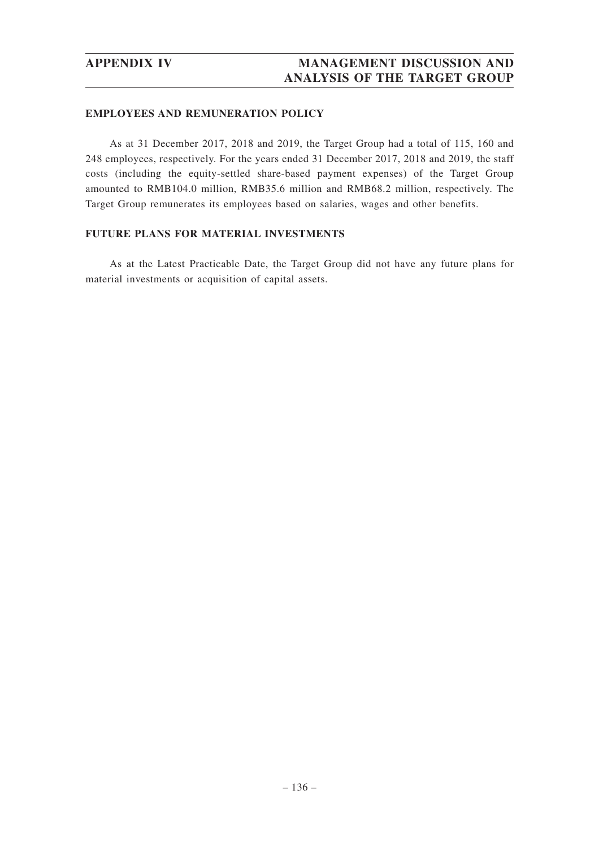## **EMPLOYEES AND REMUNERATION POLICY**

As at 31 December 2017, 2018 and 2019, the Target Group had a total of 115, 160 and 248 employees, respectively. For the years ended 31 December 2017, 2018 and 2019, the staff costs (including the equity-settled share-based payment expenses) of the Target Group amounted to RMB104.0 million, RMB35.6 million and RMB68.2 million, respectively. The Target Group remunerates its employees based on salaries, wages and other benefits.

# **FUTURE PLANS FOR MATERIAL INVESTMENTS**

As at the Latest Practicable Date, the Target Group did not have any future plans for material investments or acquisition of capital assets.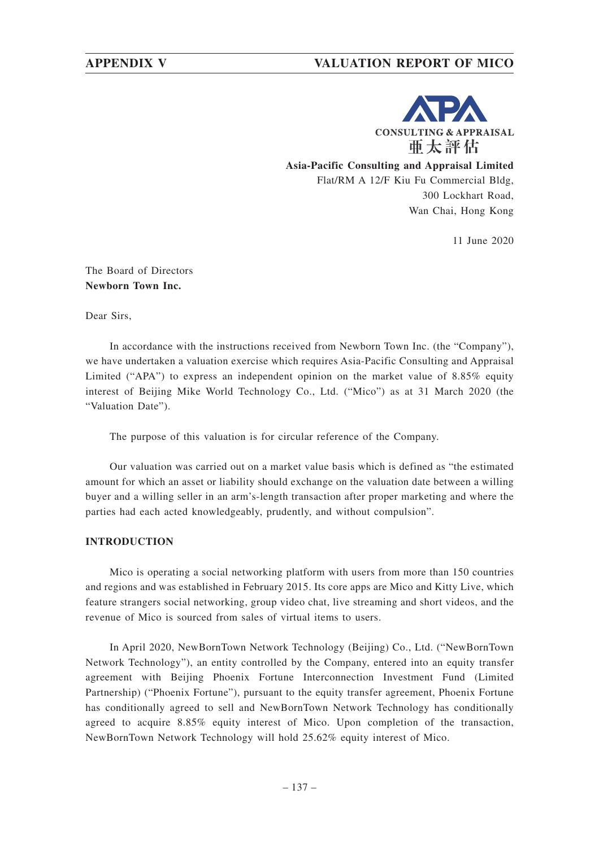# **APPENDIX V VALUATION REPORT OF MICO**



**Asia-Pacific Consulting and Appraisal Limited** Flat/RM A 12/F Kiu Fu Commercial Bldg, 300 Lockhart Road, Wan Chai, Hong Kong

11 June 2020

# The Board of Directors **Newborn Town Inc.**

Dear Sirs,

In accordance with the instructions received from Newborn Town Inc. (the "Company"), we have undertaken a valuation exercise which requires Asia-Pacific Consulting and Appraisal Limited ("APA") to express an independent opinion on the market value of 8.85% equity interest of Beijing Mike World Technology Co., Ltd. ("Mico") as at 31 March 2020 (the "Valuation Date").

The purpose of this valuation is for circular reference of the Company.

Our valuation was carried out on a market value basis which is defined as "the estimated amount for which an asset or liability should exchange on the valuation date between a willing buyer and a willing seller in an arm's-length transaction after proper marketing and where the parties had each acted knowledgeably, prudently, and without compulsion".

# **INTRODUCTION**

Mico is operating a social networking platform with users from more than 150 countries and regions and was established in February 2015. Its core apps are Mico and Kitty Live, which feature strangers social networking, group video chat, live streaming and short videos, and the revenue of Mico is sourced from sales of virtual items to users.

In April 2020, NewBornTown Network Technology (Beijing) Co., Ltd. ("NewBornTown Network Technology"), an entity controlled by the Company, entered into an equity transfer agreement with Beijing Phoenix Fortune Interconnection Investment Fund (Limited Partnership) ("Phoenix Fortune"), pursuant to the equity transfer agreement, Phoenix Fortune has conditionally agreed to sell and NewBornTown Network Technology has conditionally agreed to acquire 8.85% equity interest of Mico. Upon completion of the transaction, NewBornTown Network Technology will hold 25.62% equity interest of Mico.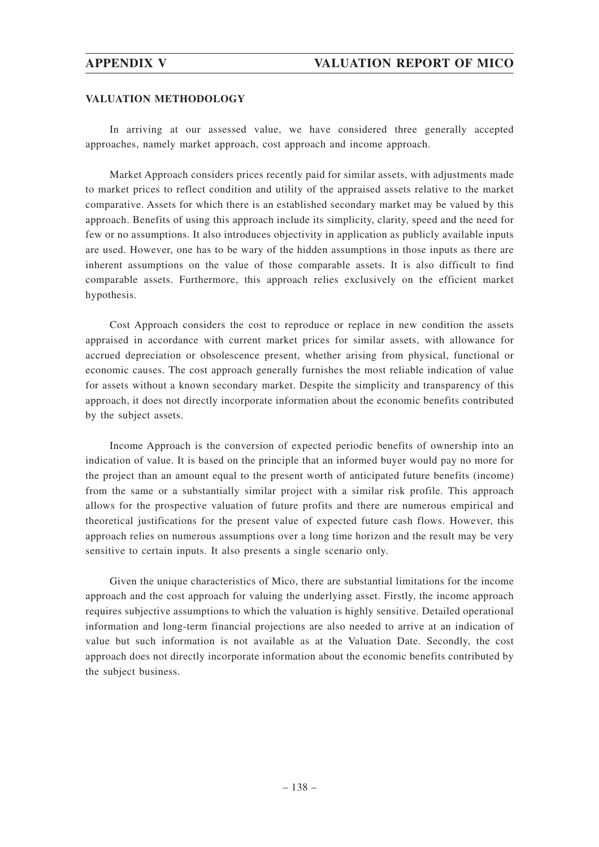## **VALUATION METHODOLOGY**

In arriving at our assessed value, we have considered three generally accepted approaches, namely market approach, cost approach and income approach.

Market Approach considers prices recently paid for similar assets, with adjustments made to market prices to reflect condition and utility of the appraised assets relative to the market comparative. Assets for which there is an established secondary market may be valued by this approach. Benefits of using this approach include its simplicity, clarity, speed and the need for few or no assumptions. It also introduces objectivity in application as publicly available inputs are used. However, one has to be wary of the hidden assumptions in those inputs as there are inherent assumptions on the value of those comparable assets. It is also difficult to find comparable assets. Furthermore, this approach relies exclusively on the efficient market hypothesis.

Cost Approach considers the cost to reproduce or replace in new condition the assets appraised in accordance with current market prices for similar assets, with allowance for accrued depreciation or obsolescence present, whether arising from physical, functional or economic causes. The cost approach generally furnishes the most reliable indication of value for assets without a known secondary market. Despite the simplicity and transparency of this approach, it does not directly incorporate information about the economic benefits contributed by the subject assets.

Income Approach is the conversion of expected periodic benefits of ownership into an indication of value. It is based on the principle that an informed buyer would pay no more for the project than an amount equal to the present worth of anticipated future benefits (income) from the same or a substantially similar project with a similar risk profile. This approach allows for the prospective valuation of future profits and there are numerous empirical and theoretical justifications for the present value of expected future cash flows. However, this approach relies on numerous assumptions over a long time horizon and the result may be very sensitive to certain inputs. It also presents a single scenario only.

Given the unique characteristics of Mico, there are substantial limitations for the income approach and the cost approach for valuing the underlying asset. Firstly, the income approach requires subjective assumptions to which the valuation is highly sensitive. Detailed operational information and long-term financial projections are also needed to arrive at an indication of value but such information is not available as at the Valuation Date. Secondly, the cost approach does not directly incorporate information about the economic benefits contributed by the subject business.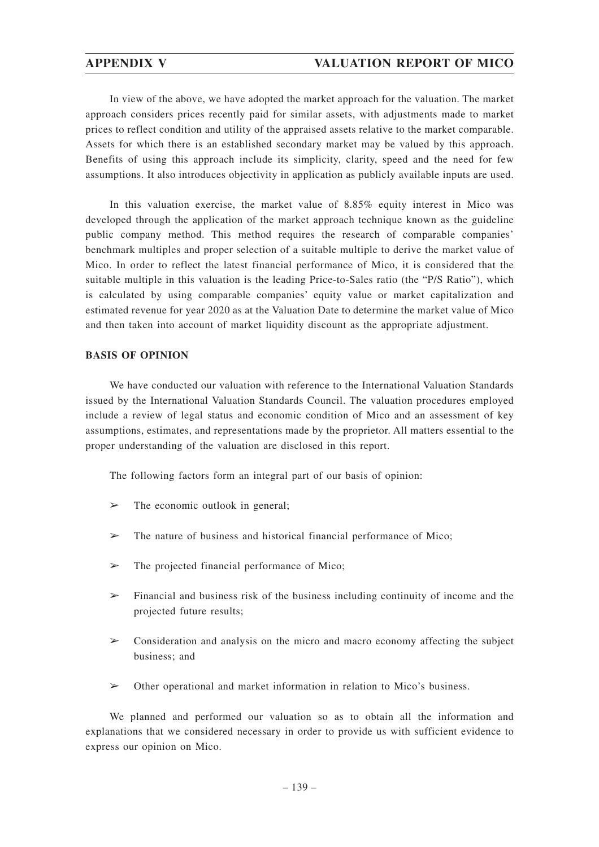# **APPENDIX V VALUATION REPORT OF MICO**

In view of the above, we have adopted the market approach for the valuation. The market approach considers prices recently paid for similar assets, with adjustments made to market prices to reflect condition and utility of the appraised assets relative to the market comparable. Assets for which there is an established secondary market may be valued by this approach. Benefits of using this approach include its simplicity, clarity, speed and the need for few assumptions. It also introduces objectivity in application as publicly available inputs are used.

In this valuation exercise, the market value of 8.85% equity interest in Mico was developed through the application of the market approach technique known as the guideline public company method. This method requires the research of comparable companies' benchmark multiples and proper selection of a suitable multiple to derive the market value of Mico. In order to reflect the latest financial performance of Mico, it is considered that the suitable multiple in this valuation is the leading Price-to-Sales ratio (the "P/S Ratio"), which is calculated by using comparable companies' equity value or market capitalization and estimated revenue for year 2020 as at the Valuation Date to determine the market value of Mico and then taken into account of market liquidity discount as the appropriate adjustment.

## **BASIS OF OPINION**

We have conducted our valuation with reference to the International Valuation Standards issued by the International Valuation Standards Council. The valuation procedures employed include a review of legal status and economic condition of Mico and an assessment of key assumptions, estimates, and representations made by the proprietor. All matters essential to the proper understanding of the valuation are disclosed in this report.

The following factors form an integral part of our basis of opinion:

- $\triangleright$  The economic outlook in general;
- $\geq$  The nature of business and historical financial performance of Mico;
- $\triangleright$  The projected financial performance of Mico;
- $\triangleright$  Financial and business risk of the business including continuity of income and the projected future results;
- ➢ Consideration and analysis on the micro and macro economy affecting the subject business; and
- ➢ Other operational and market information in relation to Mico's business.

We planned and performed our valuation so as to obtain all the information and explanations that we considered necessary in order to provide us with sufficient evidence to express our opinion on Mico.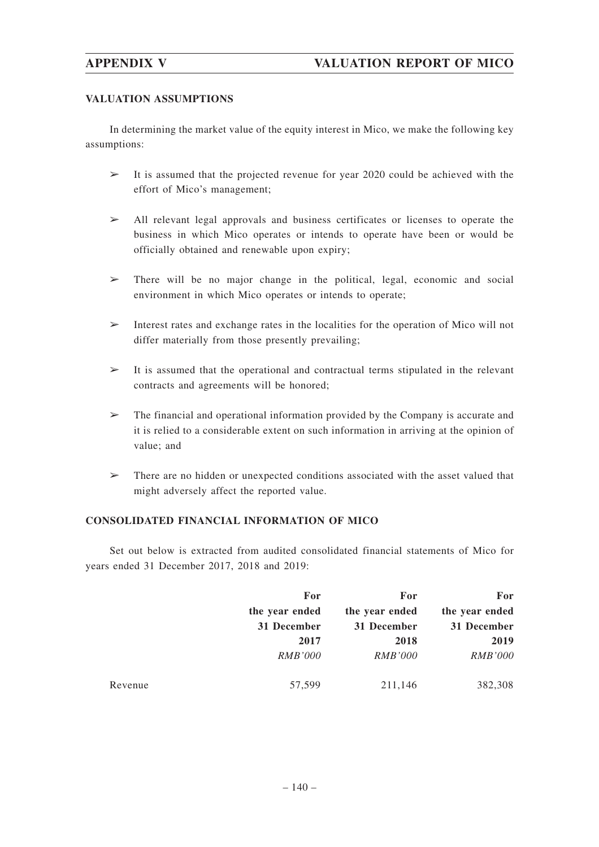# **APPENDIX V VALUATION REPORT OF MICO**

## **VALUATION ASSUMPTIONS**

In determining the market value of the equity interest in Mico, we make the following key assumptions:

- $\geq$  It is assumed that the projected revenue for year 2020 could be achieved with the effort of Mico's management;
- ➢ All relevant legal approvals and business certificates or licenses to operate the business in which Mico operates or intends to operate have been or would be officially obtained and renewable upon expiry;
- ➢ There will be no major change in the political, legal, economic and social environment in which Mico operates or intends to operate;
- $\triangleright$  Interest rates and exchange rates in the localities for the operation of Mico will not differ materially from those presently prevailing;
- $\geq$  It is assumed that the operational and contractual terms stipulated in the relevant contracts and agreements will be honored;
- $\geq$  The financial and operational information provided by the Company is accurate and it is relied to a considerable extent on such information in arriving at the opinion of value; and
- ➢ There are no hidden or unexpected conditions associated with the asset valued that might adversely affect the reported value.

# **CONSOLIDATED FINANCIAL INFORMATION OF MICO**

Set out below is extracted from audited consolidated financial statements of Mico for years ended 31 December 2017, 2018 and 2019:

|         | For            | For            | For            |
|---------|----------------|----------------|----------------|
|         | the year ended | the year ended | the year ended |
|         | 31 December    | 31 December    | 31 December    |
|         | 2017           | 2018           | 2019           |
|         | <i>RMB'000</i> | <i>RMB'000</i> | <b>RMB'000</b> |
| Revenue | 57,599         | 211,146        | 382,308        |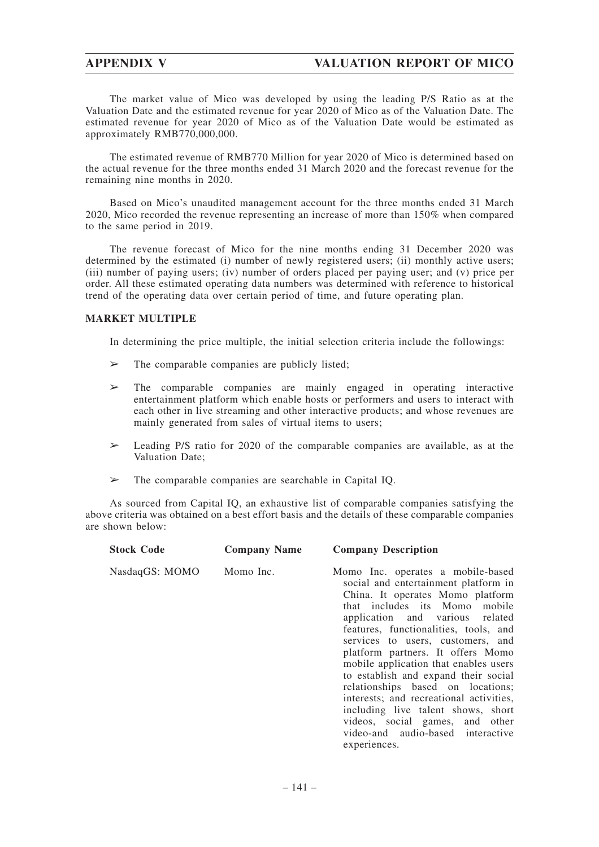The market value of Mico was developed by using the leading P/S Ratio as at the Valuation Date and the estimated revenue for year 2020 of Mico as of the Valuation Date. The estimated revenue for year 2020 of Mico as of the Valuation Date would be estimated as approximately RMB770,000,000.

The estimated revenue of RMB770 Million for year 2020 of Mico is determined based on the actual revenue for the three months ended 31 March 2020 and the forecast revenue for the remaining nine months in 2020.

Based on Mico's unaudited management account for the three months ended 31 March 2020, Mico recorded the revenue representing an increase of more than 150% when compared to the same period in 2019.

The revenue forecast of Mico for the nine months ending 31 December 2020 was determined by the estimated (i) number of newly registered users; (ii) monthly active users; (iii) number of paying users; (iv) number of orders placed per paying user; and (v) price per order. All these estimated operating data numbers was determined with reference to historical trend of the operating data over certain period of time, and future operating plan.

## **MARKET MULTIPLE**

In determining the price multiple, the initial selection criteria include the followings:

- $\geq$  The comparable companies are publicly listed;
- $\geq$  The comparable companies are mainly engaged in operating interactive entertainment platform which enable hosts or performers and users to interact with each other in live streaming and other interactive products; and whose revenues are mainly generated from sales of virtual items to users;
- $\geq$  Leading P/S ratio for 2020 of the comparable companies are available, as at the Valuation Date;
- $\geq$  The comparable companies are searchable in Capital IQ.

As sourced from Capital IQ, an exhaustive list of comparable companies satisfying the above criteria was obtained on a best effort basis and the details of these comparable companies are shown below:

| <b>Stock Code</b> | <b>Company Name</b> | <b>Company Description</b>                                                                                                                                                                                                                                                                                                                                                                                                                                                                                                                                                                          |
|-------------------|---------------------|-----------------------------------------------------------------------------------------------------------------------------------------------------------------------------------------------------------------------------------------------------------------------------------------------------------------------------------------------------------------------------------------------------------------------------------------------------------------------------------------------------------------------------------------------------------------------------------------------------|
| NasdaqGS: MOMO    | Momo Inc.           | Momo Inc. operates a mobile-based<br>social and entertainment platform in<br>China. It operates Momo platform<br>that includes its Momo mobile<br>application and various related<br>features, functionalities, tools, and<br>services to users, customers, and<br>platform partners. It offers Momo<br>mobile application that enables users<br>to establish and expand their social<br>relationships based on locations;<br>interests; and recreational activities,<br>including live talent shows, short<br>videos, social games, and other<br>video-and audio-based interactive<br>experiences. |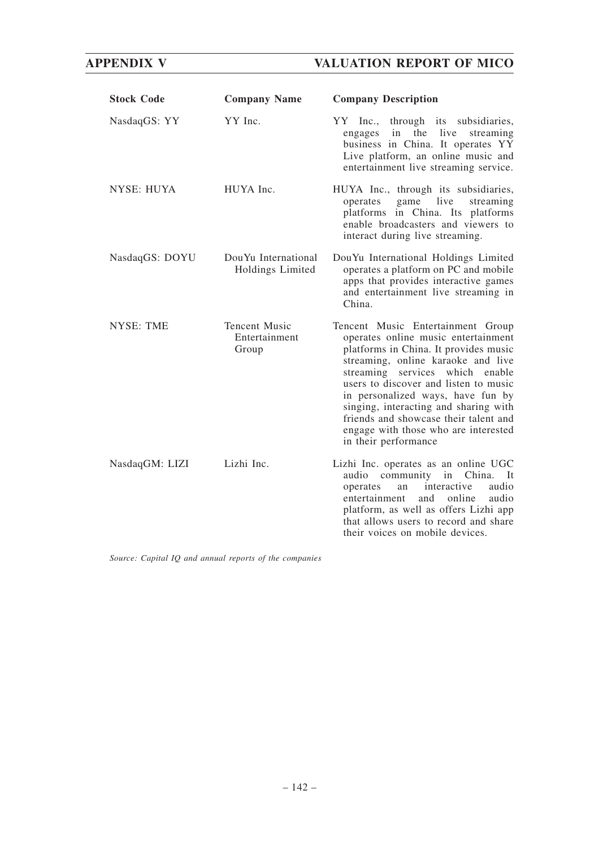# **APPENDIX V VALUATION REPORT OF MICO**

| <b>Stock Code</b> | <b>Company Name</b>                            | <b>Company Description</b>                                                                                                                                                                                                                                                                                                                                                                                                       |
|-------------------|------------------------------------------------|----------------------------------------------------------------------------------------------------------------------------------------------------------------------------------------------------------------------------------------------------------------------------------------------------------------------------------------------------------------------------------------------------------------------------------|
| NasdaqGS: YY      | YY Inc.                                        | through its subsidiaries,<br>$YY$ Inc.,<br>the<br>in<br>live<br>streaming<br>engages<br>business in China. It operates YY<br>Live platform, an online music and<br>entertainment live streaming service.                                                                                                                                                                                                                         |
| <b>NYSE: HUYA</b> | HUYA Inc.                                      | HUYA Inc., through its subsidiaries,<br>live<br>game<br>streaming<br>operates<br>platforms in China. Its platforms<br>enable broadcasters and viewers to<br>interact during live streaming.                                                                                                                                                                                                                                      |
| NasdaqGS: DOYU    | DouYu International<br>Holdings Limited        | DouYu International Holdings Limited<br>operates a platform on PC and mobile<br>apps that provides interactive games<br>and entertainment live streaming in<br>China.                                                                                                                                                                                                                                                            |
| <b>NYSE: TME</b>  | <b>Tencent Music</b><br>Entertainment<br>Group | Tencent Music Entertainment Group<br>operates online music entertainment<br>platforms in China. It provides music<br>streaming, online karaoke and live<br>streaming services<br>which<br>enable<br>users to discover and listen to music<br>in personalized ways, have fun by<br>singing, interacting and sharing with<br>friends and showcase their talent and<br>engage with those who are interested<br>in their performance |
| NasdaqGM: LIZI    | Lizhi Inc.                                     | Lizhi Inc. operates as an online UGC<br>community<br>China.<br>audio<br>in<br>-lt<br>audio<br>interactive<br>operates<br>an<br>entertainment<br>and<br>online<br>audio<br>platform, as well as offers Lizhi app<br>that allows users to record and share<br>their voices on mobile devices.                                                                                                                                      |

*Source: Capital IQ and annual reports of the companies*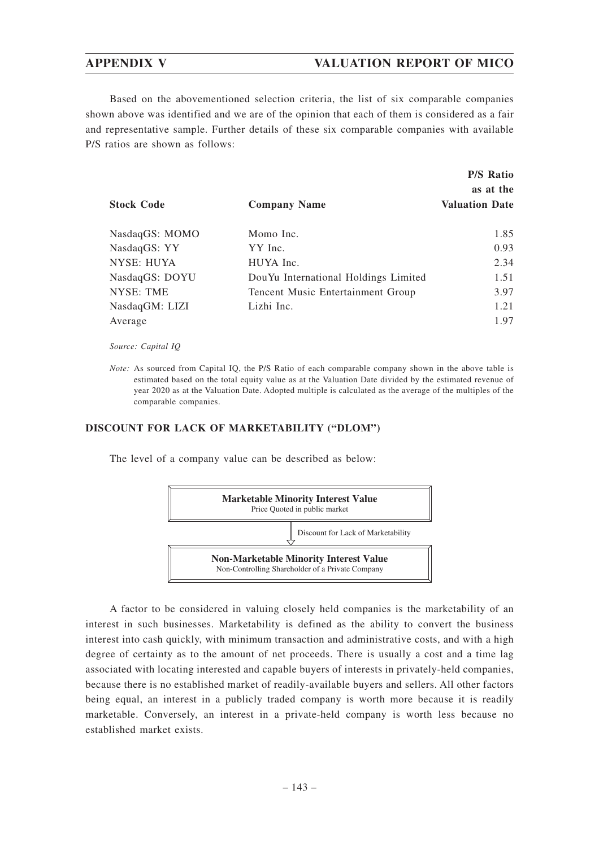## **APPENDIX V VALUATION REPORT OF MICO**

Based on the abovementioned selection criteria, the list of six comparable companies shown above was identified and we are of the opinion that each of them is considered as a fair and representative sample. Further details of these six comparable companies with available P/S ratios are shown as follows:

| <b>Stock Code</b> | <b>Company Name</b>                  | <b>P/S Ratio</b><br>as at the<br><b>Valuation Date</b> |
|-------------------|--------------------------------------|--------------------------------------------------------|
| NasdaqGS: MOMO    | Momo Inc.                            | 1.85                                                   |
| NasdaqGS: YY      | YY Inc.                              | 0.93                                                   |
| NYSE: HUYA        | HUYA Inc.                            | 2.34                                                   |
| NasdaqGS: DOYU    | DouYu International Holdings Limited | 1.51                                                   |
| <b>NYSE: TME</b>  | Tencent Music Entertainment Group    | 3.97                                                   |
| NasdaqGM: LIZI    | Lizhi Inc.                           | 1.21                                                   |
| Average           |                                      | 1.97                                                   |

*Source: Capital IQ*

*Note:* As sourced from Capital IQ, the P/S Ratio of each comparable company shown in the above table is estimated based on the total equity value as at the Valuation Date divided by the estimated revenue of year 2020 as at the Valuation Date. Adopted multiple is calculated as the average of the multiples of the comparable companies.

#### **DISCOUNT FOR LACK OF MARKETABILITY ("DLOM")**

The level of a company value can be described as below:



A factor to be considered in valuing closely held companies is the marketability of an interest in such businesses. Marketability is defined as the ability to convert the business interest into cash quickly, with minimum transaction and administrative costs, and with a high degree of certainty as to the amount of net proceeds. There is usually a cost and a time lag associated with locating interested and capable buyers of interests in privately-held companies, because there is no established market of readily-available buyers and sellers. All other factors being equal, an interest in a publicly traded company is worth more because it is readily marketable. Conversely, an interest in a private-held company is worth less because no established market exists.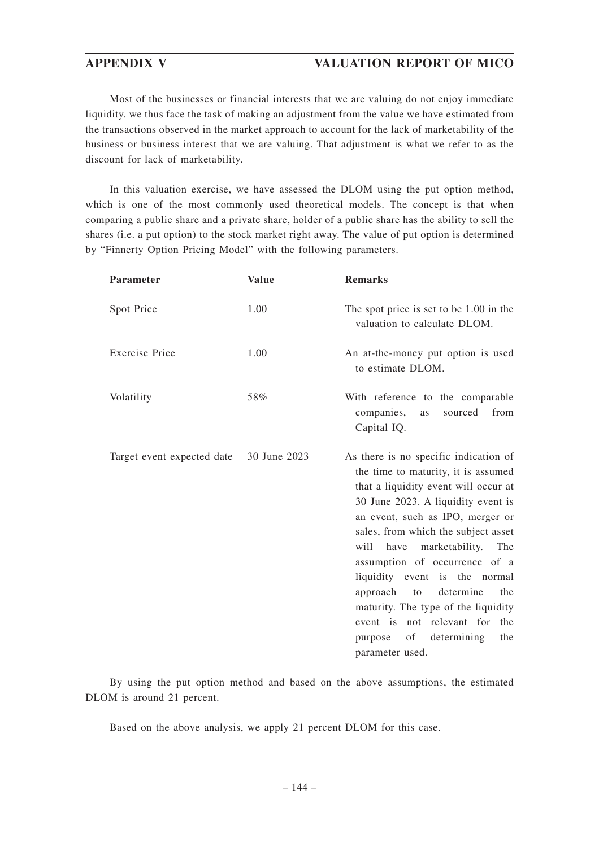## **APPENDIX V VALUATION REPORT OF MICO**

Most of the businesses or financial interests that we are valuing do not enjoy immediate liquidity. we thus face the task of making an adjustment from the value we have estimated from the transactions observed in the market approach to account for the lack of marketability of the business or business interest that we are valuing. That adjustment is what we refer to as the discount for lack of marketability.

In this valuation exercise, we have assessed the DLOM using the put option method, which is one of the most commonly used theoretical models. The concept is that when comparing a public share and a private share, holder of a public share has the ability to sell the shares (i.e. a put option) to the stock market right away. The value of put option is determined by "Finnerty Option Pricing Model" with the following parameters.

| <b>Parameter</b>           | <b>Value</b> | <b>Remarks</b>                                                                                                                                                                                                                                                                                                                                                                                                                                                                                                     |
|----------------------------|--------------|--------------------------------------------------------------------------------------------------------------------------------------------------------------------------------------------------------------------------------------------------------------------------------------------------------------------------------------------------------------------------------------------------------------------------------------------------------------------------------------------------------------------|
| Spot Price                 | 1.00         | The spot price is set to be 1.00 in the<br>valuation to calculate DLOM.                                                                                                                                                                                                                                                                                                                                                                                                                                            |
| <b>Exercise Price</b>      | 1.00         | An at-the-money put option is used<br>to estimate DLOM.                                                                                                                                                                                                                                                                                                                                                                                                                                                            |
| Volatility                 | 58%          | With reference to the comparable<br>companies,<br>from<br>sourced<br>as<br>Capital IQ.                                                                                                                                                                                                                                                                                                                                                                                                                             |
| Target event expected date | 30 June 2023 | As there is no specific indication of<br>the time to maturity, it is assumed<br>that a liquidity event will occur at<br>30 June 2023. A liquidity event is<br>an event, such as IPO, merger or<br>sales, from which the subject asset<br>have marketability. The<br>will<br>assumption of occurrence of a<br>liquidity event is the normal<br>approach to<br>determine<br>the<br>maturity. The type of the liquidity<br>event is not relevant for<br>the<br>determining<br>of<br>the<br>purpose<br>parameter used. |

By using the put option method and based on the above assumptions, the estimated DLOM is around 21 percent.

Based on the above analysis, we apply 21 percent DLOM for this case.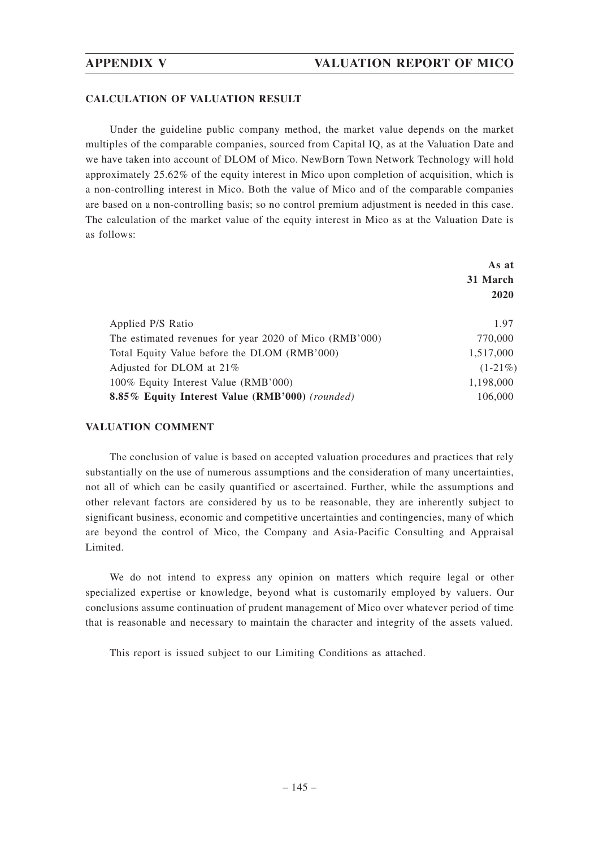#### **CALCULATION OF VALUATION RESULT**

Under the guideline public company method, the market value depends on the market multiples of the comparable companies, sourced from Capital IQ, as at the Valuation Date and we have taken into account of DLOM of Mico. NewBorn Town Network Technology will hold approximately 25.62% of the equity interest in Mico upon completion of acquisition, which is a non-controlling interest in Mico. Both the value of Mico and of the comparable companies are based on a non-controlling basis; so no control premium adjustment is needed in this case. The calculation of the market value of the equity interest in Mico as at the Valuation Date is as follows:

|                                                        | As at      |  |
|--------------------------------------------------------|------------|--|
|                                                        | 31 March   |  |
|                                                        | 2020       |  |
| Applied P/S Ratio                                      | 1.97       |  |
| The estimated revenues for year 2020 of Mico (RMB'000) | 770,000    |  |
| Total Equity Value before the DLOM (RMB'000)           | 1,517,000  |  |
| Adjusted for DLOM at 21%                               | $(1-21\%)$ |  |
| 100% Equity Interest Value (RMB'000)                   | 1,198,000  |  |
| 8.85% Equity Interest Value (RMB'000) (rounded)        | 106,000    |  |

### **VALUATION COMMENT**

The conclusion of value is based on accepted valuation procedures and practices that rely substantially on the use of numerous assumptions and the consideration of many uncertainties, not all of which can be easily quantified or ascertained. Further, while the assumptions and other relevant factors are considered by us to be reasonable, they are inherently subject to significant business, economic and competitive uncertainties and contingencies, many of which are beyond the control of Mico, the Company and Asia-Pacific Consulting and Appraisal Limited.

We do not intend to express any opinion on matters which require legal or other specialized expertise or knowledge, beyond what is customarily employed by valuers. Our conclusions assume continuation of prudent management of Mico over whatever period of time that is reasonable and necessary to maintain the character and integrity of the assets valued.

This report is issued subject to our Limiting Conditions as attached.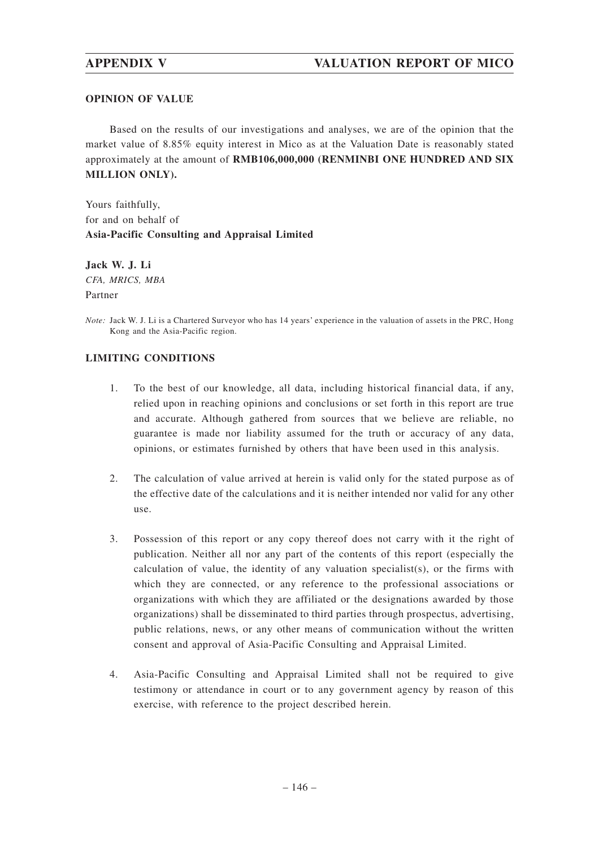## **OPINION OF VALUE**

Based on the results of our investigations and analyses, we are of the opinion that the market value of 8.85% equity interest in Mico as at the Valuation Date is reasonably stated approximately at the amount of **RMB106,000,000 (RENMINBI ONE HUNDRED AND SIX MILLION ONLY).**

Yours faithfully, for and on behalf of **Asia-Pacific Consulting and Appraisal Limited**

**Jack W. J. Li** *CFA, MRICS, MBA* Partner

*Note:* Jack W. J. Li is a Chartered Surveyor who has 14 years' experience in the valuation of assets in the PRC, Hong Kong and the Asia-Pacific region.

## **LIMITING CONDITIONS**

- 1. To the best of our knowledge, all data, including historical financial data, if any, relied upon in reaching opinions and conclusions or set forth in this report are true and accurate. Although gathered from sources that we believe are reliable, no guarantee is made nor liability assumed for the truth or accuracy of any data, opinions, or estimates furnished by others that have been used in this analysis.
- 2. The calculation of value arrived at herein is valid only for the stated purpose as of the effective date of the calculations and it is neither intended nor valid for any other use.
- 3. Possession of this report or any copy thereof does not carry with it the right of publication. Neither all nor any part of the contents of this report (especially the calculation of value, the identity of any valuation specialist(s), or the firms with which they are connected, or any reference to the professional associations or organizations with which they are affiliated or the designations awarded by those organizations) shall be disseminated to third parties through prospectus, advertising, public relations, news, or any other means of communication without the written consent and approval of Asia-Pacific Consulting and Appraisal Limited.
- 4. Asia-Pacific Consulting and Appraisal Limited shall not be required to give testimony or attendance in court or to any government agency by reason of this exercise, with reference to the project described herein.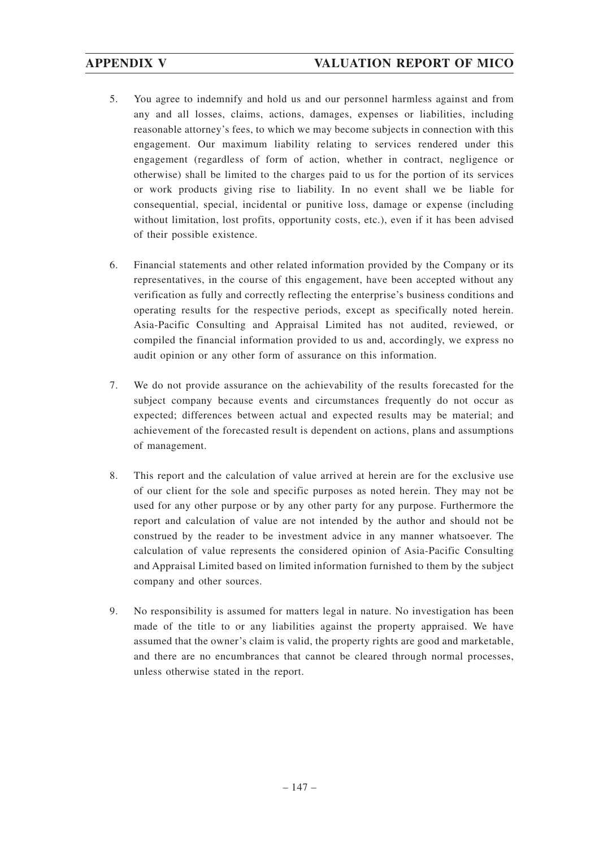- 5. You agree to indemnify and hold us and our personnel harmless against and from any and all losses, claims, actions, damages, expenses or liabilities, including reasonable attorney's fees, to which we may become subjects in connection with this engagement. Our maximum liability relating to services rendered under this engagement (regardless of form of action, whether in contract, negligence or otherwise) shall be limited to the charges paid to us for the portion of its services or work products giving rise to liability. In no event shall we be liable for consequential, special, incidental or punitive loss, damage or expense (including without limitation, lost profits, opportunity costs, etc.), even if it has been advised of their possible existence.
- 6. Financial statements and other related information provided by the Company or its representatives, in the course of this engagement, have been accepted without any verification as fully and correctly reflecting the enterprise's business conditions and operating results for the respective periods, except as specifically noted herein. Asia-Pacific Consulting and Appraisal Limited has not audited, reviewed, or compiled the financial information provided to us and, accordingly, we express no audit opinion or any other form of assurance on this information.
- 7. We do not provide assurance on the achievability of the results forecasted for the subject company because events and circumstances frequently do not occur as expected; differences between actual and expected results may be material; and achievement of the forecasted result is dependent on actions, plans and assumptions of management.
- 8. This report and the calculation of value arrived at herein are for the exclusive use of our client for the sole and specific purposes as noted herein. They may not be used for any other purpose or by any other party for any purpose. Furthermore the report and calculation of value are not intended by the author and should not be construed by the reader to be investment advice in any manner whatsoever. The calculation of value represents the considered opinion of Asia-Pacific Consulting and Appraisal Limited based on limited information furnished to them by the subject company and other sources.
- 9. No responsibility is assumed for matters legal in nature. No investigation has been made of the title to or any liabilities against the property appraised. We have assumed that the owner's claim is valid, the property rights are good and marketable, and there are no encumbrances that cannot be cleared through normal processes, unless otherwise stated in the report.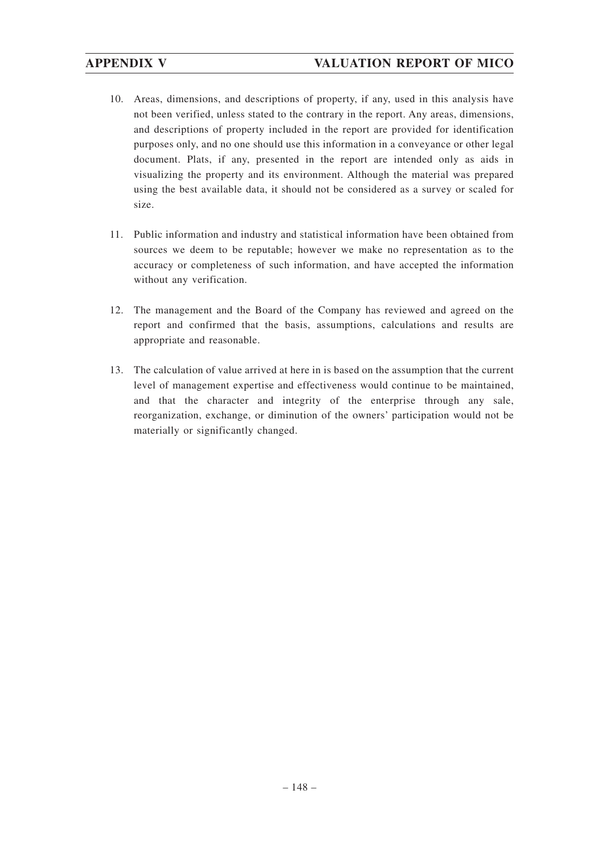- 10. Areas, dimensions, and descriptions of property, if any, used in this analysis have not been verified, unless stated to the contrary in the report. Any areas, dimensions, and descriptions of property included in the report are provided for identification purposes only, and no one should use this information in a conveyance or other legal document. Plats, if any, presented in the report are intended only as aids in visualizing the property and its environment. Although the material was prepared using the best available data, it should not be considered as a survey or scaled for size.
- 11. Public information and industry and statistical information have been obtained from sources we deem to be reputable; however we make no representation as to the accuracy or completeness of such information, and have accepted the information without any verification.
- 12. The management and the Board of the Company has reviewed and agreed on the report and confirmed that the basis, assumptions, calculations and results are appropriate and reasonable.
- 13. The calculation of value arrived at here in is based on the assumption that the current level of management expertise and effectiveness would continue to be maintained, and that the character and integrity of the enterprise through any sale, reorganization, exchange, or diminution of the owners' participation would not be materially or significantly changed.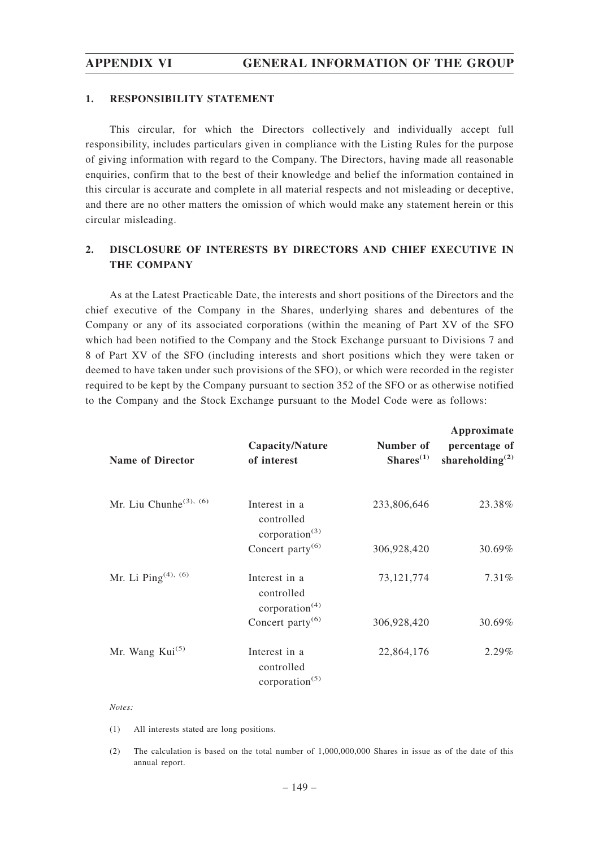#### **1. RESPONSIBILITY STATEMENT**

This circular, for which the Directors collectively and individually accept full responsibility, includes particulars given in compliance with the Listing Rules for the purpose of giving information with regard to the Company. The Directors, having made all reasonable enquiries, confirm that to the best of their knowledge and belief the information contained in this circular is accurate and complete in all material respects and not misleading or deceptive, and there are no other matters the omission of which would make any statement herein or this circular misleading.

## **2. DISCLOSURE OF INTERESTS BY DIRECTORS AND CHIEF EXECUTIVE IN THE COMPANY**

As at the Latest Practicable Date, the interests and short positions of the Directors and the chief executive of the Company in the Shares, underlying shares and debentures of the Company or any of its associated corporations (within the meaning of Part XV of the SFO which had been notified to the Company and the Stock Exchange pursuant to Divisions 7 and 8 of Part XV of the SFO (including interests and short positions which they were taken or deemed to have taken under such provisions of the SFO), or which were recorded in the register required to be kept by the Company pursuant to section 352 of the SFO or as otherwise notified to the Company and the Stock Exchange pursuant to the Model Code were as follows:

| <b>Name of Director</b>            | Capacity/Nature<br>of interest                      | Number of<br>$Shares^{(1)}$ | Approximate<br>percentage of<br>shareholding $^{(2)}$ |
|------------------------------------|-----------------------------------------------------|-----------------------------|-------------------------------------------------------|
| Mr. Liu Chunhe <sup>(3), (6)</sup> | Interest in a<br>controlled<br>corporation $^{(3)}$ | 233,806,646                 | 23.38%                                                |
|                                    | Concert party $(6)$                                 | 306,928,420                 | 30.69%                                                |
| Mr. Li Ping <sup>(4), (6)</sup>    | Interest in a<br>controlled<br>corporation $(4)$    | 73, 121, 774                | $7.31\%$                                              |
|                                    | Concert party $(6)$                                 | 306,928,420                 | 30.69%                                                |
| Mr. Wang $Kui^{(5)}$               | Interest in a<br>controlled<br>corporation $(5)$    | 22,864,176                  | 2.29%                                                 |

#### *Notes:*

(1) All interests stated are long positions.

(2) The calculation is based on the total number of 1,000,000,000 Shares in issue as of the date of this annual report.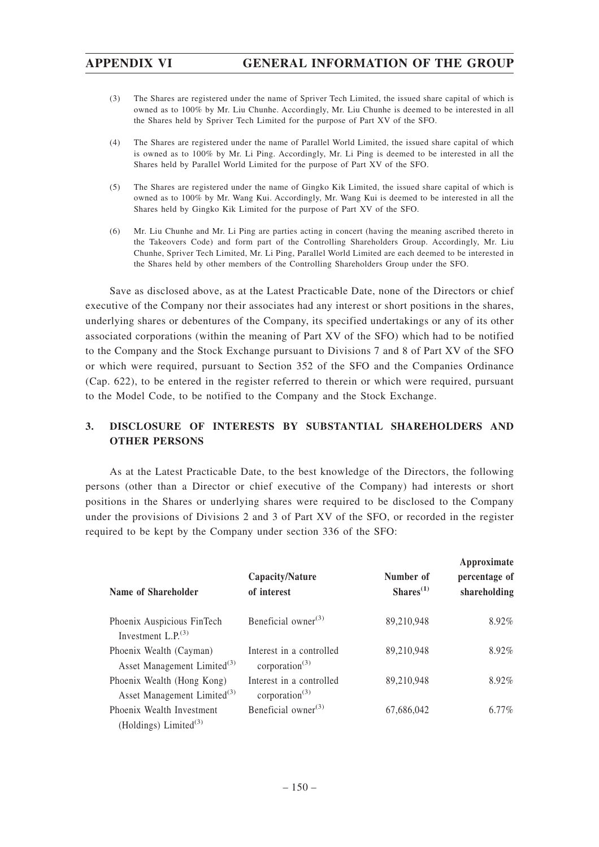- (3) The Shares are registered under the name of Spriver Tech Limited, the issued share capital of which is owned as to 100% by Mr. Liu Chunhe. Accordingly, Mr. Liu Chunhe is deemed to be interested in all the Shares held by Spriver Tech Limited for the purpose of Part XV of the SFO.
- (4) The Shares are registered under the name of Parallel World Limited, the issued share capital of which is owned as to 100% by Mr. Li Ping. Accordingly, Mr. Li Ping is deemed to be interested in all the Shares held by Parallel World Limited for the purpose of Part XV of the SFO.
- (5) The Shares are registered under the name of Gingko Kik Limited, the issued share capital of which is owned as to 100% by Mr. Wang Kui. Accordingly, Mr. Wang Kui is deemed to be interested in all the Shares held by Gingko Kik Limited for the purpose of Part XV of the SFO.
- (6) Mr. Liu Chunhe and Mr. Li Ping are parties acting in concert (having the meaning ascribed thereto in the Takeovers Code) and form part of the Controlling Shareholders Group. Accordingly, Mr. Liu Chunhe, Spriver Tech Limited, Mr. Li Ping, Parallel World Limited are each deemed to be interested in the Shares held by other members of the Controlling Shareholders Group under the SFO.

Save as disclosed above, as at the Latest Practicable Date, none of the Directors or chief executive of the Company nor their associates had any interest or short positions in the shares, underlying shares or debentures of the Company, its specified undertakings or any of its other associated corporations (within the meaning of Part XV of the SFO) which had to be notified to the Company and the Stock Exchange pursuant to Divisions 7 and 8 of Part XV of the SFO or which were required, pursuant to Section 352 of the SFO and the Companies Ordinance (Cap. 622), to be entered in the register referred to therein or which were required, pursuant to the Model Code, to be notified to the Company and the Stock Exchange.

## **3. DISCLOSURE OF INTERESTS BY SUBSTANTIAL SHAREHOLDERS AND OTHER PERSONS**

As at the Latest Practicable Date, to the best knowledge of the Directors, the following persons (other than a Director or chief executive of the Company) had interests or short positions in the Shares or underlying shares were required to be disclosed to the Company under the provisions of Divisions 2 and 3 of Part XV of the SFO, or recorded in the register required to be kept by the Company under section 336 of the SFO:

| Name of Shareholder                                                   | Capacity/Nature<br>of interest                   | Number of<br>$Shares^{(1)}$ | Approximate<br>percentage of<br>shareholding |
|-----------------------------------------------------------------------|--------------------------------------------------|-----------------------------|----------------------------------------------|
| Phoenix Auspicious FinTech<br>Investment $L.P(3)$                     | Beneficial owner <sup>(3)</sup>                  | 89,210,948                  | 8.92%                                        |
| Phoenix Wealth (Cayman)<br>Asset Management Limited <sup>(3)</sup>    | Interest in a controlled<br>corporation $^{(3)}$ | 89,210,948                  | 8.92%                                        |
| Phoenix Wealth (Hong Kong)<br>Asset Management Limited <sup>(3)</sup> | Interest in a controlled<br>corporation $^{(3)}$ | 89,210,948                  | 8.92%                                        |
| Phoenix Wealth Investment<br>(Holdings) Limited $(3)$                 | Beneficial owner <sup>(3)</sup>                  | 67,686,042                  | $6.77\%$                                     |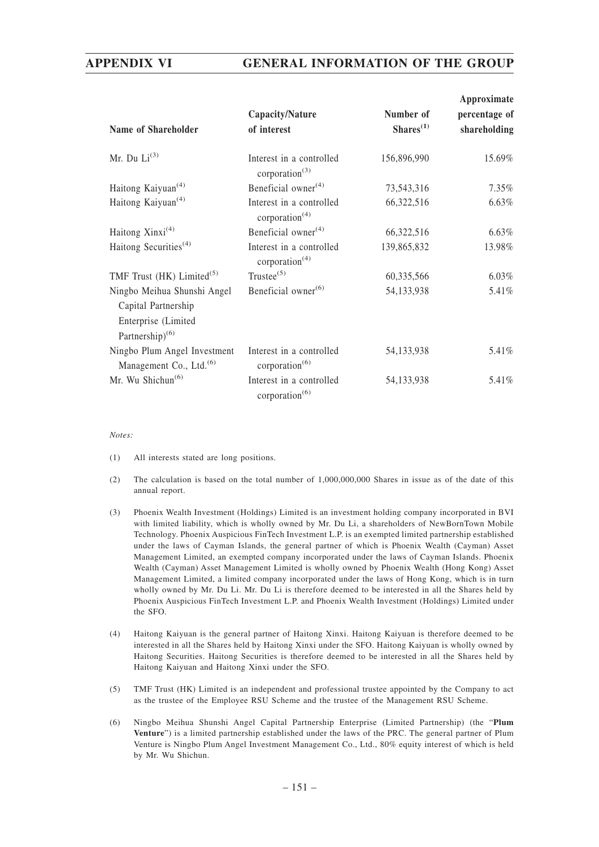| Name of Shareholder                                                                                      | Capacity/Nature<br>of interest                         | Number of<br>$Shares^{(1)}$ | Approximate<br>percentage of<br>shareholding |
|----------------------------------------------------------------------------------------------------------|--------------------------------------------------------|-----------------------------|----------------------------------------------|
| Mr. Du $Li^{(3)}$                                                                                        | Interest in a controlled<br>corporation $^{(3)}$       | 156,896,990                 | 15.69%                                       |
| Haitong Kaiyuan <sup>(4)</sup>                                                                           | Beneficial owner $(4)$                                 | 73,543,316                  | 7.35%                                        |
| Haitong Kaiyuan <sup>(4)</sup>                                                                           | Interest in a controlled<br>corporation $(4)$          | 66,322,516                  | 6.63%                                        |
| Haitong $Xinxi^{(4)}$                                                                                    | Beneficial owner $(4)$                                 | 66,322,516                  | 6.63%                                        |
| Haitong Securities <sup>(4)</sup>                                                                        | Interest in a controlled<br>corporation $(4)$          | 139,865,832                 | 13.98%                                       |
| TMF Trust (HK) Limited <sup>(5)</sup>                                                                    | $Trustee^{(5)}$                                        | 60,335,566                  | 6.03%                                        |
| Ningbo Meihua Shunshi Angel<br>Capital Partnership<br>Enterprise (Limited<br>Partnership) <sup>(6)</sup> | Beneficial owner <sup>(6)</sup>                        | 54,133,938                  | 5.41%                                        |
| Ningbo Plum Angel Investment<br>Management Co., Ltd. <sup>(6)</sup>                                      | Interest in a controlled<br>corporation $(6)$          | 54,133,938                  | 5.41%                                        |
| Mr. Wu Shichun <sup>(6)</sup>                                                                            | Interest in a controlled<br>corporation <sup>(6)</sup> | 54,133,938                  | 5.41%                                        |

#### *Notes:*

- (1) All interests stated are long positions.
- (2) The calculation is based on the total number of 1,000,000,000 Shares in issue as of the date of this annual report.
- (3) Phoenix Wealth Investment (Holdings) Limited is an investment holding company incorporated in BVI with limited liability, which is wholly owned by Mr. Du Li, a shareholders of NewBornTown Mobile Technology. Phoenix Auspicious FinTech Investment L.P. is an exempted limited partnership established under the laws of Cayman Islands, the general partner of which is Phoenix Wealth (Cayman) Asset Management Limited, an exempted company incorporated under the laws of Cayman Islands. Phoenix Wealth (Cayman) Asset Management Limited is wholly owned by Phoenix Wealth (Hong Kong) Asset Management Limited, a limited company incorporated under the laws of Hong Kong, which is in turn wholly owned by Mr. Du Li. Mr. Du Li is therefore deemed to be interested in all the Shares held by Phoenix Auspicious FinTech Investment L.P. and Phoenix Wealth Investment (Holdings) Limited under the SFO.
- (4) Haitong Kaiyuan is the general partner of Haitong Xinxi. Haitong Kaiyuan is therefore deemed to be interested in all the Shares held by Haitong Xinxi under the SFO. Haitong Kaiyuan is wholly owned by Haitong Securities. Haitong Securities is therefore deemed to be interested in all the Shares held by Haitong Kaiyuan and Haitong Xinxi under the SFO.
- (5) TMF Trust (HK) Limited is an independent and professional trustee appointed by the Company to act as the trustee of the Employee RSU Scheme and the trustee of the Management RSU Scheme.
- (6) Ningbo Meihua Shunshi Angel Capital Partnership Enterprise (Limited Partnership) (the "**Plum Venture**") is a limited partnership established under the laws of the PRC. The general partner of Plum Venture is Ningbo Plum Angel Investment Management Co., Ltd., 80% equity interest of which is held by Mr. Wu Shichun.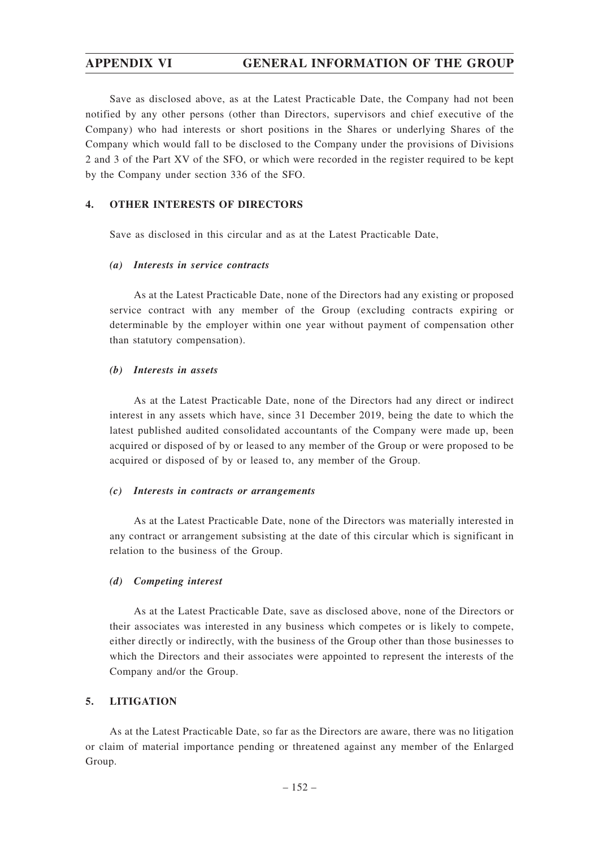Save as disclosed above, as at the Latest Practicable Date, the Company had not been notified by any other persons (other than Directors, supervisors and chief executive of the Company) who had interests or short positions in the Shares or underlying Shares of the Company which would fall to be disclosed to the Company under the provisions of Divisions 2 and 3 of the Part XV of the SFO, or which were recorded in the register required to be kept by the Company under section 336 of the SFO.

#### **4. OTHER INTERESTS OF DIRECTORS**

Save as disclosed in this circular and as at the Latest Practicable Date,

#### *(a) Interests in service contracts*

As at the Latest Practicable Date, none of the Directors had any existing or proposed service contract with any member of the Group (excluding contracts expiring or determinable by the employer within one year without payment of compensation other than statutory compensation).

#### *(b) Interests in assets*

As at the Latest Practicable Date, none of the Directors had any direct or indirect interest in any assets which have, since 31 December 2019, being the date to which the latest published audited consolidated accountants of the Company were made up, been acquired or disposed of by or leased to any member of the Group or were proposed to be acquired or disposed of by or leased to, any member of the Group.

#### *(c) Interests in contracts or arrangements*

As at the Latest Practicable Date, none of the Directors was materially interested in any contract or arrangement subsisting at the date of this circular which is significant in relation to the business of the Group.

## *(d) Competing interest*

As at the Latest Practicable Date, save as disclosed above, none of the Directors or their associates was interested in any business which competes or is likely to compete, either directly or indirectly, with the business of the Group other than those businesses to which the Directors and their associates were appointed to represent the interests of the Company and/or the Group.

## **5. LITIGATION**

As at the Latest Practicable Date, so far as the Directors are aware, there was no litigation or claim of material importance pending or threatened against any member of the Enlarged Group.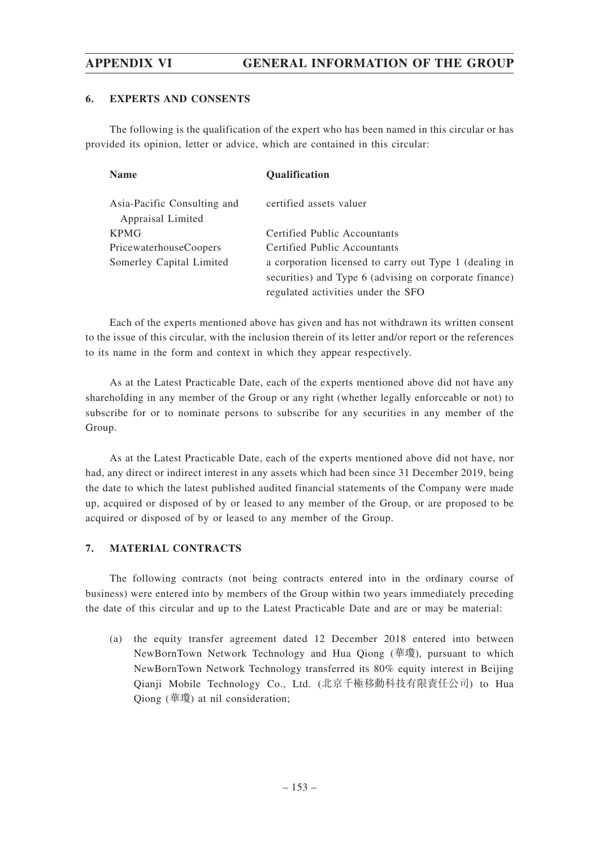### **6. EXPERTS AND CONSENTS**

The following is the qualification of the expert who has been named in this circular or has provided its opinion, letter or advice, which are contained in this circular:

| <b>Name</b>                                      | Qualification                                          |
|--------------------------------------------------|--------------------------------------------------------|
| Asia-Pacific Consulting and<br>Appraisal Limited | certified assets valuer                                |
| <b>KPMG</b>                                      | Certified Public Accountants                           |
| PricewaterhouseCoopers                           | Certified Public Accountants                           |
| Somerley Capital Limited                         | a corporation licensed to carry out Type 1 (dealing in |
|                                                  | securities) and Type 6 (advising on corporate finance) |
|                                                  | regulated activities under the SFO                     |

Each of the experts mentioned above has given and has not withdrawn its written consent to the issue of this circular, with the inclusion therein of its letter and/or report or the references to its name in the form and context in which they appear respectively.

As at the Latest Practicable Date, each of the experts mentioned above did not have any shareholding in any member of the Group or any right (whether legally enforceable or not) to subscribe for or to nominate persons to subscribe for any securities in any member of the Group.

As at the Latest Practicable Date, each of the experts mentioned above did not have, nor had, any direct or indirect interest in any assets which had been since 31 December 2019, being the date to which the latest published audited financial statements of the Company were made up, acquired or disposed of by or leased to any member of the Group, or are proposed to be acquired or disposed of by or leased to any member of the Group.

## **7. MATERIAL CONTRACTS**

The following contracts (not being contracts entered into in the ordinary course of business) were entered into by members of the Group within two years immediately preceding the date of this circular and up to the Latest Practicable Date and are or may be material:

(a) the equity transfer agreement dated 12 December 2018 entered into between NewBornTown Network Technology and Hua Qiong (華瓊), pursuant to which NewBornTown Network Technology transferred its 80% equity interest in Beijing Qianji Mobile Technology Co., Ltd. (北京千極移動科技有限責任公司) to Hua Qiong (華瓊) at nil consideration;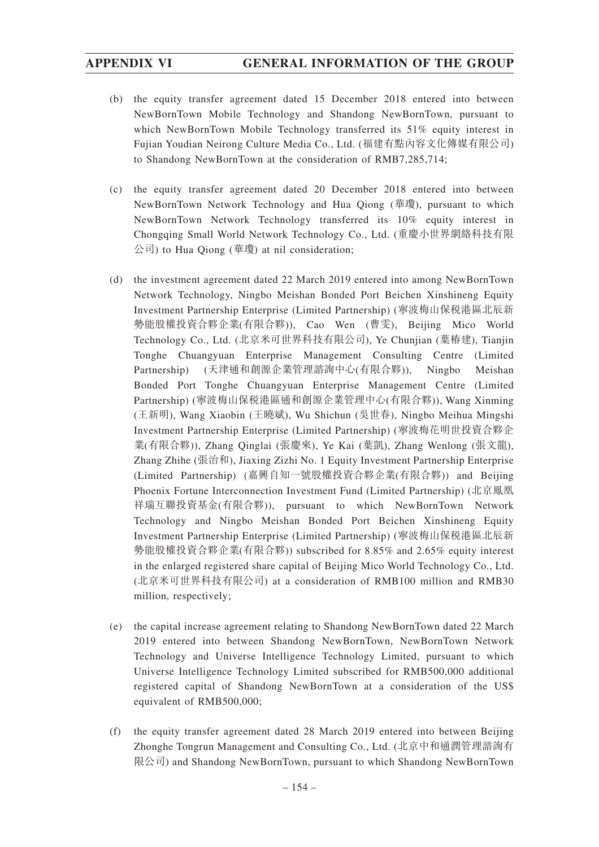- (b) the equity transfer agreement dated 15 December 2018 entered into between NewBornTown Mobile Technology and Shandong NewBornTown, pursuant to which NewBornTown Mobile Technology transferred its 51% equity interest in Fujian Youdian Neirong Culture Media Co., Ltd. (福建有點內容文化傳媒有限公司) to Shandong NewBornTown at the consideration of RMB7,285,714;
- (c) the equity transfer agreement dated 20 December 2018 entered into between NewBornTown Network Technology and Hua Qiong (華瓊), pursuant to which NewBornTown Network Technology transferred its 10% equity interest in Chongqing Small World Network Technology Co., Ltd. (重慶小世界網絡科技有限 公司) to Hua Qiong (華瓊) at nil consideration;
- (d) the investment agreement dated 22 March 2019 entered into among NewBornTown Network Technology, Ningbo Meishan Bonded Port Beichen Xinshineng Equity Investment Partnership Enterprise (Limited Partnership) (寧波梅山保稅港區北辰新 勢能股權投資合夥企業(有限合夥)), Cao Wen (曹雯), Beijing Mico World Technology Co., Ltd. (北京米可世界科技有限公司), Ye Chunjian (葉椿建), Tianjin Tonghe Chuangyuan Enterprise Management Consulting Centre (Limited Partnership) (天津通和創源企業管理諮詢中心(有限合夥)), Ningbo Meishan Bonded Port Tonghe Chuangyuan Enterprise Management Centre (Limited Partnership) (寧波梅山保稅港區通和創源企業管理中心(有限合夥)), Wang Xinming (王新明), Wang Xiaobin (王曉斌), Wu Shichun (吳世春), Ningbo Meihua Mingshi Investment Partnership Enterprise (Limited Partnership) (寧波梅花明世投資合夥企 業(有限合夥)), Zhang Qinglai (張慶來), Ye Kai (葉凱), Zhang Wenlong (張文龍), Zhang Zhihe (張治和), Jiaxing Zizhi No. 1 Equity Investment Partnership Enterprise (Limited Partnership) (嘉興自知一號股權投資合夥企業(有限合夥)) and Beijing Phoenix Fortune Interconnection Investment Fund (Limited Partnership) (北京鳳凰 祥瑞互聯投資基金(有限合夥)), pursuant to which NewBornTown Network Technology and Ningbo Meishan Bonded Port Beichen Xinshineng Equity Investment Partnership Enterprise (Limited Partnership) (寧波梅山保稅港區北辰新 勢能股權投資合夥企業(有限合夥)) subscribed for 8.85% and 2.65% equity interest in the enlarged registered share capital of Beijing Mico World Technology Co., Ltd. (北京米可世界科技有限公司) at a consideration of RMB100 million and RMB30 million, respectively;
- (e) the capital increase agreement relating to Shandong NewBornTown dated 22 March 2019 entered into between Shandong NewBornTown, NewBornTown Network Technology and Universe Intelligence Technology Limited, pursuant to which Universe Intelligence Technology Limited subscribed for RMB500,000 additional registered capital of Shandong NewBornTown at a consideration of the US\$ equivalent of RMB500,000;
- (f) the equity transfer agreement dated 28 March 2019 entered into between Beijing Zhonghe Tongrun Management and Consulting Co., Ltd. (北京中和通潤管理諮詢有 限公司) and Shandong NewBornTown, pursuant to which Shandong NewBornTown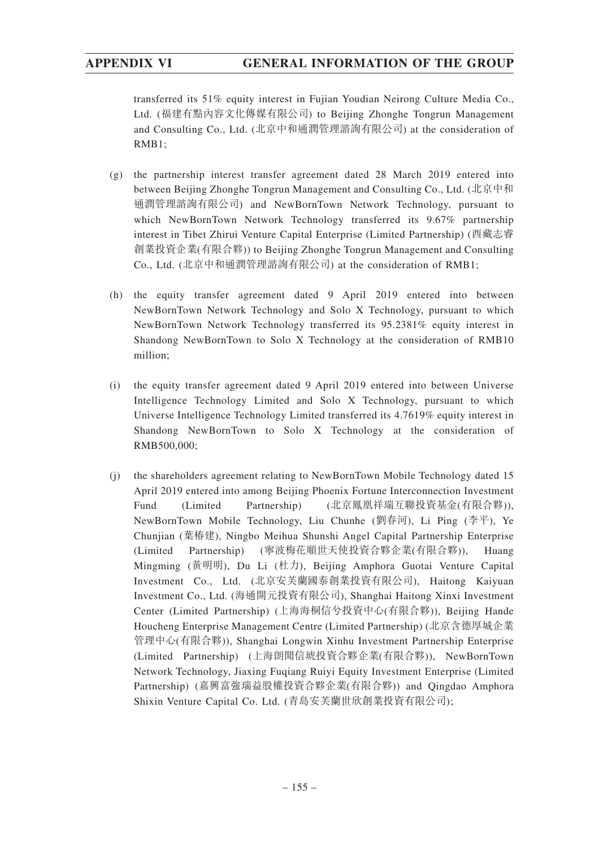transferred its 51% equity interest in Fujian Youdian Neirong Culture Media Co., Ltd. (福建有點內容文化傳媒有限公司) to Beijing Zhonghe Tongrun Management and Consulting Co., Ltd. (北京中和通潤管理諮詢有限公司) at the consideration of RMB1;

- (g) the partnership interest transfer agreement dated 28 March 2019 entered into between Beijing Zhonghe Tongrun Management and Consulting Co., Ltd. (北京中和 通潤管理諮詢有限公司) and NewBornTown Network Technology, pursuant to which NewBornTown Network Technology transferred its 9.67% partnership interest in Tibet Zhirui Venture Capital Enterprise (Limited Partnership) (西藏志睿 創業投資企業(有限合夥)) to Beijing Zhonghe Tongrun Management and Consulting Co., Ltd. (北京中和通潤管理諮詢有限公司) at the consideration of RMB1;
- (h) the equity transfer agreement dated 9 April 2019 entered into between NewBornTown Network Technology and Solo X Technology, pursuant to which NewBornTown Network Technology transferred its 95.2381% equity interest in Shandong NewBornTown to Solo X Technology at the consideration of RMB10 million;
- (i) the equity transfer agreement dated 9 April 2019 entered into between Universe Intelligence Technology Limited and Solo X Technology, pursuant to which Universe Intelligence Technology Limited transferred its 4.7619% equity interest in Shandong NewBornTown to Solo X Technology at the consideration of RMB500,000;
- (j) the shareholders agreement relating to NewBornTown Mobile Technology dated 15 April 2019 entered into among Beijing Phoenix Fortune Interconnection Investment Fund (Limited Partnership) (北京鳳凰祥瑞互聯投資基金(有限合夥)), NewBornTown Mobile Technology, Liu Chunhe (劉春河), Li Ping (李平), Ye Chunjian (葉椿建), Ningbo Meihua Shunshi Angel Capital Partnership Enterprise (Limited Partnership) (寧波梅花順世天使投資合夥企業(有限合夥)), Huang Mingming (黃明明), Du Li (杜力), Beijing Amphora Guotai Venture Capital Investment Co., Ltd. (北京安芙蘭國泰創業投資有限公司), Haitong Kaiyuan Investment Co., Ltd. (海通開元投資有限公司), Shanghai Haitong Xinxi Investment Center (Limited Partnership) (上海海桐信兮投資中心(有限合夥)), Beijing Hande Houcheng Enterprise Management Centre (Limited Partnership) (北京含德厚城企業 管理中心(有限合夥)), Shanghai Longwin Xinhu Investment Partnership Enterprise (Limited Partnership) (上海朗聞信琥投資合夥企業(有限合夥)), NewBornTown Network Technology, Jiaxing Fuqiang Ruiyi Equity Investment Enterprise (Limited Partnership) (嘉興富強瑞益股權投資合夥企業(有限合夥)) and Qingdao Amphora Shixin Venture Capital Co. Ltd. (青島安芙蘭世欣創業投資有限公司);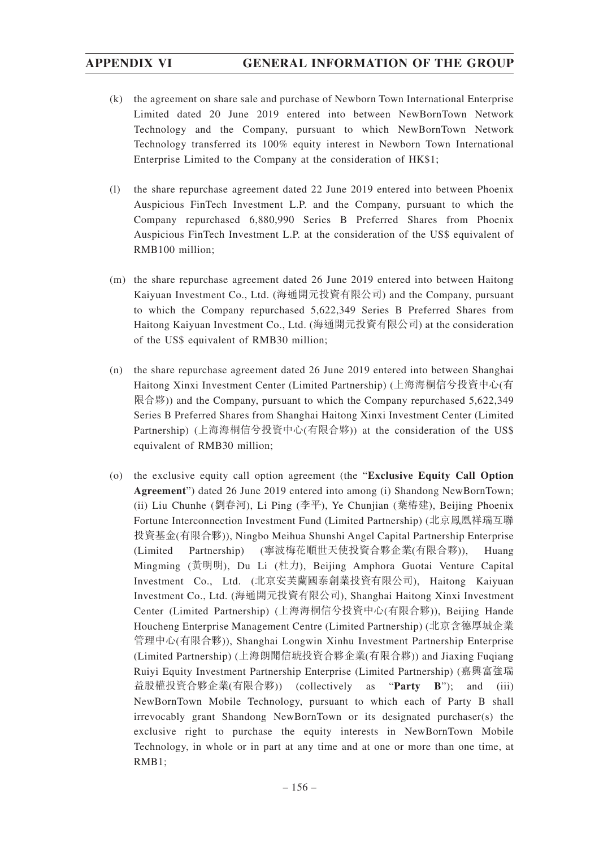- (k) the agreement on share sale and purchase of Newborn Town International Enterprise Limited dated 20 June 2019 entered into between NewBornTown Network Technology and the Company, pursuant to which NewBornTown Network Technology transferred its 100% equity interest in Newborn Town International Enterprise Limited to the Company at the consideration of HK\$1;
- (l) the share repurchase agreement dated 22 June 2019 entered into between Phoenix Auspicious FinTech Investment L.P. and the Company, pursuant to which the Company repurchased 6,880,990 Series B Preferred Shares from Phoenix Auspicious FinTech Investment L.P. at the consideration of the US\$ equivalent of RMB100 million;
- (m) the share repurchase agreement dated 26 June 2019 entered into between Haitong Kaiyuan Investment Co., Ltd. (海通開元投資有限公司) and the Company, pursuant to which the Company repurchased 5,622,349 Series B Preferred Shares from Haitong Kaiyuan Investment Co., Ltd. (海通開元投資有限公司) at the consideration of the US\$ equivalent of RMB30 million;
- (n) the share repurchase agreement dated 26 June 2019 entered into between Shanghai Haitong Xinxi Investment Center (Limited Partnership) (上海海桐信兮投資中心(有 限合夥)) and the Company, pursuant to which the Company repurchased 5,622,349 Series B Preferred Shares from Shanghai Haitong Xinxi Investment Center (Limited Partnership) (上海海桐信兮投資中心(有限合夥)) at the consideration of the US\$ equivalent of RMB30 million;
- (o) the exclusive equity call option agreement (the "**Exclusive Equity Call Option Agreement**") dated 26 June 2019 entered into among (i) Shandong NewBornTown; (ii) Liu Chunhe (劉春河), Li Ping (李平), Ye Chunjian (葉椿建), Beijing Phoenix Fortune Interconnection Investment Fund (Limited Partnership) (北京鳳凰祥瑞互聯 投資基金(有限合夥)), Ningbo Meihua Shunshi Angel Capital Partnership Enterprise (Limited Partnership) (寧波梅花順世天使投資合夥企業(有限合夥)), Huang Mingming (黃明明), Du Li (杜力), Beijing Amphora Guotai Venture Capital Investment Co., Ltd. (北京安芙蘭國泰創業投資有限公司), Haitong Kaiyuan Investment Co., Ltd. (海通開元投資有限公司), Shanghai Haitong Xinxi Investment Center (Limited Partnership) (上海海桐信兮投資中心(有限合夥)), Beijing Hande Houcheng Enterprise Management Centre (Limited Partnership) (北京含德厚城企業 管理中心(有限合夥)), Shanghai Longwin Xinhu Investment Partnership Enterprise (Limited Partnership) (上海朗聞信琥投資合夥企業(有限合夥)) and Jiaxing Fuqiang Ruiyi Equity Investment Partnership Enterprise (Limited Partnership) (嘉興富強瑞 益股權投資合夥企業(有限合夥)) (collectively as "**Party B**"); and (iii) NewBornTown Mobile Technology, pursuant to which each of Party B shall irrevocably grant Shandong NewBornTown or its designated purchaser(s) the exclusive right to purchase the equity interests in NewBornTown Mobile Technology, in whole or in part at any time and at one or more than one time, at RMB1;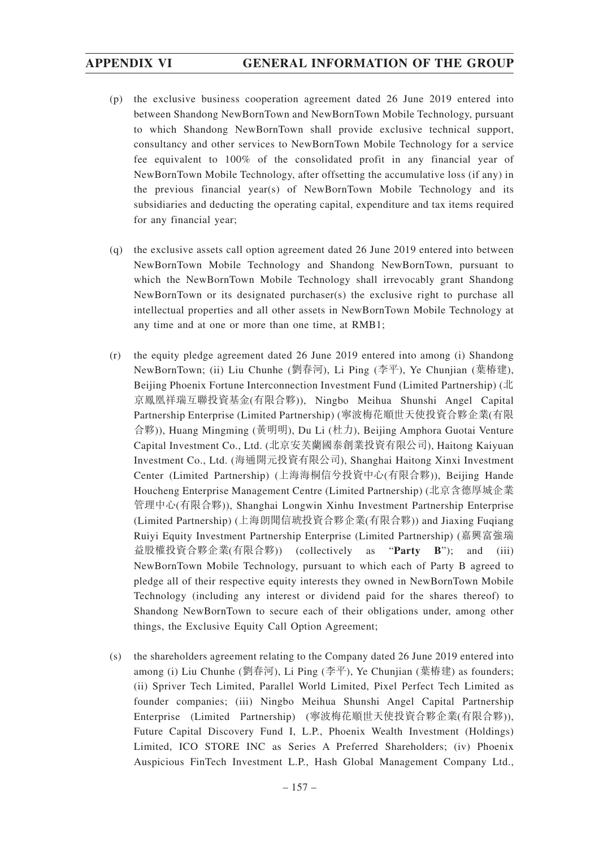- (p) the exclusive business cooperation agreement dated 26 June 2019 entered into between Shandong NewBornTown and NewBornTown Mobile Technology, pursuant to which Shandong NewBornTown shall provide exclusive technical support, consultancy and other services to NewBornTown Mobile Technology for a service fee equivalent to 100% of the consolidated profit in any financial year of NewBornTown Mobile Technology, after offsetting the accumulative loss (if any) in the previous financial year(s) of NewBornTown Mobile Technology and its subsidiaries and deducting the operating capital, expenditure and tax items required for any financial year;
- (q) the exclusive assets call option agreement dated 26 June 2019 entered into between NewBornTown Mobile Technology and Shandong NewBornTown, pursuant to which the NewBornTown Mobile Technology shall irrevocably grant Shandong NewBornTown or its designated purchaser(s) the exclusive right to purchase all intellectual properties and all other assets in NewBornTown Mobile Technology at any time and at one or more than one time, at RMB1;
- (r) the equity pledge agreement dated 26 June 2019 entered into among (i) Shandong NewBornTown; (ii) Liu Chunhe (劉春河), Li Ping (李平), Ye Chunjian (葉椿建), Beijing Phoenix Fortune Interconnection Investment Fund (Limited Partnership) (北 京鳳凰祥瑞互聯投資基金(有限合夥)), Ningbo Meihua Shunshi Angel Capital Partnership Enterprise (Limited Partnership) (寧波梅花順世天使投資合夥企業(有限 合夥)), Huang Mingming (黃明明), Du Li (杜力), Beijing Amphora Guotai Venture Capital Investment Co., Ltd. (北京安芙蘭國泰創業投資有限公司), Haitong Kaiyuan Investment Co., Ltd. (海通開元投資有限公司), Shanghai Haitong Xinxi Investment Center (Limited Partnership) (上海海桐信兮投資中心(有限合夥)), Beijing Hande Houcheng Enterprise Management Centre (Limited Partnership) (北京含德厚城企業 管理中心(有限合夥)), Shanghai Longwin Xinhu Investment Partnership Enterprise (Limited Partnership) (上海朗聞信琥投資合夥企業(有限合夥)) and Jiaxing Fuqiang Ruiyi Equity Investment Partnership Enterprise (Limited Partnership) (嘉興富強瑞 益股權投資合夥企業(有限合夥)) (collectively as "**Party B**"); and (iii) NewBornTown Mobile Technology, pursuant to which each of Party B agreed to pledge all of their respective equity interests they owned in NewBornTown Mobile Technology (including any interest or dividend paid for the shares thereof) to Shandong NewBornTown to secure each of their obligations under, among other things, the Exclusive Equity Call Option Agreement;
- (s) the shareholders agreement relating to the Company dated 26 June 2019 entered into among (i) Liu Chunhe (劉春河), Li Ping (李平), Ye Chunjian (葉椿建) as founders; (ii) Spriver Tech Limited, Parallel World Limited, Pixel Perfect Tech Limited as founder companies; (iii) Ningbo Meihua Shunshi Angel Capital Partnership Enterprise (Limited Partnership) (寧波梅花順世天使投資合夥企業(有限合夥)), Future Capital Discovery Fund I, L.P., Phoenix Wealth Investment (Holdings) Limited, ICO STORE INC as Series A Preferred Shareholders; (iv) Phoenix Auspicious FinTech Investment L.P., Hash Global Management Company Ltd.,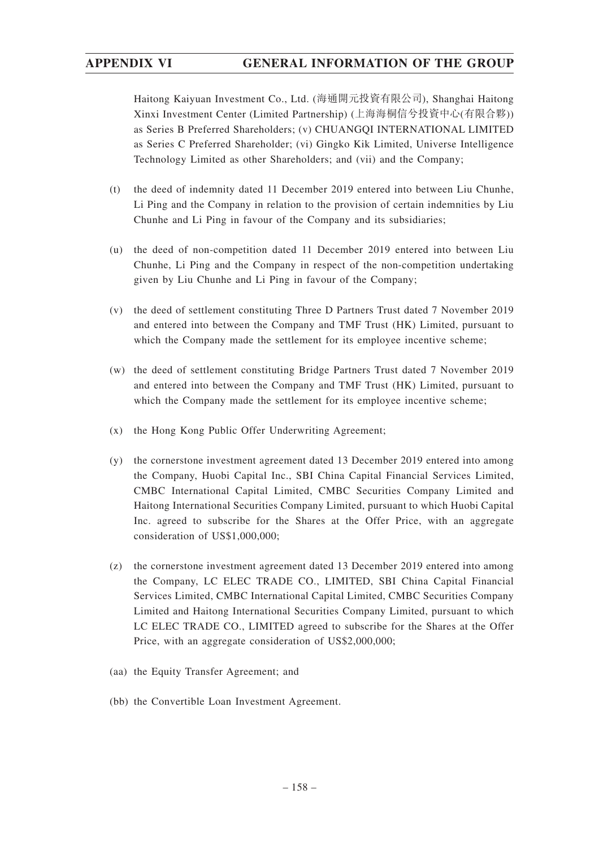Haitong Kaiyuan Investment Co., Ltd. (海通開元投資有限公司), Shanghai Haitong Xinxi Investment Center (Limited Partnership) (上海海桐信兮投資中心(有限合夥)) as Series B Preferred Shareholders; (v) CHUANGQI INTERNATIONAL LIMITED as Series C Preferred Shareholder; (vi) Gingko Kik Limited, Universe Intelligence Technology Limited as other Shareholders; and (vii) and the Company;

- (t) the deed of indemnity dated 11 December 2019 entered into between Liu Chunhe, Li Ping and the Company in relation to the provision of certain indemnities by Liu Chunhe and Li Ping in favour of the Company and its subsidiaries;
- (u) the deed of non-competition dated 11 December 2019 entered into between Liu Chunhe, Li Ping and the Company in respect of the non-competition undertaking given by Liu Chunhe and Li Ping in favour of the Company;
- (v) the deed of settlement constituting Three D Partners Trust dated 7 November 2019 and entered into between the Company and TMF Trust (HK) Limited, pursuant to which the Company made the settlement for its employee incentive scheme;
- (w) the deed of settlement constituting Bridge Partners Trust dated 7 November 2019 and entered into between the Company and TMF Trust (HK) Limited, pursuant to which the Company made the settlement for its employee incentive scheme;
- (x) the Hong Kong Public Offer Underwriting Agreement;
- (y) the cornerstone investment agreement dated 13 December 2019 entered into among the Company, Huobi Capital Inc., SBI China Capital Financial Services Limited, CMBC International Capital Limited, CMBC Securities Company Limited and Haitong International Securities Company Limited, pursuant to which Huobi Capital Inc. agreed to subscribe for the Shares at the Offer Price, with an aggregate consideration of US\$1,000,000;
- (z) the cornerstone investment agreement dated 13 December 2019 entered into among the Company, LC ELEC TRADE CO., LIMITED, SBI China Capital Financial Services Limited, CMBC International Capital Limited, CMBC Securities Company Limited and Haitong International Securities Company Limited, pursuant to which LC ELEC TRADE CO., LIMITED agreed to subscribe for the Shares at the Offer Price, with an aggregate consideration of US\$2,000,000;
- (aa) the Equity Transfer Agreement; and
- (bb) the Convertible Loan Investment Agreement.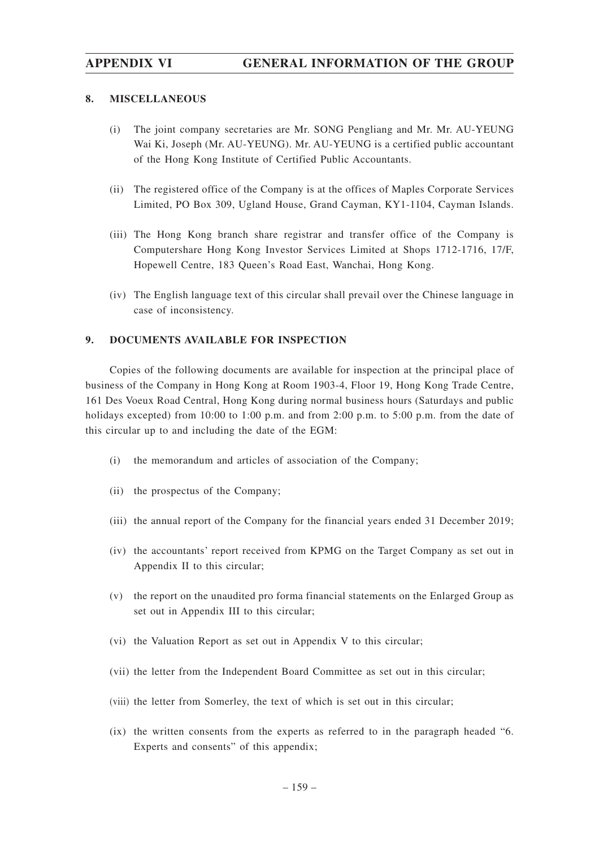#### **8. MISCELLANEOUS**

- (i) The joint company secretaries are Mr. SONG Pengliang and Mr. Mr. AU-YEUNG Wai Ki, Joseph (Mr. AU-YEUNG). Mr. AU-YEUNG is a certified public accountant of the Hong Kong Institute of Certified Public Accountants.
- (ii) The registered office of the Company is at the offices of Maples Corporate Services Limited, PO Box 309, Ugland House, Grand Cayman, KY1-1104, Cayman Islands.
- (iii) The Hong Kong branch share registrar and transfer office of the Company is Computershare Hong Kong Investor Services Limited at Shops 1712-1716, 17/F, Hopewell Centre, 183 Queen's Road East, Wanchai, Hong Kong.
- (iv) The English language text of this circular shall prevail over the Chinese language in case of inconsistency.

## **9. DOCUMENTS AVAILABLE FOR INSPECTION**

Copies of the following documents are available for inspection at the principal place of business of the Company in Hong Kong at Room 1903-4, Floor 19, Hong Kong Trade Centre, 161 Des Voeux Road Central, Hong Kong during normal business hours (Saturdays and public holidays excepted) from 10:00 to 1:00 p.m. and from 2:00 p.m. to 5:00 p.m. from the date of this circular up to and including the date of the EGM:

- (i) the memorandum and articles of association of the Company;
- (ii) the prospectus of the Company;
- (iii) the annual report of the Company for the financial years ended 31 December 2019;
- (iv) the accountants' report received from KPMG on the Target Company as set out in Appendix II to this circular;
- (v) the report on the unaudited pro forma financial statements on the Enlarged Group as set out in Appendix III to this circular;
- (vi) the Valuation Report as set out in Appendix V to this circular;
- (vii) the letter from the Independent Board Committee as set out in this circular;
- (viii) the letter from Somerley, the text of which is set out in this circular;
- (ix) the written consents from the experts as referred to in the paragraph headed "6. Experts and consents" of this appendix;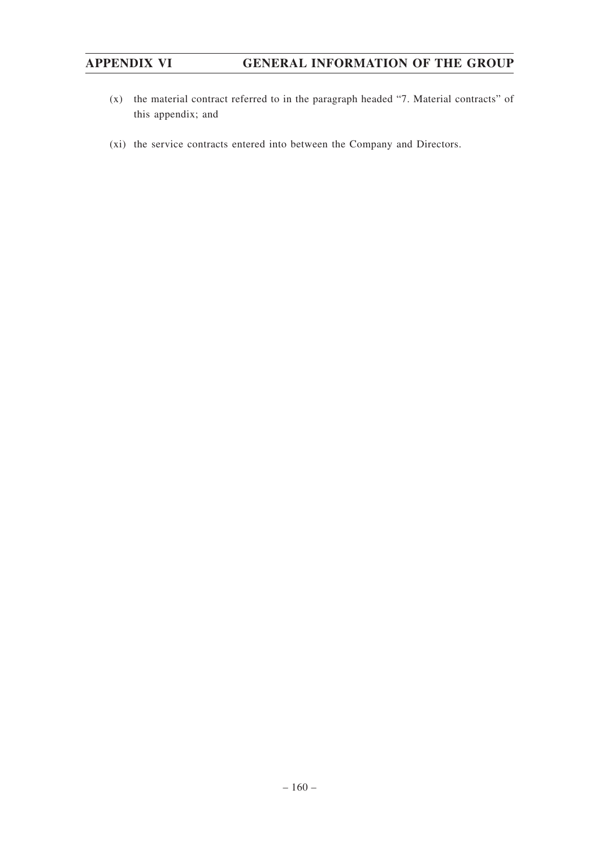- (x) the material contract referred to in the paragraph headed "7. Material contracts" of this appendix; and
- (xi) the service contracts entered into between the Company and Directors.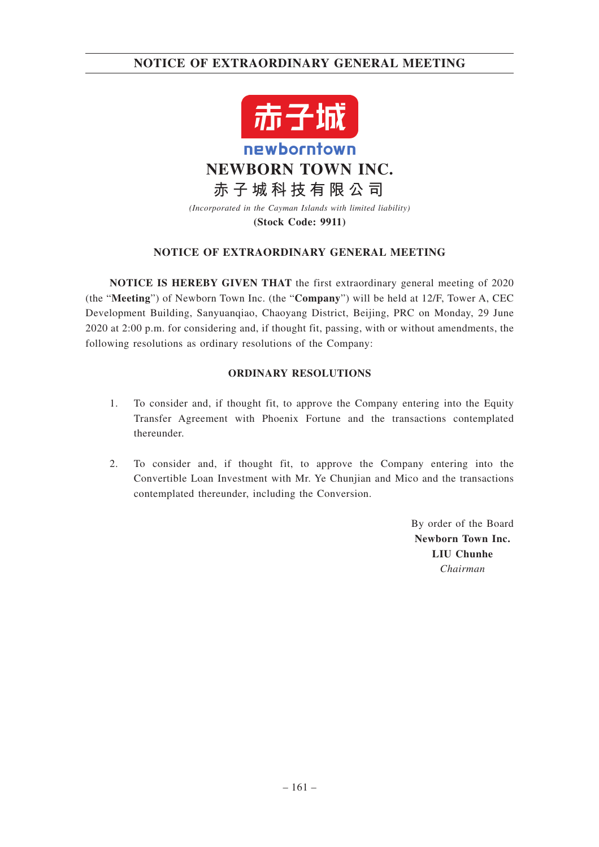# **NOTICE OF EXTRAORDINARY GENERAL MEETING**



**NEWBORN TOWN INC.**

**赤子城科技有限公司**

*(Incorporated in the Cayman Islands with limited liability)* **(Stock Code: 9911)**

## **NOTICE OF EXTRAORDINARY GENERAL MEETING**

**NOTICE IS HEREBY GIVEN THAT** the first extraordinary general meeting of 2020 (the "**Meeting**") of Newborn Town Inc. (the "**Company**") will be held at 12/F, Tower A, CEC Development Building, Sanyuanqiao, Chaoyang District, Beijing, PRC on Monday, 29 June 2020 at 2:00 p.m. for considering and, if thought fit, passing, with or without amendments, the following resolutions as ordinary resolutions of the Company:

## **ORDINARY RESOLUTIONS**

- 1. To consider and, if thought fit, to approve the Company entering into the Equity Transfer Agreement with Phoenix Fortune and the transactions contemplated thereunder.
- 2. To consider and, if thought fit, to approve the Company entering into the Convertible Loan Investment with Mr. Ye Chunjian and Mico and the transactions contemplated thereunder, including the Conversion.

By order of the Board **Newborn Town Inc. LIU Chunhe** *Chairman*